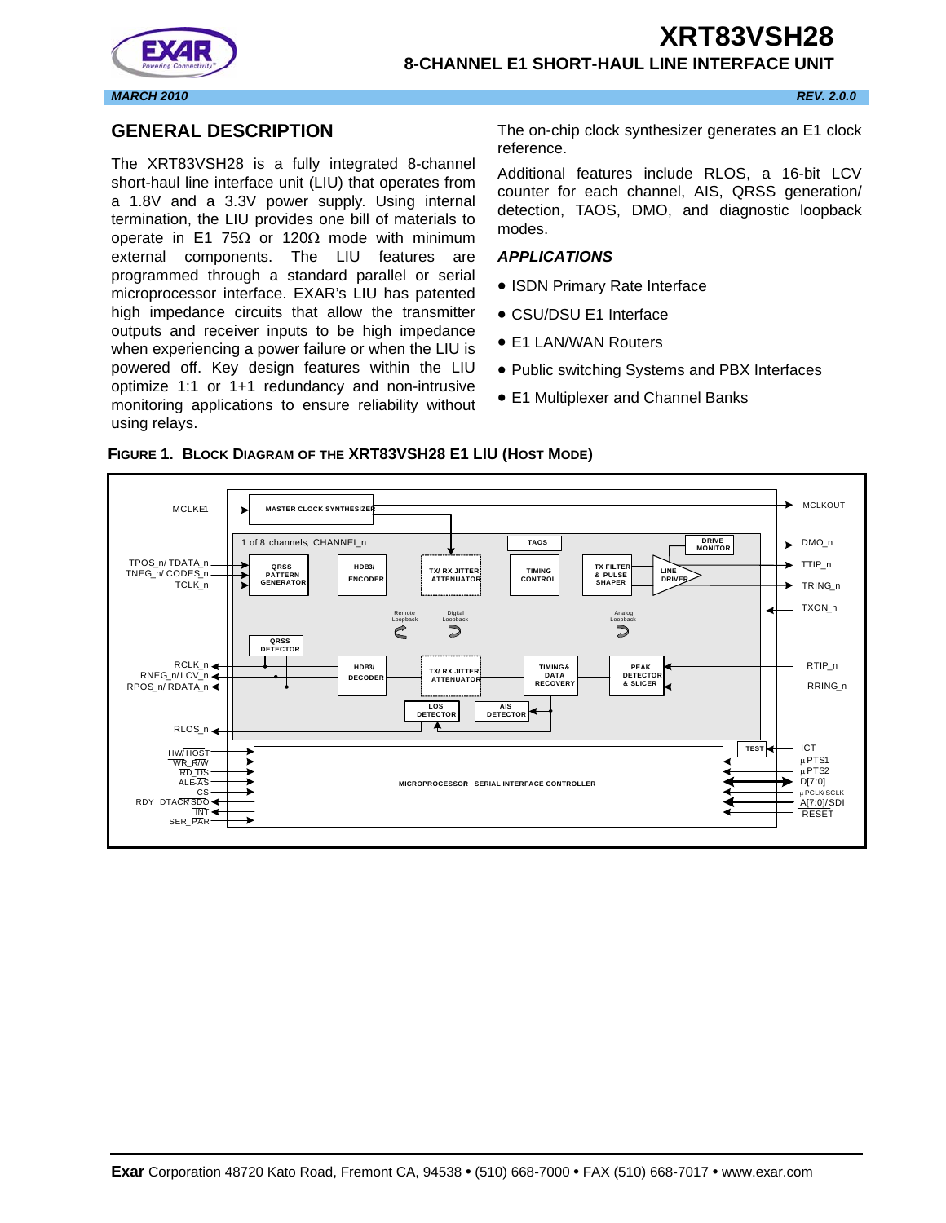



## **8-CHANNEL E1 SHORT-HAUL LINE INTERFACE UNIT**

## **GENERAL DESCRIPTION**

The XRT83VSH28 is a fully integrated 8-channel short-haul line interface unit (LIU) that operates from a 1.8V and a 3.3V power supply. Using internal termination, the LIU provides one bill of materials to operate in E1 75 $\Omega$  or 120 $\Omega$  mode with minimum external components. The LIU features are programmed through a standard parallel or serial microprocessor interface. EXAR's LIU has patented high impedance circuits that allow the transmitter outputs and receiver inputs to be high impedance when experiencing a power failure or when the LIU is powered off. Key design features within the LIU optimize 1:1 or 1+1 redundancy and non-intrusive monitoring applications to ensure reliability without using relays.

The on-chip clock synthesizer generates an E1 clock reference.

Additional features include RLOS, a 16-bit LCV counter for each channel, AIS, QRSS generation/ detection, TAOS, DMO, and diagnostic loopback modes.

#### *APPLICATIONS*

- ISDN Primary Rate Interface
- CSU/DSU E1 Interface
- E1 LAN/WAN Routers
- Public switching Systems and PBX Interfaces
- E1 Multiplexer and Channel Banks



#### **FIGURE 1. BLOCK DIAGRAM OF THE XRT83VSH28 E1 LIU (HOST MODE)**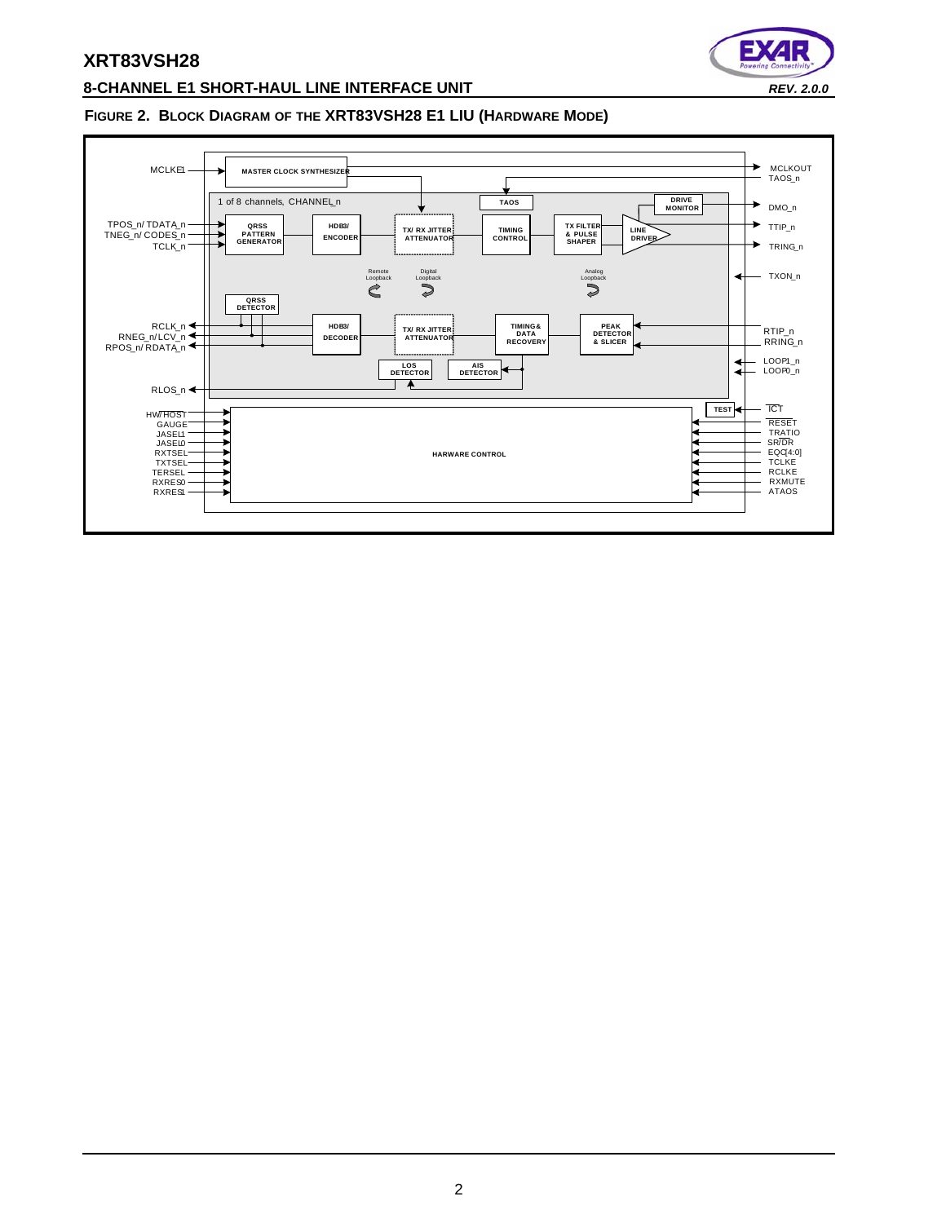

# **8-CHANNEL E1 SHORT-HAUL LINE INTERFACE UNIT** *REV. 2.0.0*

#### **FIGURE 2. BLOCK DIAGRAM OF THE XRT83VSH28 E1 LIU (HARDWARE MODE)**

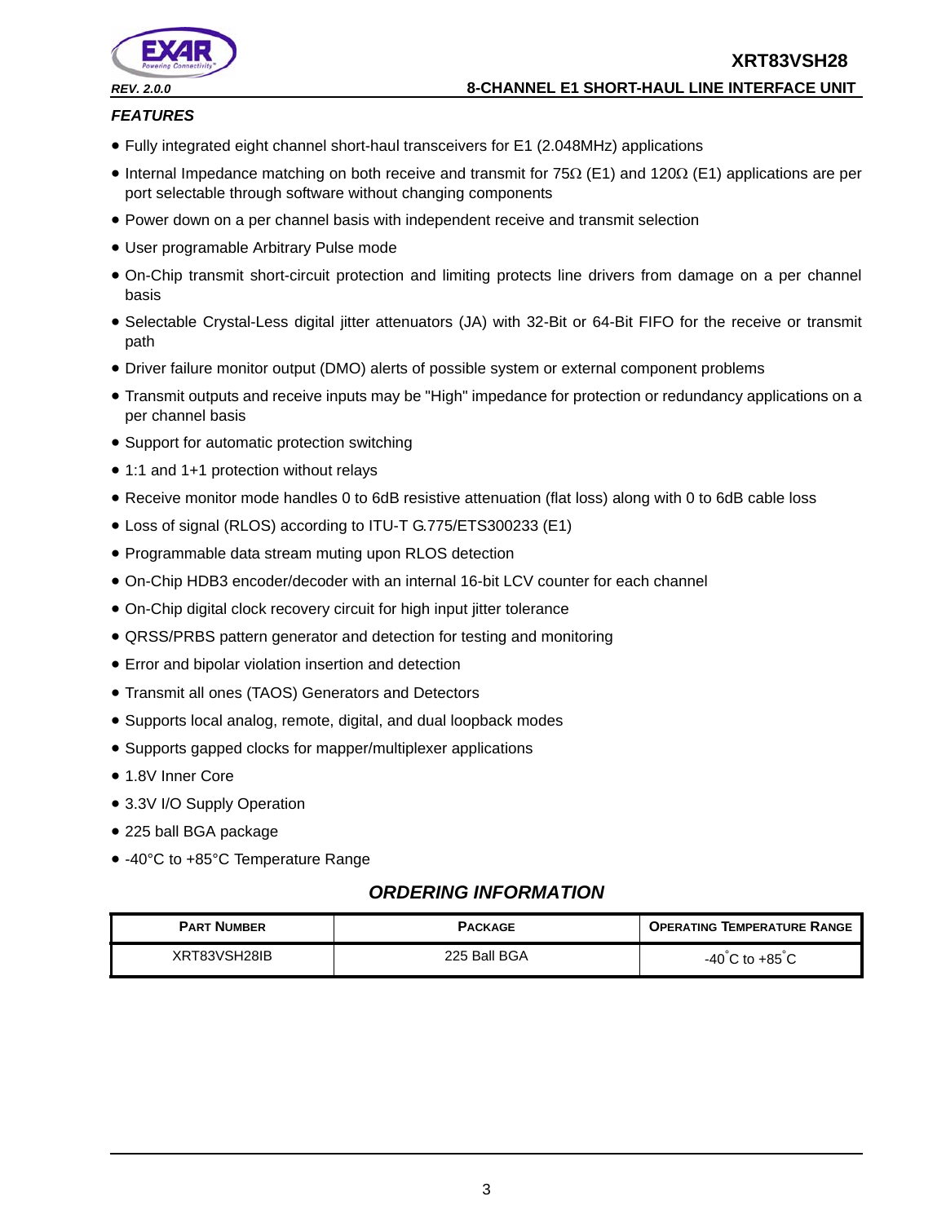

## *FEATURES*

- Fully integrated eight channel short-haul transceivers for E1 (2.048MHz) applications
- Internal Impedance matching on both receive and transmit for  $75\Omega$  (E1) and 120 $\Omega$  (E1) applications are per port selectable through software without changing components
- Power down on a per channel basis with independent receive and transmit selection
- User programable Arbitrary Pulse mode
- On-Chip transmit short-circuit protection and limiting protects line drivers from damage on a per channel basis
- Selectable Crystal-Less digital jitter attenuators (JA) with 32-Bit or 64-Bit FIFO for the receive or transmit path
- Driver failure monitor output (DMO) alerts of possible system or external component problems
- Transmit outputs and receive inputs may be "High" impedance for protection or redundancy applications on a per channel basis
- Support for automatic protection switching
- 1:1 and 1+1 protection without relays
- Receive monitor mode handles 0 to 6dB resistive attenuation (flat loss) along with 0 to 6dB cable loss
- Loss of signal (RLOS) according to ITU-T G.775/ETS300233 (E1)
- Programmable data stream muting upon RLOS detection
- On-Chip HDB3 encoder/decoder with an internal 16-bit LCV counter for each channel
- On-Chip digital clock recovery circuit for high input jitter tolerance
- QRSS/PRBS pattern generator and detection for testing and monitoring
- Error and bipolar violation insertion and detection
- Transmit all ones (TAOS) Generators and Detectors
- Supports local analog, remote, digital, and dual loopback modes
- Supports gapped clocks for mapper/multiplexer applications
- 1.8V Inner Core
- 3.3V I/O Supply Operation
- 225 ball BGA package
- -40°C to +85°C Temperature Range

# *ORDERING INFORMATION*

| <b>PART NUMBER</b> | <b>PACKAGE</b> | <b>OPERATING TEMPERATURE RANGE</b> |
|--------------------|----------------|------------------------------------|
| XRT83VSH28IB       | 225 Ball BGA   | $-40^{\circ}$ C to $+85^{\circ}$ C |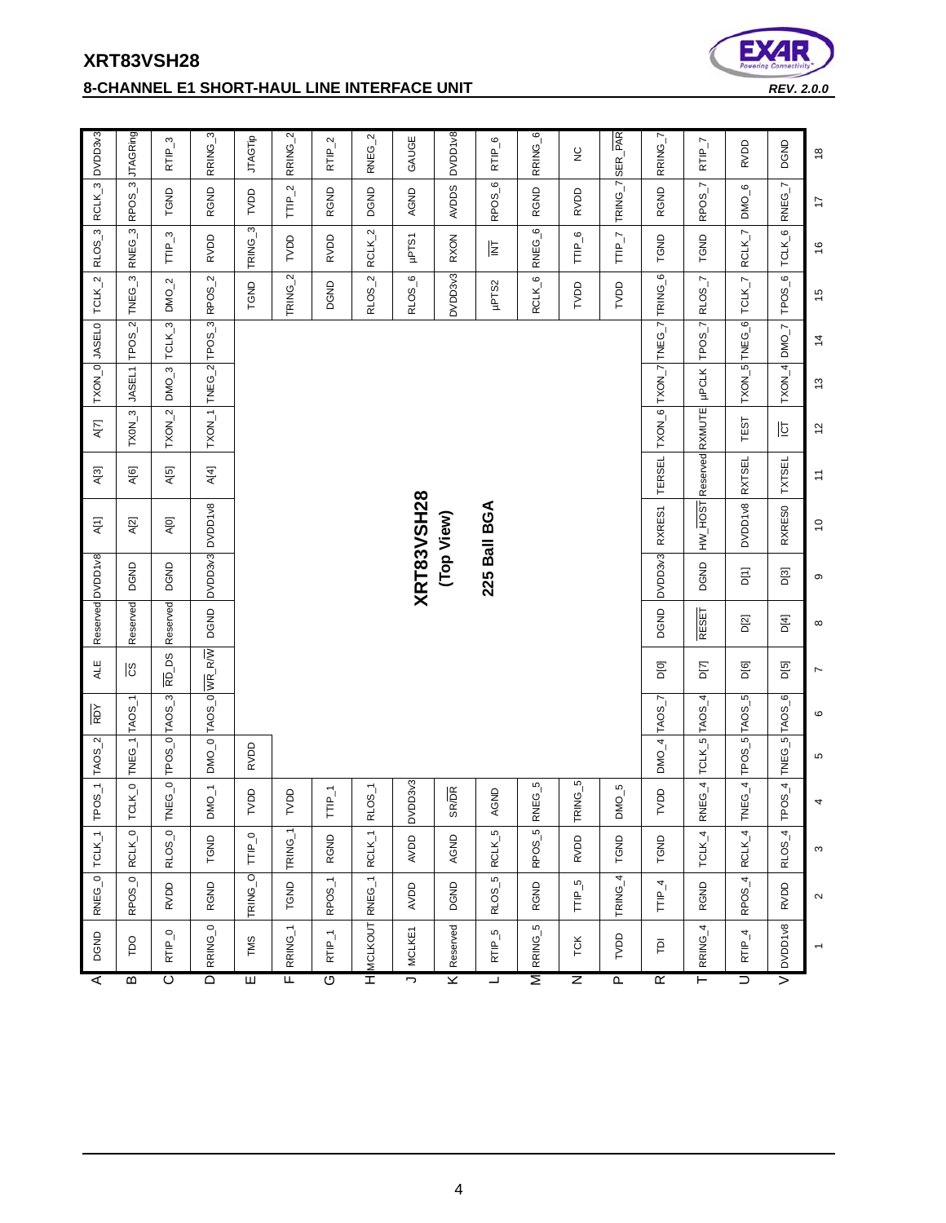| ⋖                       | DGND                                | RNEG_0                 | $TCLK_{-1}$         |                  | TPOS_1 TAOS_2                | RDY                | ALE                |              | Reserved DVDD1v8 | A[1]                    | A[3]                                        | A[7]          |               | TXON_0 JASEL0   | $TCLK_2$                           | $\overline{3}$<br>RLOS | RCLK_3             | DVDD3v3             |
|-------------------------|-------------------------------------|------------------------|---------------------|------------------|------------------------------|--------------------|--------------------|--------------|------------------|-------------------------|---------------------------------------------|---------------|---------------|-----------------|------------------------------------|------------------------|--------------------|---------------------|
| В                       | pa                                  | RPOS <sub>-0</sub>     | RCLK_0              | TCLK_0           | TNEG_1                       | TAO <sub>S_1</sub> | ပ္ပ                | Reserved     | DGND             | A[2]                    | A[6]                                        | $TXON_3$      | JASEL1        | $TPOS_2$        | ო<br>TNEG <sub>-</sub>             | RNEG_3                 | RPOS <sub>-3</sub> | <b>JTAGRing</b>     |
| ं                       | $RTP_0$                             | RVDD                   | RLOS_0              | TNEG_0           |                              | TPOS_0 TAOS_3      | $R\overline{D}_DS$ | Reserved     | DGND             | A[0]                    | A[5]                                        | $TXON_2$      | $DMO-3$       | TCLK_3          | $DMO-2$                            | $TTP_3$                | TGND               | RTIP <sub>-3</sub>  |
| $\overline{\Omega}$     | RRING_0                             | RGND                   | TGND                | $DMO-1$          | $DMO_0$                      |                    | TAOS_0 WR_RW       | DGND         |                  | DVDD3v3 DVDD1v8         | A[4]                                        | TXON_1        |               | TNEG_2 $TPOS_3$ | RPOS <sub>-2</sub>                 | RVDD                   | <b>RGND</b>        | RRING <sub>3</sub>  |
| E                       | TMS                                 | TRING_O                | TTIP_0              | TVDD             | <b>RVDD</b>                  |                    |                    |              |                  |                         |                                             |               |               |                 | TGND                               | TRING_3                | TVDD               | <b>JTAGTIP</b>      |
| $\overline{\mathbf{r}}$ | RRING_1                             | <b>TGND</b>            | TRING <sub>-1</sub> | TVDD             |                              |                    |                    |              |                  |                         |                                             |               |               |                 | TRING <sub>-2</sub>                | TVDD                   | $TTP_2$            | RRING_2             |
| ত                       | $RTP_1$                             | RPOS_1                 | RGND                | $TTP_1$          |                              |                    |                    |              |                  |                         |                                             |               |               |                 | DGND                               | RVDD                   | RGND               | RTIP_2              |
| Ξ                       | <b>MCLKOUT</b>                      | RNEG <sub>-1</sub>     | RCLK_1              | RLOS_1           |                              |                    |                    |              |                  |                         |                                             |               |               |                 | $\mathbf{N}$<br>RLOS_              | $RCLK_2$               | DGND               | RNEG_2              |
| J,                      | MCLKE1                              | AVDD                   | <b>AVDD</b>         | DVDD3v3          |                              |                    |                    |              |                  | <b>XRT83VSH28</b>       |                                             |               |               |                 | $\circ$<br>RLOS_                   | <b>LS1drl</b>          | AGND               | GAUGE               |
| ⊻                       | Reserved                            | DGND                   | AGND                | <b>SR/DR</b>     |                              |                    |                    |              |                  | (Top View)              |                                             |               |               |                 | <b>DVDD3v3</b>                     | <b>RXON</b>            | <b>AVDDS</b>       | DVDD1v8             |
| ⊐                       | $\mathfrak{g}$<br>RTIP <sub>-</sub> | $\mathfrak{g}$<br>RLOS | RCLK_5              | <b>AGND</b>      |                              |                    |                    |              |                  | 225 Ball BGA            |                                             |               |               |                 | µPTS2                              | 팈                      | RPOS <sub>-6</sub> | RTIP <sub>-6</sub>  |
| Σ                       | RRING_5                             | <b>RGND</b>            | RPOS <sub>5</sub>   | RNEG_5           |                              |                    |                    |              |                  |                         |                                             |               |               |                 | RCLK_6                             | RNEG_6                 | <b>RGND</b>        | RRING <sub>-6</sub> |
| z                       | TCK                                 | $TTP_5$                | <b>RVDD</b>         | TRING_5          |                              |                    |                    |              |                  |                         |                                             |               |               |                 | TVDD                               | TTIP_6                 | RVDD               | $\frac{c}{2}$       |
| Ρ                       | TVDD                                | TRING <sub>4</sub>     | TGND                | DMO <sub>5</sub> |                              |                    |                    |              |                  |                         |                                             |               |               |                 | DON                                | TTIP $\overline{I}$    | TRING_7            | SER_PAR             |
| $\overline{\mathbf{r}}$ | $\overline{P}$                      | $TIP_4$                | TGND                | TVDD             | $DMO-4$                      | TAOS_7             | DIOI               | DGND         | DVDD3v3          | RXRES1                  | <b>TERSEL</b>                               | TXON_6        |               | TXON_7 TNEG_7   | TRING <sub>-6</sub>                | <b>TGND</b>            | RGND               | RRING <sub>I</sub>  |
| Ε                       | RRING <sub>4</sub>                  | <b>RGND</b>            | TCLK_4              |                  | $RNEG_4$ TCLK $_5$ TAOS $_4$ |                    | D[7]               | <b>RESET</b> | <b>DGND</b>      | HW_HOST Reserved RXMUTE |                                             |               | <b>µPCLK</b>  | $TPOS_7$        | RLOS_7                             | <b>TGND</b>            | RPOS_7             | $RTP_7$             |
| ぅ                       | $RTP_4$                             | RPOS_4                 | RCLK_4              | TNEG_4           |                              | TPOS_5 TAOS_5      | DIGI               | D[2]         | <b>D</b> [1]     | DVDD1v8                 | <b>RXTSEL</b>                               | TEST          |               | TXON_5 TNEG_6   | TCLK_7                             | RCLK_7                 | $DMO-6$            | <b>RVDD</b>         |
| >                       | DVDD1v8                             | RVDD                   | RLOS_4              | $TPOS_4$         |                              | TNEG_5 TAOS_6      | D[5]               | D[4]         | D[3]             | RXRES0                  | <b>TXTSEL</b>                               | <b>b</b>      | $TXON_4$      | $DMO-$          | $\mathbf{c}_i$<br>TPO <sub>S</sub> | TCLK_6                 | $RNEG_{-}7$        | DGND                |
|                         |                                     | $\sim$                 | S                   | 4                | 5                            | ဖ                  | $\overline{ }$     | $\infty$     | ၜ                | $\overline{c}$          | $\stackrel{\scriptstyle -}{\scriptstyle -}$ | $\frac{2}{3}$ | $\frac{3}{2}$ | $\overline{4}$  | $\overline{1}$                     | $\frac{6}{1}$          | $\overline{1}$     | $\frac{8}{2}$       |

# **XRT83VSH28 8-CHANNEL E1 SHORT-HAUL LINE INTERFACE UNIT** *REV. 2.0.0*

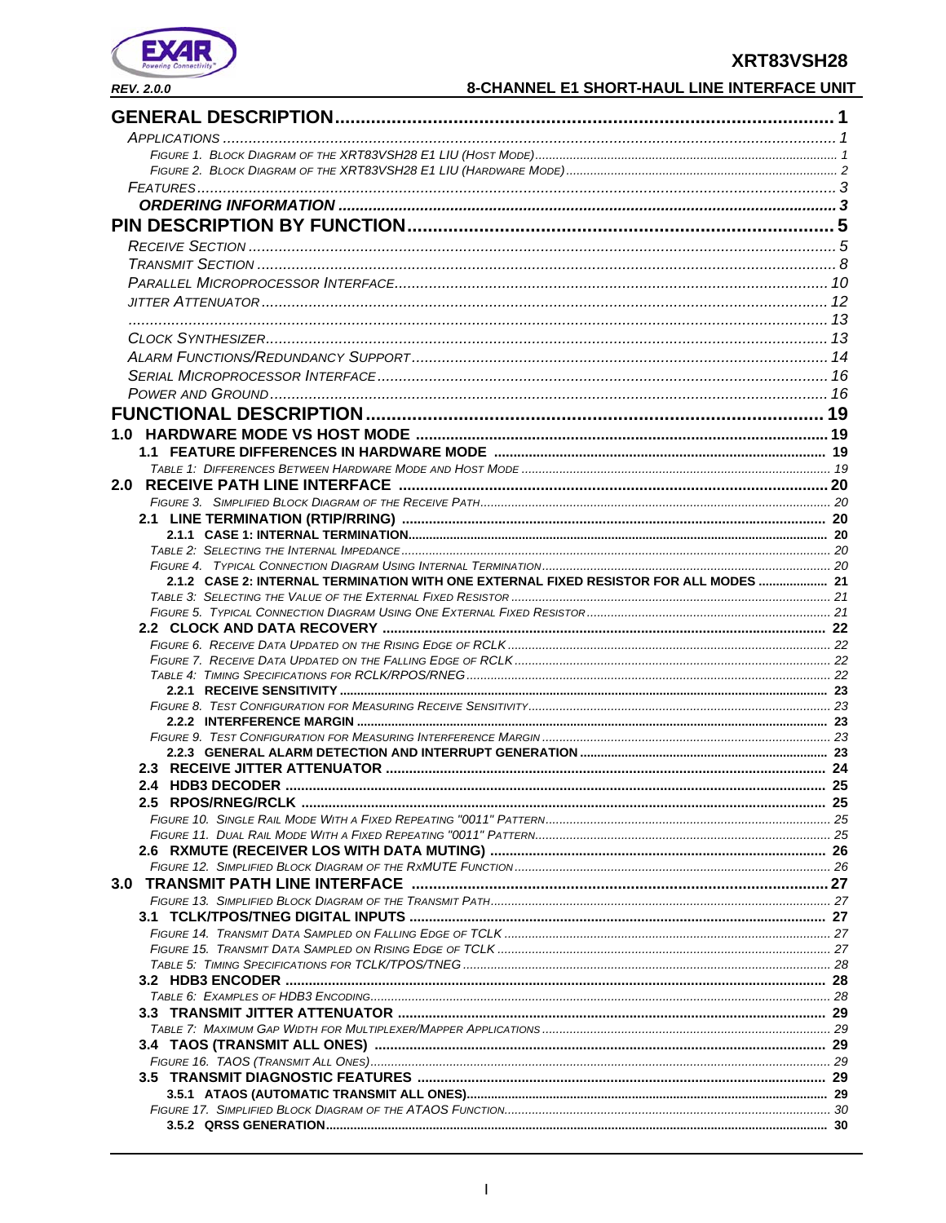

# 8

|                                                                                                                                                                                                                                | XRT83VSH28 |
|--------------------------------------------------------------------------------------------------------------------------------------------------------------------------------------------------------------------------------|------------|
| 8-CHANNEL E1 SHORT-HAUL LINE INTERFACE UNIT<br><b>REV. 2.0.0</b>                                                                                                                                                               |            |
|                                                                                                                                                                                                                                |            |
|                                                                                                                                                                                                                                |            |
|                                                                                                                                                                                                                                |            |
|                                                                                                                                                                                                                                |            |
|                                                                                                                                                                                                                                |            |
|                                                                                                                                                                                                                                |            |
|                                                                                                                                                                                                                                |            |
|                                                                                                                                                                                                                                |            |
|                                                                                                                                                                                                                                |            |
|                                                                                                                                                                                                                                |            |
|                                                                                                                                                                                                                                |            |
|                                                                                                                                                                                                                                |            |
|                                                                                                                                                                                                                                |            |
|                                                                                                                                                                                                                                |            |
|                                                                                                                                                                                                                                |            |
|                                                                                                                                                                                                                                |            |
|                                                                                                                                                                                                                                |            |
|                                                                                                                                                                                                                                |            |
|                                                                                                                                                                                                                                |            |
|                                                                                                                                                                                                                                |            |
|                                                                                                                                                                                                                                |            |
|                                                                                                                                                                                                                                |            |
|                                                                                                                                                                                                                                |            |
|                                                                                                                                                                                                                                |            |
| 2.1.2 CASE 2: INTERNAL TERMINATION WITH ONE EXTERNAL FIXED RESISTOR FOR ALL MODES  21                                                                                                                                          |            |
|                                                                                                                                                                                                                                |            |
|                                                                                                                                                                                                                                |            |
|                                                                                                                                                                                                                                |            |
|                                                                                                                                                                                                                                |            |
|                                                                                                                                                                                                                                |            |
|                                                                                                                                                                                                                                |            |
|                                                                                                                                                                                                                                |            |
|                                                                                                                                                                                                                                |            |
|                                                                                                                                                                                                                                |            |
|                                                                                                                                                                                                                                |            |
|                                                                                                                                                                                                                                |            |
|                                                                                                                                                                                                                                |            |
|                                                                                                                                                                                                                                |            |
|                                                                                                                                                                                                                                |            |
|                                                                                                                                                                                                                                |            |
|                                                                                                                                                                                                                                |            |
|                                                                                                                                                                                                                                |            |
|                                                                                                                                                                                                                                |            |
|                                                                                                                                                                                                                                |            |
|                                                                                                                                                                                                                                |            |
|                                                                                                                                                                                                                                |            |
| TABLE 6: EXAMPLES OF HDB3 ENCODING CONTROL CONTROL CONTROL CONTROL CONTROL CONTROL CONTROL CONTROL CONTROL CONTROL CONTROL CONTROL CONTROL CONTROL CONTROL CONTROL CONTROL CONTROL CONTROL CONTROL CONTROL CONTROL CONTROL CON | 28         |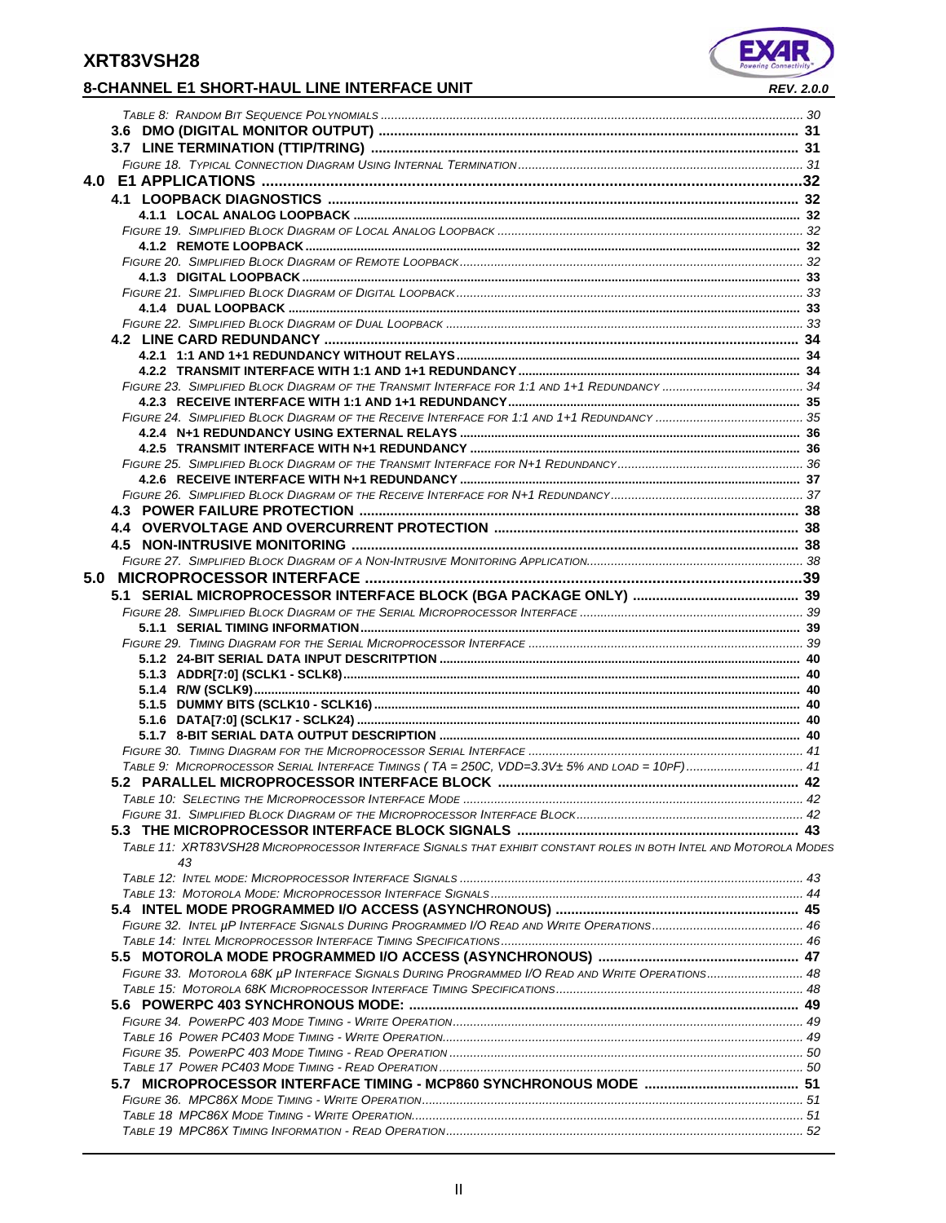# **8-CHANNEL E1 SHORT-HAUL LINE INTERFACE UNIT** *REV. 2.0.0*

II

*TABLE 19 MPC86X TIMING INFORMATION - READ OPERATION........................................................................................................ 52*

| 5.0 MICROPROCESSOR INTERFACE ……………………………………………………………………………………………39                                                 |  |
|--------------------------------------------------------------------------------------------------------------------|--|
|                                                                                                                    |  |
|                                                                                                                    |  |
|                                                                                                                    |  |
|                                                                                                                    |  |
|                                                                                                                    |  |
|                                                                                                                    |  |
|                                                                                                                    |  |
|                                                                                                                    |  |
|                                                                                                                    |  |
|                                                                                                                    |  |
|                                                                                                                    |  |
| TABLE 9: MICROPROCESSOR SERIAL INTERFACE TIMINGS (TA = 250C, VDD=3.3V± 5% AND LOAD = 10PF) 41                      |  |
|                                                                                                                    |  |
|                                                                                                                    |  |
|                                                                                                                    |  |
|                                                                                                                    |  |
|                                                                                                                    |  |
| TABLE 11: XRT83VSH28 MICROPROCESSOR INTERFACE SIGNALS THAT EXHIBIT CONSTANT ROLES IN BOTH INTEL AND MOTOROLA MODES |  |
| 43                                                                                                                 |  |
|                                                                                                                    |  |
|                                                                                                                    |  |
|                                                                                                                    |  |
|                                                                                                                    |  |
|                                                                                                                    |  |
|                                                                                                                    |  |
| FIGURE 33. MOTOROLA 68K µP INTERFACE SIGNALS DURING PROGRAMMED I/O READ AND WRITE OPERATIONS 48                    |  |
|                                                                                                                    |  |
|                                                                                                                    |  |
|                                                                                                                    |  |
|                                                                                                                    |  |
|                                                                                                                    |  |
|                                                                                                                    |  |
|                                                                                                                    |  |
|                                                                                                                    |  |
|                                                                                                                    |  |
|                                                                                                                    |  |

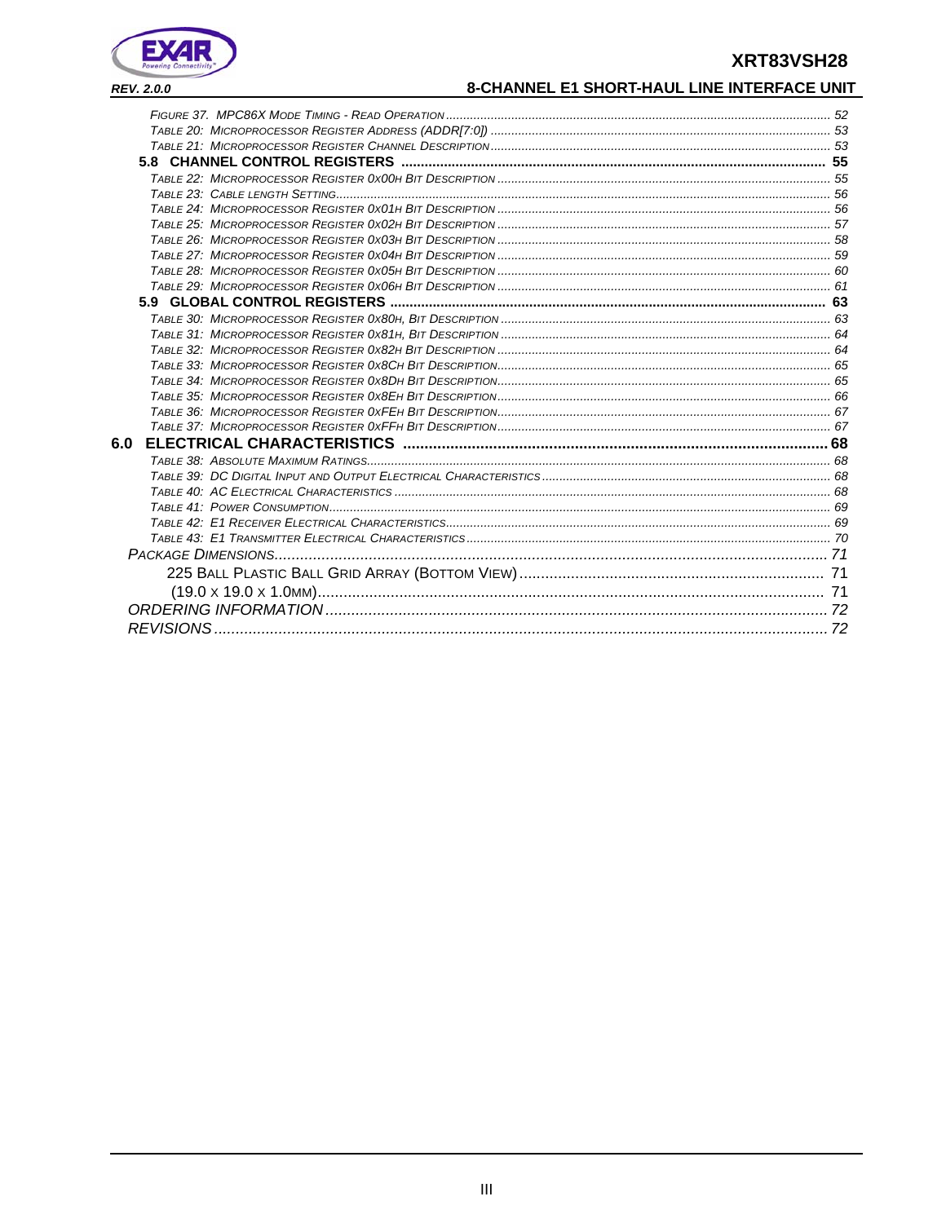

# 8-CHANNEL E1 SHORT-HAUL LINE INTERFACE UNIT

| 6.0 |  |
|-----|--|
|     |  |
|     |  |
|     |  |
|     |  |
|     |  |
|     |  |
|     |  |
|     |  |
|     |  |
|     |  |
|     |  |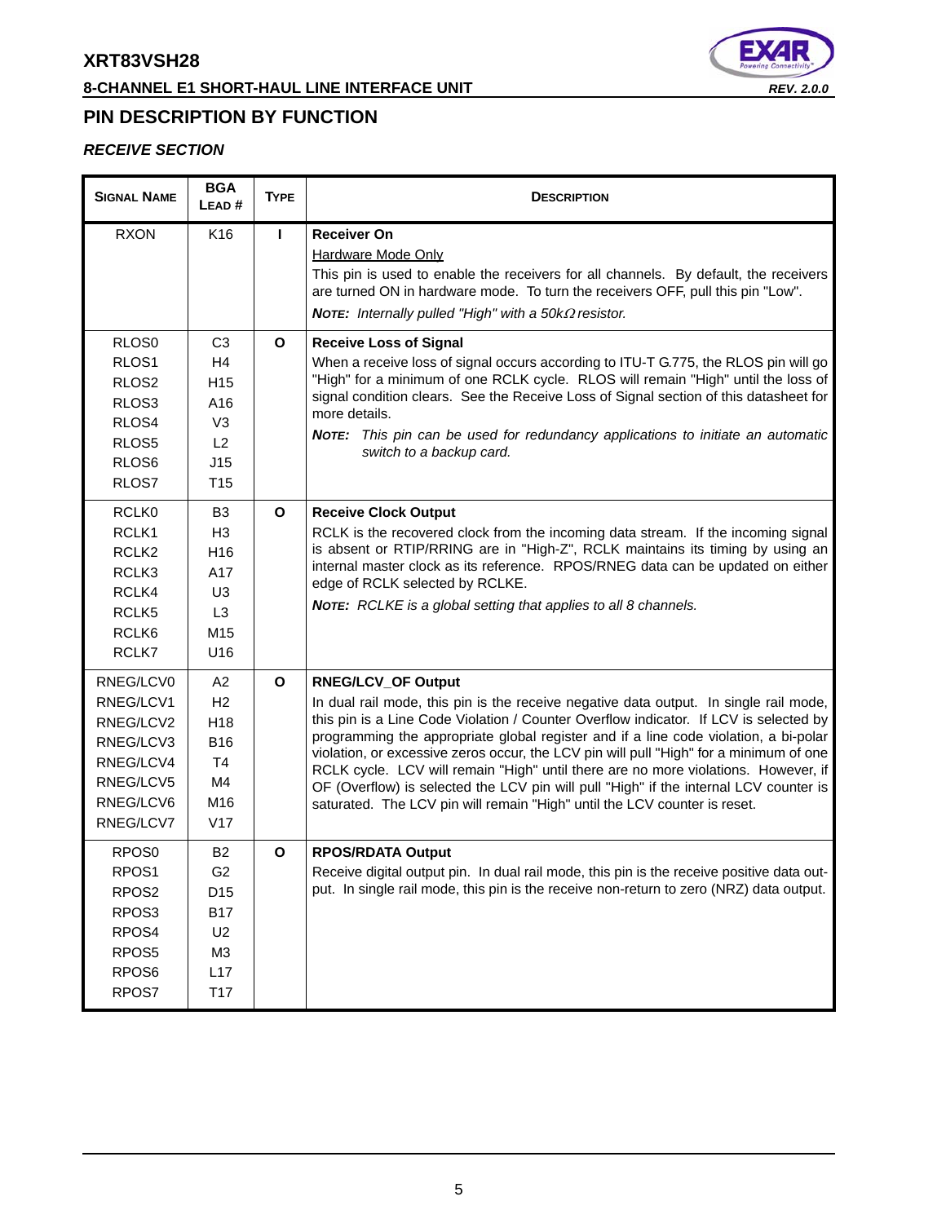# **8-CHANNEL E1 SHORT-HAUL LINE INTERFACE UNIT** *REV. 2.0.0*



# **PIN DESCRIPTION BY FUNCTION**

## *RECEIVE SECTION*

| <b>SIGNAL NAME</b>                                                                                       | <b>BGA</b><br>LEAD#                                                                                            | <b>TYPE</b>  | <b>DESCRIPTION</b>                                                                                                                                                                                                                                                                                                                                                                                                                                                                                                                                                                                                                                        |
|----------------------------------------------------------------------------------------------------------|----------------------------------------------------------------------------------------------------------------|--------------|-----------------------------------------------------------------------------------------------------------------------------------------------------------------------------------------------------------------------------------------------------------------------------------------------------------------------------------------------------------------------------------------------------------------------------------------------------------------------------------------------------------------------------------------------------------------------------------------------------------------------------------------------------------|
| <b>RXON</b>                                                                                              | K16                                                                                                            | L            | <b>Receiver On</b><br><b>Hardware Mode Only</b><br>This pin is used to enable the receivers for all channels. By default, the receivers<br>are turned ON in hardware mode. To turn the receivers OFF, pull this pin "Low".<br><b>NOTE:</b> Internally pulled "High" with a 50kΩ resistor.                                                                                                                                                                                                                                                                                                                                                                 |
| RLOS0<br>RLOS1<br>RLOS <sub>2</sub><br>RLOS3<br>RLOS4<br>RLOS5<br>RLOS <sub>6</sub><br>RLOS7             | C <sub>3</sub><br>H <sub>4</sub><br>H <sub>15</sub><br>A16<br>V <sub>3</sub><br>L2<br>J15<br>T <sub>15</sub>   | $\mathbf{o}$ | <b>Receive Loss of Signal</b><br>When a receive loss of signal occurs according to ITU-T G.775, the RLOS pin will go<br>"High" for a minimum of one RCLK cycle. RLOS will remain "High" until the loss of<br>signal condition clears. See the Receive Loss of Signal section of this datasheet for<br>more details.<br>NOTE: This pin can be used for redundancy applications to initiate an automatic<br>switch to a backup card.                                                                                                                                                                                                                        |
| RCLK0<br>RCLK1<br>RCLK <sub>2</sub><br>RCLK3<br>RCLK4<br>RCLK <sub>5</sub><br>RCLK6<br>RCLK7             | B <sub>3</sub><br>H <sub>3</sub><br>H <sub>16</sub><br>A17<br>U <sub>3</sub><br>L <sub>3</sub><br>M15<br>U16   | $\mathbf{o}$ | <b>Receive Clock Output</b><br>RCLK is the recovered clock from the incoming data stream. If the incoming signal<br>is absent or RTIP/RRING are in "High-Z", RCLK maintains its timing by using an<br>internal master clock as its reference. RPOS/RNEG data can be updated on either<br>edge of RCLK selected by RCLKE.<br>NOTE: RCLKE is a global setting that applies to all 8 channels.                                                                                                                                                                                                                                                               |
| RNEG/LCV0<br>RNEG/LCV1<br>RNEG/LCV2<br>RNEG/LCV3<br>RNEG/LCV4<br>RNEG/LCV5<br>RNEG/LCV6<br>RNEG/LCV7     | A2<br>H <sub>2</sub><br>H <sub>18</sub><br><b>B16</b><br>T <sub>4</sub><br>M4<br>M16<br>V17                    | $\mathbf{o}$ | <b>RNEG/LCV_OF Output</b><br>In dual rail mode, this pin is the receive negative data output. In single rail mode,<br>this pin is a Line Code Violation / Counter Overflow indicator. If LCV is selected by<br>programming the appropriate global register and if a line code violation, a bi-polar<br>violation, or excessive zeros occur, the LCV pin will pull "High" for a minimum of one<br>RCLK cycle. LCV will remain "High" until there are no more violations. However, if<br>OF (Overflow) is selected the LCV pin will pull "High" if the internal LCV counter is<br>saturated. The LCV pin will remain "High" until the LCV counter is reset. |
| RPO <sub>S0</sub><br>RPOS1<br>RPOS <sub>2</sub><br>RPOS <sub>3</sub><br>RPOS4<br>RPOS5<br>RPOS6<br>RPOS7 | <b>B2</b><br>G <sub>2</sub><br>D <sub>15</sub><br><b>B17</b><br>U2<br>M <sub>3</sub><br>L17<br>T <sub>17</sub> | $\mathbf{o}$ | <b>RPOS/RDATA Output</b><br>Receive digital output pin. In dual rail mode, this pin is the receive positive data out-<br>put. In single rail mode, this pin is the receive non-return to zero (NRZ) data output.                                                                                                                                                                                                                                                                                                                                                                                                                                          |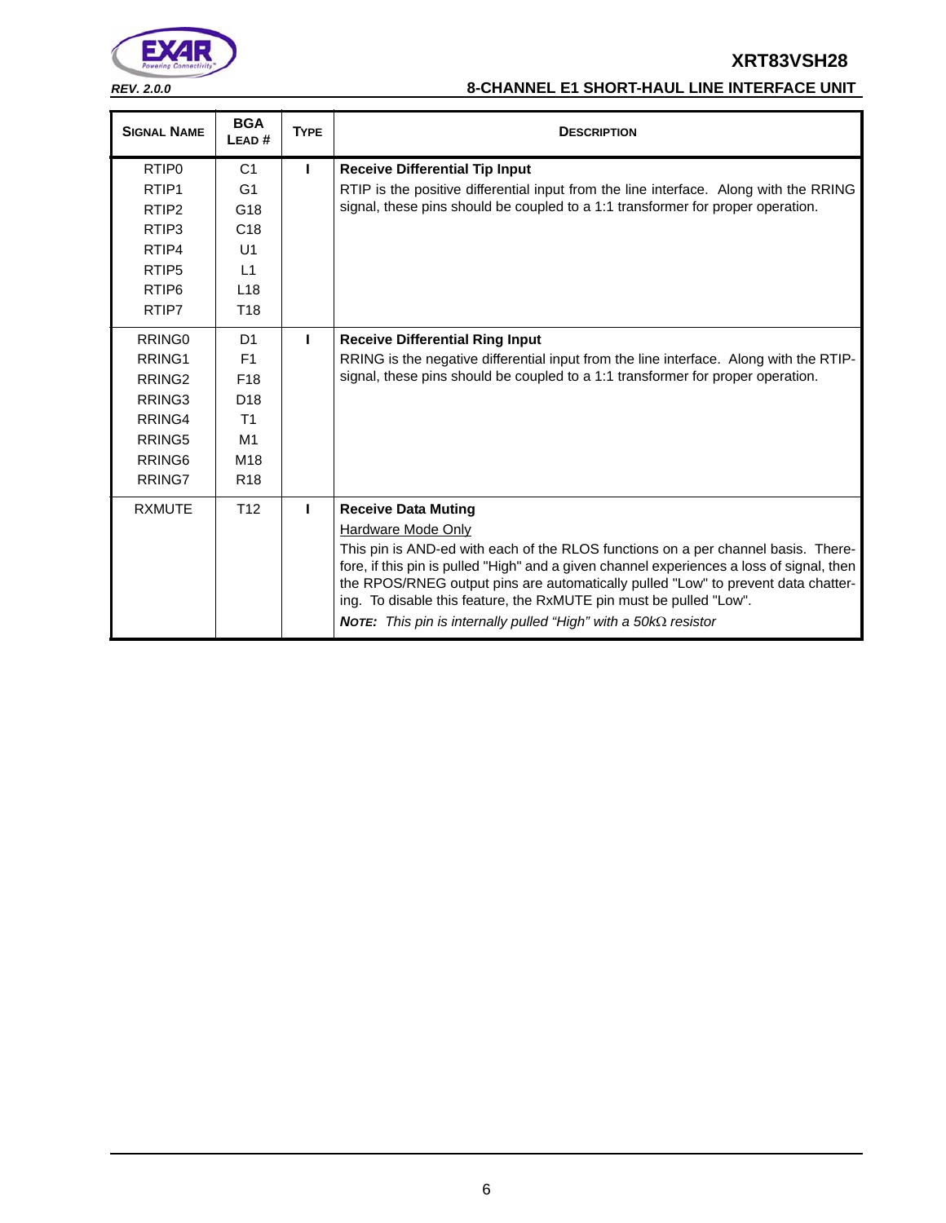

# *REV. 2.0.0* **8-CHANNEL E1 SHORT-HAUL LINE INTERFACE UNIT**

| <b>SIGNAL NAME</b> | <b>BGA</b><br>LEAD# | <b>TYPE</b> | <b>DESCRIPTION</b>                                                                                                                                                                                                                                                                                                                        |
|--------------------|---------------------|-------------|-------------------------------------------------------------------------------------------------------------------------------------------------------------------------------------------------------------------------------------------------------------------------------------------------------------------------------------------|
| RTIP <sub>0</sub>  | C <sub>1</sub>      | L           | <b>Receive Differential Tip Input</b>                                                                                                                                                                                                                                                                                                     |
| RTIP <sub>1</sub>  | G <sub>1</sub>      |             | RTIP is the positive differential input from the line interface. Along with the RRING                                                                                                                                                                                                                                                     |
| RTIP <sub>2</sub>  | G18                 |             | signal, these pins should be coupled to a 1:1 transformer for proper operation.                                                                                                                                                                                                                                                           |
| RTIP3              | C18                 |             |                                                                                                                                                                                                                                                                                                                                           |
| RTIP4              | U1                  |             |                                                                                                                                                                                                                                                                                                                                           |
| RTIP <sub>5</sub>  | L1                  |             |                                                                                                                                                                                                                                                                                                                                           |
| RTIP <sub>6</sub>  | L18                 |             |                                                                                                                                                                                                                                                                                                                                           |
| RTIP7              | T <sub>18</sub>     |             |                                                                                                                                                                                                                                                                                                                                           |
| RRING <sub>0</sub> | D <sub>1</sub>      | I.          | <b>Receive Differential Ring Input</b>                                                                                                                                                                                                                                                                                                    |
| RRING1             | F1                  |             | RRING is the negative differential input from the line interface. Along with the RTIP-                                                                                                                                                                                                                                                    |
| RRING <sub>2</sub> | F <sub>18</sub>     |             | signal, these pins should be coupled to a 1:1 transformer for proper operation.                                                                                                                                                                                                                                                           |
| RRING3             | D <sub>18</sub>     |             |                                                                                                                                                                                                                                                                                                                                           |
| RRING4             | T <sub>1</sub>      |             |                                                                                                                                                                                                                                                                                                                                           |
| RRING5             | M1                  |             |                                                                                                                                                                                                                                                                                                                                           |
| RRING <sub>6</sub> | M18                 |             |                                                                                                                                                                                                                                                                                                                                           |
| RRING7             | R <sub>18</sub>     |             |                                                                                                                                                                                                                                                                                                                                           |
| <b>RXMUTE</b>      | T <sub>12</sub>     | т           | <b>Receive Data Muting</b>                                                                                                                                                                                                                                                                                                                |
|                    |                     |             | Hardware Mode Only                                                                                                                                                                                                                                                                                                                        |
|                    |                     |             | This pin is AND-ed with each of the RLOS functions on a per channel basis. There-<br>fore, if this pin is pulled "High" and a given channel experiences a loss of signal, then<br>the RPOS/RNEG output pins are automatically pulled "Low" to prevent data chatter-<br>ing. To disable this feature, the RxMUTE pin must be pulled "Low". |
|                    |                     |             | <b>NOTE:</b> This pin is internally pulled "High" with a 50k $\Omega$ resistor                                                                                                                                                                                                                                                            |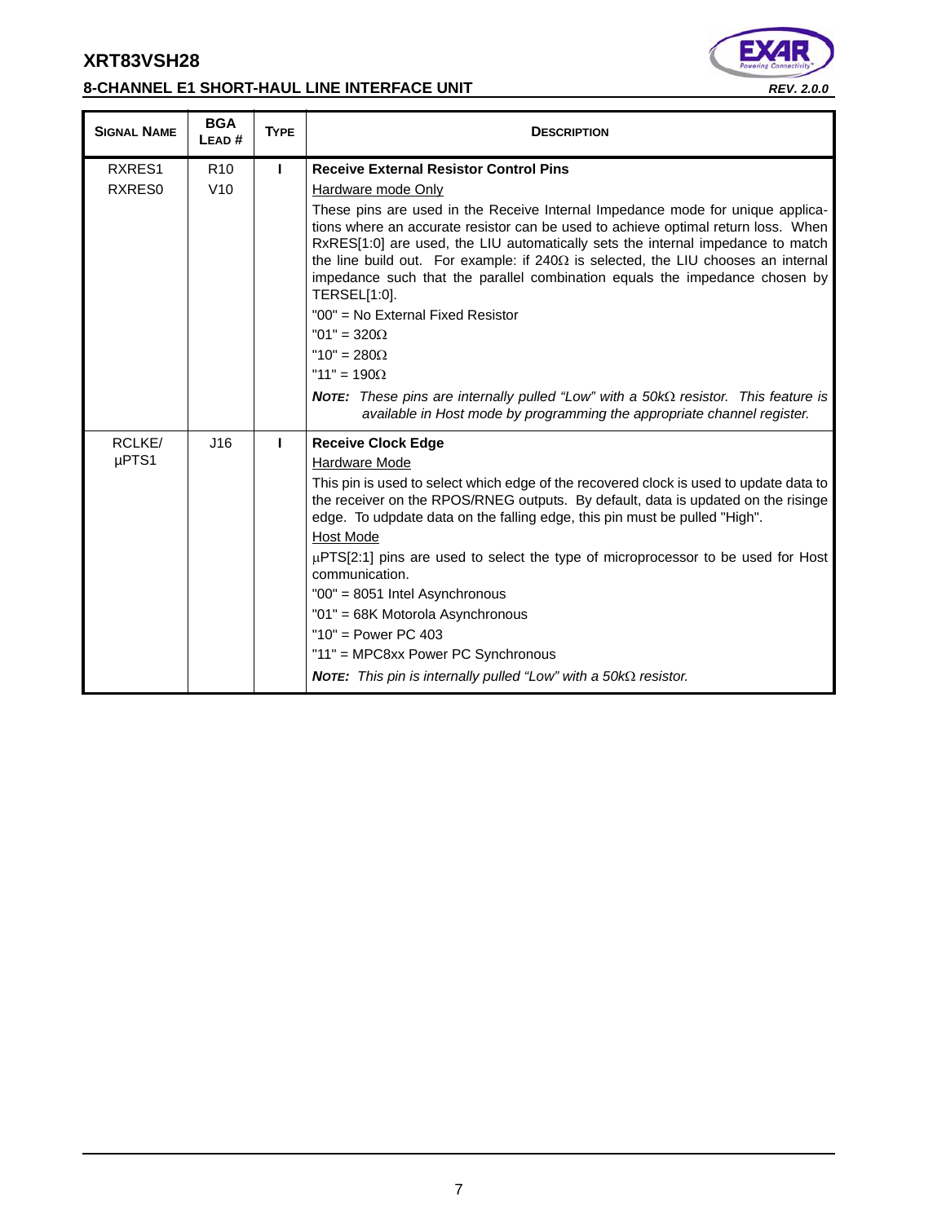# **8-CHANNEL E1 SHORT-HAUL LINE INTERFACE UNIT** *REV. 2.0.0*

٠



| <b>SIGNAL NAME</b> | <b>BGA</b><br>LEAD# | <b>TYPE</b> | <b>DESCRIPTION</b>                                                                                                                                                                                                                                                                                                                                                                                                                                                                                                                                                                                                                                                                                                                |
|--------------------|---------------------|-------------|-----------------------------------------------------------------------------------------------------------------------------------------------------------------------------------------------------------------------------------------------------------------------------------------------------------------------------------------------------------------------------------------------------------------------------------------------------------------------------------------------------------------------------------------------------------------------------------------------------------------------------------------------------------------------------------------------------------------------------------|
| RXRES1             | R <sub>10</sub>     | L           | <b>Receive External Resistor Control Pins</b>                                                                                                                                                                                                                                                                                                                                                                                                                                                                                                                                                                                                                                                                                     |
| RXRES0             | V10                 |             | <b>Hardware mode Only</b>                                                                                                                                                                                                                                                                                                                                                                                                                                                                                                                                                                                                                                                                                                         |
|                    |                     |             | These pins are used in the Receive Internal Impedance mode for unique applica-<br>tions where an accurate resistor can be used to achieve optimal return loss. When<br>RxRES[1:0] are used, the LIU automatically sets the internal impedance to match<br>the line build out. For example: if $240\Omega$ is selected, the LIU chooses an internal<br>impedance such that the parallel combination equals the impedance chosen by<br>TERSEL[1:0].<br>"00" = No External Fixed Resistor<br>"01" = $320\Omega$<br>" $10" = 280\Omega$<br>"11" = $190\Omega$<br>NOTE: These pins are internally pulled "Low" with a $50k\Omega$ resistor. This feature is<br>available in Host mode by programming the appropriate channel register. |
| RCLKE/             | J16                 | ı           | <b>Receive Clock Edge</b>                                                                                                                                                                                                                                                                                                                                                                                                                                                                                                                                                                                                                                                                                                         |
| µPTS1              |                     |             | Hardware Mode                                                                                                                                                                                                                                                                                                                                                                                                                                                                                                                                                                                                                                                                                                                     |
|                    |                     |             | This pin is used to select which edge of the recovered clock is used to update data to<br>the receiver on the RPOS/RNEG outputs. By default, data is updated on the risinge<br>edge. To udpdate data on the falling edge, this pin must be pulled "High".                                                                                                                                                                                                                                                                                                                                                                                                                                                                         |
|                    |                     |             | Host Mode<br>$\mu$ PTS[2:1] pins are used to select the type of microprocessor to be used for Host<br>communication.                                                                                                                                                                                                                                                                                                                                                                                                                                                                                                                                                                                                              |
|                    |                     |             | "00" = 8051 Intel Asynchronous                                                                                                                                                                                                                                                                                                                                                                                                                                                                                                                                                                                                                                                                                                    |
|                    |                     |             | "01" = 68K Motorola Asynchronous                                                                                                                                                                                                                                                                                                                                                                                                                                                                                                                                                                                                                                                                                                  |
|                    |                     |             | " $10$ " = Power PC 403                                                                                                                                                                                                                                                                                                                                                                                                                                                                                                                                                                                                                                                                                                           |
|                    |                     |             | "11" = MPC8xx Power PC Synchronous                                                                                                                                                                                                                                                                                                                                                                                                                                                                                                                                                                                                                                                                                                |
|                    |                     |             | <b>NOTE:</b> This pin is internally pulled "Low" with a $50k\Omega$ resistor.                                                                                                                                                                                                                                                                                                                                                                                                                                                                                                                                                                                                                                                     |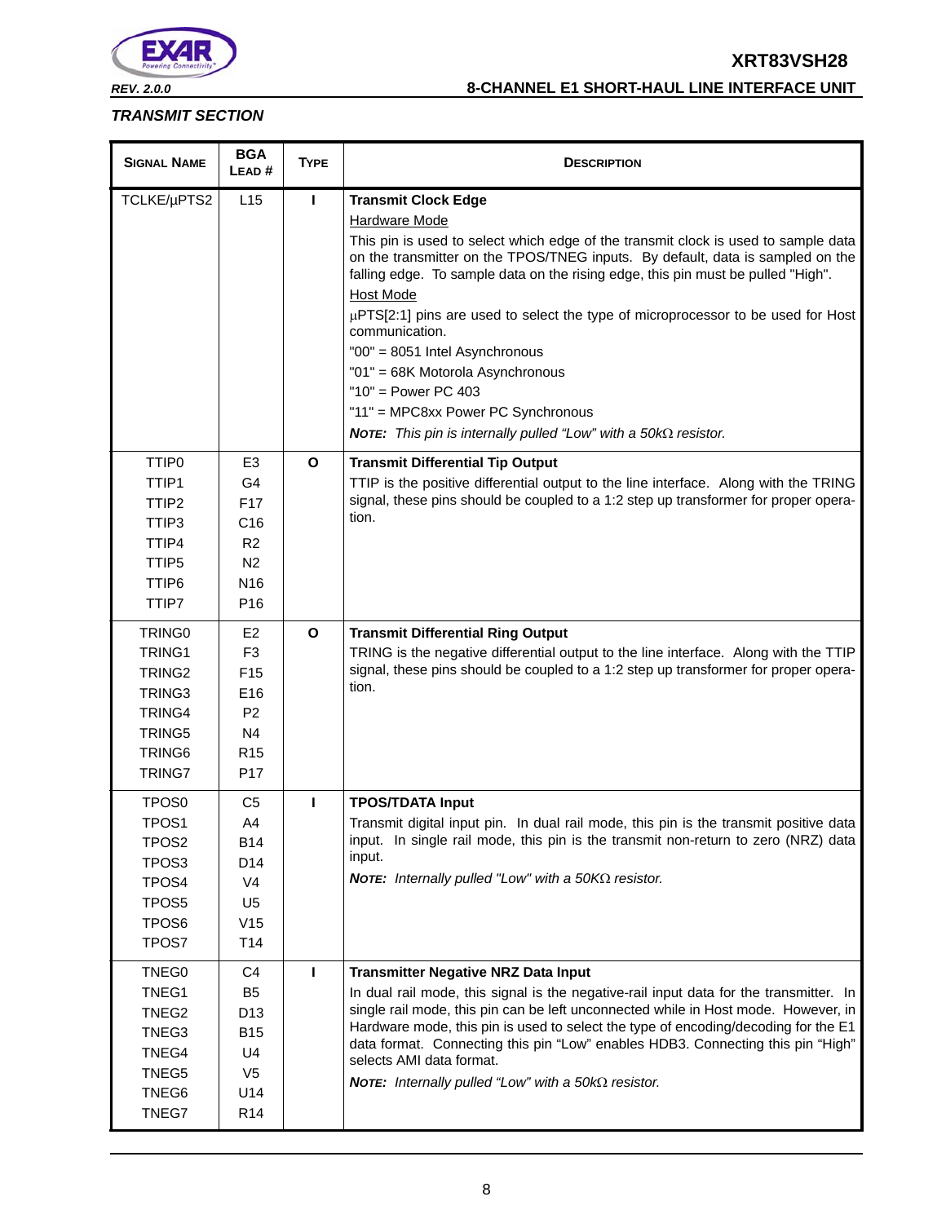

*REV. 2.0.0* **8-CHANNEL E1 SHORT-HAUL LINE INTERFACE UNIT**

## *TRANSMIT SECTION*

| <b>SIGNAL NAME</b> | <b>BGA</b><br>LEAD# | <b>TYPE</b>  | <b>DESCRIPTION</b>                                                                                                                                                                                                                                                           |
|--------------------|---------------------|--------------|------------------------------------------------------------------------------------------------------------------------------------------------------------------------------------------------------------------------------------------------------------------------------|
| TCLKE/µPTS2        | L15                 | П            | <b>Transmit Clock Edge</b>                                                                                                                                                                                                                                                   |
|                    |                     |              | <b>Hardware Mode</b>                                                                                                                                                                                                                                                         |
|                    |                     |              | This pin is used to select which edge of the transmit clock is used to sample data<br>on the transmitter on the TPOS/TNEG inputs. By default, data is sampled on the<br>falling edge. To sample data on the rising edge, this pin must be pulled "High".<br><b>Host Mode</b> |
|                    |                     |              | µPTS[2:1] pins are used to select the type of microprocessor to be used for Host<br>communication.                                                                                                                                                                           |
|                    |                     |              | "00" = 8051 Intel Asynchronous                                                                                                                                                                                                                                               |
|                    |                     |              | "01" = 68K Motorola Asynchronous                                                                                                                                                                                                                                             |
|                    |                     |              | " $10"$ = Power PC 403                                                                                                                                                                                                                                                       |
|                    |                     |              | "11" = MPC8xx Power PC Synchronous                                                                                                                                                                                                                                           |
|                    |                     |              | <b>NOTE:</b> This pin is internally pulled "Low" with a $50k\Omega$ resistor.                                                                                                                                                                                                |
| TTIP <sub>0</sub>  | E3                  | $\mathbf{o}$ | <b>Transmit Differential Tip Output</b>                                                                                                                                                                                                                                      |
| TTIP1              | G4                  |              | TTIP is the positive differential output to the line interface. Along with the TRING                                                                                                                                                                                         |
| TTIP <sub>2</sub>  | F <sub>17</sub>     |              | signal, these pins should be coupled to a 1:2 step up transformer for proper opera-                                                                                                                                                                                          |
| TTIP3              | C16                 |              | tion.                                                                                                                                                                                                                                                                        |
| TTIP4              | R <sub>2</sub>      |              |                                                                                                                                                                                                                                                                              |
| TTIP <sub>5</sub>  | N <sub>2</sub>      |              |                                                                                                                                                                                                                                                                              |
| TTIP6              | N <sub>16</sub>     |              |                                                                                                                                                                                                                                                                              |
| TTIP7              | P <sub>16</sub>     |              |                                                                                                                                                                                                                                                                              |
| TRING <sub>0</sub> | E <sub>2</sub>      | $\mathbf{o}$ | <b>Transmit Differential Ring Output</b>                                                                                                                                                                                                                                     |
| TRING1             | F <sub>3</sub>      |              | TRING is the negative differential output to the line interface. Along with the TTIP                                                                                                                                                                                         |
| TRING <sub>2</sub> | F <sub>15</sub>     |              | signal, these pins should be coupled to a 1:2 step up transformer for proper opera-                                                                                                                                                                                          |
| TRING3             | E16                 |              | tion.                                                                                                                                                                                                                                                                        |
| TRING4             | P <sub>2</sub>      |              |                                                                                                                                                                                                                                                                              |
| TRING5             | N <sub>4</sub>      |              |                                                                                                                                                                                                                                                                              |
| TRING6             | R <sub>15</sub>     |              |                                                                                                                                                                                                                                                                              |
| TRING7             | P <sub>17</sub>     |              |                                                                                                                                                                                                                                                                              |
| TPOS <sub>0</sub>  | C <sub>5</sub>      | п            | <b>TPOS/TDATA Input</b>                                                                                                                                                                                                                                                      |
| TPOS <sub>1</sub>  | A <sub>4</sub>      |              | Transmit digital input pin. In dual rail mode, this pin is the transmit positive data                                                                                                                                                                                        |
| TPOS <sub>2</sub>  | <b>B14</b>          |              | input. In single rail mode, this pin is the transmit non-return to zero (NRZ) data                                                                                                                                                                                           |
| TPOS <sub>3</sub>  | D14                 |              | input.                                                                                                                                                                                                                                                                       |
| TPOS4              | V <sub>4</sub>      |              | <b>NOTE:</b> Internally pulled "Low" with a 50KΩ resistor.                                                                                                                                                                                                                   |
| TPOS5              | U <sub>5</sub>      |              |                                                                                                                                                                                                                                                                              |
| TPOS6              | V15                 |              |                                                                                                                                                                                                                                                                              |
| TPOS7              | T14                 |              |                                                                                                                                                                                                                                                                              |
| TNEG0              | C4                  | т            | <b>Transmitter Negative NRZ Data Input</b>                                                                                                                                                                                                                                   |
| TNEG1              | B <sub>5</sub>      |              | In dual rail mode, this signal is the negative-rail input data for the transmitter. In                                                                                                                                                                                       |
| TNEG2              | D <sub>13</sub>     |              | single rail mode, this pin can be left unconnected while in Host mode. However, in                                                                                                                                                                                           |
| TNEG3              | <b>B15</b>          |              | Hardware mode, this pin is used to select the type of encoding/decoding for the E1<br>data format. Connecting this pin "Low" enables HDB3. Connecting this pin "High"                                                                                                        |
| TNEG4              | U4                  |              | selects AMI data format.                                                                                                                                                                                                                                                     |
| TNEG5              | V <sub>5</sub>      |              | <b>NOTE:</b> Internally pulled "Low" with a 50 $k\Omega$ resistor.                                                                                                                                                                                                           |
| TNEG6              | U14                 |              |                                                                                                                                                                                                                                                                              |
| TNEG7              | R <sub>14</sub>     |              |                                                                                                                                                                                                                                                                              |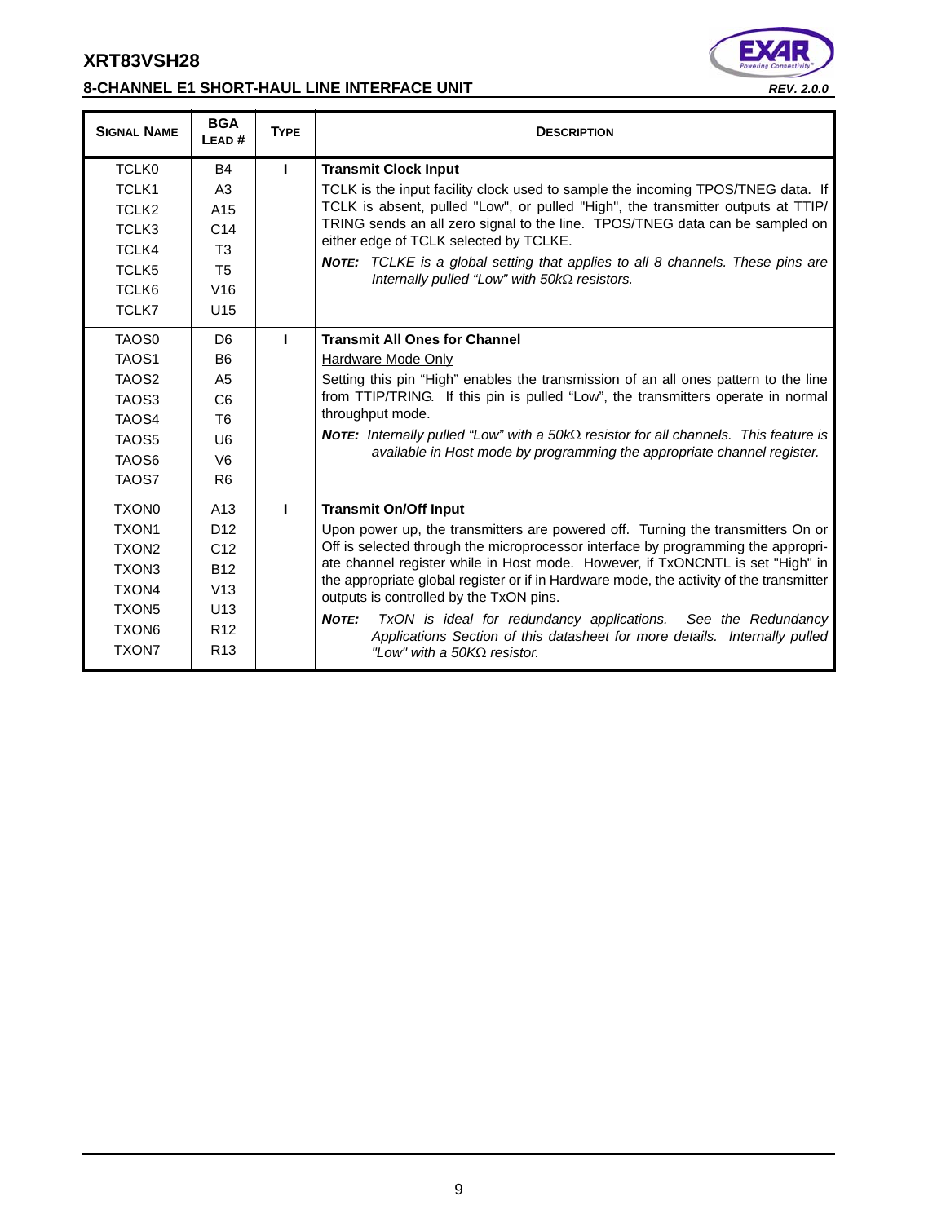# **8-CHANNEL E1 SHORT-HAUL LINE INTERFACE UNIT** *REV. 2.0.0*



| <b>SIGNAL NAME</b> | <b>BGA</b><br>LEAD# | <b>TYPE</b> | <b>DESCRIPTION</b>                                                                                                                                                             |
|--------------------|---------------------|-------------|--------------------------------------------------------------------------------------------------------------------------------------------------------------------------------|
| <b>TCLK0</b>       | <b>B4</b>           | I.          | <b>Transmit Clock Input</b>                                                                                                                                                    |
| TCLK <sub>1</sub>  | A3                  |             | TCLK is the input facility clock used to sample the incoming TPOS/TNEG data. If                                                                                                |
| TCLK <sub>2</sub>  | A <sub>15</sub>     |             | TCLK is absent, pulled "Low", or pulled "High", the transmitter outputs at TTIP/                                                                                               |
| TCLK3              | C <sub>14</sub>     |             | TRING sends an all zero signal to the line. TPOS/TNEG data can be sampled on<br>either edge of TCLK selected by TCLKE.                                                         |
| TCLK4              | T <sub>3</sub>      |             |                                                                                                                                                                                |
| TCLK5              | <b>T5</b>           |             | <b>NOTE:</b> TCLKE is a global setting that applies to all 8 channels. These pins are<br>Internally pulled "Low" with $50k\Omega$ resistors.                                   |
| TCLK6              | V16                 |             |                                                                                                                                                                                |
| TCLK7              | U <sub>15</sub>     |             |                                                                                                                                                                                |
| TAO <sub>S0</sub>  | D <sub>6</sub>      | п           | <b>Transmit All Ones for Channel</b>                                                                                                                                           |
| TAOS <sub>1</sub>  | B <sub>6</sub>      |             | <b>Hardware Mode Only</b>                                                                                                                                                      |
| TAOS <sub>2</sub>  | A <sub>5</sub>      |             | Setting this pin "High" enables the transmission of an all ones pattern to the line                                                                                            |
| TAOS3              | C <sub>6</sub>      |             | from TTIP/TRING. If this pin is pulled "Low", the transmitters operate in normal                                                                                               |
| TAOS4              | T <sub>6</sub>      |             | throughput mode.                                                                                                                                                               |
| TAOS5              | U <sub>6</sub>      |             | <b>NOTE:</b> Internally pulled "Low" with a 50k $\Omega$ resistor for all channels. This feature is<br>available in Host mode by programming the appropriate channel register. |
| TAO <sub>S6</sub>  | V <sub>6</sub>      |             |                                                                                                                                                                                |
| TAOS7              | R <sub>6</sub>      |             |                                                                                                                                                                                |
| <b>TXON0</b>       | A13                 | п           | <b>Transmit On/Off Input</b>                                                                                                                                                   |
| TXON <sub>1</sub>  | D <sub>12</sub>     |             | Upon power up, the transmitters are powered off. Turning the transmitters On or                                                                                                |
| TXON <sub>2</sub>  | C <sub>12</sub>     |             | Off is selected through the microprocessor interface by programming the appropri-                                                                                              |
| TXON3              | <b>B12</b>          |             | ate channel register while in Host mode. However, if TxONCNTL is set "High" in<br>the appropriate global register or if in Hardware mode, the activity of the transmitter      |
| TXON4              | V13                 |             | outputs is controlled by the TxON pins.                                                                                                                                        |
| <b>TXON5</b>       | U <sub>13</sub>     |             | NOTE:<br>TxON is ideal for redundancy applications. See the Redundancy                                                                                                         |
| TXON6              | R <sub>12</sub>     |             | Applications Section of this datasheet for more details. Internally pulled                                                                                                     |
| <b>TXON7</b>       | R <sub>13</sub>     |             | "Low" with a 50KQ resistor.                                                                                                                                                    |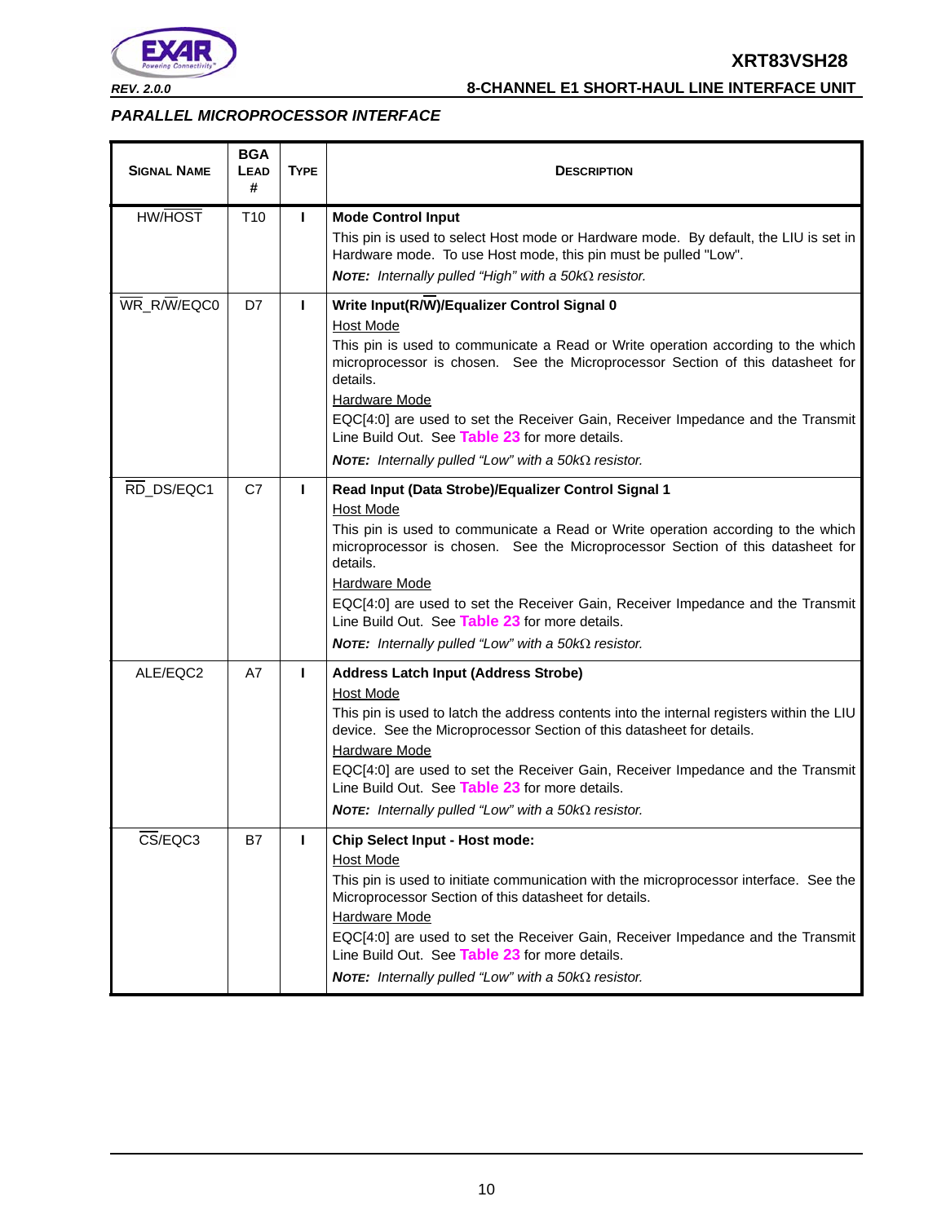

### *PARALLEL MICROPROCESSOR INTERFACE*

| <b>SIGNAL NAME</b> | <b>BGA</b><br>LEAD<br># | <b>TYPE</b>  | <b>DESCRIPTION</b>                                                                                                                                                                                                             |
|--------------------|-------------------------|--------------|--------------------------------------------------------------------------------------------------------------------------------------------------------------------------------------------------------------------------------|
| <b>HW/HOST</b>     | T <sub>10</sub>         | п            | <b>Mode Control Input</b>                                                                                                                                                                                                      |
|                    |                         |              | This pin is used to select Host mode or Hardware mode. By default, the LIU is set in<br>Hardware mode. To use Host mode, this pin must be pulled "Low".<br><b>NOTE:</b> Internally pulled "High" with a 50 $k\Omega$ resistor. |
| WR_R/W/EQC0        | D7                      | Ш            | Write Input(R/W)/Equalizer Control Signal 0                                                                                                                                                                                    |
|                    |                         |              | Host Mode                                                                                                                                                                                                                      |
|                    |                         |              | This pin is used to communicate a Read or Write operation according to the which<br>microprocessor is chosen. See the Microprocessor Section of this datasheet for<br>details.                                                 |
|                    |                         |              | Hardware Mode                                                                                                                                                                                                                  |
|                    |                         |              | EQC[4:0] are used to set the Receiver Gain, Receiver Impedance and the Transmit<br>Line Build Out. See Table 23 for more details.                                                                                              |
|                    |                         |              | <b>NOTE:</b> Internally pulled "Low" with a 50 $k\Omega$ resistor.                                                                                                                                                             |
| RD_DS/EQC1         | C7                      | п            | Read Input (Data Strobe)/Equalizer Control Signal 1<br>Host Mode                                                                                                                                                               |
|                    |                         |              | This pin is used to communicate a Read or Write operation according to the which<br>microprocessor is chosen. See the Microprocessor Section of this datasheet for<br>details.                                                 |
|                    |                         |              | Hardware Mode<br>EQC[4:0] are used to set the Receiver Gain, Receiver Impedance and the Transmit<br>Line Build Out. See Table 23 for more details.                                                                             |
|                    |                         |              | NOTE: Internally pulled "Low" with a $50k\Omega$ resistor.                                                                                                                                                                     |
| ALE/EQC2           | A7                      | $\mathbf{I}$ | <b>Address Latch Input (Address Strobe)</b>                                                                                                                                                                                    |
|                    |                         |              | Host Mode<br>This pin is used to latch the address contents into the internal registers within the LIU<br>device. See the Microprocessor Section of this datasheet for details.                                                |
|                    |                         |              | Hardware Mode                                                                                                                                                                                                                  |
|                    |                         |              | EQC[4:0] are used to set the Receiver Gain, Receiver Impedance and the Transmit<br>Line Build Out. See Table 23 for more details.                                                                                              |
|                    |                         |              | <b>NOTE:</b> Internally pulled "Low" with a 50 $k\Omega$ resistor.                                                                                                                                                             |
| CS/EQC3            | B7                      |              | <b>Chip Select Input - Host mode:</b><br><b>Host Mode</b>                                                                                                                                                                      |
|                    |                         |              | This pin is used to initiate communication with the microprocessor interface. See the<br>Microprocessor Section of this datasheet for details.<br><b>Hardware Mode</b>                                                         |
|                    |                         |              | EQC[4:0] are used to set the Receiver Gain, Receiver Impedance and the Transmit<br>Line Build Out. See Table 23 for more details.                                                                                              |
|                    |                         |              | <b>NOTE:</b> Internally pulled "Low" with a $50k\Omega$ resistor.                                                                                                                                                              |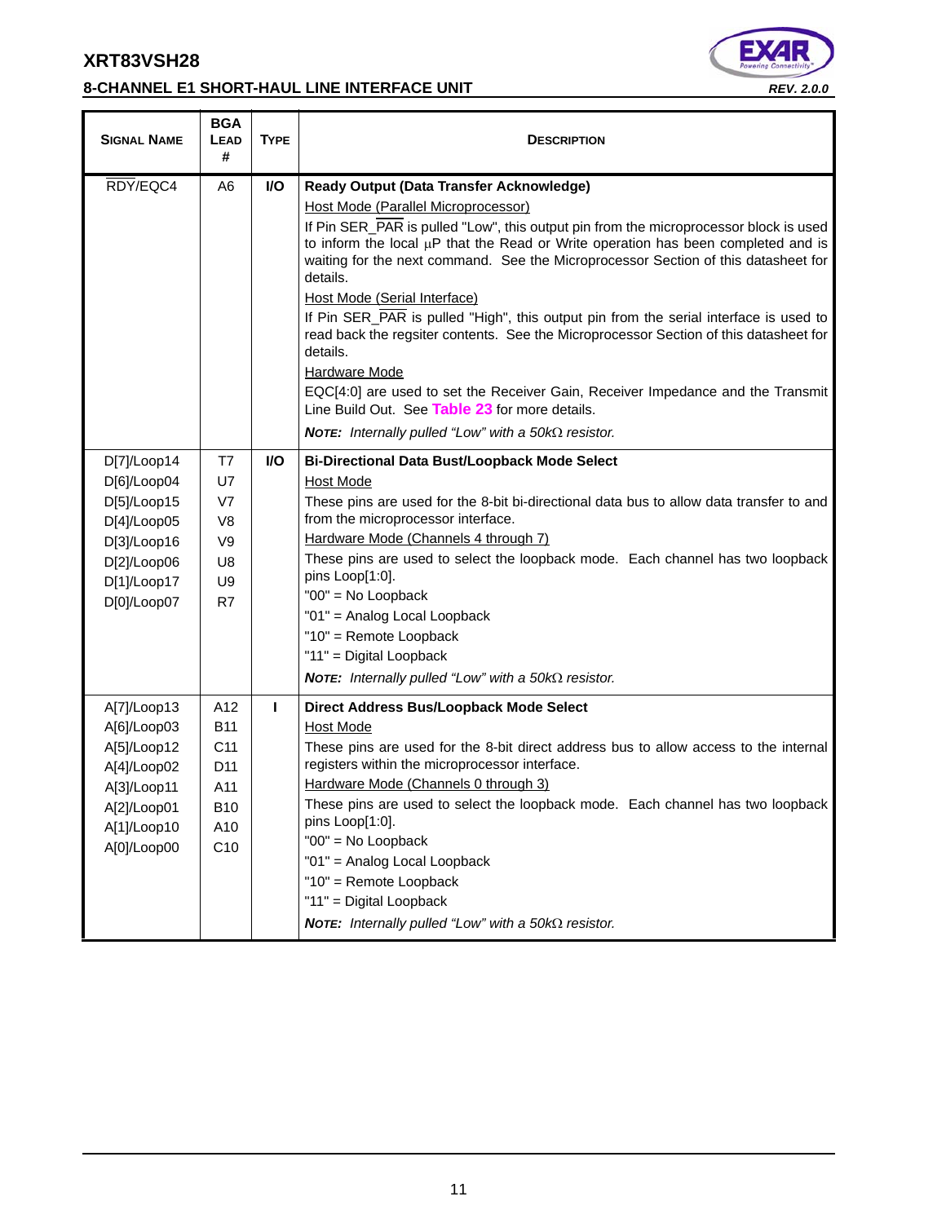# **8-CHANNEL E1 SHORT-HAUL LINE INTERFACE UNIT** *REV. 2.0.0*



| <b>SIGNAL NAME</b>                                                                                                   | <b>BGA</b><br><b>LEAD</b><br>#                                                             | <b>TYPE</b>  | <b>DESCRIPTION</b>                                                                                                                                                                                                                                                                                                                                                                                                                                                                                                                                                                                                                                                                                                                                                                                                             |
|----------------------------------------------------------------------------------------------------------------------|--------------------------------------------------------------------------------------------|--------------|--------------------------------------------------------------------------------------------------------------------------------------------------------------------------------------------------------------------------------------------------------------------------------------------------------------------------------------------------------------------------------------------------------------------------------------------------------------------------------------------------------------------------------------------------------------------------------------------------------------------------------------------------------------------------------------------------------------------------------------------------------------------------------------------------------------------------------|
| RDY/EQC4                                                                                                             | A6                                                                                         | <b>VO</b>    | Ready Output (Data Transfer Acknowledge)<br>Host Mode (Parallel Microprocessor)<br>If Pin SER PAR is pulled "Low", this output pin from the microprocessor block is used<br>to inform the local $\mu$ P that the Read or Write operation has been completed and is<br>waiting for the next command. See the Microprocessor Section of this datasheet for<br>details.<br>Host Mode (Serial Interface)<br>If Pin SER_PAR is pulled "High", this output pin from the serial interface is used to<br>read back the regsiter contents. See the Microprocessor Section of this datasheet for<br>details.<br>Hardware Mode<br>EQC[4:0] are used to set the Receiver Gain, Receiver Impedance and the Transmit<br>Line Build Out. See Table 23 for more details.<br><b>NOTE:</b> Internally pulled "Low" with a 50 $k\Omega$ resistor. |
| D[7]/Loop14<br>D[6]/Loop04<br>D[5]/Loop15<br>D[4]/Loop05<br>D[3]/Loop16<br>D[2]/Loop06<br>D[1]/Loop17<br>D[0]/Loop07 | T7<br>U7<br>V7<br>V <sub>8</sub><br>V <sub>9</sub><br>U8<br>U9<br>R7                       | <b>VO</b>    | <b>Bi-Directional Data Bust/Loopback Mode Select</b><br><b>Host Mode</b><br>These pins are used for the 8-bit bi-directional data bus to allow data transfer to and<br>from the microprocessor interface.<br>Hardware Mode (Channels 4 through 7)<br>These pins are used to select the loopback mode. Each channel has two loopback<br>pins Loop[1:0].<br>"00" = No Loopback<br>"01" = Analog Local Loopback<br>"10" = Remote Loopback<br>"11" = Digital Loopback<br><b>NOTE:</b> Internally pulled "Low" with a 50 $k\Omega$ resistor.                                                                                                                                                                                                                                                                                        |
| A[7]/Loop13<br>A[6]/Loop03<br>A[5]/Loop12<br>A[4]/Loop02<br>A[3]/Loop11<br>A[2]/Loop01<br>A[1]/Loop10<br>A[0]/Loop00 | A12<br><b>B11</b><br>C11<br>D <sub>11</sub><br>A11<br><b>B10</b><br>A10<br>C <sub>10</sub> | $\mathbf{I}$ | Direct Address Bus/Loopback Mode Select<br>Host Mode<br>These pins are used for the 8-bit direct address bus to allow access to the internal<br>registers within the microprocessor interface.<br>Hardware Mode (Channels 0 through 3)<br>These pins are used to select the loopback mode. Each channel has two loopback<br>pins Loop[1:0].<br>"00" = No Loopback<br>"01" = Analog Local Loopback<br>"10" = Remote Loopback<br>"11" = Digital Loopback<br>NOTE: Internally pulled "Low" with a $50k\Omega$ resistor.                                                                                                                                                                                                                                                                                                           |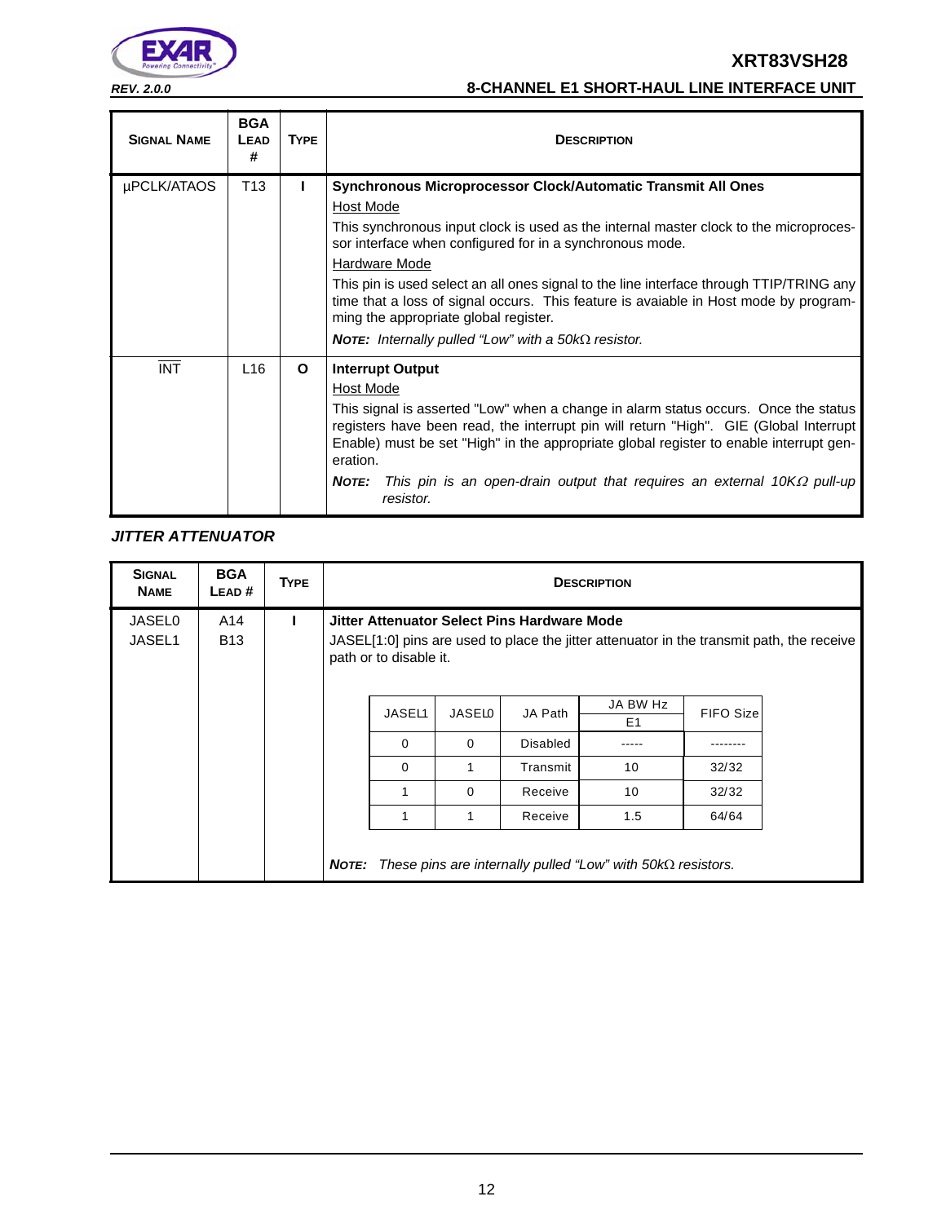

# *REV. 2.0.0* **8-CHANNEL E1 SHORT-HAUL LINE INTERFACE UNIT**

| <b>SIGNAL NAME</b> | <b>BGA</b><br>LEAD<br># | <b>TYPE</b> | <b>DESCRIPTION</b>                                                                                                                                                                                                                                                                                                                                                                                                                                                                                                                                |
|--------------------|-------------------------|-------------|---------------------------------------------------------------------------------------------------------------------------------------------------------------------------------------------------------------------------------------------------------------------------------------------------------------------------------------------------------------------------------------------------------------------------------------------------------------------------------------------------------------------------------------------------|
| µPCLK/ATAOS        | T <sub>13</sub>         |             | Synchronous Microprocessor Clock/Automatic Transmit All Ones<br>Host Mode<br>This synchronous input clock is used as the internal master clock to the microproces-<br>sor interface when configured for in a synchronous mode.<br>Hardware Mode<br>This pin is used select an all ones signal to the line interface through TTIP/TRING any<br>time that a loss of signal occurs. This feature is avaiable in Host mode by program-<br>ming the appropriate global register.<br><b>NOTE:</b> Internally pulled "Low" with a 50 $k\Omega$ resistor. |
| <b>INT</b>         | L <sub>16</sub>         | O           | <b>Interrupt Output</b><br>Host Mode<br>This signal is asserted "Low" when a change in alarm status occurs. Once the status<br>registers have been read, the interrupt pin will return "High". GIE (Global Interrupt<br>Enable) must be set "High" in the appropriate global register to enable interrupt gen-<br>eration.<br>This pin is an open-drain output that requires an external 10K $\Omega$ pull-up<br><b>NOTE:</b><br>resistor.                                                                                                        |

# *JITTER ATTENUATOR*

| <b>SIGNAL</b><br><b>NAME</b> | <b>BGA</b><br>LEAD# | <b>TYPE</b> |       | <b>DESCRIPTION</b>                                                                                                                                                 |          |                 |                                                                    |                  |  |  |
|------------------------------|---------------------|-------------|-------|--------------------------------------------------------------------------------------------------------------------------------------------------------------------|----------|-----------------|--------------------------------------------------------------------|------------------|--|--|
| <b>JASEL0</b><br>JASEL1      | A14<br><b>B13</b>   |             |       | Jitter Attenuator Select Pins Hardware Mode<br>JASEL[1:0] pins are used to place the jitter attenuator in the transmit path, the receive<br>path or to disable it. |          |                 |                                                                    |                  |  |  |
|                              |                     |             |       | JASEL1                                                                                                                                                             | JASELO   | JA Path         | JA BW Hz<br>E1                                                     | <b>FIFO Size</b> |  |  |
|                              |                     |             |       | $\Omega$                                                                                                                                                           | $\Omega$ | <b>Disabled</b> |                                                                    |                  |  |  |
|                              |                     |             |       | $\Omega$                                                                                                                                                           | 1        | Transmit        | 10                                                                 | 32/32            |  |  |
|                              |                     |             |       |                                                                                                                                                                    | $\Omega$ | Receive         | 10                                                                 | 32/32            |  |  |
|                              |                     |             |       |                                                                                                                                                                    | 1        | Receive         | 1.5                                                                | 64/64            |  |  |
|                              |                     |             | NOTE: |                                                                                                                                                                    |          |                 | These pins are internally pulled "Low" with $50k\Omega$ resistors. |                  |  |  |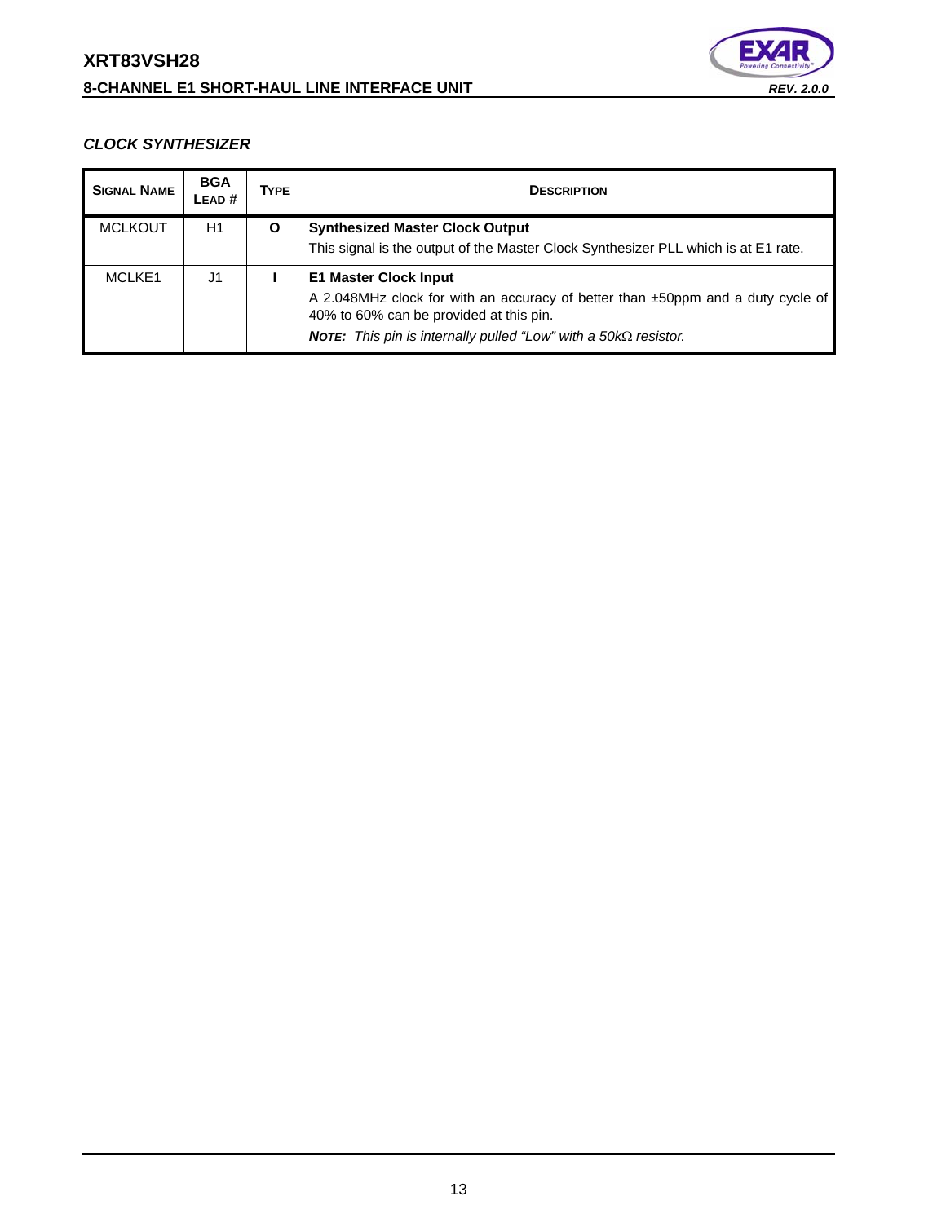# **XRT83VSH28 8-CHANNEL E1 SHORT-HAUL LINE INTERFACE UNIT** *REV. 2.0.0*



# *CLOCK SYNTHESIZER*

| <b>SIGNAL NAME</b> | <b>BGA</b><br>LEAD# | <b>TYPE</b> | <b>DESCRIPTION</b>                                                                                                                                                                                                                          |  |
|--------------------|---------------------|-------------|---------------------------------------------------------------------------------------------------------------------------------------------------------------------------------------------------------------------------------------------|--|
| <b>MCLKOUT</b>     | H1                  | O           | <b>Synthesized Master Clock Output</b><br>This signal is the output of the Master Clock Synthesizer PLL which is at E1 rate.                                                                                                                |  |
| MCLKE <sub>1</sub> | J1                  |             | <b>E1 Master Clock Input</b><br>A 2.048MHz clock for with an accuracy of better than ±50ppm and a duty cycle of<br>40% to 60% can be provided at this pin.<br><b>NOTE:</b> This pin is internally pulled "Low" with a $50k\Omega$ resistor. |  |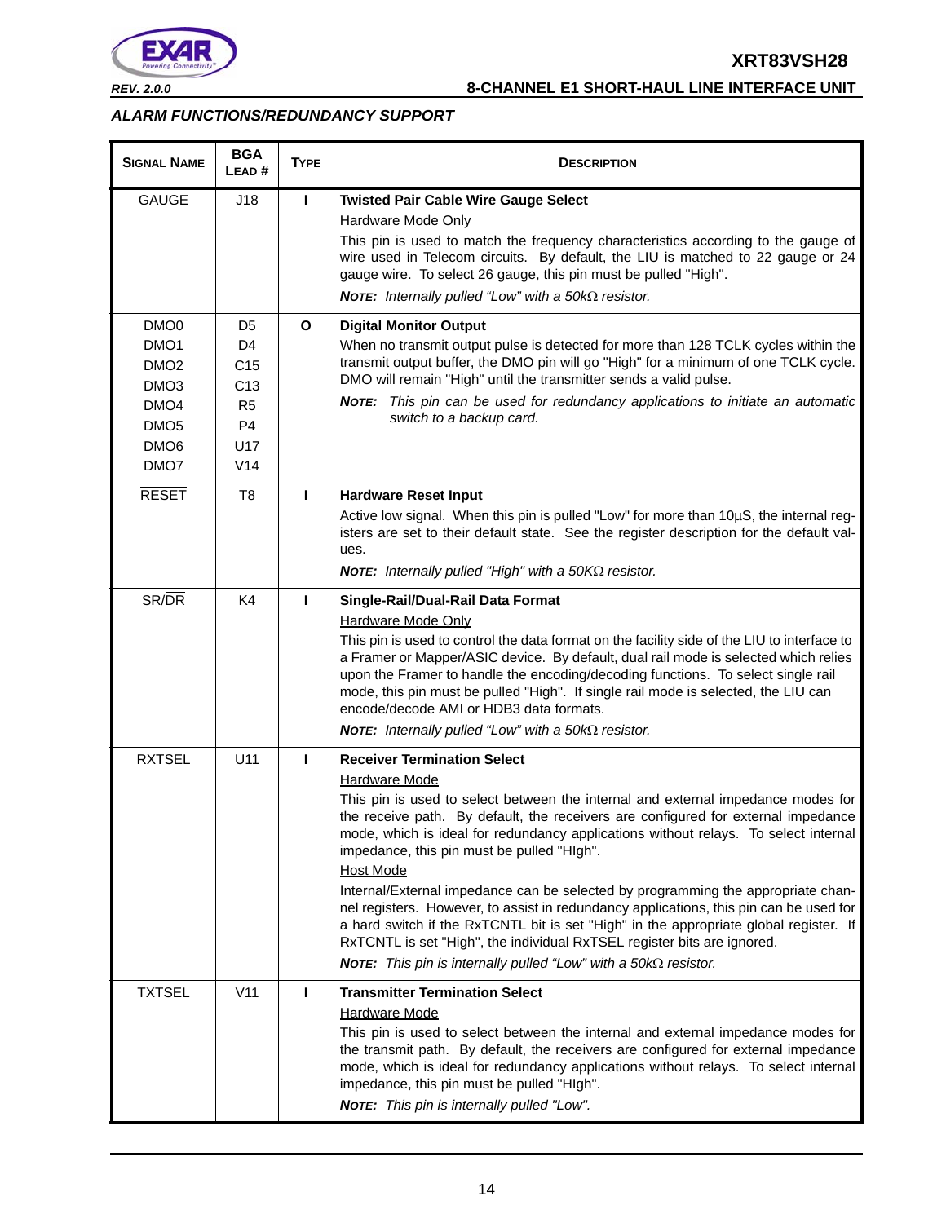

*REV. 2.0.0* **8-CHANNEL E1 SHORT-HAUL LINE INTERFACE UNIT**

# *ALARM FUNCTIONS/REDUNDANCY SUPPORT*

| <b>SIGNAL NAME</b>                                                                                                                               | <b>BGA</b><br>LEAD#                                                                              | <b>TYPE</b>  | <b>DESCRIPTION</b>                                                                                                                                                                                                                                                                                                                                                                                                                                                                                                                                                                                                                                                                                                                                                                                                              |
|--------------------------------------------------------------------------------------------------------------------------------------------------|--------------------------------------------------------------------------------------------------|--------------|---------------------------------------------------------------------------------------------------------------------------------------------------------------------------------------------------------------------------------------------------------------------------------------------------------------------------------------------------------------------------------------------------------------------------------------------------------------------------------------------------------------------------------------------------------------------------------------------------------------------------------------------------------------------------------------------------------------------------------------------------------------------------------------------------------------------------------|
| <b>GAUGE</b>                                                                                                                                     | J18                                                                                              | L            | <b>Twisted Pair Cable Wire Gauge Select</b><br><b>Hardware Mode Only</b><br>This pin is used to match the frequency characteristics according to the gauge of<br>wire used in Telecom circuits. By default, the LIU is matched to 22 gauge or 24<br>gauge wire. To select 26 gauge, this pin must be pulled "High".<br>NOTE: Internally pulled "Low" with a $50k\Omega$ resistor.                                                                                                                                                                                                                                                                                                                                                                                                                                               |
| DMO <sub>0</sub><br>DMO <sub>1</sub><br>DMO <sub>2</sub><br>DMO <sub>3</sub><br>DMO <sub>4</sub><br>DMO <sub>5</sub><br>DMO <sub>6</sub><br>DMO7 | D5<br>D4<br>C <sub>15</sub><br>C <sub>13</sub><br>R <sub>5</sub><br>P4<br>U17<br>V <sub>14</sub> | $\mathbf{o}$ | <b>Digital Monitor Output</b><br>When no transmit output pulse is detected for more than 128 TCLK cycles within the<br>transmit output buffer, the DMO pin will go "High" for a minimum of one TCLK cycle.<br>DMO will remain "High" until the transmitter sends a valid pulse.<br>NOTE: This pin can be used for redundancy applications to initiate an automatic<br>switch to a backup card.                                                                                                                                                                                                                                                                                                                                                                                                                                  |
| <b>RESET</b>                                                                                                                                     | T <sub>8</sub>                                                                                   | L            | <b>Hardware Reset Input</b><br>Active low signal. When this pin is pulled "Low" for more than 10µS, the internal reg-<br>isters are set to their default state. See the register description for the default val-<br>ues.<br><b>NOTE:</b> Internally pulled "High" with a 50KΩ resistor.                                                                                                                                                                                                                                                                                                                                                                                                                                                                                                                                        |
| SR/DR                                                                                                                                            | K <sub>4</sub>                                                                                   | т            | Single-Rail/Dual-Rail Data Format<br><b>Hardware Mode Only</b><br>This pin is used to control the data format on the facility side of the LIU to interface to<br>a Framer or Mapper/ASIC device. By default, dual rail mode is selected which relies<br>upon the Framer to handle the encoding/decoding functions. To select single rail<br>mode, this pin must be pulled "High". If single rail mode is selected, the LIU can<br>encode/decode AMI or HDB3 data formats.<br><b>NOTE:</b> Internally pulled "Low" with a 50 $k\Omega$ resistor.                                                                                                                                                                                                                                                                                 |
| <b>RXTSEL</b>                                                                                                                                    | U11                                                                                              | I.           | <b>Receiver Termination Select</b><br><b>Hardware Mode</b><br>This pin is used to select between the internal and external impedance modes for<br>the receive path. By default, the receivers are configured for external impedance<br>mode, which is ideal for redundancy applications without relays. To select internal<br>impedance, this pin must be pulled "HIgh".<br><b>Host Mode</b><br>Internal/External impedance can be selected by programming the appropriate chan-<br>nel registers. However, to assist in redundancy applications, this pin can be used for<br>a hard switch if the RxTCNTL bit is set "High" in the appropriate global register. If<br>RxTCNTL is set "High", the individual RxTSEL register bits are ignored.<br><b>NOTE:</b> This pin is internally pulled "Low" with a $50k\Omega$ resistor. |
| <b>TXTSEL</b>                                                                                                                                    | V <sub>11</sub>                                                                                  |              | <b>Transmitter Termination Select</b><br><b>Hardware Mode</b><br>This pin is used to select between the internal and external impedance modes for<br>the transmit path. By default, the receivers are configured for external impedance<br>mode, which is ideal for redundancy applications without relays. To select internal<br>impedance, this pin must be pulled "HIgh".<br>NOTE: This pin is internally pulled "Low".                                                                                                                                                                                                                                                                                                                                                                                                      |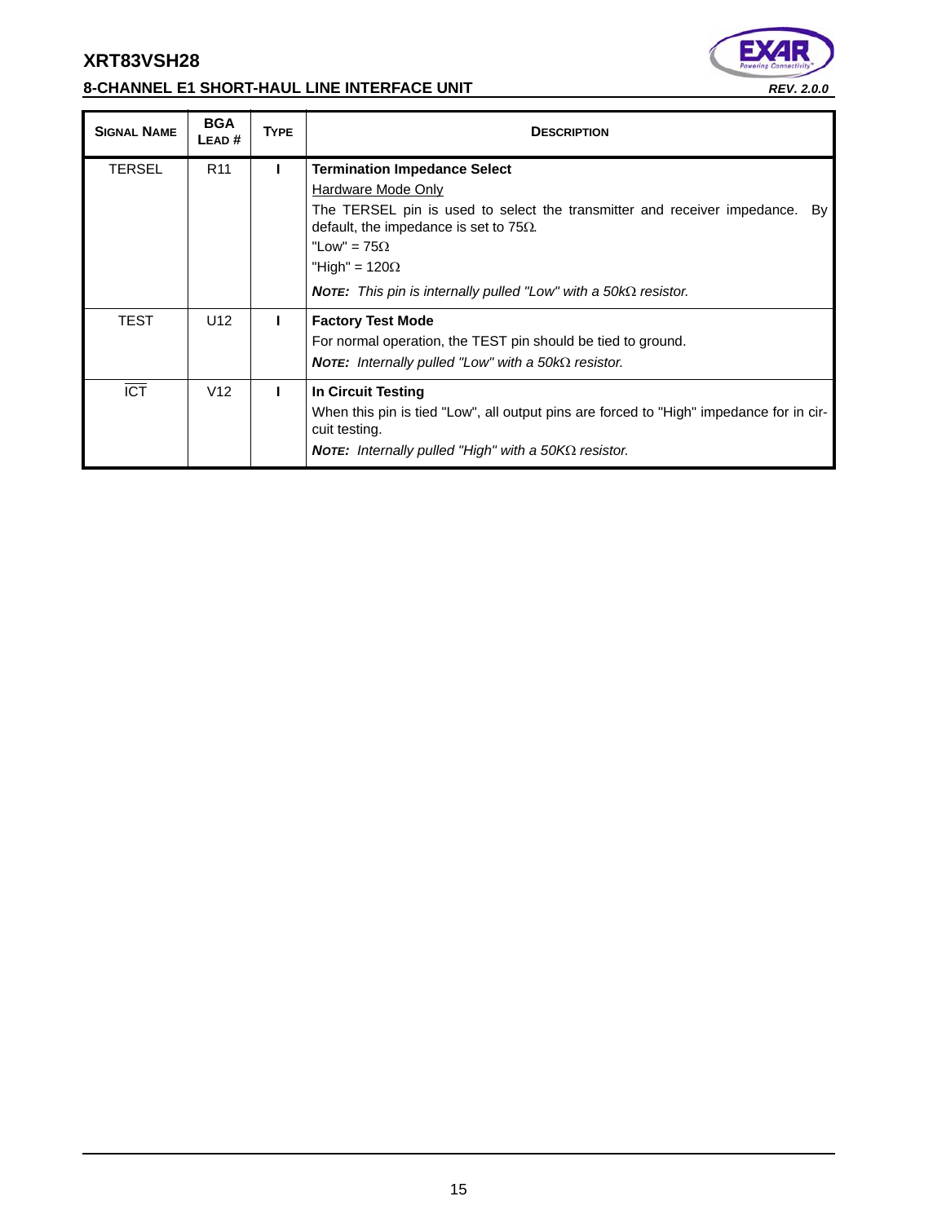# **8-CHANNEL E1 SHORT-HAUL LINE INTERFACE UNIT** *REV. 2.0.0*



| <b>SIGNAL NAME</b> | <b>BGA</b><br>LEAD # | <b>TYPE</b> | <b>DESCRIPTION</b>                                                                                                                                                                                                                                                                                                              |
|--------------------|----------------------|-------------|---------------------------------------------------------------------------------------------------------------------------------------------------------------------------------------------------------------------------------------------------------------------------------------------------------------------------------|
| <b>TERSEL</b>      | R <sub>11</sub>      | L           | <b>Termination Impedance Select</b><br>Hardware Mode Only<br>The TERSEL pin is used to select the transmitter and receiver impedance.<br>Bv l<br>default, the impedance is set to 75 $\Omega$ .<br>"Low" = $75\Omega$<br>"High" = $120\Omega$<br><b>NOTE:</b> This pin is internally pulled "Low" with a 50k $\Omega$ resistor. |
| TEST               | U <sub>12</sub>      | L           | <b>Factory Test Mode</b><br>For normal operation, the TEST pin should be tied to ground.<br><b>NOTE:</b> Internally pulled "Low" with a 50k $\Omega$ resistor.                                                                                                                                                                  |
| $\overline{ICT}$   | V <sub>12</sub>      |             | In Circuit Testing<br>When this pin is tied "Low", all output pins are forced to "High" impedance for in cir-<br>cuit testing.<br><b>NOTE:</b> Internally pulled "High" with a 50KQ resistor.                                                                                                                                   |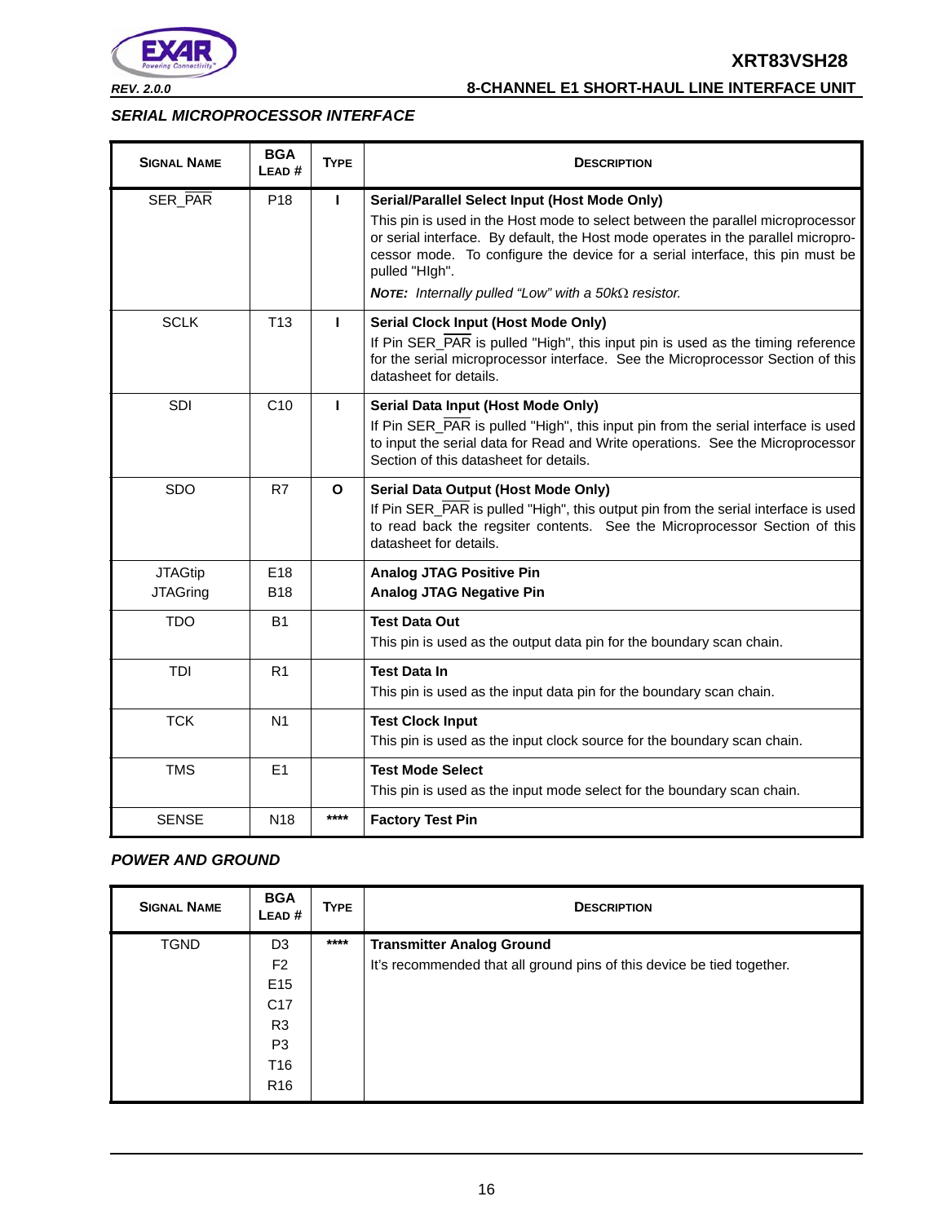

*REV. 2.0.0* **8-CHANNEL E1 SHORT-HAUL LINE INTERFACE UNIT**

## *SERIAL MICROPROCESSOR INTERFACE*

| <b>SIGNAL NAME</b>                | <b>BGA</b><br>LEAD# | <b>TYPE</b>  | <b>DESCRIPTION</b>                                                                                                                                                                                                                                                                                                                                                                            |
|-----------------------------------|---------------------|--------------|-----------------------------------------------------------------------------------------------------------------------------------------------------------------------------------------------------------------------------------------------------------------------------------------------------------------------------------------------------------------------------------------------|
| SER_PAR                           | P <sub>18</sub>     | п            | Serial/Parallel Select Input (Host Mode Only)<br>This pin is used in the Host mode to select between the parallel microprocessor<br>or serial interface. By default, the Host mode operates in the parallel micropro-<br>cessor mode. To configure the device for a serial interface, this pin must be<br>pulled "HIgh".<br><b>NOTE:</b> Internally pulled "Low" with a $50k\Omega$ resistor. |
| <b>SCLK</b>                       | T <sub>13</sub>     | п            | <b>Serial Clock Input (Host Mode Only)</b><br>If Pin SER_PAR is pulled "High", this input pin is used as the timing reference<br>for the serial microprocessor interface. See the Microprocessor Section of this<br>datasheet for details.                                                                                                                                                    |
| SDI                               | C10                 | $\mathbf{I}$ | Serial Data Input (Host Mode Only)<br>If Pin SER_PAR is pulled "High", this input pin from the serial interface is used<br>to input the serial data for Read and Write operations. See the Microprocessor<br>Section of this datasheet for details.                                                                                                                                           |
| SDO                               | R7                  | $\mathbf{o}$ | Serial Data Output (Host Mode Only)<br>If Pin SER_PAR is pulled "High", this output pin from the serial interface is used<br>to read back the regsiter contents. See the Microprocessor Section of this<br>datasheet for details.                                                                                                                                                             |
| <b>JTAGtip</b><br><b>JTAGring</b> | E18<br><b>B18</b>   |              | <b>Analog JTAG Positive Pin</b><br><b>Analog JTAG Negative Pin</b>                                                                                                                                                                                                                                                                                                                            |
| <b>TDO</b>                        | <b>B1</b>           |              | <b>Test Data Out</b><br>This pin is used as the output data pin for the boundary scan chain.                                                                                                                                                                                                                                                                                                  |
| TDI                               | R <sub>1</sub>      |              | <b>Test Data In</b><br>This pin is used as the input data pin for the boundary scan chain.                                                                                                                                                                                                                                                                                                    |
| <b>TCK</b>                        | N <sub>1</sub>      |              | <b>Test Clock Input</b><br>This pin is used as the input clock source for the boundary scan chain.                                                                                                                                                                                                                                                                                            |
| <b>TMS</b>                        | E1                  |              | <b>Test Mode Select</b><br>This pin is used as the input mode select for the boundary scan chain.                                                                                                                                                                                                                                                                                             |
| <b>SENSE</b>                      | N <sub>18</sub>     | ****         | <b>Factory Test Pin</b>                                                                                                                                                                                                                                                                                                                                                                       |

## *POWER AND GROUND*

| <b>SIGNAL NAME</b> | <b>BGA</b><br>LEAD# | <b>TYPE</b> | <b>DESCRIPTION</b>                                                     |
|--------------------|---------------------|-------------|------------------------------------------------------------------------|
| <b>TGND</b>        | D <sub>3</sub>      | $****$      | <b>Transmitter Analog Ground</b>                                       |
|                    | F <sub>2</sub>      |             | It's recommended that all ground pins of this device be tied together. |
|                    | E <sub>15</sub>     |             |                                                                        |
|                    | C <sub>17</sub>     |             |                                                                        |
|                    | R <sub>3</sub>      |             |                                                                        |
|                    | P <sub>3</sub>      |             |                                                                        |
|                    | T16                 |             |                                                                        |
|                    | R <sub>16</sub>     |             |                                                                        |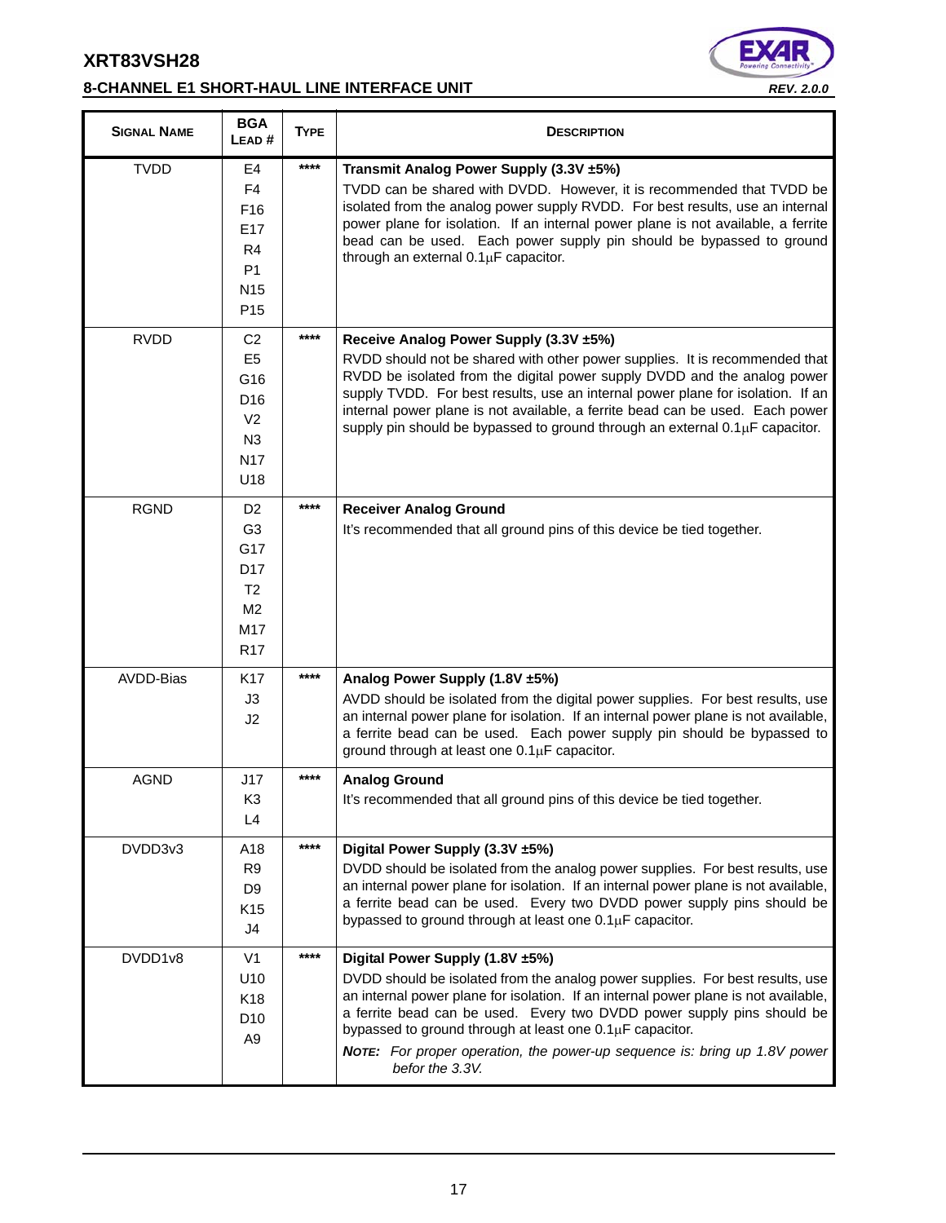# **8-CHANNEL E1 SHORT-HAUL LINE INTERFACE UNIT** *REV. 2.0.0*



| <b>SIGNAL NAME</b> | <b>BGA</b><br>LEAD#                                                                                                      | <b>TYPE</b> | <b>DESCRIPTION</b>                                                                                                                                                                                                                                                                                                                                                                                                                                    |
|--------------------|--------------------------------------------------------------------------------------------------------------------------|-------------|-------------------------------------------------------------------------------------------------------------------------------------------------------------------------------------------------------------------------------------------------------------------------------------------------------------------------------------------------------------------------------------------------------------------------------------------------------|
| <b>TVDD</b>        | E4<br>F <sub>4</sub><br>F <sub>16</sub><br>E <sub>17</sub><br>R4<br>P <sub>1</sub><br>N <sub>15</sub><br>P <sub>15</sub> | ****        | Transmit Analog Power Supply (3.3V ±5%)<br>TVDD can be shared with DVDD. However, it is recommended that TVDD be<br>isolated from the analog power supply RVDD. For best results, use an internal<br>power plane for isolation. If an internal power plane is not available, a ferrite<br>bead can be used. Each power supply pin should be bypassed to ground<br>through an external 0.1µF capacitor.                                                |
| <b>RVDD</b>        | C <sub>2</sub><br>E <sub>5</sub><br>G16<br>D <sub>16</sub><br>V <sub>2</sub><br>N3<br><b>N17</b><br>U18                  | ****        | Receive Analog Power Supply (3.3V ±5%)<br>RVDD should not be shared with other power supplies. It is recommended that<br>RVDD be isolated from the digital power supply DVDD and the analog power<br>supply TVDD. For best results, use an internal power plane for isolation. If an<br>internal power plane is not available, a ferrite bead can be used. Each power<br>supply pin should be bypassed to ground through an external 0.1µF capacitor. |
| <b>RGND</b>        | D <sub>2</sub><br>G <sub>3</sub><br>G17<br>D <sub>17</sub><br>T <sub>2</sub><br>M <sub>2</sub><br>M17<br>R <sub>17</sub> | $***$       | <b>Receiver Analog Ground</b><br>It's recommended that all ground pins of this device be tied together.                                                                                                                                                                                                                                                                                                                                               |
| AVDD-Bias          | K <sub>17</sub><br>J3<br>J2                                                                                              | ****        | Analog Power Supply (1.8V ±5%)<br>AVDD should be isolated from the digital power supplies. For best results, use<br>an internal power plane for isolation. If an internal power plane is not available,<br>a ferrite bead can be used. Each power supply pin should be bypassed to<br>ground through at least one 0.1µF capacitor.                                                                                                                    |
| <b>AGND</b>        | J17<br>K <sub>3</sub><br>L4                                                                                              | ****        | <b>Analog Ground</b><br>It's recommended that all ground pins of this device be tied together.                                                                                                                                                                                                                                                                                                                                                        |
| DVDD3v3            | A18<br>R <sub>9</sub><br>D <sub>9</sub><br>K <sub>15</sub><br>J4                                                         | ****        | Digital Power Supply (3.3V ±5%)<br>DVDD should be isolated from the analog power supplies. For best results, use<br>an internal power plane for isolation. If an internal power plane is not available,<br>a ferrite bead can be used. Every two DVDD power supply pins should be<br>bypassed to ground through at least one 0.1µF capacitor.                                                                                                         |
| DVDD1v8            | V <sub>1</sub><br>U10<br>K18<br>D <sub>10</sub><br>A9                                                                    | $***$       | Digital Power Supply (1.8V ±5%)<br>DVDD should be isolated from the analog power supplies. For best results, use<br>an internal power plane for isolation. If an internal power plane is not available,<br>a ferrite bead can be used. Every two DVDD power supply pins should be<br>bypassed to ground through at least one 0.1µF capacitor.<br>NOTE: For proper operation, the power-up sequence is: bring up 1.8V power<br>befor the 3.3V.         |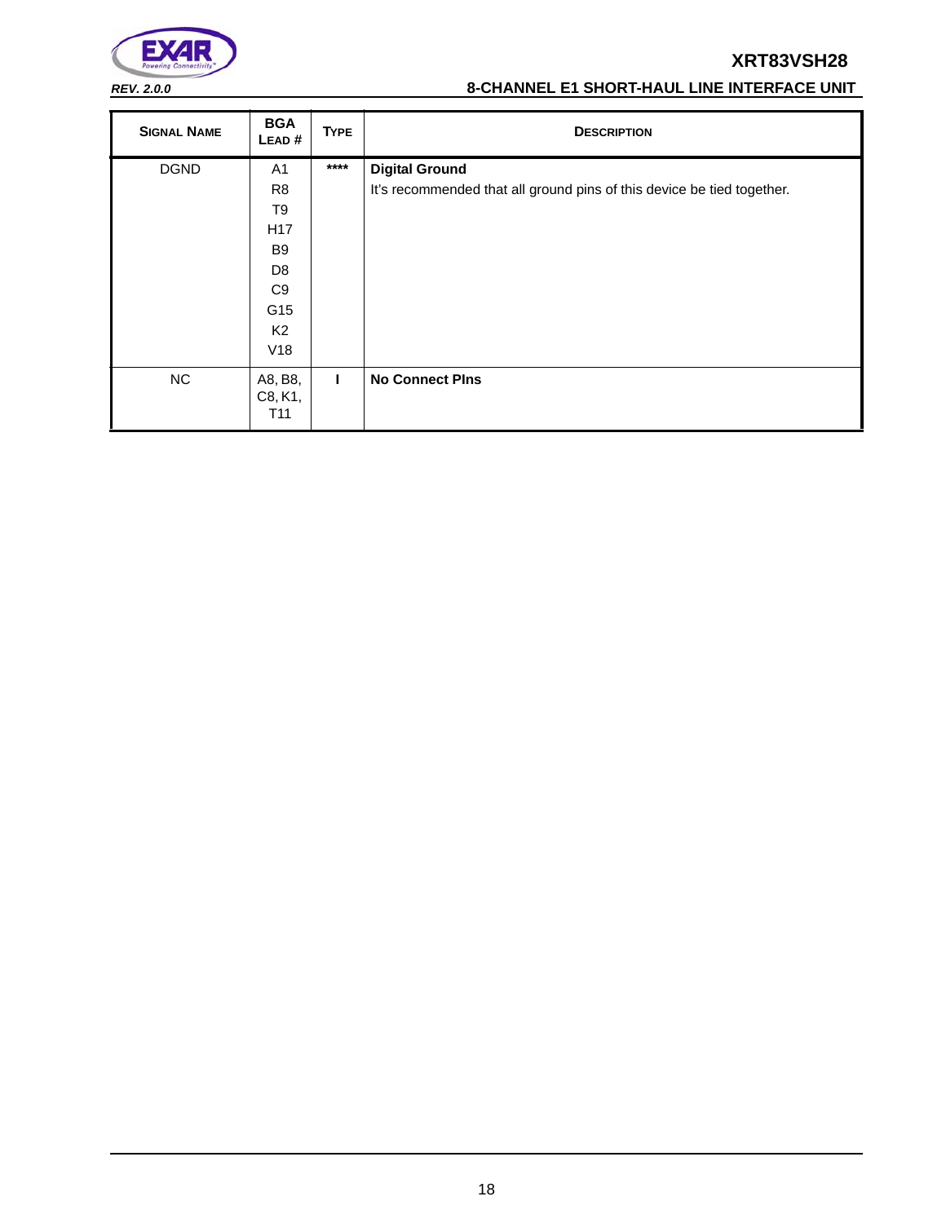

# *REV. 2.0.0* **8-CHANNEL E1 SHORT-HAUL LINE INTERFACE UNIT**

| <b>SIGNAL NAME</b> | <b>BGA</b><br>LEAD#                   | <b>TYPE</b>  | <b>DESCRIPTION</b>                                                     |
|--------------------|---------------------------------------|--------------|------------------------------------------------------------------------|
| <b>DGND</b>        | A1                                    | $****$       | <b>Digital Ground</b>                                                  |
|                    | R <sub>8</sub>                        |              | It's recommended that all ground pins of this device be tied together. |
|                    | T <sub>9</sub>                        |              |                                                                        |
|                    | H <sub>17</sub>                       |              |                                                                        |
|                    | B <sub>9</sub>                        |              |                                                                        |
|                    | D <sub>8</sub>                        |              |                                                                        |
|                    | C <sub>9</sub>                        |              |                                                                        |
|                    | G15                                   |              |                                                                        |
|                    | K <sub>2</sub>                        |              |                                                                        |
|                    | V18                                   |              |                                                                        |
| NC                 | A8, B8,<br>C8, K1,<br>T <sub>11</sub> | $\mathbf{I}$ | <b>No Connect Pins</b>                                                 |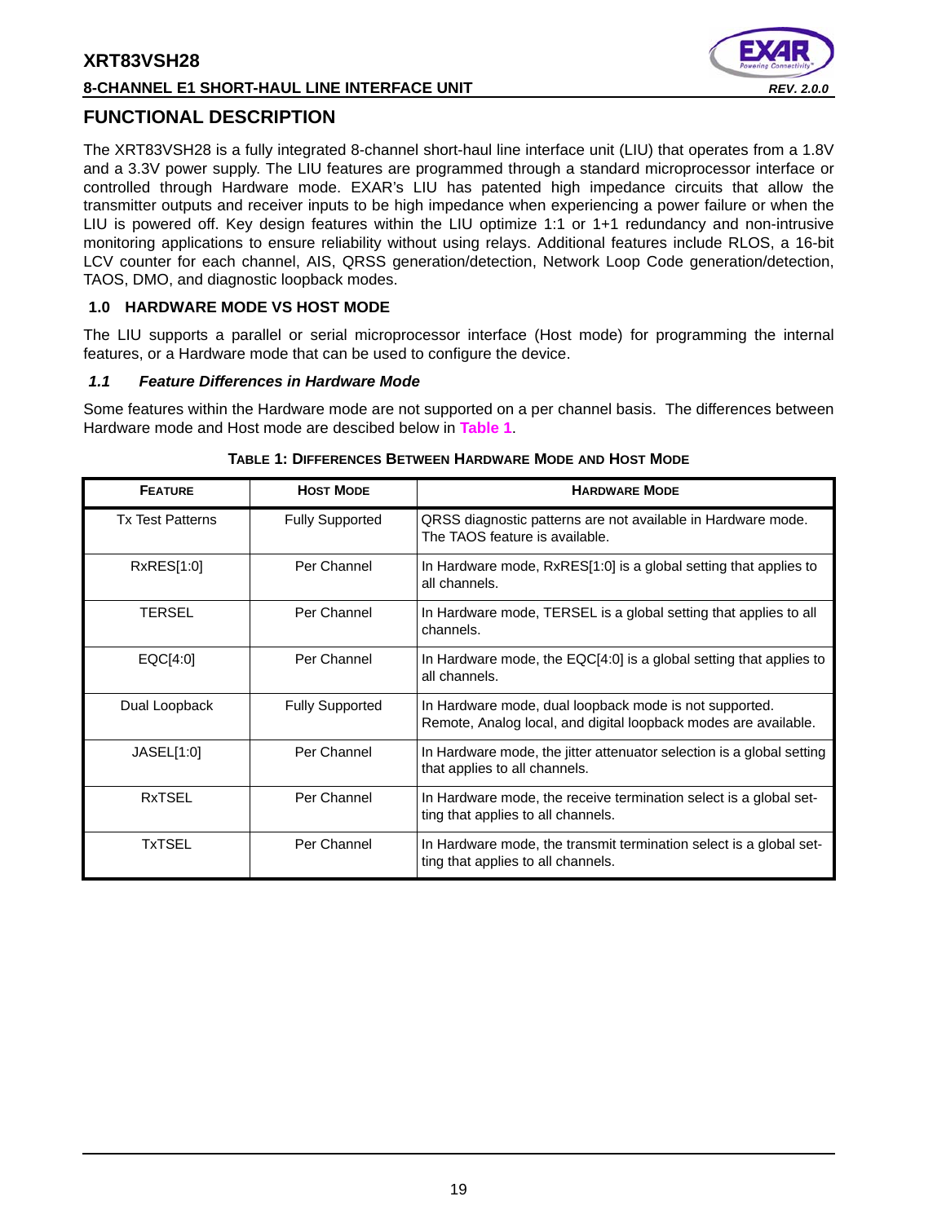# **8-CHANNEL E1 SHORT-HAUL LINE INTERFACE UNIT** *REV. 2.0.0*



# **FUNCTIONAL DESCRIPTION**

The XRT83VSH28 is a fully integrated 8-channel short-haul line interface unit (LIU) that operates from a 1.8V and a 3.3V power supply. The LIU features are programmed through a standard microprocessor interface or controlled through Hardware mode. EXAR's LIU has patented high impedance circuits that allow the transmitter outputs and receiver inputs to be high impedance when experiencing a power failure or when the LIU is powered off. Key design features within the LIU optimize 1:1 or 1+1 redundancy and non-intrusive monitoring applications to ensure reliability without using relays. Additional features include RLOS, a 16-bit LCV counter for each channel, AIS, QRSS generation/detection, Network Loop Code generation/detection, TAOS, DMO, and diagnostic loopback modes.

### **1.0 HARDWARE MODE VS HOST MODE**

The LIU supports a parallel or serial microprocessor interface (Host mode) for programming the internal features, or a Hardware mode that can be used to configure the device.

#### *1.1 Feature Differences in Hardware Mode*

Some features within the Hardware mode are not supported on a per channel basis. The differences between Hardware mode and Host mode are descibed below in **Table 1**.

| <b>FEATURE</b>          | <b>HOST MODE</b>       | <b>HARDWARE MODE</b>                                                                                                      |
|-------------------------|------------------------|---------------------------------------------------------------------------------------------------------------------------|
| <b>Tx Test Patterns</b> | <b>Fully Supported</b> | QRSS diagnostic patterns are not available in Hardware mode.<br>The TAOS feature is available.                            |
| RxRES[1:0]              | Per Channel            | In Hardware mode, RxRES[1:0] is a global setting that applies to<br>all channels.                                         |
| TERSEL                  | Per Channel            | In Hardware mode, TERSEL is a global setting that applies to all<br>channels.                                             |
| EQC[4:0]                | Per Channel            | In Hardware mode, the EQC[4:0] is a global setting that applies to<br>all channels.                                       |
| Dual Loopback           | <b>Fully Supported</b> | In Hardware mode, dual loopback mode is not supported.<br>Remote, Analog local, and digital loopback modes are available. |
| JASEL[1:0]              | Per Channel            | In Hardware mode, the jitter attenuator selection is a global setting<br>that applies to all channels.                    |
| <b>RxTSEL</b>           | Per Channel            | In Hardware mode, the receive termination select is a global set-<br>ting that applies to all channels.                   |
| <b>TxTSEL</b>           | Per Channel            | In Hardware mode, the transmit termination select is a global set-<br>ting that applies to all channels.                  |

#### **TABLE 1: DIFFERENCES BETWEEN HARDWARE MODE AND HOST MODE**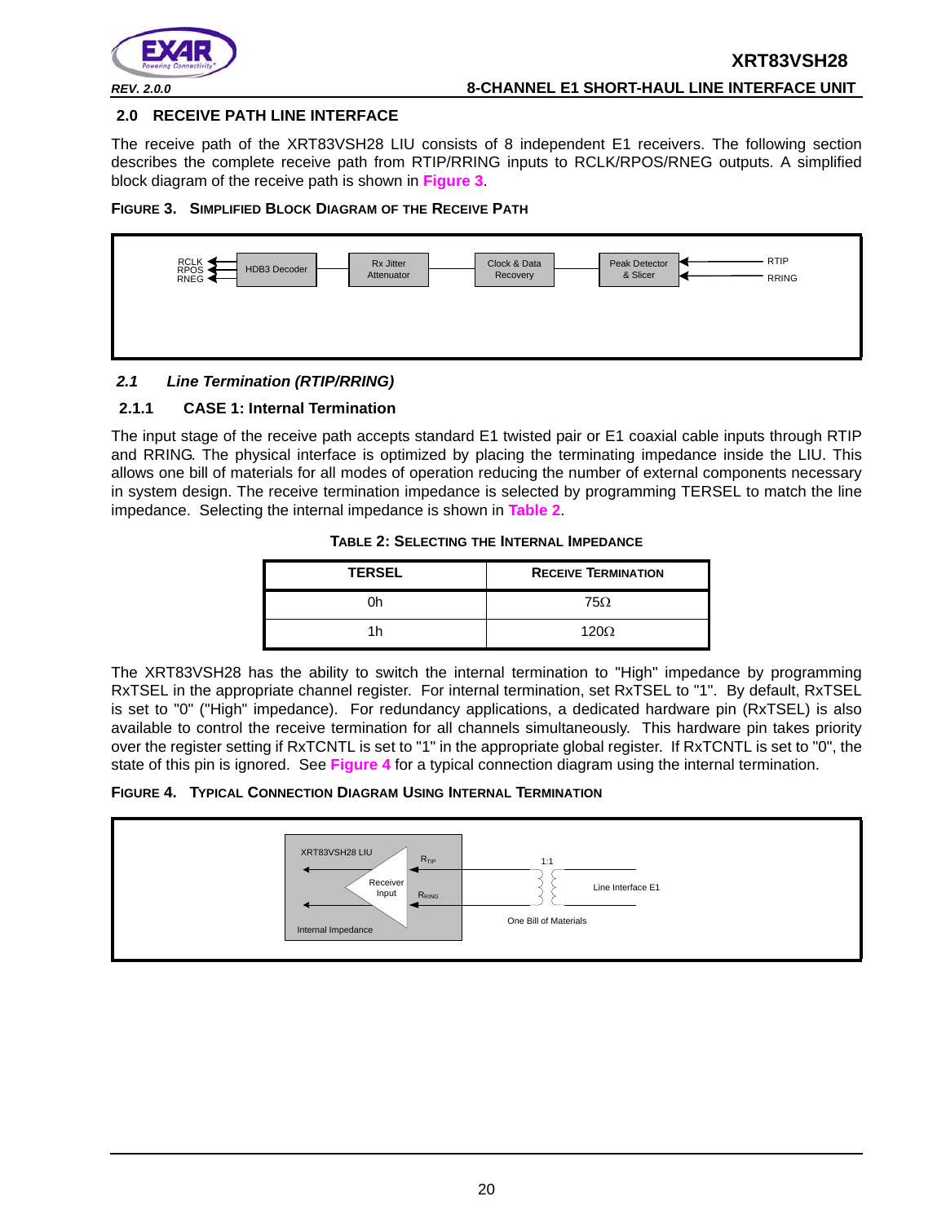

#### **2.0 RECEIVE PATH LINE INTERFACE**

The receive path of the XRT83VSH28 LIU consists of 8 independent E1 receivers. The following section describes the complete receive path from RTIP/RRING inputs to RCLK/RPOS/RNEG outputs. A simplified block diagram of the receive path is shown in **Figure 3**.





# *2.1 Line Termination (RTIP/RRING)*

#### **2.1.1 CASE 1: Internal Termination**

The input stage of the receive path accepts standard E1 twisted pair or E1 coaxial cable inputs through RTIP and RRING. The physical interface is optimized by placing the terminating impedance inside the LIU. This allows one bill of materials for all modes of operation reducing the number of external components necessary in system design. The receive termination impedance is selected by programming TERSEL to match the line impedance. Selecting the internal impedance is shown in **Table 2**.

| TABLE 2: SELECTING THE INTERNAL IMPEDANCE |  |
|-------------------------------------------|--|
|-------------------------------------------|--|

| <b>TERSEL</b> | <b>RECEIVE TERMINATION</b> |
|---------------|----------------------------|
|               | 75Ω                        |
|               | $120\Omega$                |

The XRT83VSH28 has the ability to switch the internal termination to "High" impedance by programming RxTSEL in the appropriate channel register. For internal termination, set RxTSEL to "1". By default, RxTSEL is set to "0" ("High" impedance). For redundancy applications, a dedicated hardware pin (RxTSEL) is also available to control the receive termination for all channels simultaneously. This hardware pin takes priority over the register setting if RxTCNTL is set to "1" in the appropriate global register. If RxTCNTL is set to "0", the state of this pin is ignored. See **Figure 4** for a typical connection diagram using the internal termination.

#### **FIGURE 4. TYPICAL CONNECTION DIAGRAM USING INTERNAL TERMINATION**

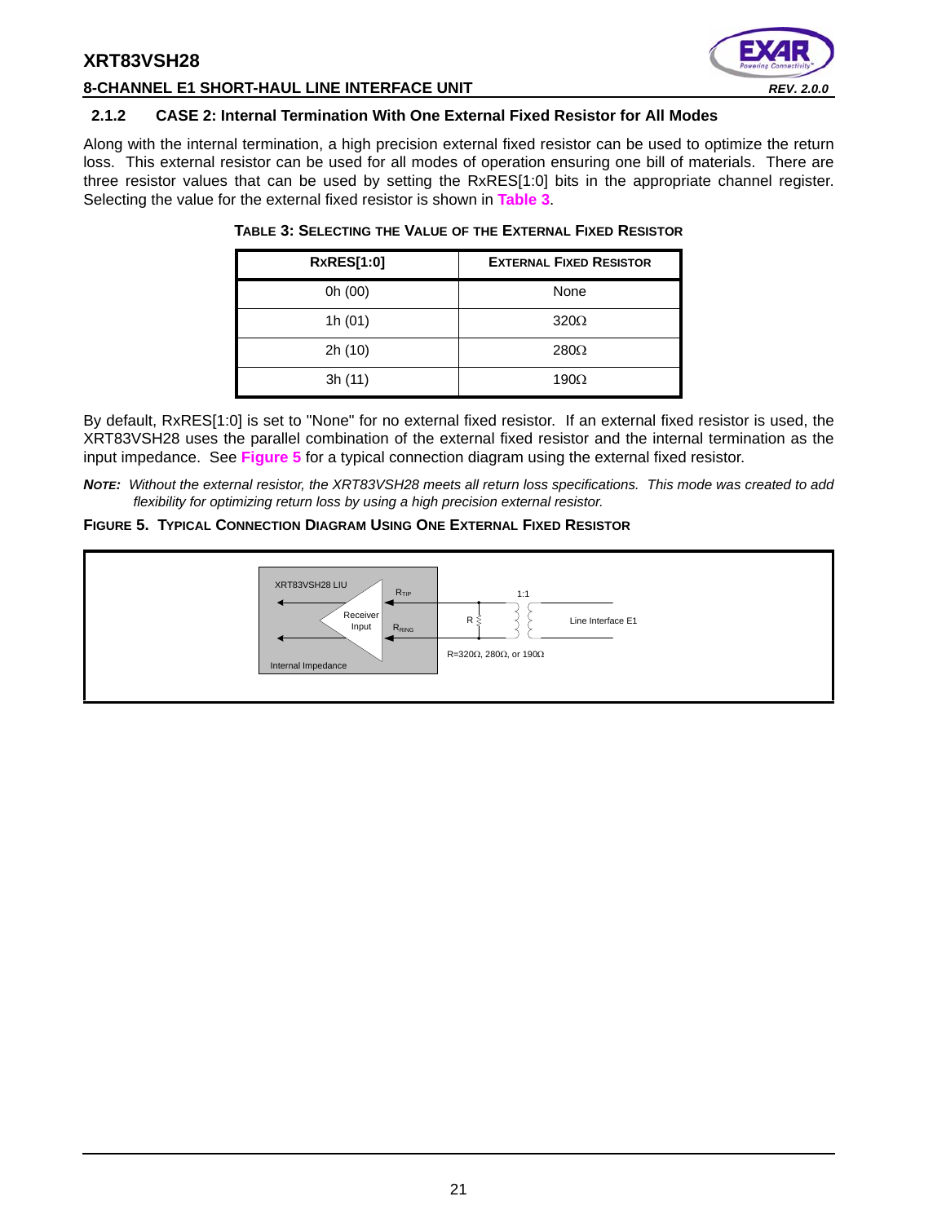

#### **8-CHANNEL E1 SHORT-HAUL LINE INTERFACE UNIT** *REV. 2.0.0*

#### **2.1.2 CASE 2: Internal Termination With One External Fixed Resistor for All Modes**

Along with the internal termination, a high precision external fixed resistor can be used to optimize the return loss. This external resistor can be used for all modes of operation ensuring one bill of materials. There are three resistor values that can be used by setting the RxRES[1:0] bits in the appropriate channel register. Selecting the value for the external fixed resistor is shown in **Table 3**.

| <b>RxRES[1:0]</b> | <b>EXTERNAL FIXED RESISTOR</b> |
|-------------------|--------------------------------|
| 0h (00)           | None                           |
| 1h $(01)$         | $320\Omega$                    |
| 2h (10)           | $280\Omega$                    |
| 3h (11)           | 190 $\Omega$                   |

#### **TABLE 3: SELECTING THE VALUE OF THE EXTERNAL FIXED RESISTOR**

By default, RxRES[1:0] is set to "None" for no external fixed resistor. If an external fixed resistor is used, the XRT83VSH28 uses the parallel combination of the external fixed resistor and the internal termination as the input impedance. See **Figure 5** for a typical connection diagram using the external fixed resistor.

*NOTE: Without the external resistor, the XRT83VSH28 meets all return loss specifications. This mode was created to add flexibility for optimizing return loss by using a high precision external resistor.*

#### **FIGURE 5. TYPICAL CONNECTION DIAGRAM USING ONE EXTERNAL FIXED RESISTOR**

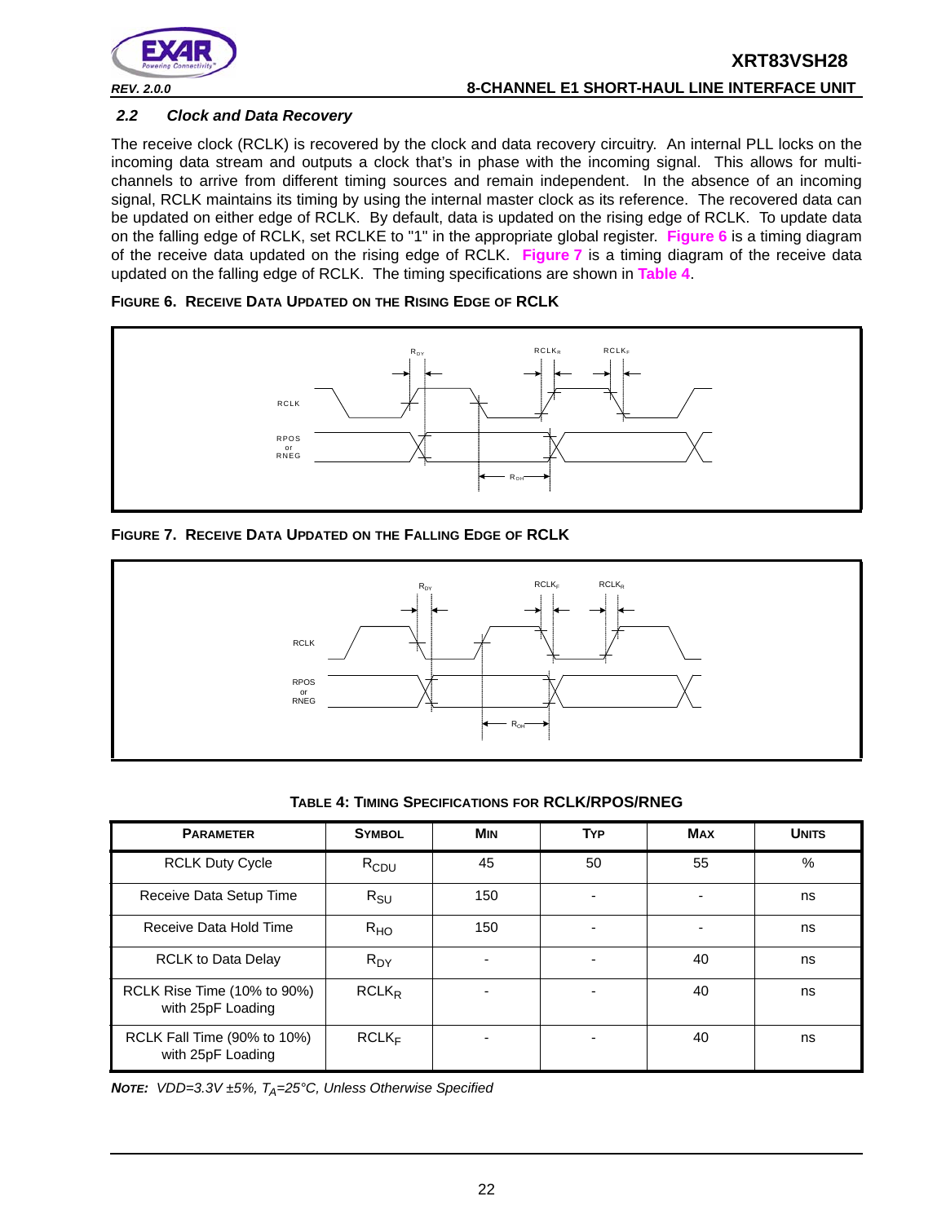

# **XRT83VSH28** *REV. 2.0.0* **8-CHANNEL E1 SHORT-HAUL LINE INTERFACE UNIT**

#### *2.2 Clock and Data Recovery*

The receive clock (RCLK) is recovered by the clock and data recovery circuitry. An internal PLL locks on the incoming data stream and outputs a clock that's in phase with the incoming signal. This allows for multichannels to arrive from different timing sources and remain independent. In the absence of an incoming signal, RCLK maintains its timing by using the internal master clock as its reference. The recovered data can be updated on either edge of RCLK. By default, data is updated on the rising edge of RCLK. To update data on the falling edge of RCLK, set RCLKE to "1" in the appropriate global register. **Figure 6** is a timing diagram of the receive data updated on the rising edge of RCLK. **Figure 7** is a timing diagram of the receive data updated on the falling edge of RCLK. The timing specifications are shown in **Table 4**.

#### **FIGURE 6. RECEIVE DATA UPDATED ON THE RISING EDGE OF RCLK**



#### **FIGURE 7. RECEIVE DATA UPDATED ON THE FALLING EDGE OF RCLK**



**TABLE 4: TIMING SPECIFICATIONS FOR RCLK/RPOS/RNEG**

| <b>PARAMETER</b>                                 | <b>SYMBOL</b>     | <b>MIN</b> | <b>TYP</b> | <b>MAX</b> | <b>UNITS</b> |
|--------------------------------------------------|-------------------|------------|------------|------------|--------------|
| <b>RCLK Duty Cycle</b>                           | $R_{CDU}$         | 45         | 50         | 55         | %            |
| Receive Data Setup Time                          | $R_{\text{SU}}$   | 150        |            |            | ns           |
| Receive Data Hold Time                           | R <sub>HO</sub>   | 150        |            |            | ns           |
| <b>RCLK to Data Delay</b>                        | $R_{DY}$          | ۰          |            | 40         | ns           |
| RCLK Rise Time (10% to 90%)<br>with 25pF Loading | $RCLK_R$          |            |            | 40         | ns           |
| RCLK Fall Time (90% to 10%)<br>with 25pF Loading | RCLK <sub>F</sub> |            |            | 40         | ns           |

*NOTE: VDD=3.3V ±5%, T<sub>A</sub>=25°C, Unless Otherwise Specified*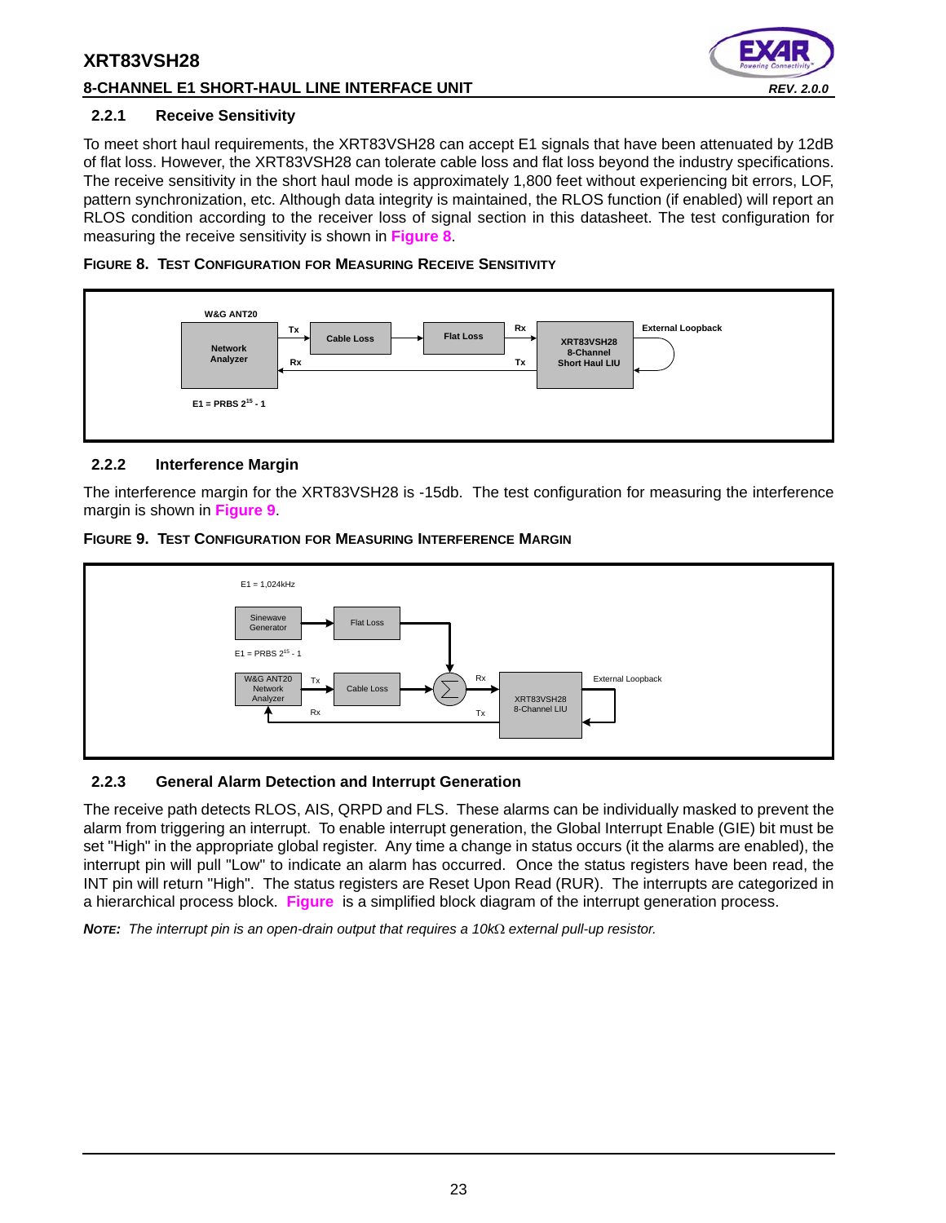## **8-CHANNEL E1 SHORT-HAUL LINE INTERFACE UNIT** *REV. 2.0.0*



#### **2.2.1 Receive Sensitivity**

To meet short haul requirements, the XRT83VSH28 can accept E1 signals that have been attenuated by 12dB of flat loss. However, the XRT83VSH28 can tolerate cable loss and flat loss beyond the industry specifications. The receive sensitivity in the short haul mode is approximately 1,800 feet without experiencing bit errors, LOF, pattern synchronization, etc. Although data integrity is maintained, the RLOS function (if enabled) will report an RLOS condition according to the receiver loss of signal section in this datasheet. The test configuration for measuring the receive sensitivity is shown in **Figure 8**.





## **2.2.2 Interference Margin**

The interference margin for the XRT83VSH28 is -15db. The test configuration for measuring the interference margin is shown in **Figure 9**.





# **2.2.3 General Alarm Detection and Interrupt Generation**

The receive path detects RLOS, AIS, QRPD and FLS. These alarms can be individually masked to prevent the alarm from triggering an interrupt. To enable interrupt generation, the Global Interrupt Enable (GIE) bit must be set "High" in the appropriate global register. Any time a change in status occurs (it the alarms are enabled), the interrupt pin will pull "Low" to indicate an alarm has occurred. Once the status registers have been read, the INT pin will return "High". The status registers are Reset Upon Read (RUR). The interrupts are categorized in a hierarchical process block. **Figure** is a simplified block diagram of the interrupt generation process.

**NOTE:** The interrupt pin is an open-drain output that requires a 10kΩ external pull-up resistor.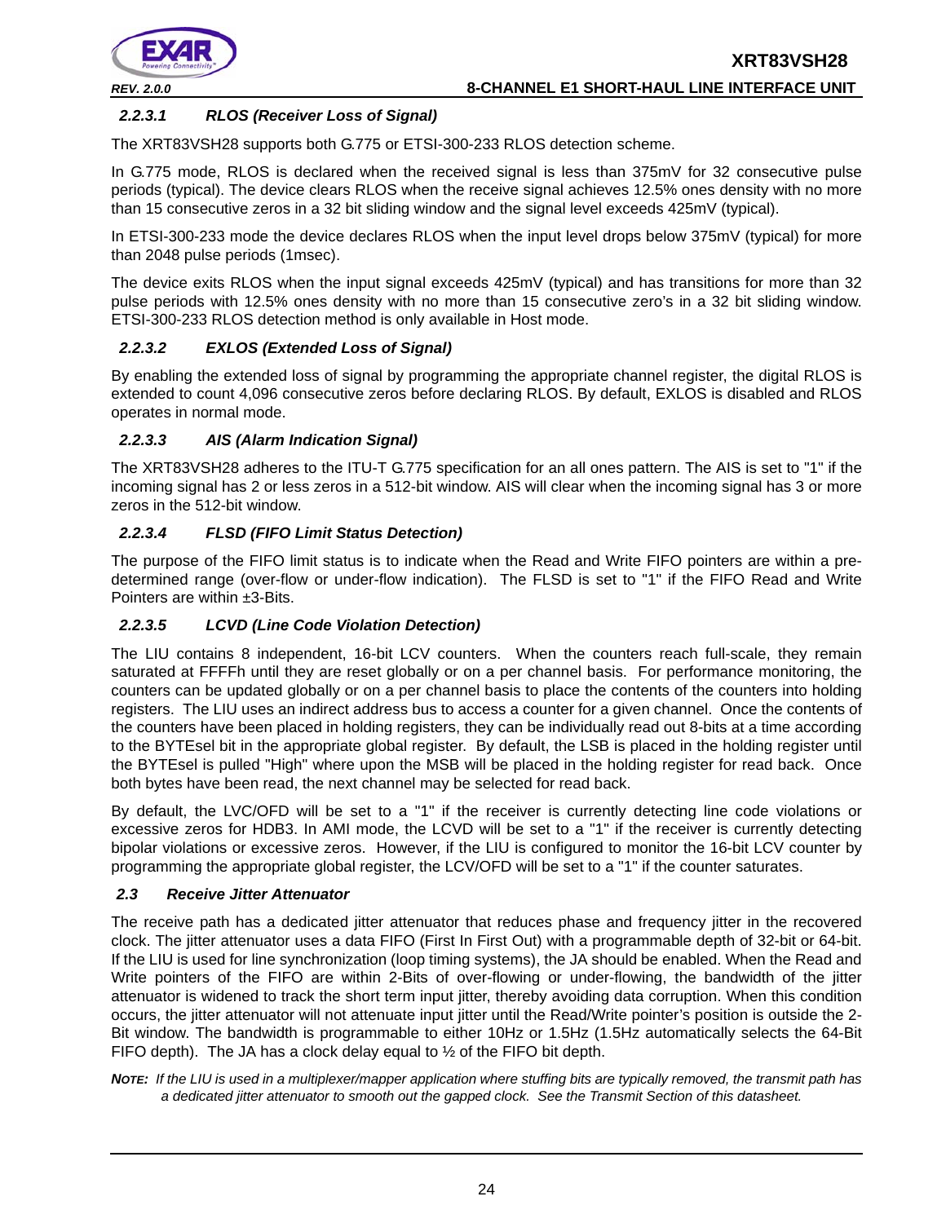

## *2.2.3.1 RLOS (Receiver Loss of Signal)*

The XRT83VSH28 supports both G.775 or ETSI-300-233 RLOS detection scheme.

In G.775 mode, RLOS is declared when the received signal is less than 375mV for 32 consecutive pulse periods (typical). The device clears RLOS when the receive signal achieves 12.5% ones density with no more than 15 consecutive zeros in a 32 bit sliding window and the signal level exceeds 425mV (typical).

In ETSI-300-233 mode the device declares RLOS when the input level drops below 375mV (typical) for more than 2048 pulse periods (1msec).

The device exits RLOS when the input signal exceeds 425mV (typical) and has transitions for more than 32 pulse periods with 12.5% ones density with no more than 15 consecutive zero's in a 32 bit sliding window. ETSI-300-233 RLOS detection method is only available in Host mode.

### *2.2.3.2 EXLOS (Extended Loss of Signal)*

By enabling the extended loss of signal by programming the appropriate channel register, the digital RLOS is extended to count 4,096 consecutive zeros before declaring RLOS. By default, EXLOS is disabled and RLOS operates in normal mode.

## *2.2.3.3 AIS (Alarm Indication Signal)*

The XRT83VSH28 adheres to the ITU-T G.775 specification for an all ones pattern. The AIS is set to "1" if the incoming signal has 2 or less zeros in a 512-bit window. AIS will clear when the incoming signal has 3 or more zeros in the 512-bit window.

## *2.2.3.4 FLSD (FIFO Limit Status Detection)*

The purpose of the FIFO limit status is to indicate when the Read and Write FIFO pointers are within a predetermined range (over-flow or under-flow indication). The FLSD is set to "1" if the FIFO Read and Write Pointers are within ±3-Bits.

### *2.2.3.5 LCVD (Line Code Violation Detection)*

The LIU contains 8 independent, 16-bit LCV counters. When the counters reach full-scale, they remain saturated at FFFFh until they are reset globally or on a per channel basis. For performance monitoring, the counters can be updated globally or on a per channel basis to place the contents of the counters into holding registers. The LIU uses an indirect address bus to access a counter for a given channel. Once the contents of the counters have been placed in holding registers, they can be individually read out 8-bits at a time according to the BYTEsel bit in the appropriate global register. By default, the LSB is placed in the holding register until the BYTEsel is pulled "High" where upon the MSB will be placed in the holding register for read back. Once both bytes have been read, the next channel may be selected for read back.

By default, the LVC/OFD will be set to a "1" if the receiver is currently detecting line code violations or excessive zeros for HDB3. In AMI mode, the LCVD will be set to a "1" if the receiver is currently detecting bipolar violations or excessive zeros. However, if the LIU is configured to monitor the 16-bit LCV counter by programming the appropriate global register, the LCV/OFD will be set to a "1" if the counter saturates.

### *2.3 Receive Jitter Attenuator*

The receive path has a dedicated jitter attenuator that reduces phase and frequency jitter in the recovered clock. The jitter attenuator uses a data FIFO (First In First Out) with a programmable depth of 32-bit or 64-bit. If the LIU is used for line synchronization (loop timing systems), the JA should be enabled. When the Read and Write pointers of the FIFO are within 2-Bits of over-flowing or under-flowing, the bandwidth of the jitter attenuator is widened to track the short term input jitter, thereby avoiding data corruption. When this condition occurs, the jitter attenuator will not attenuate input jitter until the Read/Write pointer's position is outside the 2- Bit window. The bandwidth is programmable to either 10Hz or 1.5Hz (1.5Hz automatically selects the 64-Bit FIFO depth). The JA has a clock delay equal to  $\frac{1}{2}$  of the FIFO bit depth.

*NOTE: If the LIU is used in a multiplexer/mapper application where stuffing bits are typically removed, the transmit path has a dedicated jitter attenuator to smooth out the gapped clock. See the Transmit Section of this datasheet.*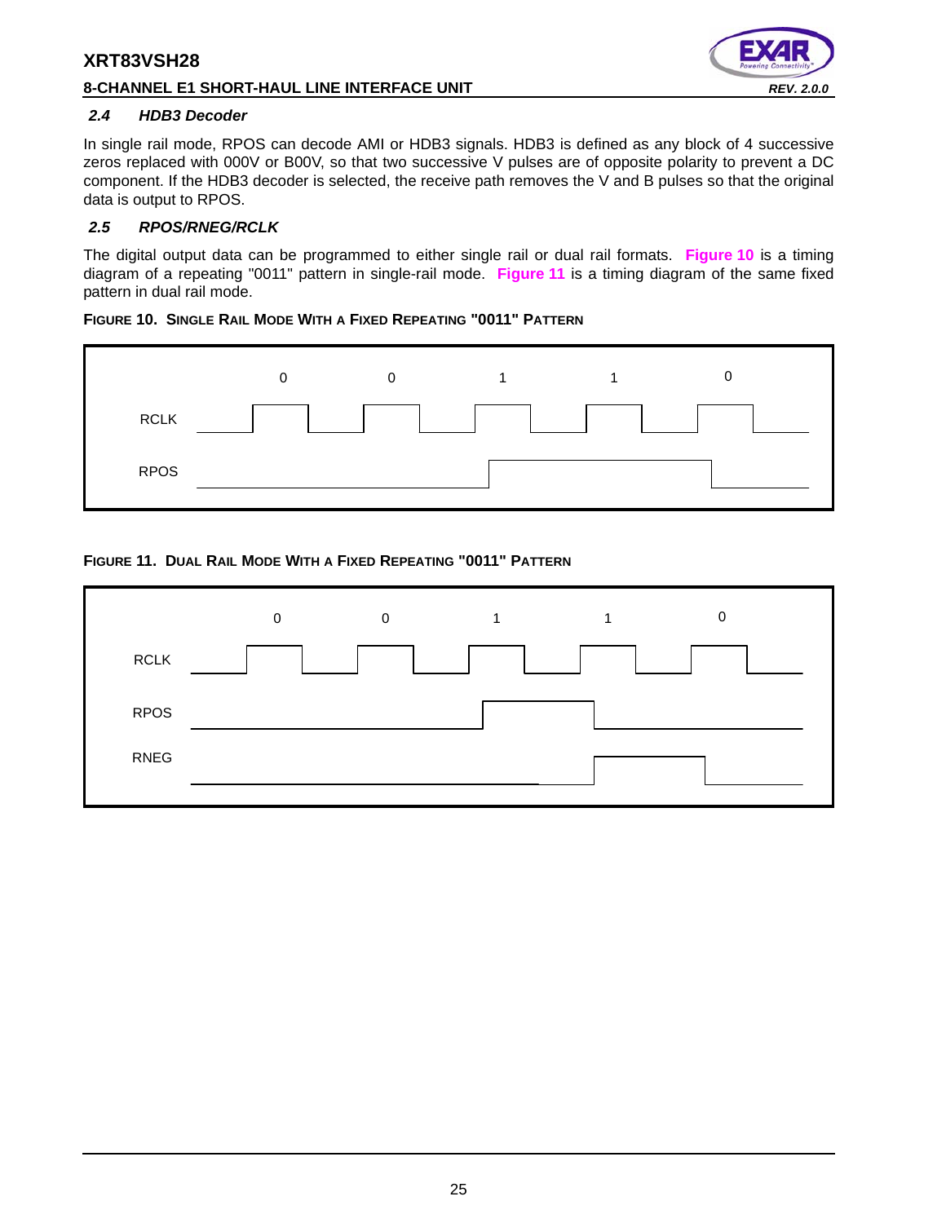#### **8-CHANNEL E1 SHORT-HAUL LINE INTERFACE UNIT** *REV. 2.0.0*



#### *2.4 HDB3 Decoder*

In single rail mode, RPOS can decode AMI or HDB3 signals. HDB3 is defined as any block of 4 successive zeros replaced with 000V or B00V, so that two successive V pulses are of opposite polarity to prevent a DC component. If the HDB3 decoder is selected, the receive path removes the V and B pulses so that the original data is output to RPOS.

#### *2.5 RPOS/RNEG/RCLK*

The digital output data can be programmed to either single rail or dual rail formats. **Figure 10** is a timing diagram of a repeating "0011" pattern in single-rail mode. **Figure 11** is a timing diagram of the same fixed pattern in dual rail mode.

#### **FIGURE 10. SINGLE RAIL MODE WITH A FIXED REPEATING "0011" PATTERN**



### **FIGURE 11. DUAL RAIL MODE WITH A FIXED REPEATING "0011" PATTERN**

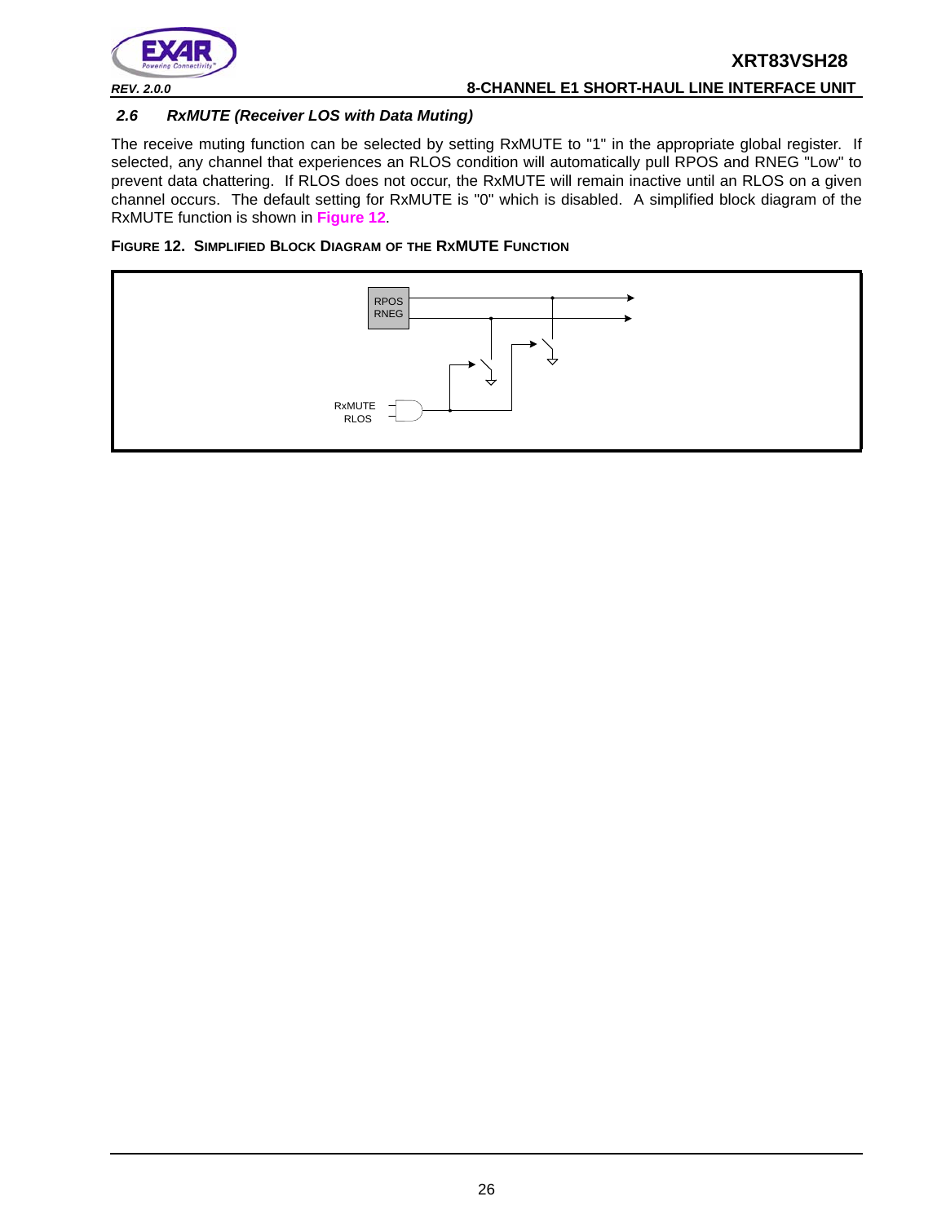

## *2.6 RxMUTE (Receiver LOS with Data Muting)*

The receive muting function can be selected by setting RxMUTE to "1" in the appropriate global register. If selected, any channel that experiences an RLOS condition will automatically pull RPOS and RNEG "Low" to prevent data chattering. If RLOS does not occur, the RxMUTE will remain inactive until an RLOS on a given channel occurs. The default setting for RxMUTE is "0" which is disabled. A simplified block diagram of the RxMUTE function is shown in **Figure 12**.



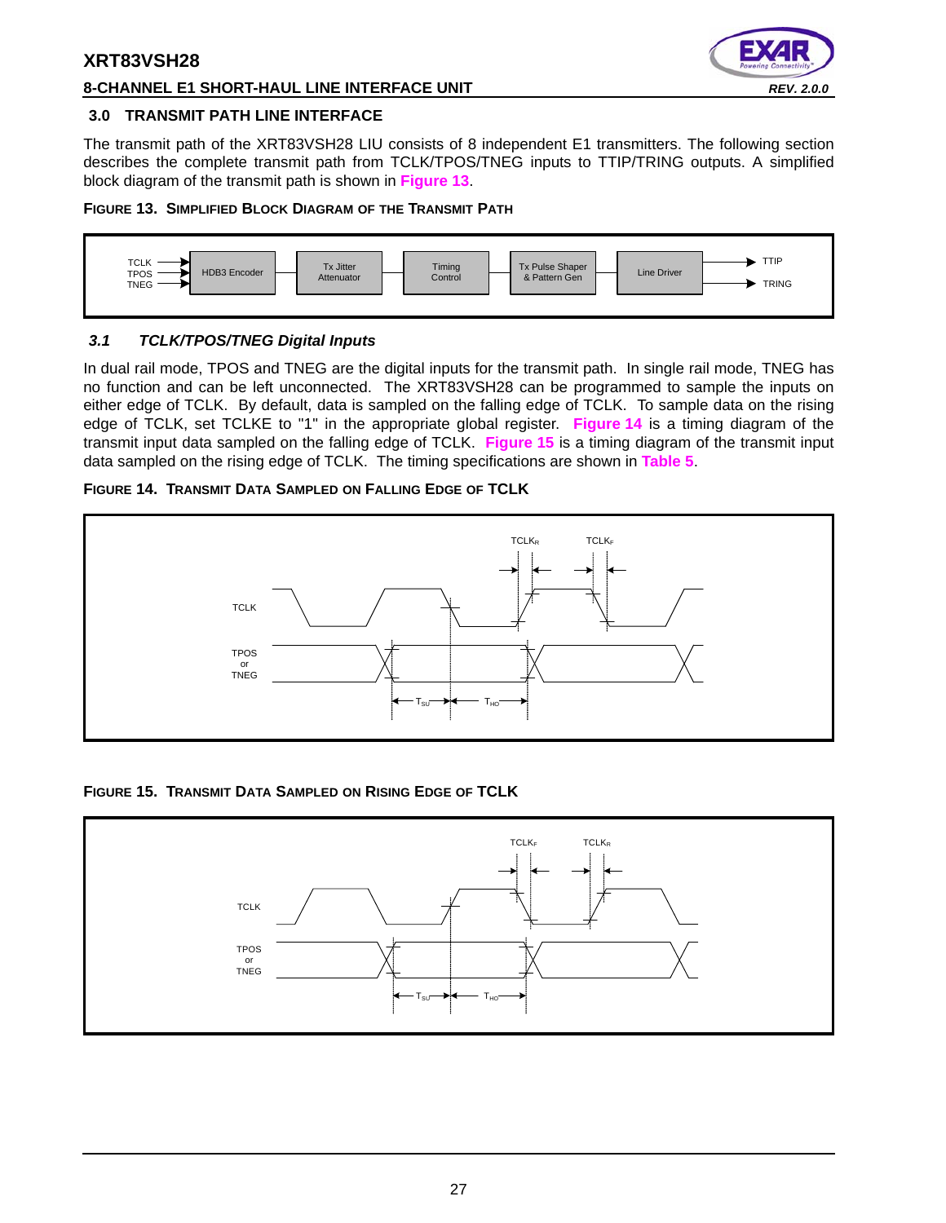

## **8-CHANNEL E1 SHORT-HAUL LINE INTERFACE UNIT** *REV. 2.0.0*

### **3.0 TRANSMIT PATH LINE INTERFACE**

The transmit path of the XRT83VSH28 LIU consists of 8 independent E1 transmitters. The following section describes the complete transmit path from TCLK/TPOS/TNEG inputs to TTIP/TRING outputs. A simplified block diagram of the transmit path is shown in **Figure 13**.

### **FIGURE 13. SIMPLIFIED BLOCK DIAGRAM OF THE TRANSMIT PATH**



# *3.1 TCLK/TPOS/TNEG Digital Inputs*

In dual rail mode, TPOS and TNEG are the digital inputs for the transmit path. In single rail mode, TNEG has no function and can be left unconnected. The XRT83VSH28 can be programmed to sample the inputs on either edge of TCLK. By default, data is sampled on the falling edge of TCLK. To sample data on the rising edge of TCLK, set TCLKE to "1" in the appropriate global register. **Figure 14** is a timing diagram of the transmit input data sampled on the falling edge of TCLK. **Figure 15** is a timing diagram of the transmit input data sampled on the rising edge of TCLK. The timing specifications are shown in **Table 5**.

## **FIGURE 14. TRANSMIT DATA SAMPLED ON FALLING EDGE OF TCLK**



# **FIGURE 15. TRANSMIT DATA SAMPLED ON RISING EDGE OF TCLK**

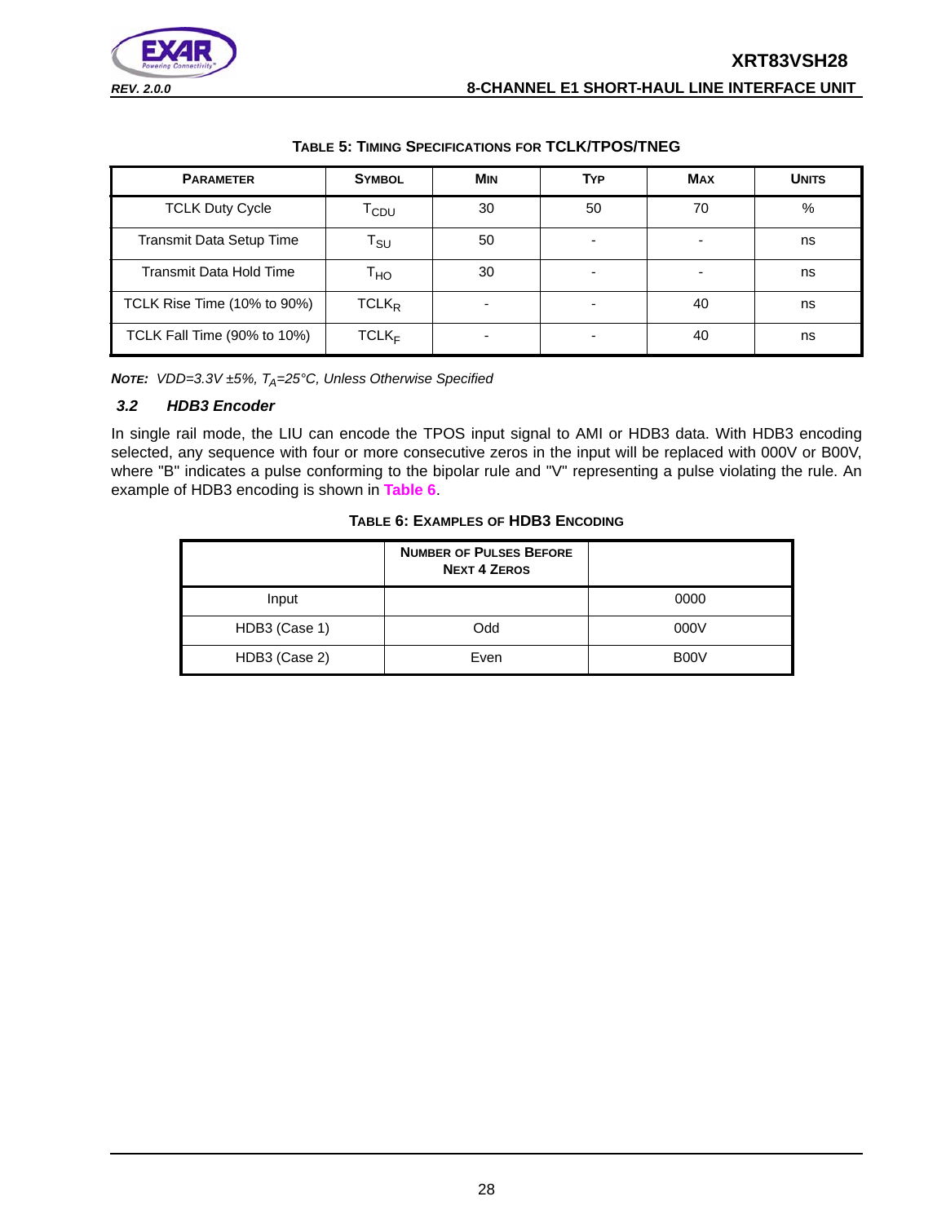

#### **TABLE 5: TIMING SPECIFICATIONS FOR TCLK/TPOS/TNEG**

| <b>PARAMETER</b>            | <b>SYMBOL</b>              | <b>MIN</b>               | <b>TYP</b> | <b>MAX</b> | <b>UNITS</b>  |
|-----------------------------|----------------------------|--------------------------|------------|------------|---------------|
| <b>TCLK Duty Cycle</b>      | T <sub>CDU</sub>           | 30                       | 50         | 70         | $\frac{0}{0}$ |
| Transmit Data Setup Time    | $\mathsf{T}_{\mathsf{SU}}$ | 50                       |            |            | ns            |
| Transmit Data Hold Time     | Т <sub>но</sub>            | 30                       |            |            | ns            |
| TCLK Rise Time (10% to 90%) | $TCLK_R$                   | $\overline{\phantom{0}}$ | -          | 40         | ns            |
| TCLK Fall Time (90% to 10%) | $TCLK_F$                   |                          |            | 40         | ns            |

*NOTE: VDD=3.3V ±5%, T<sub>A</sub>=25°C, Unless Otherwise Specified* 

#### *3.2 HDB3 Encoder*

In single rail mode, the LIU can encode the TPOS input signal to AMI or HDB3 data. With HDB3 encoding selected, any sequence with four or more consecutive zeros in the input will be replaced with 000V or B00V, where "B" indicates a pulse conforming to the bipolar rule and "V" representing a pulse violating the rule. An example of HDB3 encoding is shown in **Table 6**.

#### **TABLE 6: EXAMPLES OF HDB3 ENCODING**

|               | <b>NUMBER OF PULSES BEFORE</b><br><b>NEXT 4 ZEROS</b> |      |
|---------------|-------------------------------------------------------|------|
| Input         |                                                       | 0000 |
| HDB3 (Case 1) | Odd                                                   | 000V |
| HDB3 (Case 2) | Even                                                  | B00V |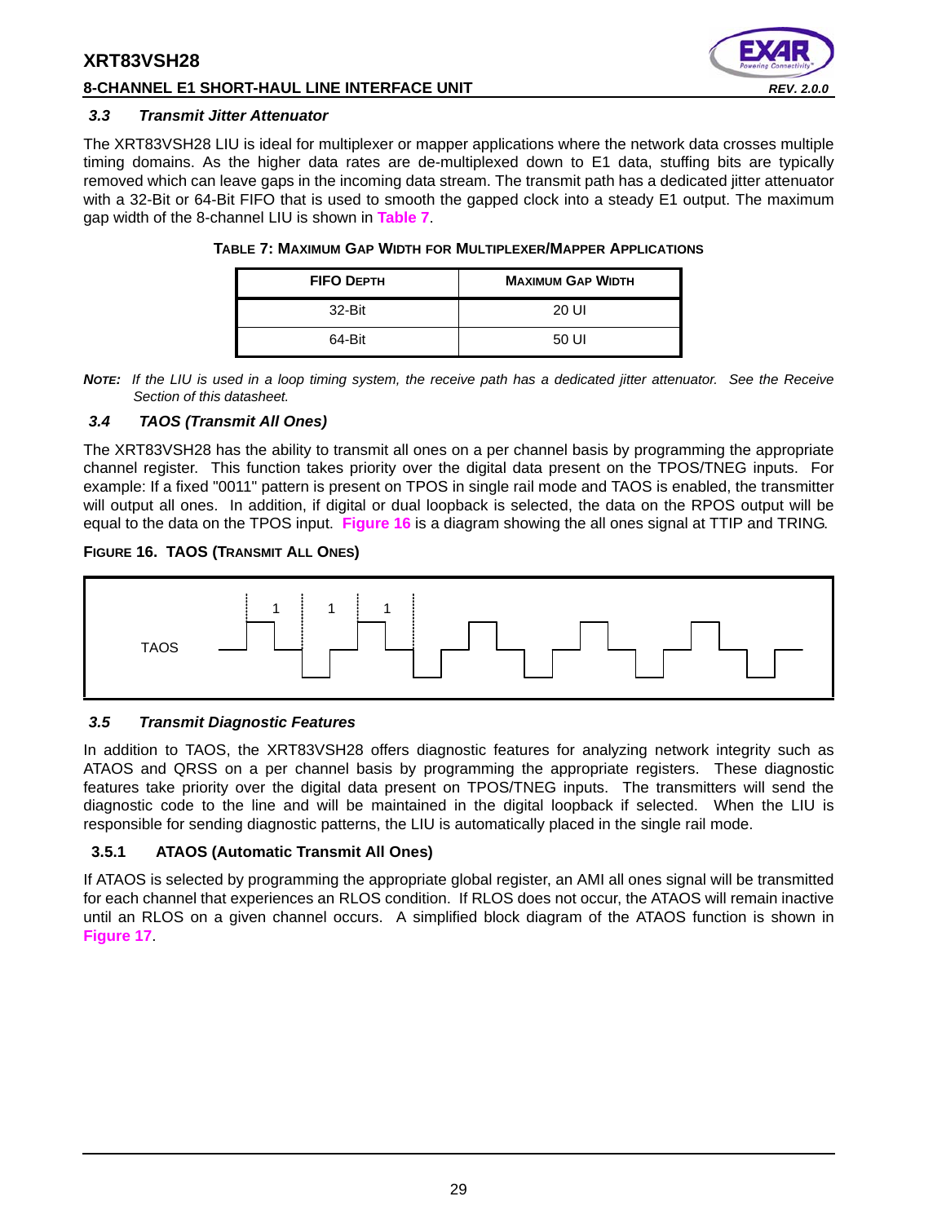## **8-CHANNEL E1 SHORT-HAUL LINE INTERFACE UNIT** *REV. 2.0.0*



#### *3.3 Transmit Jitter Attenuator*

The XRT83VSH28 LIU is ideal for multiplexer or mapper applications where the network data crosses multiple timing domains. As the higher data rates are de-multiplexed down to E1 data, stuffing bits are typically removed which can leave gaps in the incoming data stream. The transmit path has a dedicated jitter attenuator with a 32-Bit or 64-Bit FIFO that is used to smooth the gapped clock into a steady E1 output. The maximum gap width of the 8-channel LIU is shown in **Table 7**.

| <b>FIFO DEPTH</b> | <b>MAXIMUM GAP WIDTH</b> |
|-------------------|--------------------------|
| 32-Bit            | 20 UI                    |
| 64-Bit            | 50 UI                    |

#### **TABLE 7: MAXIMUM GAP WIDTH FOR MULTIPLEXER/MAPPER APPLICATIONS**

*NOTE: If the LIU is used in a loop timing system, the receive path has a dedicated jitter attenuator. See the Receive Section of this datasheet.*

#### *3.4 TAOS (Transmit All Ones)*

The XRT83VSH28 has the ability to transmit all ones on a per channel basis by programming the appropriate channel register. This function takes priority over the digital data present on the TPOS/TNEG inputs. For example: If a fixed "0011" pattern is present on TPOS in single rail mode and TAOS is enabled, the transmitter will output all ones. In addition, if digital or dual loopback is selected, the data on the RPOS output will be equal to the data on the TPOS input. **Figure 16** is a diagram showing the all ones signal at TTIP and TRING.

#### **FIGURE 16. TAOS (TRANSMIT ALL ONES)**



#### *3.5 Transmit Diagnostic Features*

In addition to TAOS, the XRT83VSH28 offers diagnostic features for analyzing network integrity such as ATAOS and QRSS on a per channel basis by programming the appropriate registers. These diagnostic features take priority over the digital data present on TPOS/TNEG inputs. The transmitters will send the diagnostic code to the line and will be maintained in the digital loopback if selected. When the LIU is responsible for sending diagnostic patterns, the LIU is automatically placed in the single rail mode.

### **3.5.1 ATAOS (Automatic Transmit All Ones)**

If ATAOS is selected by programming the appropriate global register, an AMI all ones signal will be transmitted for each channel that experiences an RLOS condition. If RLOS does not occur, the ATAOS will remain inactive until an RLOS on a given channel occurs. A simplified block diagram of the ATAOS function is shown in **Figure 17**.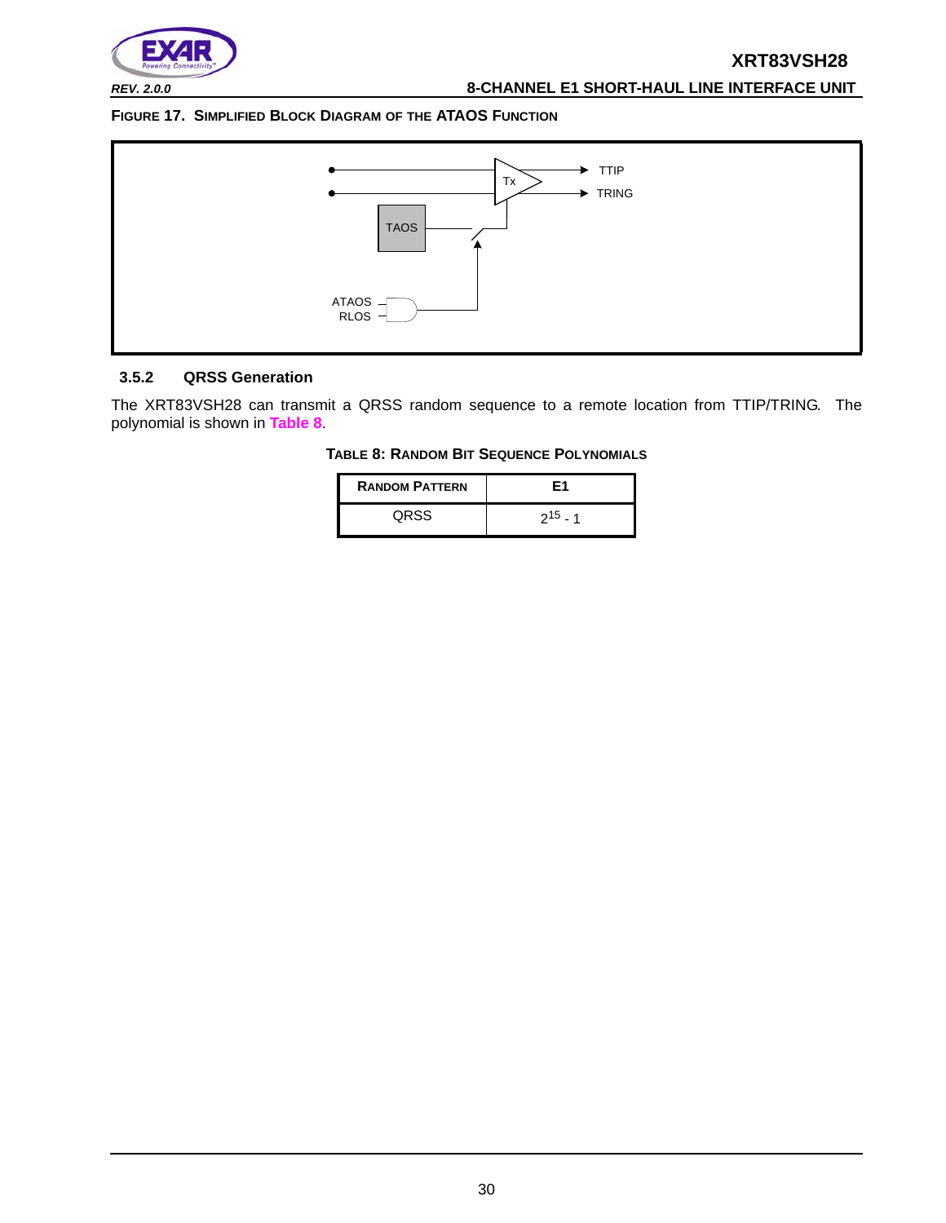

*REV. 2.0.0* **8-CHANNEL E1 SHORT-HAUL LINE INTERFACE UNIT**

#### **FIGURE 17. SIMPLIFIED BLOCK DIAGRAM OF THE ATAOS FUNCTION**



#### **3.5.2 QRSS Generation**

The XRT83VSH28 can transmit a QRSS random sequence to a remote location from TTIP/TRING. The polynomial is shown in **Table 8**.

#### **TABLE 8: RANDOM BIT SEQUENCE POLYNOMIALS**

| <b>RANDOM PATTERN</b> | F1           |
|-----------------------|--------------|
| ORSS                  | $2^{15}$ - 1 |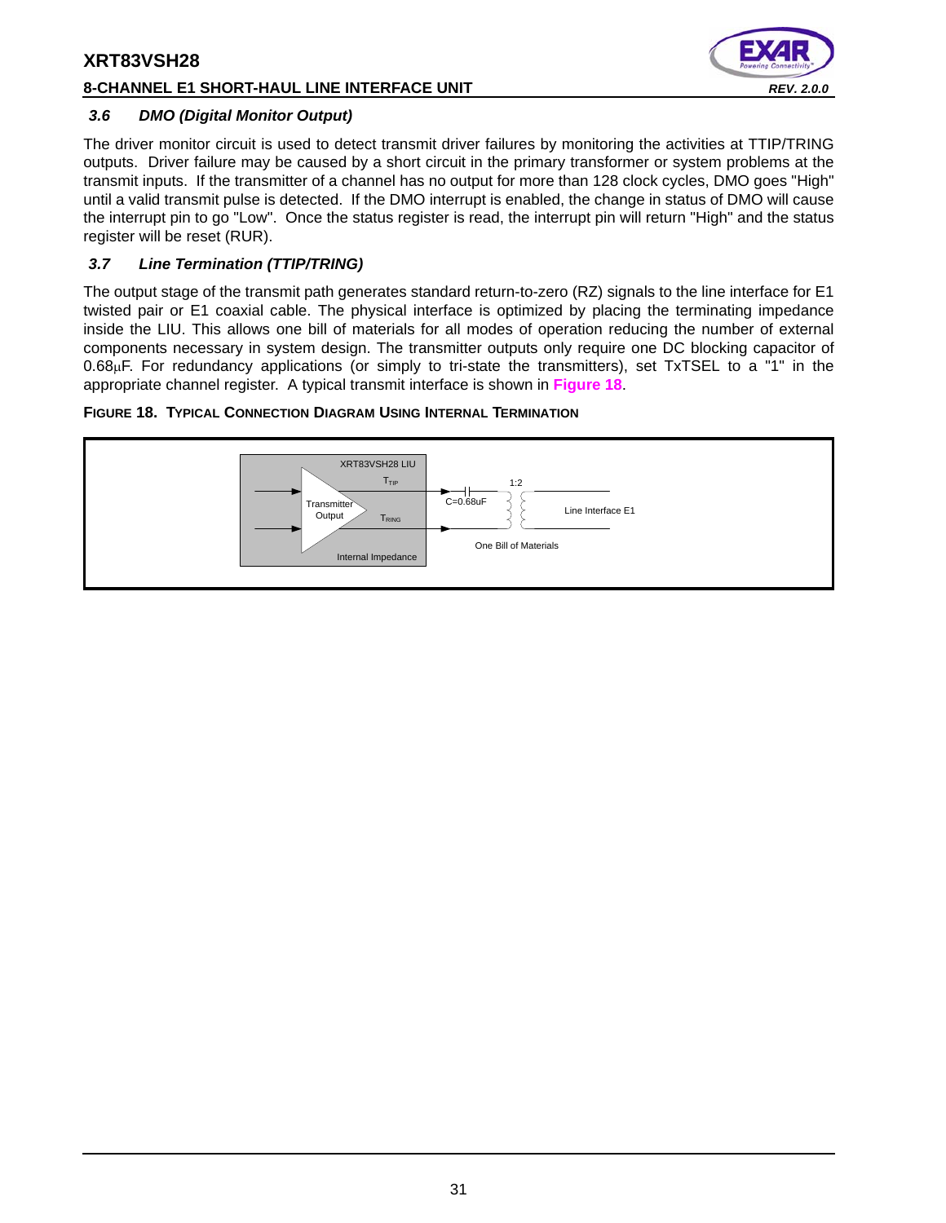## **8-CHANNEL E1 SHORT-HAUL LINE INTERFACE UNIT** *REV. 2.0.0*



#### *3.6 DMO (Digital Monitor Output)*

The driver monitor circuit is used to detect transmit driver failures by monitoring the activities at TTIP/TRING outputs. Driver failure may be caused by a short circuit in the primary transformer or system problems at the transmit inputs. If the transmitter of a channel has no output for more than 128 clock cycles, DMO goes "High" until a valid transmit pulse is detected. If the DMO interrupt is enabled, the change in status of DMO will cause the interrupt pin to go "Low". Once the status register is read, the interrupt pin will return "High" and the status register will be reset (RUR).

## *3.7 Line Termination (TTIP/TRING)*

The output stage of the transmit path generates standard return-to-zero (RZ) signals to the line interface for E1 twisted pair or E1 coaxial cable. The physical interface is optimized by placing the terminating impedance inside the LIU. This allows one bill of materials for all modes of operation reducing the number of external components necessary in system design. The transmitter outputs only require one DC blocking capacitor of  $0.68\mu$ F. For redundancy applications (or simply to tri-state the transmitters), set TxTSEL to a "1" in the appropriate channel register. A typical transmit interface is shown in **Figure 18**.

### **FIGURE 18. TYPICAL CONNECTION DIAGRAM USING INTERNAL TERMINATION**

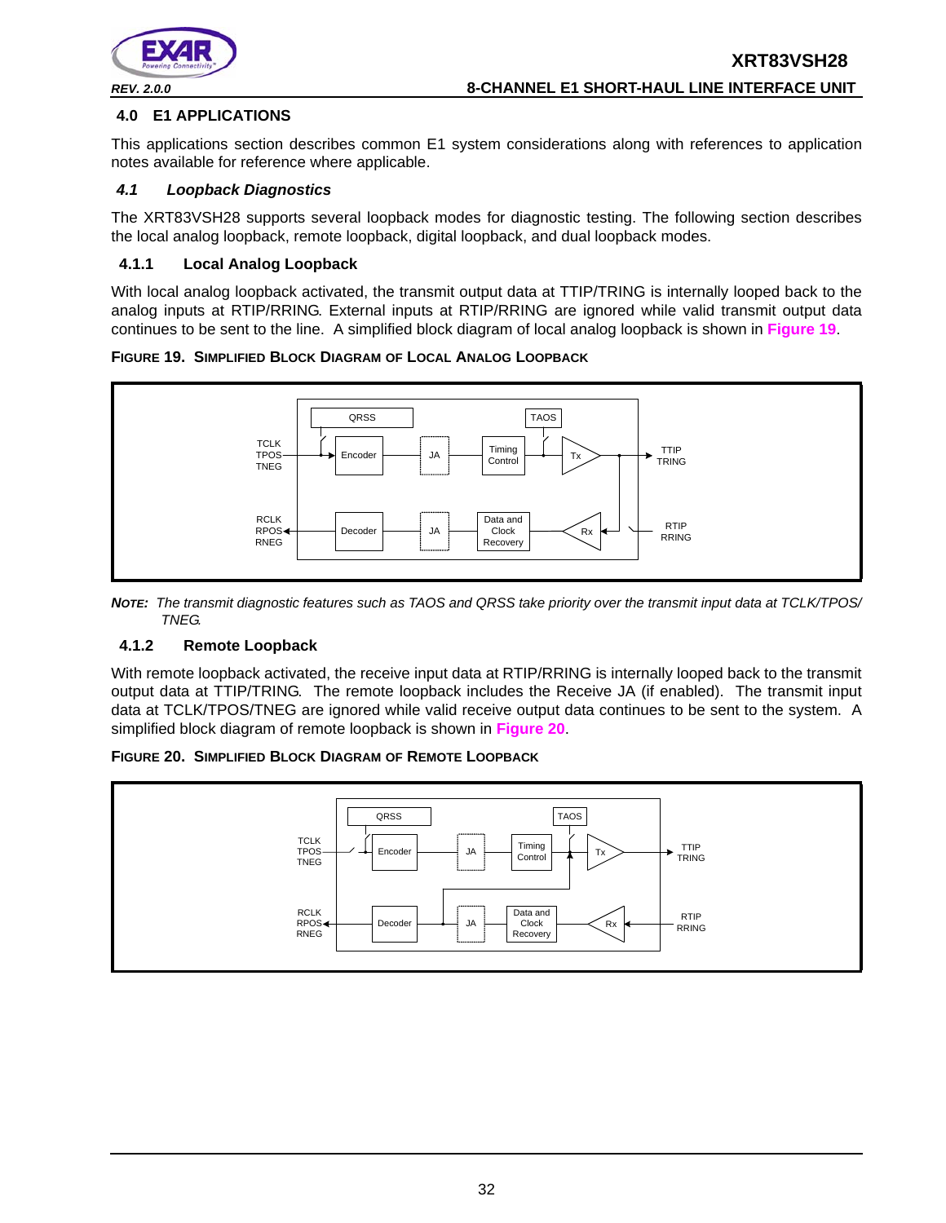

## **4.0 E1 APPLICATIONS**

This applications section describes common E1 system considerations along with references to application notes available for reference where applicable.

## *4.1 Loopback Diagnostics*

The XRT83VSH28 supports several loopback modes for diagnostic testing. The following section describes the local analog loopback, remote loopback, digital loopback, and dual loopback modes.

## **4.1.1 Local Analog Loopback**

With local analog loopback activated, the transmit output data at TTIP/TRING is internally looped back to the analog inputs at RTIP/RRING. External inputs at RTIP/RRING are ignored while valid transmit output data continues to be sent to the line. A simplified block diagram of local analog loopback is shown in **Figure 19**.

**FIGURE 19. SIMPLIFIED BLOCK DIAGRAM OF LOCAL ANALOG LOOPBACK**



*NOTE: The transmit diagnostic features such as TAOS and QRSS take priority over the transmit input data at TCLK/TPOS/ TNEG.* 

# **4.1.2 Remote Loopback**

With remote loopback activated, the receive input data at RTIP/RRING is internally looped back to the transmit output data at TTIP/TRING. The remote loopback includes the Receive JA (if enabled). The transmit input data at TCLK/TPOS/TNEG are ignored while valid receive output data continues to be sent to the system. A simplified block diagram of remote loopback is shown in **Figure 20**.



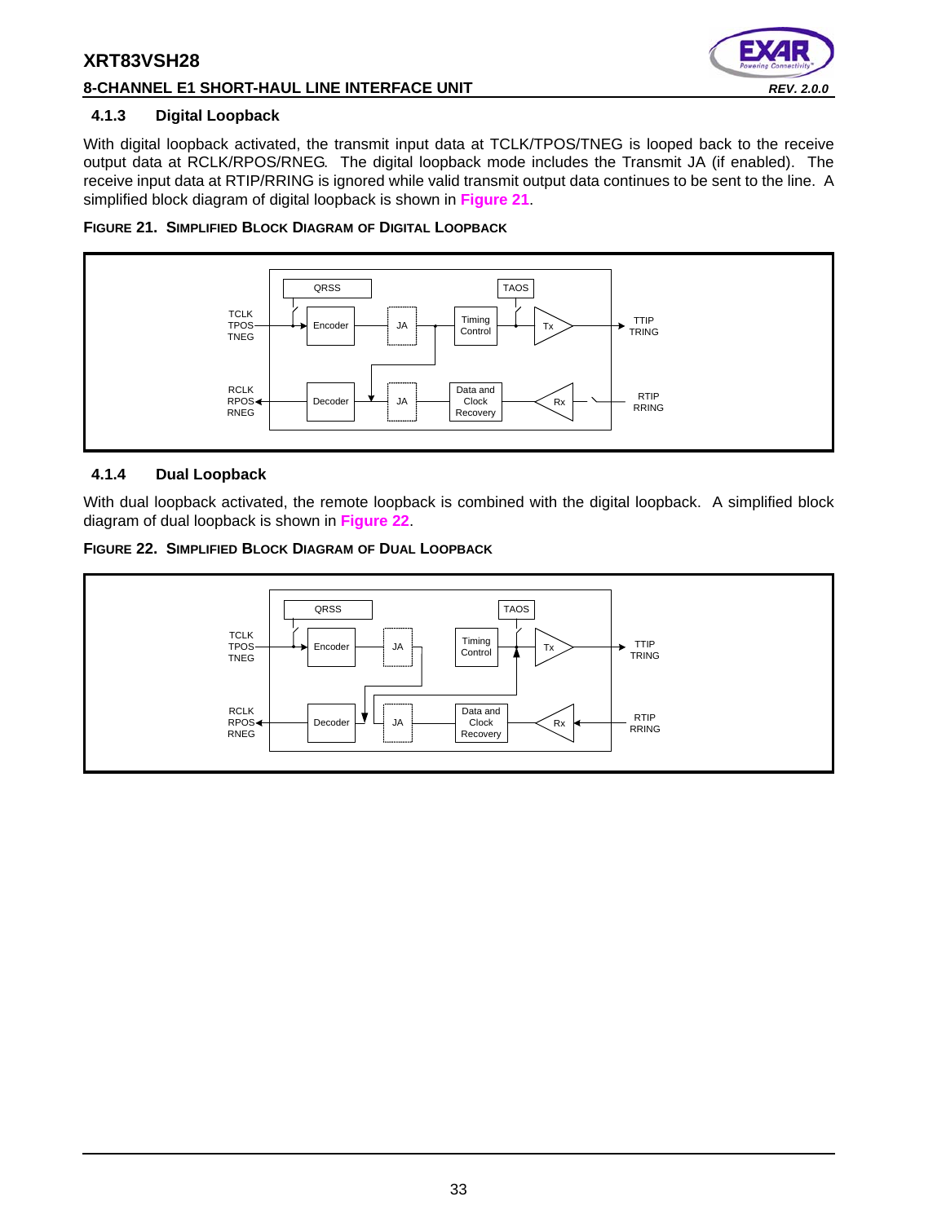## **8-CHANNEL E1 SHORT-HAUL LINE INTERFACE UNIT** *REV. 2.0.0*



## **4.1.3 Digital Loopback**

With digital loopback activated, the transmit input data at TCLK/TPOS/TNEG is looped back to the receive output data at RCLK/RPOS/RNEG. The digital loopback mode includes the Transmit JA (if enabled). The receive input data at RTIP/RRING is ignored while valid transmit output data continues to be sent to the line. A simplified block diagram of digital loopback is shown in **Figure 21**.





## **4.1.4 Dual Loopback**

With dual loopback activated, the remote loopback is combined with the digital loopback. A simplified block diagram of dual loopback is shown in **Figure 22**.



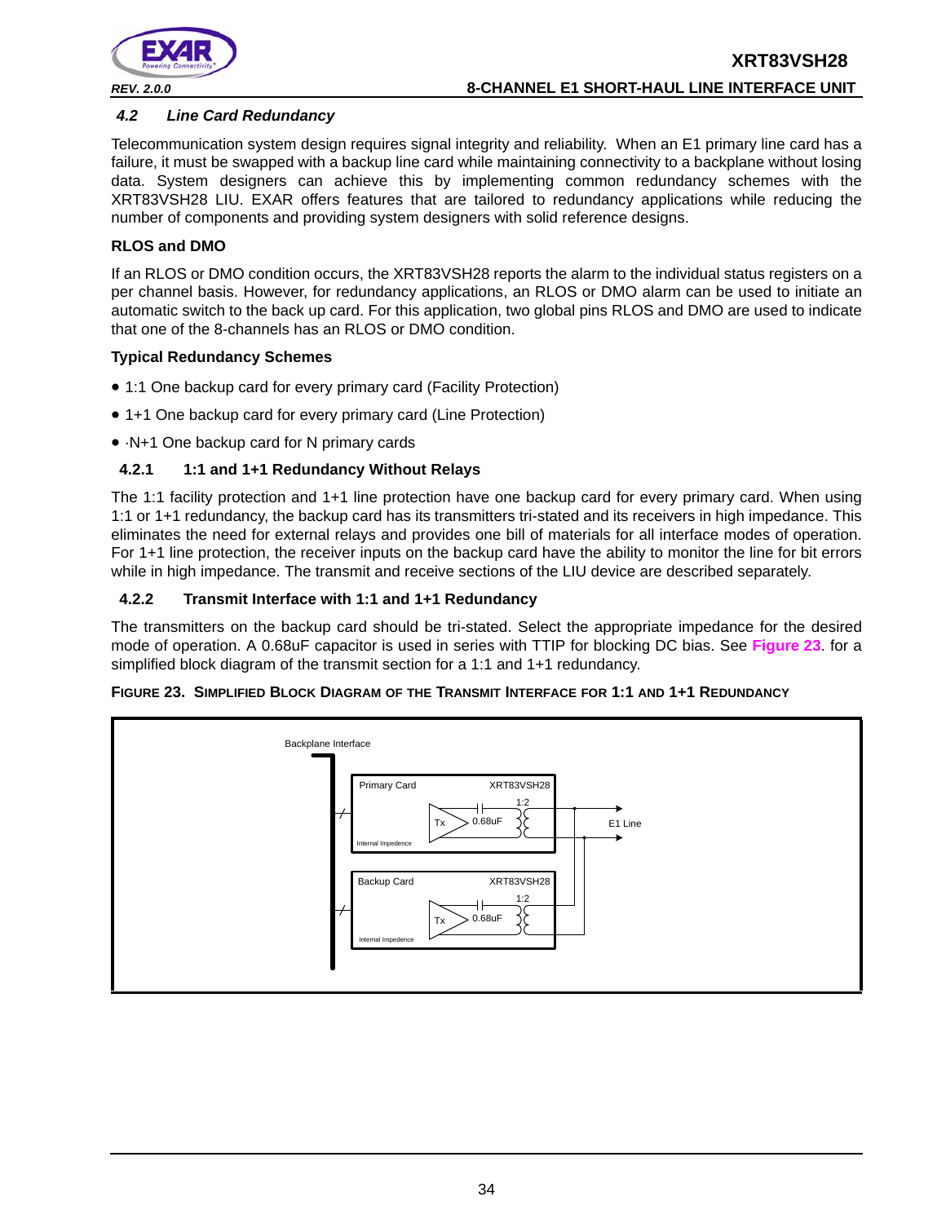

# **XRT83VSH28** *REV. 2.0.0* **8-CHANNEL E1 SHORT-HAUL LINE INTERFACE UNIT**

### *4.2 Line Card Redundancy*

Telecommunication system design requires signal integrity and reliability. When an E1 primary line card has a failure, it must be swapped with a backup line card while maintaining connectivity to a backplane without losing data. System designers can achieve this by implementing common redundancy schemes with the XRT83VSH28 LIU. EXAR offers features that are tailored to redundancy applications while reducing the number of components and providing system designers with solid reference designs.

### **RLOS and DMO**

If an RLOS or DMO condition occurs, the XRT83VSH28 reports the alarm to the individual status registers on a per channel basis. However, for redundancy applications, an RLOS or DMO alarm can be used to initiate an automatic switch to the back up card. For this application, two global pins RLOS and DMO are used to indicate that one of the 8-channels has an RLOS or DMO condition.

#### **Typical Redundancy Schemes**

- 1:1 One backup card for every primary card (Facility Protection)
- 1+1 One backup card for every primary card (Line Protection)
- ·N+1 One backup card for N primary cards

#### **4.2.1 1:1 and 1+1 Redundancy Without Relays**

The 1:1 facility protection and 1+1 line protection have one backup card for every primary card. When using 1:1 or 1+1 redundancy, the backup card has its transmitters tri-stated and its receivers in high impedance. This eliminates the need for external relays and provides one bill of materials for all interface modes of operation. For 1+1 line protection, the receiver inputs on the backup card have the ability to monitor the line for bit errors while in high impedance. The transmit and receive sections of the LIU device are described separately.

#### **4.2.2 Transmit Interface with 1:1 and 1+1 Redundancy**

The transmitters on the backup card should be tri-stated. Select the appropriate impedance for the desired mode of operation. A 0.68uF capacitor is used in series with TTIP for blocking DC bias. See **Figure 23**. for a simplified block diagram of the transmit section for a 1:1 and 1+1 redundancy.



#### **FIGURE 23. SIMPLIFIED BLOCK DIAGRAM OF THE TRANSMIT INTERFACE FOR 1:1 AND 1+1 REDUNDANCY**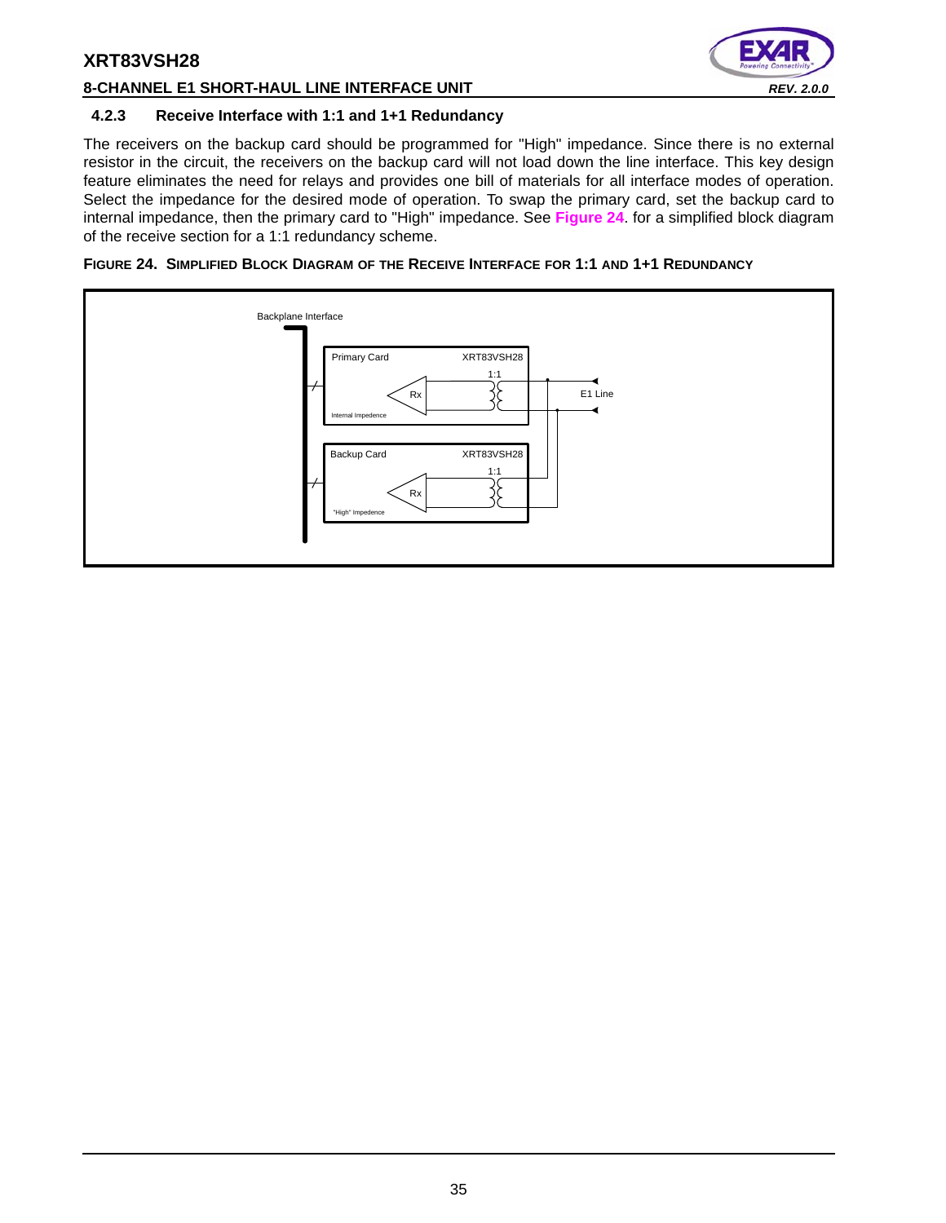

### **8-CHANNEL E1 SHORT-HAUL LINE INTERFACE UNIT** *REV. 2.0.0*

#### **4.2.3 Receive Interface with 1:1 and 1+1 Redundancy**

The receivers on the backup card should be programmed for "High" impedance. Since there is no external resistor in the circuit, the receivers on the backup card will not load down the line interface. This key design feature eliminates the need for relays and provides one bill of materials for all interface modes of operation. Select the impedance for the desired mode of operation. To swap the primary card, set the backup card to internal impedance, then the primary card to "High" impedance. See **Figure 24**. for a simplified block diagram of the receive section for a 1:1 redundancy scheme.

#### **FIGURE 24. SIMPLIFIED BLOCK DIAGRAM OF THE RECEIVE INTERFACE FOR 1:1 AND 1+1 REDUNDANCY**

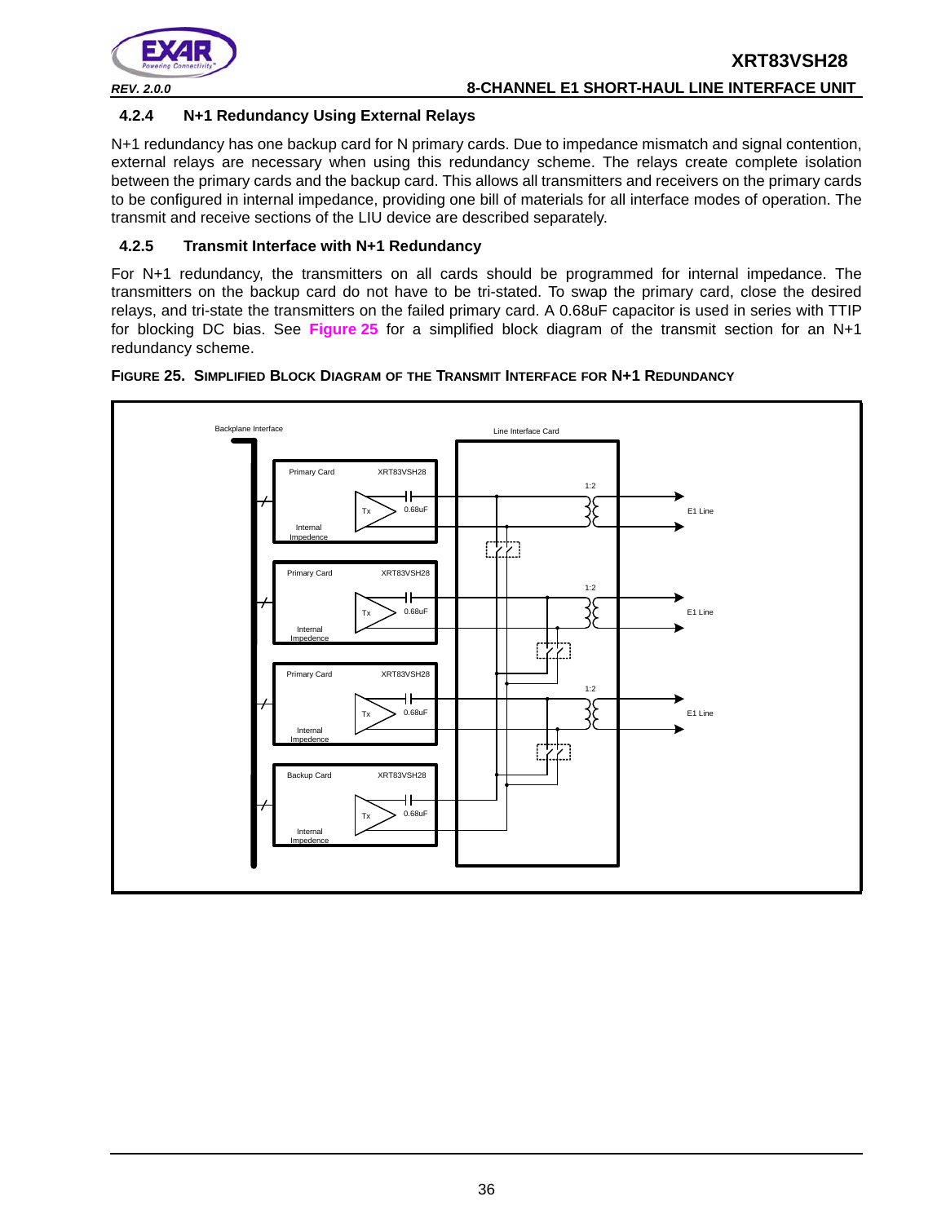

### **4.2.4 N+1 Redundancy Using External Relays**

N+1 redundancy has one backup card for N primary cards. Due to impedance mismatch and signal contention, external relays are necessary when using this redundancy scheme. The relays create complete isolation between the primary cards and the backup card. This allows all transmitters and receivers on the primary cards to be configured in internal impedance, providing one bill of materials for all interface modes of operation. The transmit and receive sections of the LIU device are described separately.

#### **4.2.5 Transmit Interface with N+1 Redundancy**

For N+1 redundancy, the transmitters on all cards should be programmed for internal impedance. The transmitters on the backup card do not have to be tri-stated. To swap the primary card, close the desired relays, and tri-state the transmitters on the failed primary card. A 0.68uF capacitor is used in series with TTIP for blocking DC bias. See **Figure 25** for a simplified block diagram of the transmit section for an N+1 redundancy scheme.



#### **FIGURE 25. SIMPLIFIED BLOCK DIAGRAM OF THE TRANSMIT INTERFACE FOR N+1 REDUNDANCY**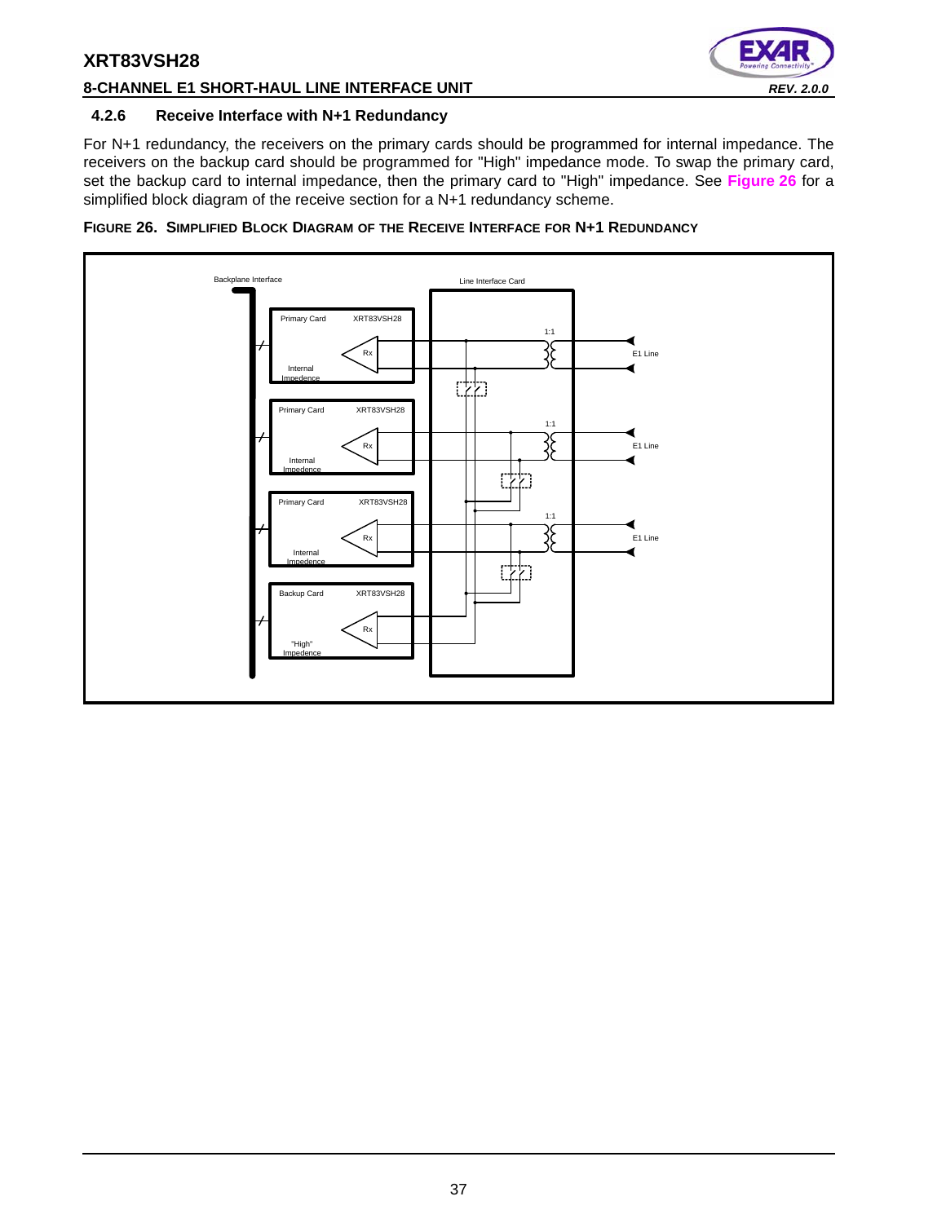

### **8-CHANNEL E1 SHORT-HAUL LINE INTERFACE UNIT** *REV. 2.0.0*

#### **4.2.6 Receive Interface with N+1 Redundancy**

For N+1 redundancy, the receivers on the primary cards should be programmed for internal impedance. The receivers on the backup card should be programmed for "High" impedance mode. To swap the primary card, set the backup card to internal impedance, then the primary card to "High" impedance. See **Figure 26** for a simplified block diagram of the receive section for a N+1 redundancy scheme.



**FIGURE 26. SIMPLIFIED BLOCK DIAGRAM OF THE RECEIVE INTERFACE FOR N+1 REDUNDANCY**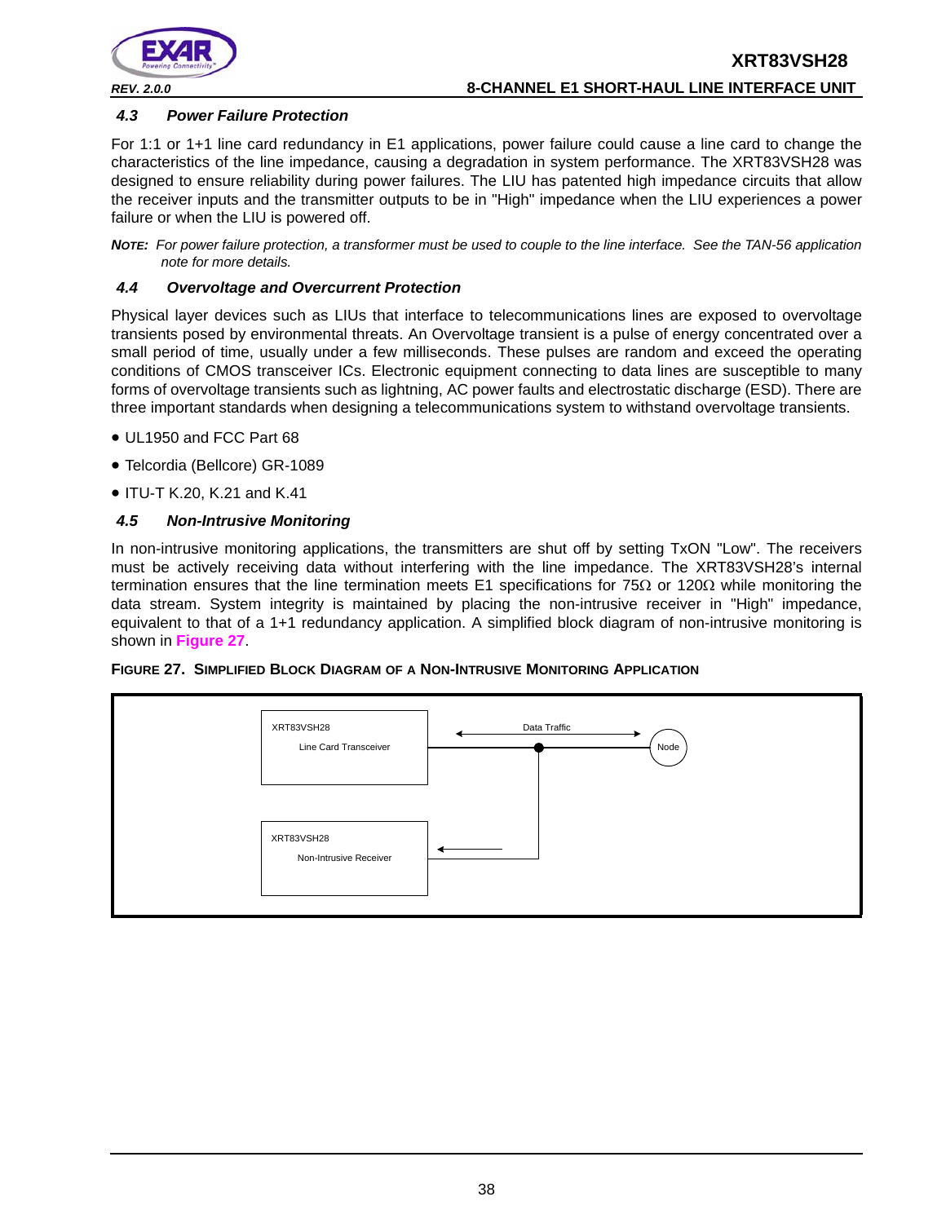

#### *4.3 Power Failure Protection*

For 1:1 or 1+1 line card redundancy in E1 applications, power failure could cause a line card to change the characteristics of the line impedance, causing a degradation in system performance. The XRT83VSH28 was designed to ensure reliability during power failures. The LIU has patented high impedance circuits that allow the receiver inputs and the transmitter outputs to be in "High" impedance when the LIU experiences a power failure or when the LIU is powered off.

*NOTE: For power failure protection, a transformer must be used to couple to the line interface. See the TAN-56 application note for more details.*

#### *4.4 Overvoltage and Overcurrent Protection*

Physical layer devices such as LIUs that interface to telecommunications lines are exposed to overvoltage transients posed by environmental threats. An Overvoltage transient is a pulse of energy concentrated over a small period of time, usually under a few milliseconds. These pulses are random and exceed the operating conditions of CMOS transceiver ICs. Electronic equipment connecting to data lines are susceptible to many forms of overvoltage transients such as lightning, AC power faults and electrostatic discharge (ESD). There are three important standards when designing a telecommunications system to withstand overvoltage transients.

- UL1950 and FCC Part 68
- Telcordia (Bellcore) GR-1089
- ITU-T K.20, K.21 and K.41

#### *4.5 Non-Intrusive Monitoring*

In non-intrusive monitoring applications, the transmitters are shut off by setting TxON "Low". The receivers must be actively receiving data without interfering with the line impedance. The XRT83VSH28's internal termination ensures that the line termination meets E1 specifications for 75 $\Omega$  or 120 $\Omega$  while monitoring the data stream. System integrity is maintained by placing the non-intrusive receiver in "High" impedance, equivalent to that of a 1+1 redundancy application. A simplified block diagram of non-intrusive monitoring is shown in **Figure 27**.

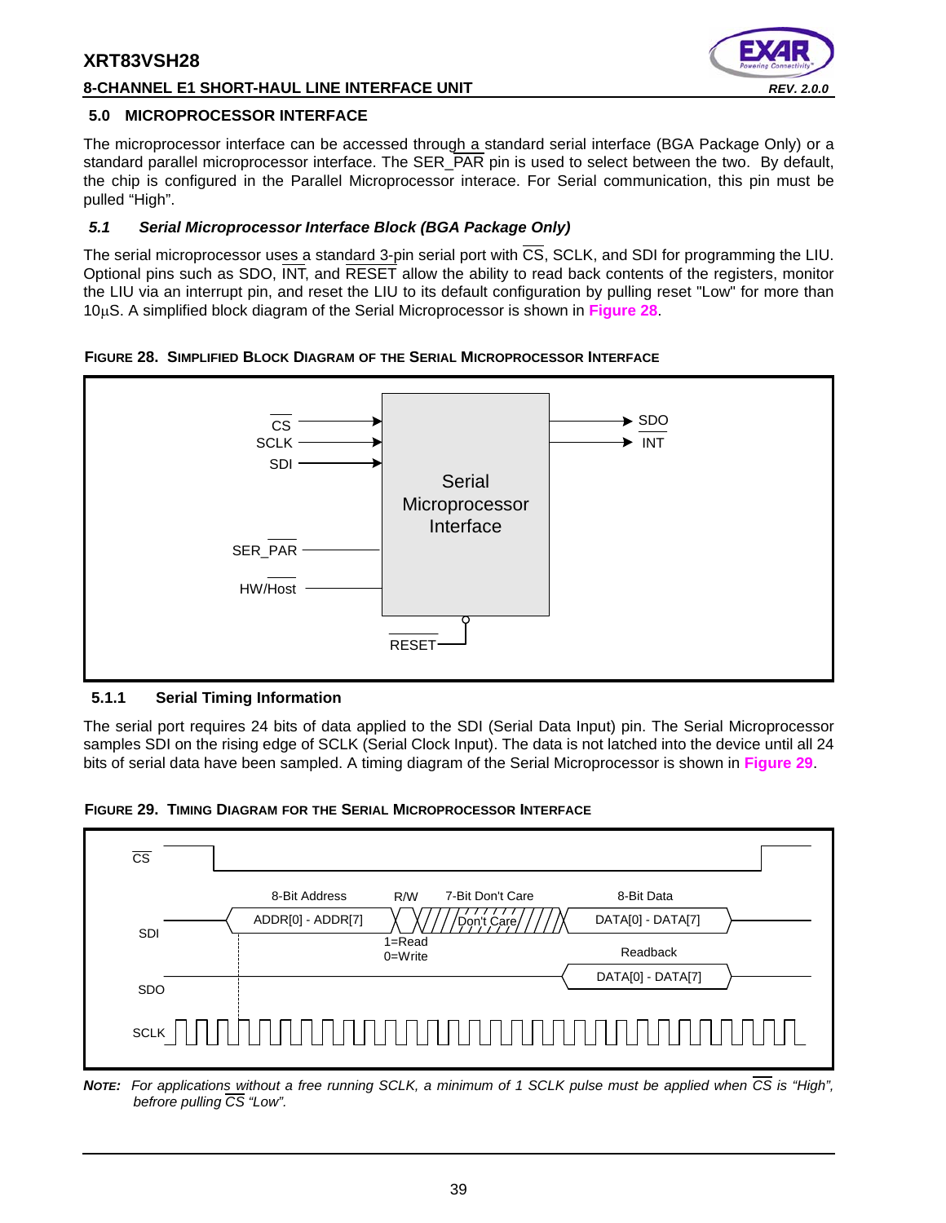#### **8-CHANNEL E1 SHORT-HAUL LINE INTERFACE UNIT** *REV. 2.0.0*



#### **5.0 MICROPROCESSOR INTERFACE**

The microprocessor interface can be accessed through a standard serial interface (BGA Package Only) or a standard parallel microprocessor interface. The SER\_PAR pin is used to select between the two. By default, the chip is configured in the Parallel Microprocessor interace. For Serial communication, this pin must be pulled "High".

#### *5.1 Serial Microprocessor Interface Block (BGA Package Only)*

The serial microprocessor uses a standard 3-pin serial port with CS, SCLK, and SDI for programming the LIU. Optional pins such as SDO, INT, and RESET allow the ability to read back contents of the registers, monitor the LIU via an interrupt pin, and reset the LIU to its default configuration by pulling reset "Low" for more than 10µS. A simplified block diagram of the Serial Microprocessor is shown in **Figure 28**.

#### **FIGURE 28. SIMPLIFIED BLOCK DIAGRAM OF THE SERIAL MICROPROCESSOR INTERFACE**



#### **5.1.1 Serial Timing Information**

The serial port requires 24 bits of data applied to the SDI (Serial Data Input) pin. The Serial Microprocessor samples SDI on the rising edge of SCLK (Serial Clock Input). The data is not latched into the device until all 24 bits of serial data have been sampled. A timing diagram of the Serial Microprocessor is shown in **Figure 29**.





*NOTE: For applications without a free running SCLK, a minimum of 1 SCLK pulse must be applied when CS is "High", befrore pulling CS "Low".*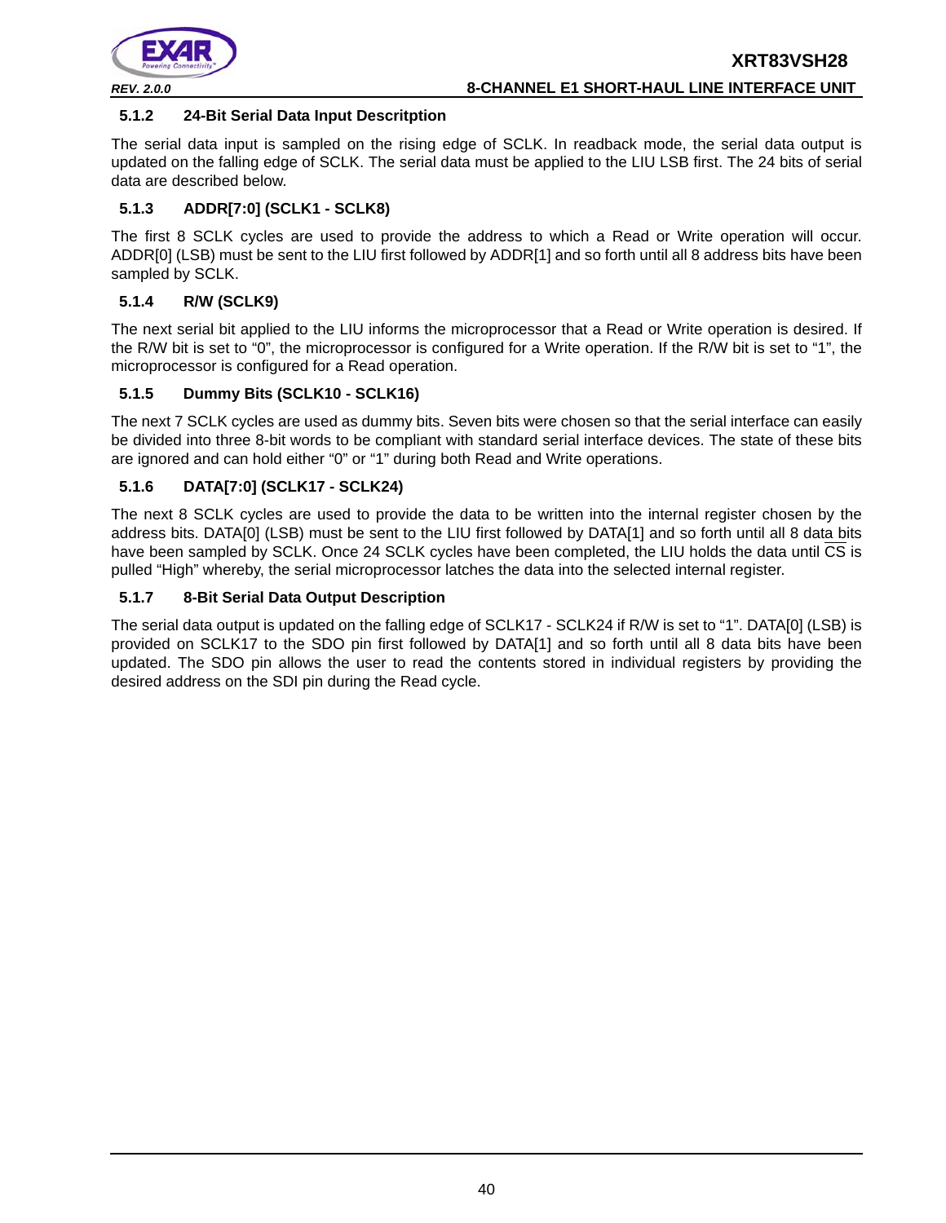

#### **5.1.2 24-Bit Serial Data Input Descritption**

The serial data input is sampled on the rising edge of SCLK. In readback mode, the serial data output is updated on the falling edge of SCLK. The serial data must be applied to the LIU LSB first. The 24 bits of serial data are described below.

#### **5.1.3 ADDR[7:0] (SCLK1 - SCLK8)**

The first 8 SCLK cycles are used to provide the address to which a Read or Write operation will occur. ADDR[0] (LSB) must be sent to the LIU first followed by ADDR[1] and so forth until all 8 address bits have been sampled by SCLK.

#### **5.1.4 R/W (SCLK9)**

The next serial bit applied to the LIU informs the microprocessor that a Read or Write operation is desired. If the R/W bit is set to "0", the microprocessor is configured for a Write operation. If the R/W bit is set to "1", the microprocessor is configured for a Read operation.

#### **5.1.5 Dummy Bits (SCLK10 - SCLK16)**

The next 7 SCLK cycles are used as dummy bits. Seven bits were chosen so that the serial interface can easily be divided into three 8-bit words to be compliant with standard serial interface devices. The state of these bits are ignored and can hold either "0" or "1" during both Read and Write operations.

#### **5.1.6 DATA[7:0] (SCLK17 - SCLK24)**

The next 8 SCLK cycles are used to provide the data to be written into the internal register chosen by the address bits. DATA[0] (LSB) must be sent to the LIU first followed by DATA[1] and so forth until all 8 data bits have been sampled by SCLK. Once 24 SCLK cycles have been completed, the LIU holds the data until CS is pulled "High" whereby, the serial microprocessor latches the data into the selected internal register.

#### **5.1.7 8-Bit Serial Data Output Description**

The serial data output is updated on the falling edge of SCLK17 - SCLK24 if R/W is set to "1". DATA[0] (LSB) is provided on SCLK17 to the SDO pin first followed by DATA[1] and so forth until all 8 data bits have been updated. The SDO pin allows the user to read the contents stored in individual registers by providing the desired address on the SDI pin during the Read cycle.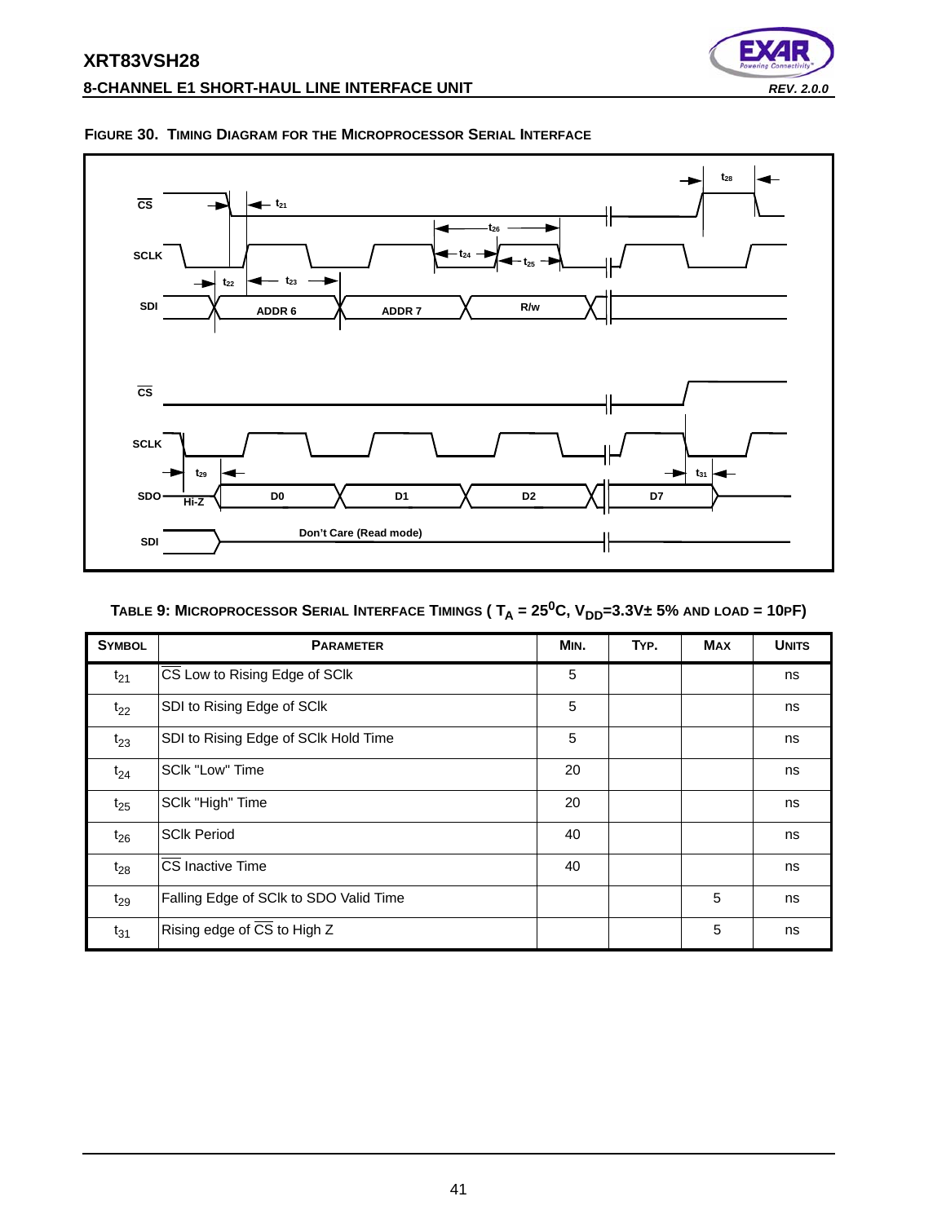# **XRT83VSH28 8-CHANNEL E1 SHORT-HAUL LINE INTERFACE UNIT** *REV. 2.0.0*





#### **FIGURE 30. TIMING DIAGRAM FOR THE MICROPROCESSOR SERIAL INTERFACE**

# TABLE 9: MICROPROCESSOR SERIAL INTERFACE TIMINGS ( $T_A = 25^0C$ ,  $V_{DD} = 3.3V \pm 5%$  and  $\text{LOAD} = 10$ PF)

| <b>SYMBOL</b> | <b>PARAMETER</b>                       | MIN. | TYP. | <b>MAX</b> | <b>UNITS</b> |
|---------------|----------------------------------------|------|------|------------|--------------|
| $t_{21}$      | CS Low to Rising Edge of SCIk          | 5    |      |            | ns           |
| $t_{22}$      | SDI to Rising Edge of SCIk             | 5    |      |            | ns           |
| $t_{23}$      | SDI to Rising Edge of SCIk Hold Time   | 5    |      |            | ns           |
| $t_{24}$      | SCIk "Low" Time                        | 20   |      |            | ns           |
| $t_{25}$      | SCIk "High" Time                       | 20   |      |            | ns           |
| $t_{26}$      | <b>SCIk Period</b>                     | 40   |      |            | ns           |
| $t_{28}$      | CS Inactive Time                       | 40   |      |            | ns           |
| $t_{29}$      | Falling Edge of SCIk to SDO Valid Time |      |      | 5          | ns           |
| $t_{31}$      | Rising edge of CS to High Z            |      |      | 5          | ns           |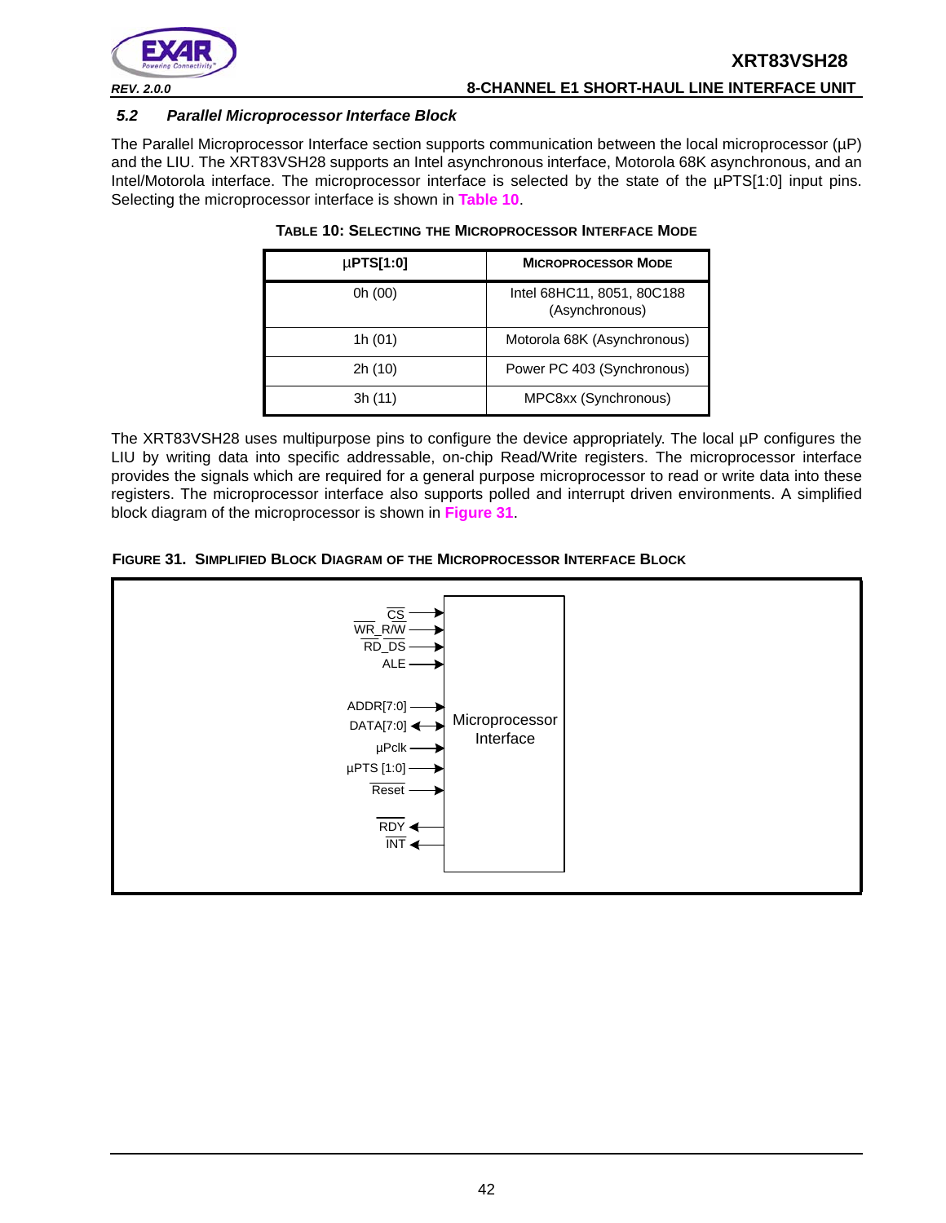

*REV. 2.0.0* **8-CHANNEL E1 SHORT-HAUL LINE INTERFACE UNIT**

#### *5.2 Parallel Microprocessor Interface Block*

The Parallel Microprocessor Interface section supports communication between the local microprocessor (µP) and the LIU. The XRT83VSH28 supports an Intel asynchronous interface, Motorola 68K asynchronous, and an Intel/Motorola interface. The microprocessor interface is selected by the state of the µPTS[1:0] input pins. Selecting the microprocessor interface is shown in **Table 10**.

| $\mu$ PTS[1:0] | <b>MICROPROCESSOR MODE</b>                   |
|----------------|----------------------------------------------|
| 0h (00)        | Intel 68HC11, 8051, 80C188<br>(Asynchronous) |
| 1h (01)        | Motorola 68K (Asynchronous)                  |
| 2h (10)        | Power PC 403 (Synchronous)                   |
| 3h(11)         | MPC8xx (Synchronous)                         |

#### **TABLE 10: SELECTING THE MICROPROCESSOR INTERFACE MODE**

The XRT83VSH28 uses multipurpose pins to configure the device appropriately. The local µP configures the LIU by writing data into specific addressable, on-chip Read/Write registers. The microprocessor interface provides the signals which are required for a general purpose microprocessor to read or write data into these registers. The microprocessor interface also supports polled and interrupt driven environments. A simplified block diagram of the microprocessor is shown in **Figure 31**.



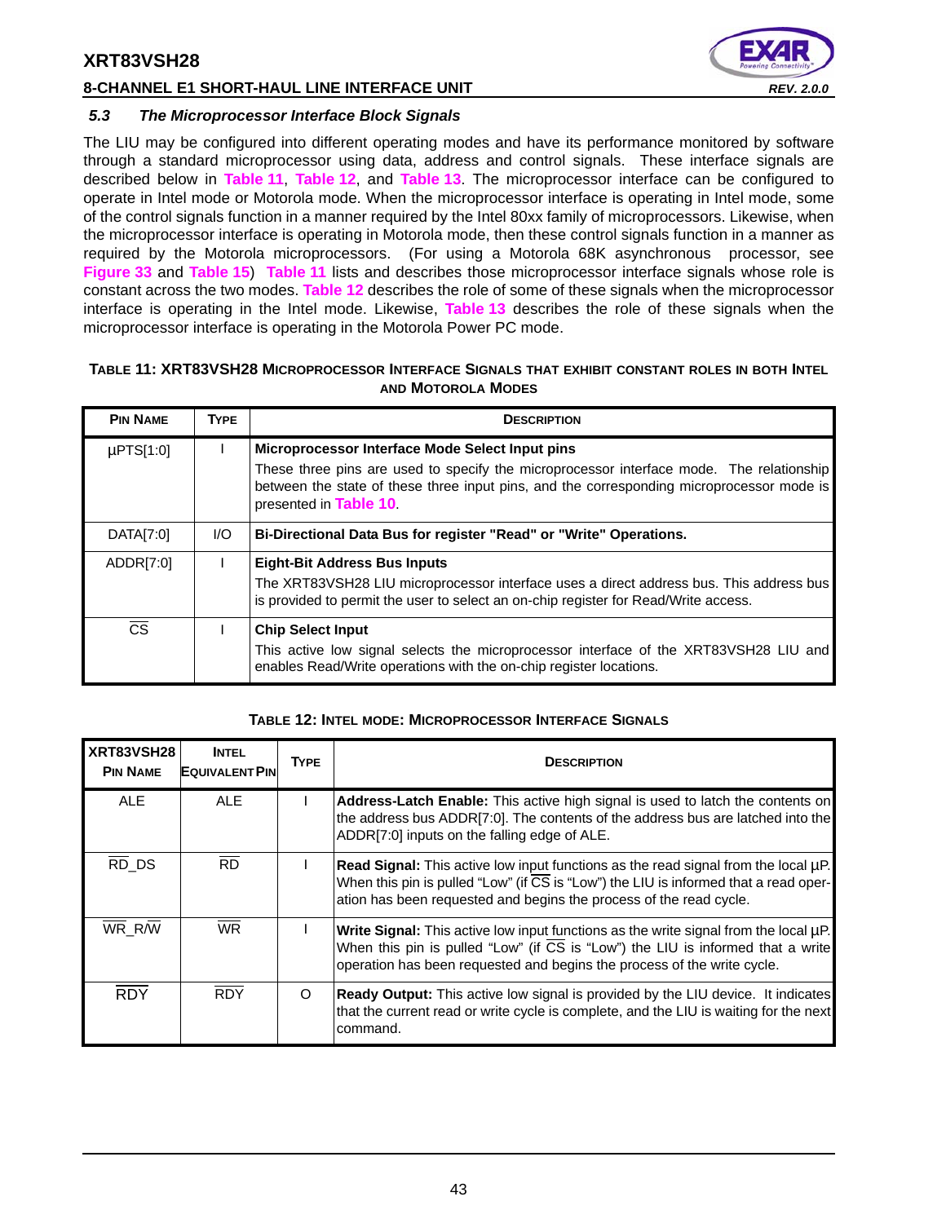### **8-CHANNEL E1 SHORT-HAUL LINE INTERFACE UNIT** *REV. 2.0.0*



#### *5.3 The Microprocessor Interface Block Signals*

The LIU may be configured into different operating modes and have its performance monitored by software through a standard microprocessor using data, address and control signals. These interface signals are described below in **Table 11**, **Table 12**, and **Table 13**. The microprocessor interface can be configured to operate in Intel mode or Motorola mode. When the microprocessor interface is operating in Intel mode, some of the control signals function in a manner required by the Intel 80xx family of microprocessors. Likewise, when the microprocessor interface is operating in Motorola mode, then these control signals function in a manner as required by the Motorola microprocessors. (For using a Motorola 68K asynchronous processor, see **Figure 33** and **Table 15**) **Table 11** lists and describes those microprocessor interface signals whose role is constant across the two modes. **Table 12** describes the role of some of these signals when the microprocessor interface is operating in the Intel mode. Likewise, **Table 13** describes the role of these signals when the microprocessor interface is operating in the Motorola Power PC mode.

#### **TABLE 11: XRT83VSH28 MICROPROCESSOR INTERFACE SIGNALS THAT EXHIBIT CONSTANT ROLES IN BOTH INTEL AND MOTOROLA MODES**

| <b>PIN NAME</b>        | <b>TYPE</b> | <b>DESCRIPTION</b>                                                                                                                                                                                                                                                 |  |  |
|------------------------|-------------|--------------------------------------------------------------------------------------------------------------------------------------------------------------------------------------------------------------------------------------------------------------------|--|--|
| $\mu$ PTS[1:0]         |             | Microprocessor Interface Mode Select Input pins<br>These three pins are used to specify the microprocessor interface mode. The relationship<br>between the state of these three input pins, and the corresponding microprocessor mode is<br>presented in Table 10. |  |  |
| DATA[7:0]              | I/O         | Bi-Directional Data Bus for register "Read" or "Write" Operations.                                                                                                                                                                                                 |  |  |
| ADDR[7:0]              |             | <b>Eight-Bit Address Bus Inputs</b><br>The XRT83VSH28 LIU microprocessor interface uses a direct address bus. This address bus<br>is provided to permit the user to select an on-chip register for Read/Write access.                                              |  |  |
| $\overline{\text{cs}}$ |             | <b>Chip Select Input</b><br>This active low signal selects the microprocessor interface of the XRT83VSH28 LIU and<br>enables Read/Write operations with the on-chip register locations.                                                                            |  |  |

#### **TABLE 12: INTEL MODE: MICROPROCESSOR INTERFACE SIGNALS**

| XRT83VSH28<br><b>PIN NAME</b> | <b>INTEL</b><br><b>EQUIVALENT PIN</b> | <b>TYPE</b> | <b>DESCRIPTION</b>                                                                                                                                                                                                                                                   |  |
|-------------------------------|---------------------------------------|-------------|----------------------------------------------------------------------------------------------------------------------------------------------------------------------------------------------------------------------------------------------------------------------|--|
| <b>ALE</b>                    | <b>ALE</b>                            |             | Address-Latch Enable: This active high signal is used to latch the contents on<br>the address bus ADDR[7:0]. The contents of the address bus are latched into the<br>ADDR[7:0] inputs on the falling edge of ALE.                                                    |  |
| $\overline{RD}$ DS            | <b>RD</b>                             |             | Read Signal: This active low input functions as the read signal from the local µP.<br>When this pin is pulled "Low" (if $\overline{\text{CS}}$ is "Low") the LIU is informed that a read oper-<br>ation has been requested and begins the process of the read cycle. |  |
| WR R/W                        | <b>WR</b>                             |             | Write Signal: This active low input functions as the write signal from the local µP.<br>When this pin is pulled "Low" (if $\overline{CS}$ is "Low") the LIU is informed that a write<br>operation has been requested and begins the process of the write cycle.      |  |
| <b>RDY</b>                    | <b>RDY</b>                            | O           | <b>Ready Output:</b> This active low signal is provided by the LIU device. It indicates<br>that the current read or write cycle is complete, and the LIU is waiting for the next<br>command.                                                                         |  |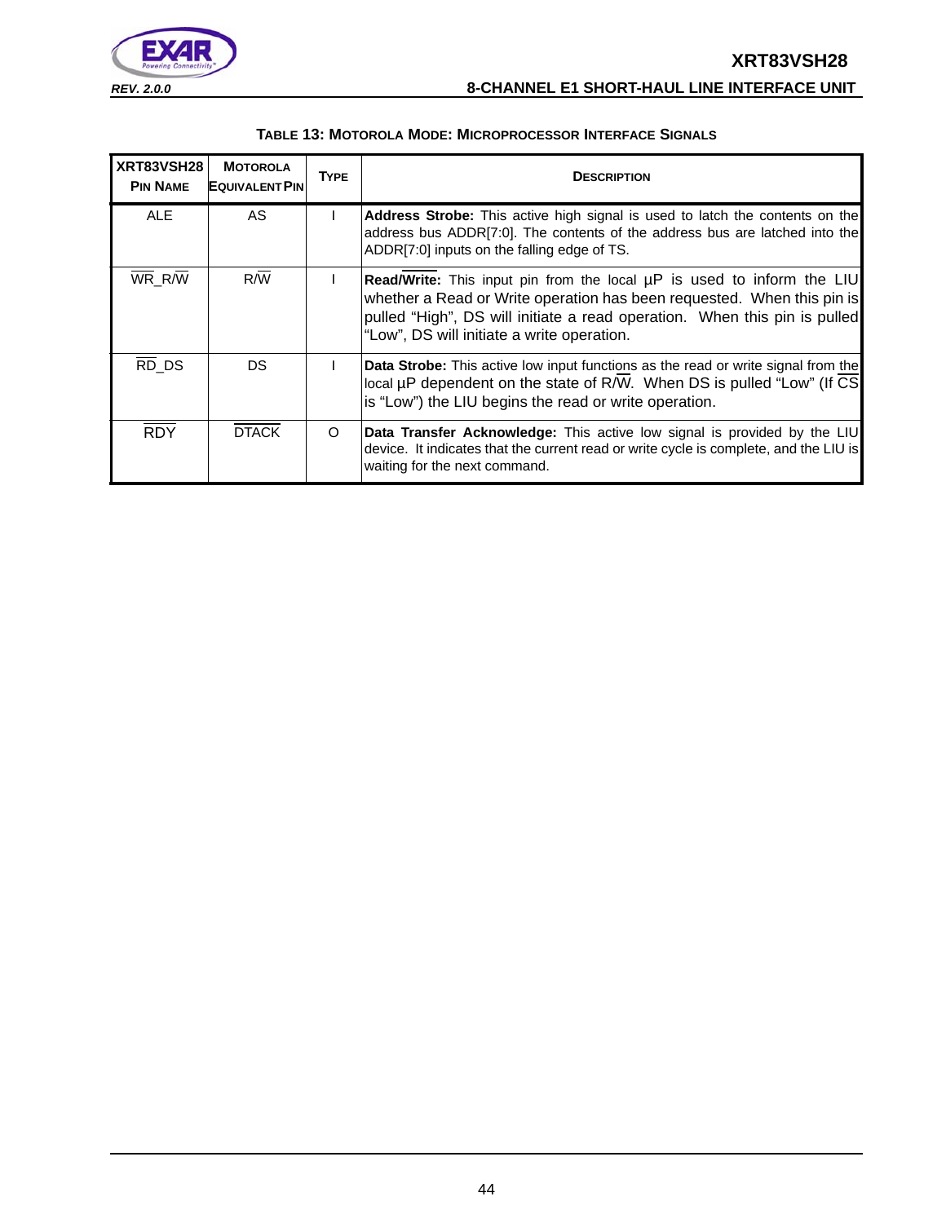



| XRT83VSH28<br><b>PIN NAME</b> | <b>MOTOROLA</b><br><b>EQUIVALENT PIN</b> | <b>TYPE</b> | <b>DESCRIPTION</b>                                                                                                                                                                                                                                                                 |
|-------------------------------|------------------------------------------|-------------|------------------------------------------------------------------------------------------------------------------------------------------------------------------------------------------------------------------------------------------------------------------------------------|
| <b>ALE</b>                    | AS                                       |             | <b>Address Strobe:</b> This active high signal is used to latch the contents on the<br>address bus ADDR[7:0]. The contents of the address bus are latched into the<br>ADDR[7:0] inputs on the falling edge of TS.                                                                  |
| WR_R/W                        | R/W                                      |             | <b>Read/Write:</b> This input pin from the local µP is used to inform the LIU<br>whether a Read or Write operation has been requested. When this pin is<br>pulled "High", DS will initiate a read operation. When this pin is pulled<br>"Low", DS will initiate a write operation. |
| RD DS                         | DS                                       |             | <b>Data Strobe:</b> This active low input functions as the read or write signal from the<br>local µP dependent on the state of R/W. When DS is pulled "Low" (If CS<br>is "Low") the LIU begins the read or write operation.                                                        |
| <b>RDY</b>                    | <b>DTACK</b>                             | O           | <b>Data Transfer Acknowledge:</b> This active low signal is provided by the LIU<br>device. It indicates that the current read or write cycle is complete, and the LIU is<br>waiting for the next command.                                                                          |

#### **TABLE 13: MOTOROLA MODE: MICROPROCESSOR INTERFACE SIGNALS**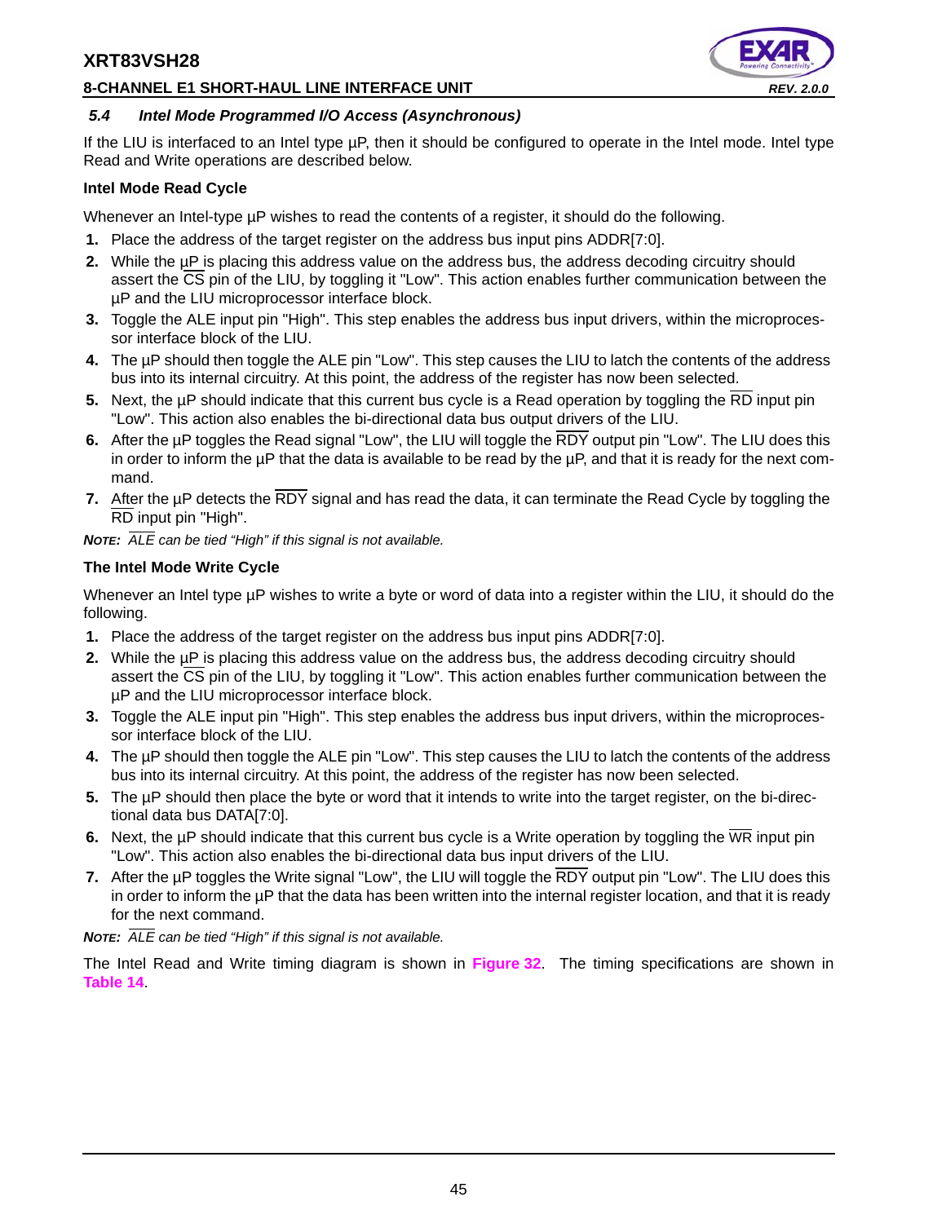#### **8-CHANNEL E1 SHORT-HAUL LINE INTERFACE UNIT** *REV. 2.0.0*



#### *5.4 Intel Mode Programmed I/O Access (Asynchronous)*

If the LIU is interfaced to an Intel type µP, then it should be configured to operate in the Intel mode. Intel type Read and Write operations are described below.

#### **Intel Mode Read Cycle**

Whenever an Intel-type  $\mu$ P wishes to read the contents of a register, it should do the following.

- **1.** Place the address of the target register on the address bus input pins ADDR[7:0].
- **2.** While the µP is placing this address value on the address bus, the address decoding circuitry should assert the  $\overline{CS}$  pin of the LIU, by toggling it "Low". This action enables further communication between the µP and the LIU microprocessor interface block.
- **3.** Toggle the ALE input pin "High". This step enables the address bus input drivers, within the microprocessor interface block of the LIU.
- **4.** The µP should then toggle the ALE pin "Low". This step causes the LIU to latch the contents of the address bus into its internal circuitry. At this point, the address of the register has now been selected.
- **5.** Next, the µP should indicate that this current bus cycle is a Read operation by toggling the RD input pin "Low". This action also enables the bi-directional data bus output drivers of the LIU.
- **6.** After the µP toggles the Read signal "Low", the LIU will toggle the RDY output pin "Low". The LIU does this in order to inform the  $\mu$ P that the data is available to be read by the  $\mu$ P, and that it is ready for the next command.
- **7.** After the µP detects the RDY signal and has read the data, it can terminate the Read Cycle by toggling the RD input pin "High".

*NOTE: ALE can be tied "High" if this signal is not available.*

### **The Intel Mode Write Cycle**

Whenever an Intel type µP wishes to write a byte or word of data into a register within the LIU, it should do the following.

- **1.** Place the address of the target register on the address bus input pins ADDR[7:0].
- **2.** While the µP is placing this address value on the address bus, the address decoding circuitry should assert the CS pin of the LIU, by toggling it "Low". This action enables further communication between the µP and the LIU microprocessor interface block.
- **3.** Toggle the ALE input pin "High". This step enables the address bus input drivers, within the microprocessor interface block of the LIU.
- **4.** The µP should then toggle the ALE pin "Low". This step causes the LIU to latch the contents of the address bus into its internal circuitry. At this point, the address of the register has now been selected.
- **5.** The µP should then place the byte or word that it intends to write into the target register, on the bi-directional data bus DATA[7:0].
- **6.** Next, the µP should indicate that this current bus cycle is a Write operation by toggling the WR input pin "Low". This action also enables the bi-directional data bus input drivers of the LIU.
- **7.** After the µP toggles the Write signal "Low", the LIU will toggle the RDY output pin "Low". The LIU does this in order to inform the µP that the data has been written into the internal register location, and that it is ready for the next command.

*NOTE: ALE can be tied "High" if this signal is not available.*

The Intel Read and Write timing diagram is shown in **Figure 32**. The timing specifications are shown in **Table 14**.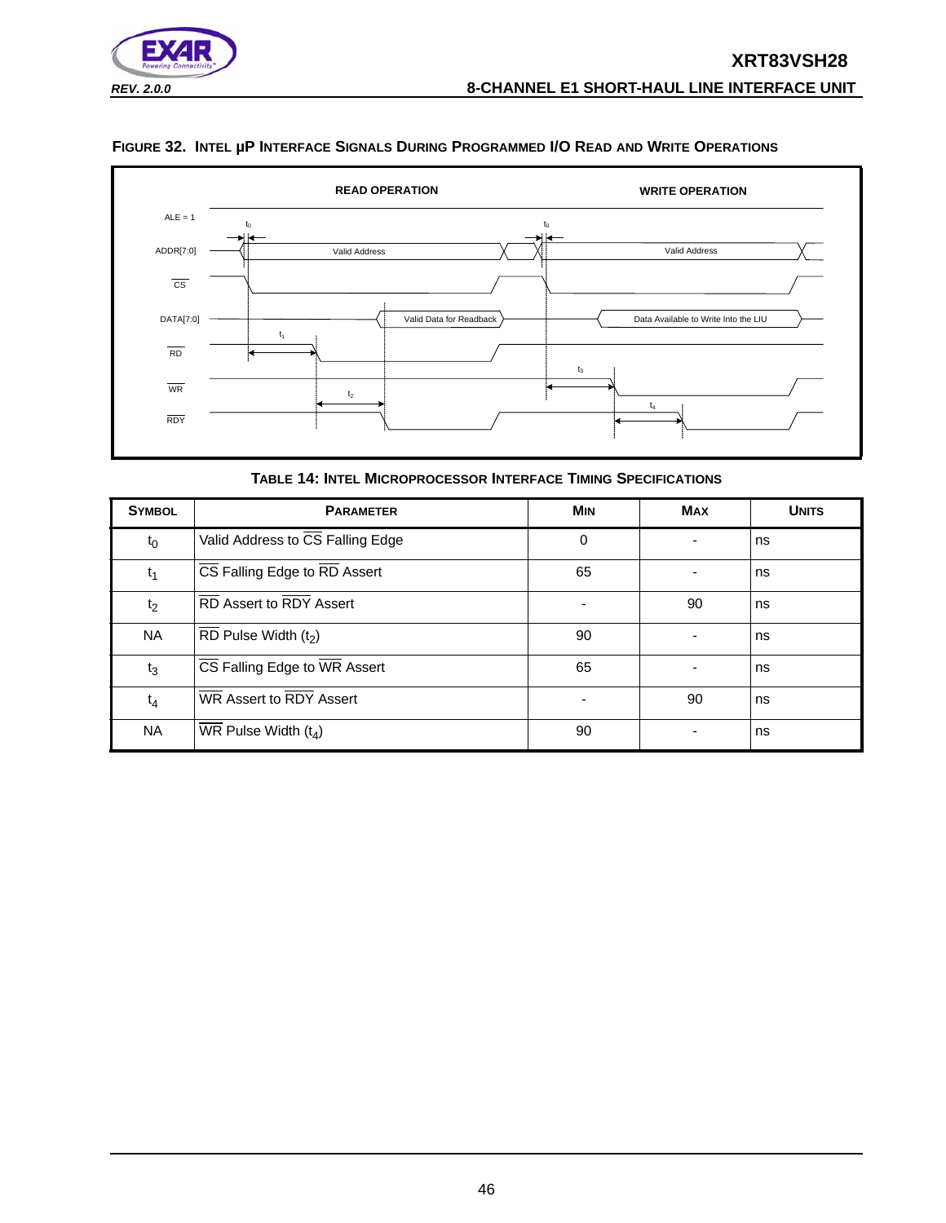

#### **FIGURE 32. INTEL µP INTERFACE SIGNALS DURING PROGRAMMED I/O READ AND WRITE OPERATIONS**



**TABLE 14: INTEL MICROPROCESSOR INTERFACE TIMING SPECIFICATIONS**

| <b>SYMBOL</b>  | <b>PARAMETER</b>                             | <b>MIN</b> | <b>MAX</b> | <b>UNITS</b> |
|----------------|----------------------------------------------|------------|------------|--------------|
| $t_0$          | Valid Address to CS Falling Edge             | 0          | -          | ns           |
| $t_1$          | CS Falling Edge to RD Assert                 | 65         |            | ns           |
| t <sub>2</sub> | RD Assert to RDY Assert                      |            | 90         | ns           |
| <b>NA</b>      | RD Pulse Width $(t_2)$                       | 90         |            | ns           |
| $t_3$          | CS Falling Edge to WR Assert                 | 65         |            | ns           |
| $t_4$          | WR Assert to RDY Assert                      | -          | 90         | ns           |
| <b>NA</b>      | $\overline{\text{WR}}$ Pulse Width ( $t_4$ ) | 90         |            | ns           |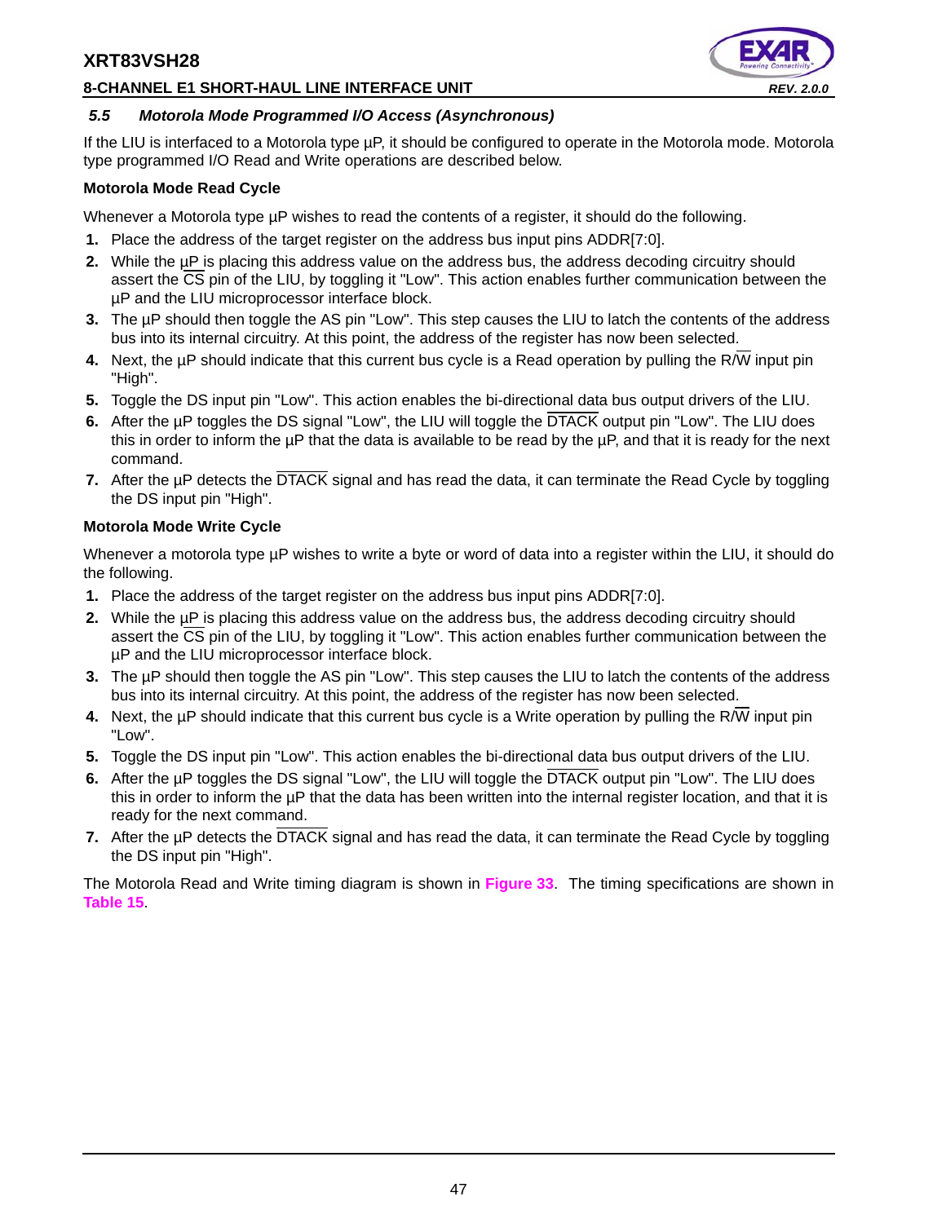#### **8-CHANNEL E1 SHORT-HAUL LINE INTERFACE UNIT** *REV. 2.0.0*



#### *5.5 Motorola Mode Programmed I/O Access (Asynchronous)*

If the LIU is interfaced to a Motorola type µP, it should be configured to operate in the Motorola mode. Motorola type programmed I/O Read and Write operations are described below.

#### **Motorola Mode Read Cycle**

Whenever a Motorola type µP wishes to read the contents of a register, it should do the following.

- **1.** Place the address of the target register on the address bus input pins ADDR[7:0].
- 2. While the uP is placing this address value on the address bus, the address decoding circuitry should assert the CS pin of the LIU, by toggling it "Low". This action enables further communication between the µP and the LIU microprocessor interface block.
- **3.** The µP should then toggle the AS pin "Low". This step causes the LIU to latch the contents of the address bus into its internal circuitry. At this point, the address of the register has now been selected.
- **4.** Next, the µP should indicate that this current bus cycle is a Read operation by pulling the R/W input pin "High".
- **5.** Toggle the DS input pin "Low". This action enables the bi-directional data bus output drivers of the LIU.
- **6.** After the µP toggles the DS signal "Low", the LIU will toggle the DTACK output pin "Low". The LIU does this in order to inform the  $\mu$ P that the data is available to be read by the  $\mu$ P, and that it is ready for the next command.
- **7.** After the µP detects the DTACK signal and has read the data, it can terminate the Read Cycle by toggling the DS input pin "High".

### **Motorola Mode Write Cycle**

Whenever a motorola type µP wishes to write a byte or word of data into a register within the LIU, it should do the following.

- **1.** Place the address of the target register on the address bus input pins ADDR[7:0].
- **2.** While the µP is placing this address value on the address bus, the address decoding circuitry should assert the CS pin of the LIU, by toggling it "Low". This action enables further communication between the µP and the LIU microprocessor interface block.
- **3.** The µP should then toggle the AS pin "Low". This step causes the LIU to latch the contents of the address bus into its internal circuitry. At this point, the address of the register has now been selected.
- **4.** Next, the  $\mu$ P should indicate that this current bus cycle is a Write operation by pulling the R/W input pin "Low".
- **5.** Toggle the DS input pin "Low". This action enables the bi-directional data bus output drivers of the LIU.
- **6.** After the µP toggles the DS signal "Low", the LIU will toggle the DTACK output pin "Low". The LIU does this in order to inform the µP that the data has been written into the internal register location, and that it is ready for the next command.
- **7.** After the µP detects the DTACK signal and has read the data, it can terminate the Read Cycle by toggling the DS input pin "High".

The Motorola Read and Write timing diagram is shown in **Figure 33**. The timing specifications are shown in **Table 15**.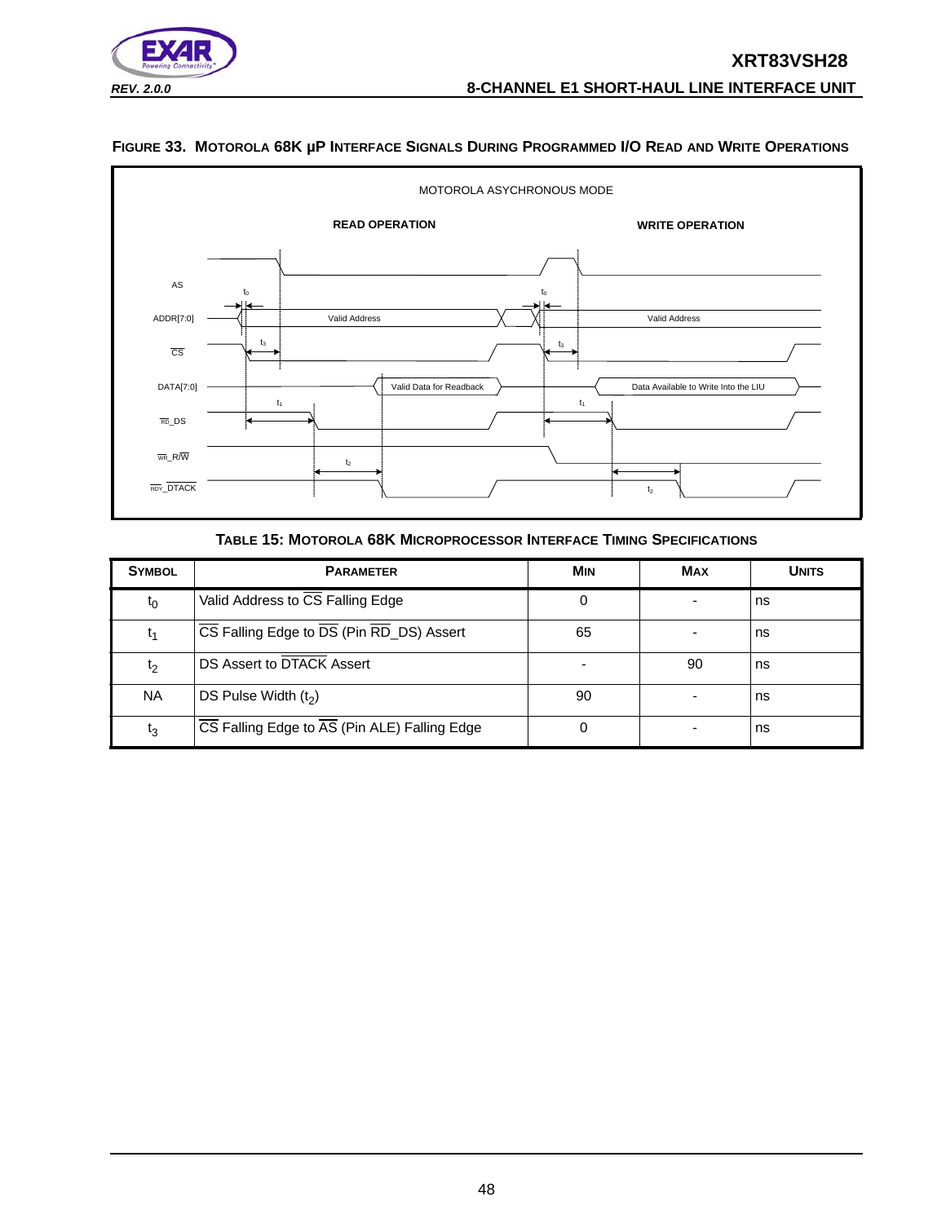

# **FIGURE 33. MOTOROLA 68K µP INTERFACE SIGNALS DURING PROGRAMMED I/O READ AND WRITE OPERATIONS**



#### **TABLE 15: MOTOROLA 68K MICROPROCESSOR INTERFACE TIMING SPECIFICATIONS**

| <b>SYMBOL</b>  | <b>PARAMETER</b>                             | <b>MIN</b> | <b>MAX</b> | <b>UNITS</b> |
|----------------|----------------------------------------------|------------|------------|--------------|
| $t_0$          | Valid Address to CS Falling Edge             | 0          |            | ns           |
| ι1             | CS Falling Edge to DS (Pin RD_DS) Assert     | 65         |            | ns           |
| t <sub>2</sub> | DS Assert to DTACK Assert                    |            | 90         | ns           |
| <b>NA</b>      | DS Pulse Width $(t_2)$                       | 90         |            | ns           |
| t3             | CS Falling Edge to AS (Pin ALE) Falling Edge | 0          |            | ns           |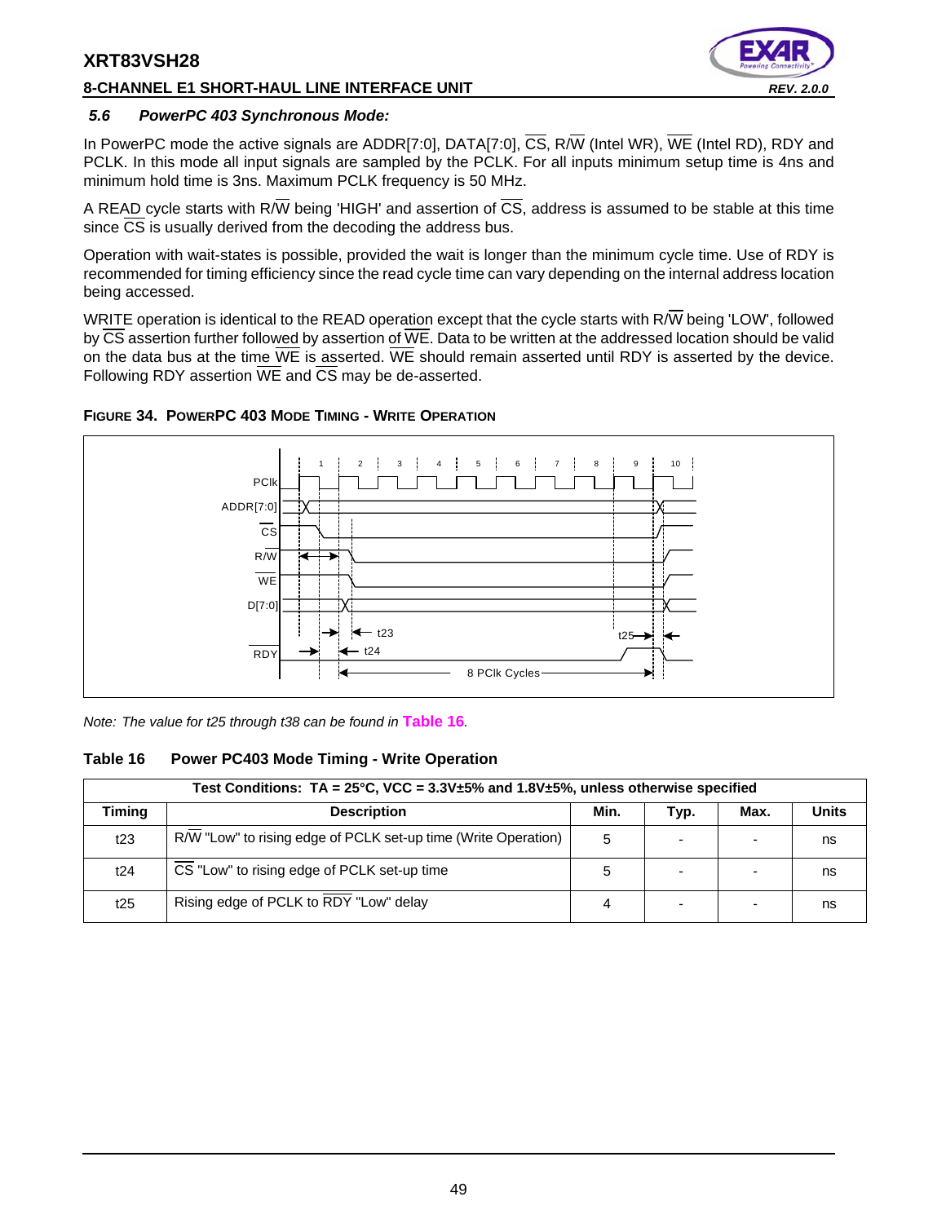#### **8-CHANNEL E1 SHORT-HAUL LINE INTERFACE UNIT** *REV. 2.0.0*



#### *5.6 PowerPC 403 Synchronous Mode:*

In PowerPC mode the active signals are ADDR[7:0], DATA[7:0], CS, R/W (Intel WR), WE (Intel RD), RDY and PCLK. In this mode all input signals are sampled by the PCLK. For all inputs minimum setup time is 4ns and minimum hold time is 3ns. Maximum PCLK frequency is 50 MHz.

A READ cycle starts with R/W being 'HIGH' and assertion of  $\overline{CS}$ , address is assumed to be stable at this time since  $\overline{CS}$  is usually derived from the decoding the address bus.

Operation with wait-states is possible, provided the wait is longer than the minimum cycle time. Use of RDY is recommended for timing efficiency since the read cycle time can vary depending on the internal address location being accessed.

WRITE operation is identical to the READ operation except that the cycle starts with R/W being 'LOW', followed by  $\overline{\text{CS}}$  assertion further followed by assertion of WE. Data to be written at the addressed location should be valid on the data bus at the time  $\overline{\text{WE}}$  is asserted. WE should remain asserted until RDY is asserted by the device. Following RDY assertion WE and CS may be de-asserted.





*Note: The value for t25 through t38 can be found in* **Table 16***.*

#### **Table 16 Power PC403 Mode Timing - Write Operation**

|        | Test Conditions: $TA = 25^{\circ}C$ , VCC = $3.3V \pm 5\%$ and 1.8V $\pm 5\%$ , unless otherwise specified |      |      |      |              |  |  |  |
|--------|------------------------------------------------------------------------------------------------------------|------|------|------|--------------|--|--|--|
| Timing | <b>Description</b>                                                                                         | Min. | Typ. | Max. | <b>Units</b> |  |  |  |
| t23    | R/W "Low" to rising edge of PCLK set-up time (Write Operation)                                             | 5    |      |      | ns           |  |  |  |
| t24    | CS "Low" to rising edge of PCLK set-up time                                                                | 5    |      |      | ns           |  |  |  |
| t25    | Rising edge of PCLK to RDY "Low" delay                                                                     |      | -    |      | ns           |  |  |  |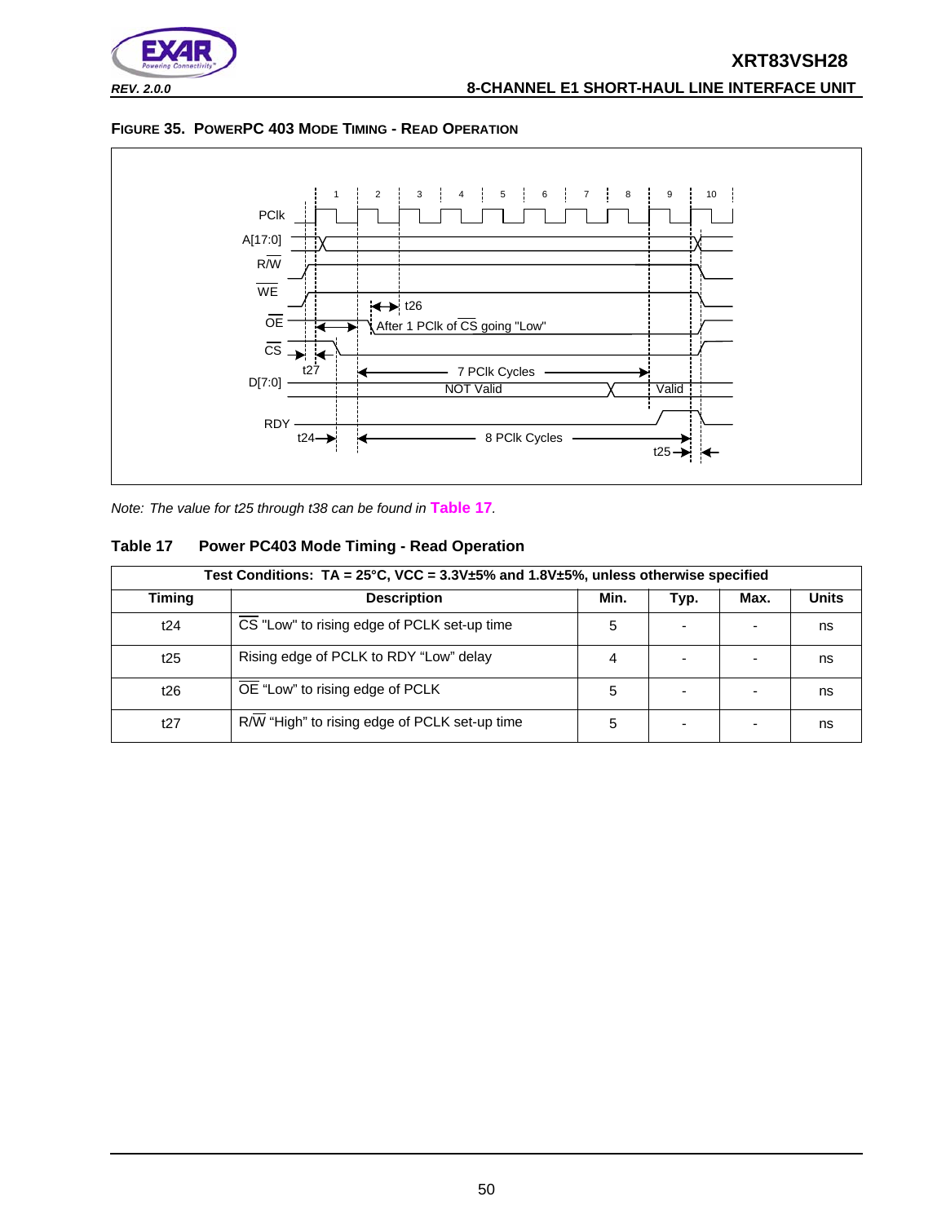





*Note: The value for t25 through t38 can be found in* **Table 17***.*

### **Table 17 Power PC403 Mode Timing - Read Operation**

| Test Conditions: $TA = 25^{\circ}C$ , VCC = $3.3V \pm 5\%$ and $1.8V \pm 5\%$ , unless otherwise specified |                                               |      |      |      |              |
|------------------------------------------------------------------------------------------------------------|-----------------------------------------------|------|------|------|--------------|
| <b>Timing</b>                                                                                              | <b>Description</b>                            | Min. | Typ. | Max. | <b>Units</b> |
| t24                                                                                                        | CS "Low" to rising edge of PCLK set-up time   | 5    |      |      | ns           |
| t25                                                                                                        | Rising edge of PCLK to RDY "Low" delay        | 4    |      |      | ns           |
| t26                                                                                                        | OE "Low" to rising edge of PCLK               | 5    |      |      | ns           |
| t27                                                                                                        | R/W "High" to rising edge of PCLK set-up time | 5    |      |      | ns           |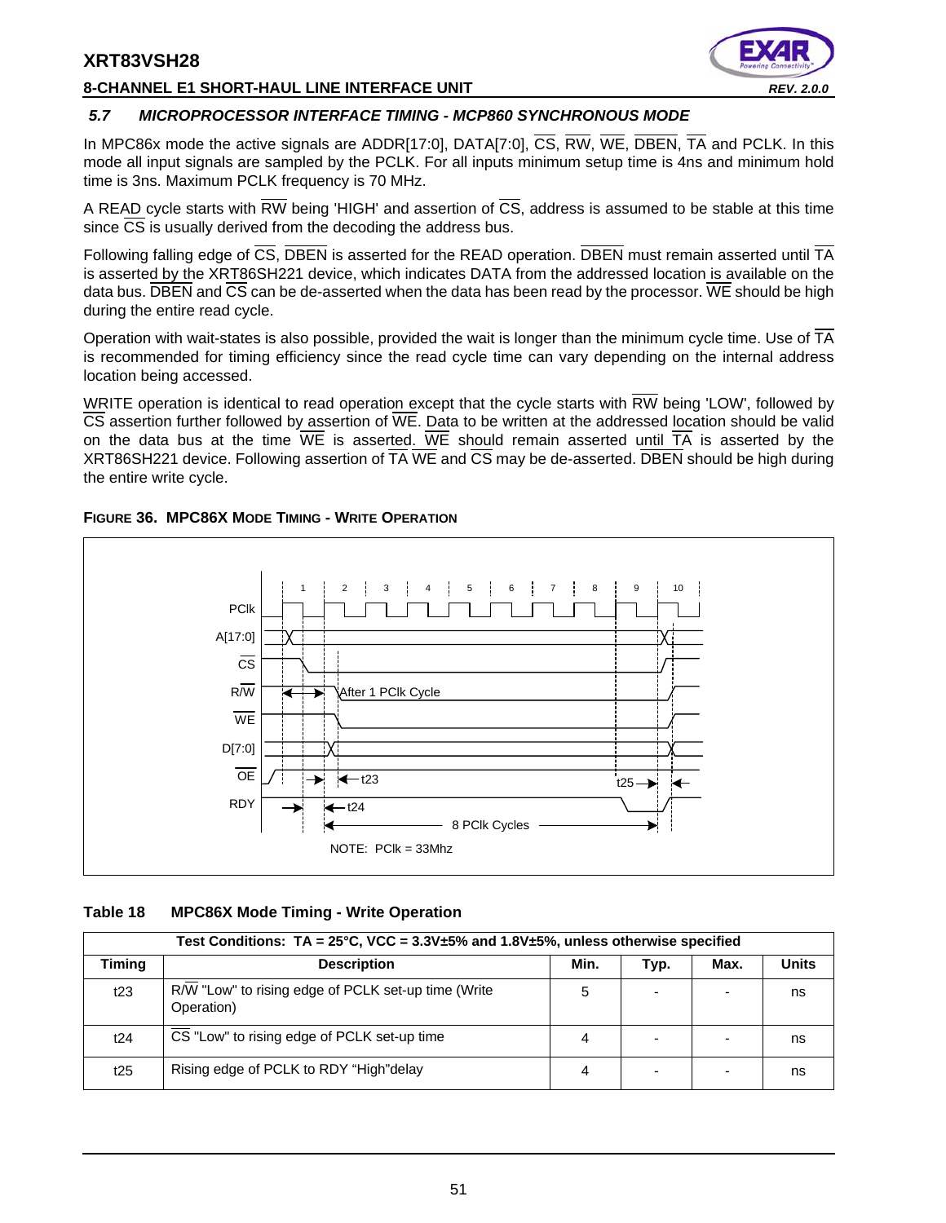#### **8-CHANNEL E1 SHORT-HAUL LINE INTERFACE UNIT** *REV. 2.0.0*



#### *5.7 MICROPROCESSOR INTERFACE TIMING - MCP860 SYNCHRONOUS MODE*

In MPC86x mode the active signals are ADDR[17:0], DATA[7:0], CS, RW, WE, DBEN, TA and PCLK. In this mode all input signals are sampled by the PCLK. For all inputs minimum setup time is 4ns and minimum hold time is 3ns. Maximum PCLK frequency is 70 MHz.

A READ cycle starts with RW being 'HIGH' and assertion of  $\overline{CS}$ , address is assumed to be stable at this time since  $\overline{CS}$  is usually derived from the decoding the address bus.

Following falling edge of  $\overline{CS}$ , DBEN is asserted for the READ operation. DBEN must remain asserted until TA is asserted by the XRT86SH221 device, which indicates DATA from the addressed location is available on the data bus. DBEN and CS can be de-asserted when the data has been read by the processor. WE should be high during the entire read cycle.

Operation with wait-states is also possible, provided the wait is longer than the minimum cycle time. Use of  $\overline{TA}$ is recommended for timing efficiency since the read cycle time can vary depending on the internal address location being accessed.

WRITE operation is identical to read operation except that the cycle starts with  $\overline{\rm RW}$  being 'LOW', followed by  $\overline{\text{CS}}$  assertion further followed by assertion of  $\overline{\text{WE}}$ . Data to be written at the addressed location should be valid on the data bus at the time  $\overline{WE}$  is asserted. WE should remain asserted until  $\overline{TA}$  is asserted by the XRT86SH221 device. Following assertion of TA WE and CS may be de-asserted. DBEN should be high during the entire write cycle.





#### **Table 18 MPC86X Mode Timing - Write Operation**

|               | Test Conditions: $TA = 25^{\circ}C$ , VCC = $3.3V \pm 5\%$ and $1.8V \pm 5\%$ , unless otherwise specified |      |      |      |              |  |  |  |
|---------------|------------------------------------------------------------------------------------------------------------|------|------|------|--------------|--|--|--|
| <b>Timing</b> | <b>Description</b>                                                                                         | Min. | Typ. | Max. | <b>Units</b> |  |  |  |
| t23           | R/W "Low" to rising edge of PCLK set-up time (Write<br>Operation)                                          | 5    |      |      | ns           |  |  |  |
| t24           | CS "Low" to rising edge of PCLK set-up time                                                                | 4    |      |      | ns           |  |  |  |
| t25           | Rising edge of PCLK to RDY "High" delay                                                                    | 4    |      |      | ns           |  |  |  |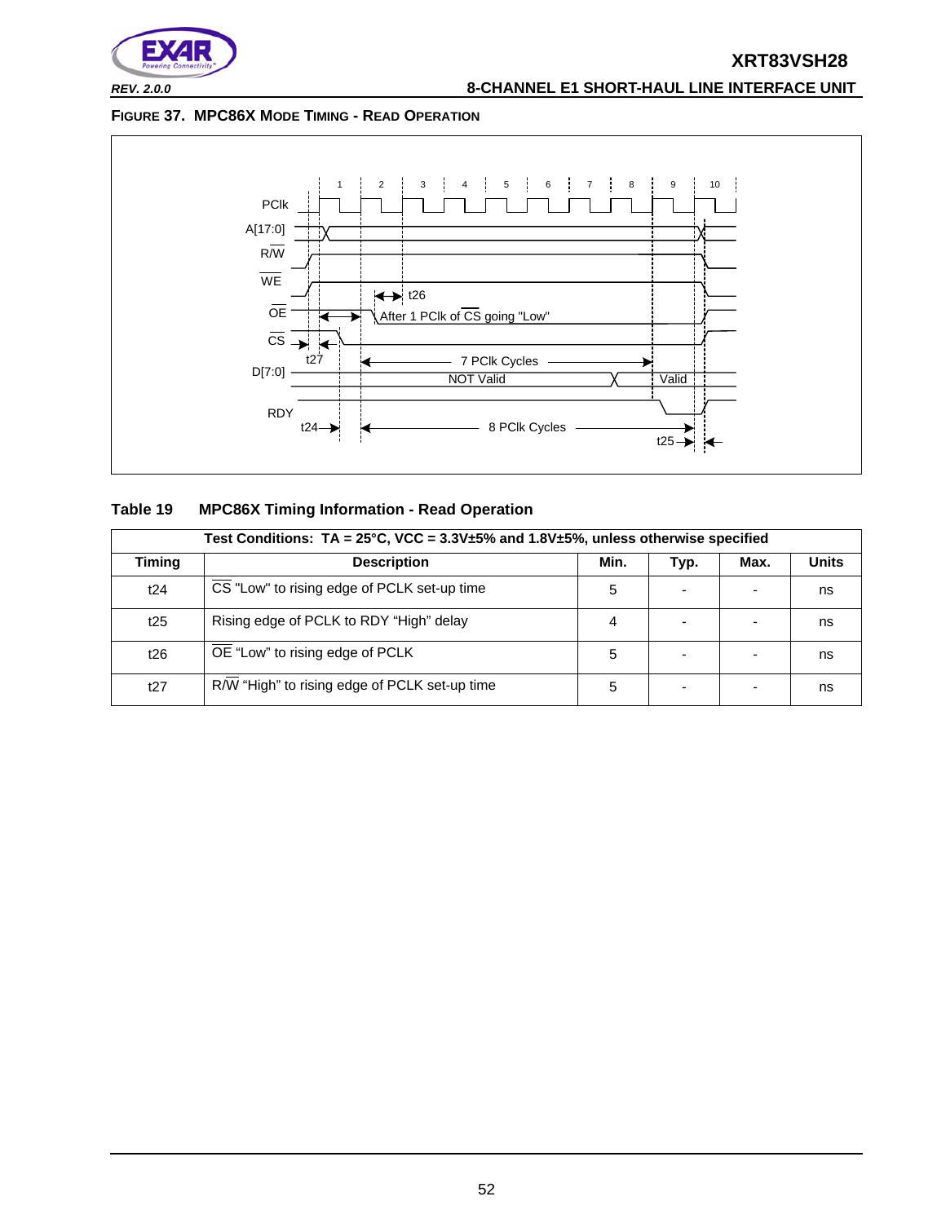

*REV. 2.0.0* **8-CHANNEL E1 SHORT-HAUL LINE INTERFACE UNIT**

#### **FIGURE 37. MPC86X MODE TIMING - READ OPERATION**



| Table 19 |  |  | <b>MPC86X Timing Information - Read Operation</b> |
|----------|--|--|---------------------------------------------------|
|----------|--|--|---------------------------------------------------|

|               | Test Conditions: $TA = 25^{\circ}C$ , VCC = $3.3V \pm 5\%$ and $1.8V \pm 5\%$ , unless otherwise specified |      |      |      |              |  |  |  |  |  |  |  |
|---------------|------------------------------------------------------------------------------------------------------------|------|------|------|--------------|--|--|--|--|--|--|--|
| <b>Timing</b> | <b>Description</b>                                                                                         | Min. | Typ. | Max. | <b>Units</b> |  |  |  |  |  |  |  |
| t24           | CS "Low" to rising edge of PCLK set-up time                                                                | 5    |      |      | ns           |  |  |  |  |  |  |  |
| t25           | Rising edge of PCLK to RDY "High" delay                                                                    | 4    |      |      | ns           |  |  |  |  |  |  |  |
| t26           | OE "Low" to rising edge of PCLK                                                                            | 5    |      |      | ns           |  |  |  |  |  |  |  |
| t27           | R/W "High" to rising edge of PCLK set-up time                                                              | 5    |      |      | ns           |  |  |  |  |  |  |  |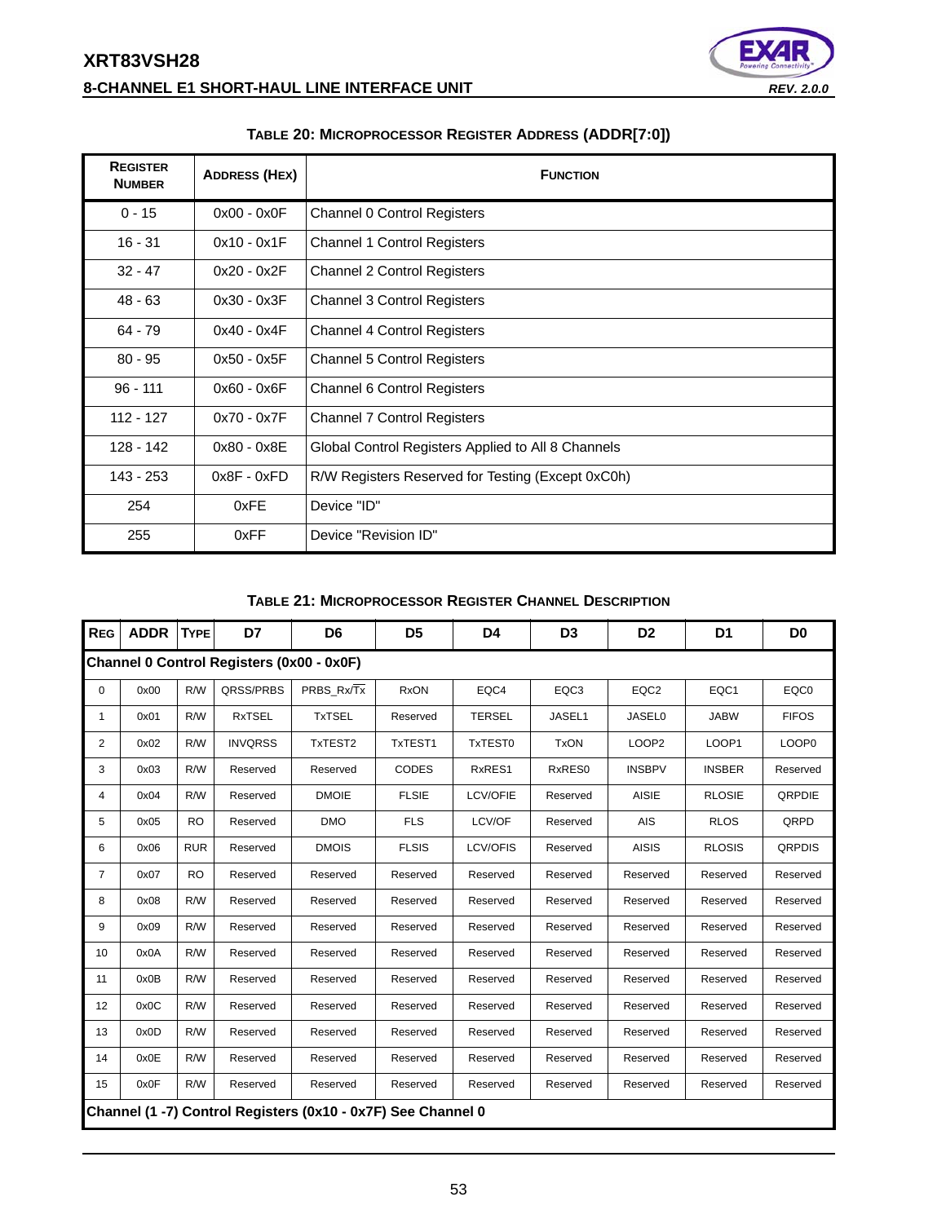# **XRT83VSH28 8-CHANNEL E1 SHORT-HAUL LINE INTERFACE UNIT** *REV. 2.0.0*



| <b>REGISTER</b><br><b>NUMBER</b> | <b>ADDRESS (HEX)</b> | <b>FUNCTION</b>                                    |
|----------------------------------|----------------------|----------------------------------------------------|
| $0 - 15$                         | $0x00 - 0x0F$        | Channel 0 Control Registers                        |
| $16 - 31$                        | $0x10 - 0x1F$        | <b>Channel 1 Control Registers</b>                 |
| $32 - 47$                        | $0x20 - 0x2F$        | <b>Channel 2 Control Registers</b>                 |
| $48 - 63$                        | $0x30 - 0x3F$        | <b>Channel 3 Control Registers</b>                 |
| $64 - 79$                        | $0x40 - 0x4F$        | <b>Channel 4 Control Registers</b>                 |
| $80 - 95$                        | $0x50 - 0x5F$        | <b>Channel 5 Control Registers</b>                 |
| $96 - 111$                       | $0x60 - 0x6F$        | Channel 6 Control Registers                        |
| 112 - 127                        | $0x70 - 0x7F$        | <b>Channel 7 Control Registers</b>                 |
| 128 - 142                        | $0x80 - 0x8E$        | Global Control Registers Applied to All 8 Channels |
| 143 - 253                        | $0x8F - 0xFD$        | R/W Registers Reserved for Testing (Except 0xC0h)  |
| 254                              | 0xFE                 | Device "ID"                                        |
| 255                              | 0xFF                 | Device "Revision ID"                               |

#### **TABLE 20: MICROPROCESSOR REGISTER ADDRESS (ADDR[7:0])**

#### **TABLE 21: MICROPROCESSOR REGISTER CHANNEL DESCRIPTION**

| <b>REG</b>     | <b>ADDR</b> | <b>TYPE</b> | D7                                        | D <sub>6</sub>                                               | D <sub>5</sub> | D4              | D <sub>3</sub>   | D <sub>2</sub>    | D1            | D <sub>0</sub>    |
|----------------|-------------|-------------|-------------------------------------------|--------------------------------------------------------------|----------------|-----------------|------------------|-------------------|---------------|-------------------|
|                |             |             | Channel 0 Control Registers (0x00 - 0x0F) |                                                              |                |                 |                  |                   |               |                   |
| 0              | 0x00        | R/W         | QRSS/PRBS                                 | PRBS Rx/Tx                                                   | <b>RxON</b>    | EQC4            | EQC <sub>3</sub> | EQC <sub>2</sub>  | EQC1          | EQC0              |
| 1              | 0x01        | R/W         | <b>RxTSEL</b>                             | <b>TxTSEL</b>                                                | Reserved       | <b>TERSEL</b>   | JASEL1           | <b>JASEL0</b>     | <b>JABW</b>   | <b>FIFOS</b>      |
| $\overline{2}$ | 0x02        | R/W         | <b>INVQRSS</b>                            | TxTEST2                                                      | TxTEST1        | TxTEST0         | <b>TxON</b>      | LOOP <sub>2</sub> | LOOP1         | LOOP <sub>0</sub> |
| 3              | 0x03        | R/W         | Reserved                                  | Reserved                                                     | <b>CODES</b>   | RxRES1          | RxRES0           | <b>INSBPV</b>     | <b>INSBER</b> | Reserved          |
| 4              | 0x04        | R/W         | Reserved                                  | <b>DMOIE</b>                                                 | <b>FLSIE</b>   | <b>LCV/OFIE</b> | Reserved         | <b>AISIE</b>      | <b>RLOSIE</b> | <b>QRPDIE</b>     |
| 5              | 0x05        | <b>RO</b>   | Reserved                                  | <b>DMO</b>                                                   | <b>FLS</b>     | LCV/OF          | Reserved         | AIS               | <b>RLOS</b>   | QRPD              |
| 6              | 0x06        | <b>RUR</b>  | Reserved                                  | <b>DMOIS</b>                                                 | <b>FLSIS</b>   | LCV/OFIS        | Reserved         | <b>AISIS</b>      | <b>RLOSIS</b> | <b>QRPDIS</b>     |
| $\overline{7}$ | 0x07        | <b>RO</b>   | Reserved                                  | Reserved                                                     | Reserved       | Reserved        | Reserved         | Reserved          | Reserved      | Reserved          |
| 8              | 0x08        | R/W         | Reserved                                  | Reserved                                                     | Reserved       | Reserved        | Reserved         | Reserved          | Reserved      | Reserved          |
| 9              | 0x09        | R/W         | Reserved                                  | Reserved                                                     | Reserved       | Reserved        | Reserved         | Reserved          | Reserved      | Reserved          |
| 10             | 0x0A        | R/W         | Reserved                                  | Reserved                                                     | Reserved       | Reserved        | Reserved         | Reserved          | Reserved      | Reserved          |
| 11             | 0x0B        | R/W         | Reserved                                  | Reserved                                                     | Reserved       | Reserved        | Reserved         | Reserved          | Reserved      | Reserved          |
| 12             | 0x0C        | R/W         | Reserved                                  | Reserved                                                     | Reserved       | Reserved        | Reserved         | Reserved          | Reserved      | Reserved          |
| 13             | 0x0D        | R/W         | Reserved                                  | Reserved                                                     | Reserved       | Reserved        | Reserved         | Reserved          | Reserved      | Reserved          |
| 14             | 0x0E        | R/W         | Reserved                                  | Reserved                                                     | Reserved       | Reserved        | Reserved         | Reserved          | Reserved      | Reserved          |
| 15             | 0x0F        | R/W         | Reserved                                  | Reserved                                                     | Reserved       | Reserved        | Reserved         | Reserved          | Reserved      | Reserved          |
|                |             |             |                                           | Channel (1 -7) Control Registers (0x10 - 0x7F) See Channel 0 |                |                 |                  |                   |               |                   |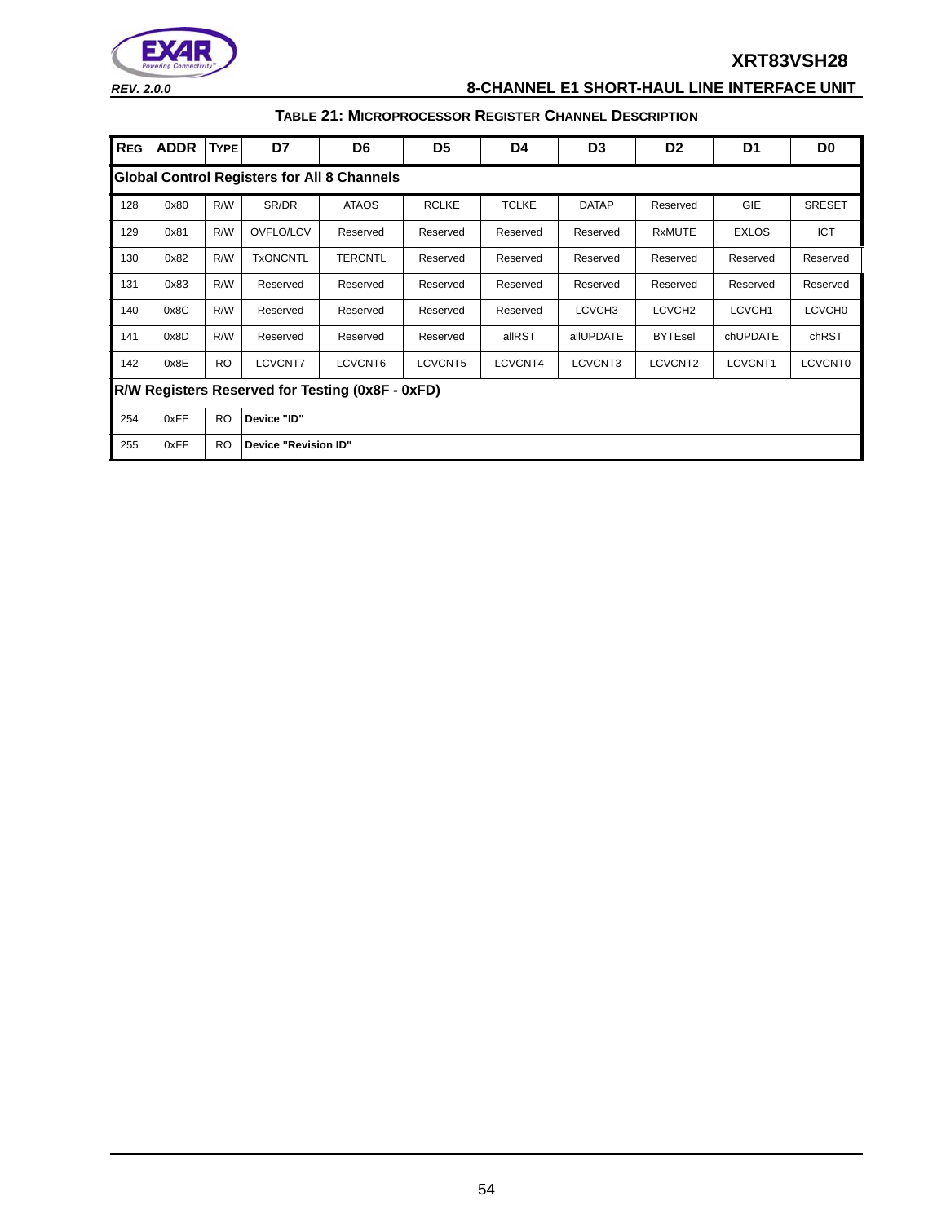

*REV. 2.0.0* **8-CHANNEL E1 SHORT-HAUL LINE INTERFACE UNIT**

### **TABLE 21: MICROPROCESSOR REGISTER CHANNEL DESCRIPTION**

| <b>REG</b> | <b>ADDR</b>                                        | <b>TYPE</b> | D7              | D6                   | D <sub>5</sub> | D4           | D <sub>3</sub>     | D <sub>2</sub>     | D1           | D <sub>0</sub>     |  |  |  |  |
|------------|----------------------------------------------------|-------------|-----------------|----------------------|----------------|--------------|--------------------|--------------------|--------------|--------------------|--|--|--|--|
|            | <b>Global Control Registers for All 8 Channels</b> |             |                 |                      |                |              |                    |                    |              |                    |  |  |  |  |
| 128        | 0x80                                               | R/W         | SR/DR           | <b>ATAOS</b>         | <b>RCLKE</b>   | <b>TCLKE</b> | <b>DATAP</b>       | Reserved           | <b>GIE</b>   | <b>SRESET</b>      |  |  |  |  |
| 129        | 0x81                                               | R/W         | OVFLO/LCV       | Reserved             | Reserved       | Reserved     | Reserved           | <b>RxMUTE</b>      | <b>EXLOS</b> | ICT                |  |  |  |  |
| 130        | 0x82                                               | R/W         | <b>TxONCNTL</b> | <b>TERCNTL</b>       | Reserved       | Reserved     | Reserved           | Reserved           | Reserved     | Reserved           |  |  |  |  |
| 131        | 0x83                                               | R/W         | Reserved        | Reserved             | Reserved       | Reserved     | Reserved           | Reserved           | Reserved     | Reserved           |  |  |  |  |
| 140        | 0x8C                                               | R/W         | Reserved        | Reserved             | Reserved       | Reserved     | LCVCH <sub>3</sub> | LCVCH <sub>2</sub> | LCVCH1       | LCVCH <sub>0</sub> |  |  |  |  |
| 141        | 0x8D                                               | R/W         | Reserved        | Reserved             | Reserved       | allRST       | allUPDATE          | <b>BYTEsel</b>     | chUPDATE     | chRST              |  |  |  |  |
| 142        | 0x8E                                               | <b>RO</b>   | <b>LCVCNT7</b>  | LCVCNT6              | LCVCNT5        | LCVCNT4      | LCVCNT3            | LCVCNT2            | LCVCNT1      | <b>LCVCNT0</b>     |  |  |  |  |
|            | R/W Registers Reserved for Testing (0x8F - 0xFD)   |             |                 |                      |                |              |                    |                    |              |                    |  |  |  |  |
| 254        | 0xFE                                               | <b>RO</b>   | Device "ID"     |                      |                |              |                    |                    |              |                    |  |  |  |  |
| 255        | 0xFF                                               | <b>RO</b>   |                 | Device "Revision ID" |                |              |                    |                    |              |                    |  |  |  |  |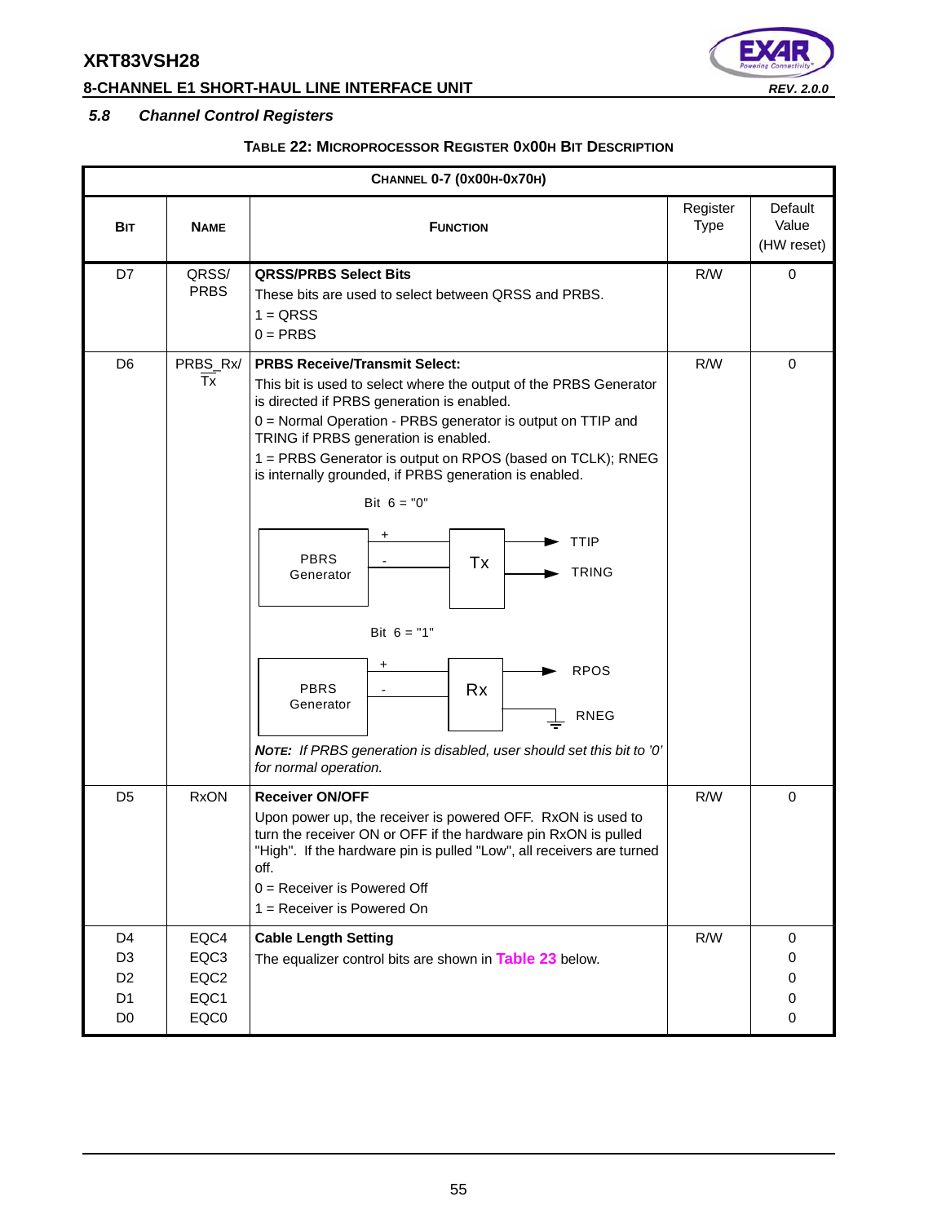# **8-CHANNEL E1 SHORT-HAUL LINE INTERFACE UNIT** *REV. 2.0.0*



# *5.8 Channel Control Registers*

### **TABLE 22: MICROPROCESSOR REGISTER 0X00H BIT DESCRIPTION**

|                                                                                        | CHANNEL 0-7 (0x00H-0x70H)            |                                                                                                                                                                                                                                                                                                                                                                                                                                                                                                                                                                                                                                                                              |                         |                                |  |  |  |
|----------------------------------------------------------------------------------------|--------------------------------------|------------------------------------------------------------------------------------------------------------------------------------------------------------------------------------------------------------------------------------------------------------------------------------------------------------------------------------------------------------------------------------------------------------------------------------------------------------------------------------------------------------------------------------------------------------------------------------------------------------------------------------------------------------------------------|-------------------------|--------------------------------|--|--|--|
| Bit                                                                                    | <b>NAME</b>                          | <b>FUNCTION</b>                                                                                                                                                                                                                                                                                                                                                                                                                                                                                                                                                                                                                                                              | Register<br><b>Type</b> | Default<br>Value<br>(HW reset) |  |  |  |
| D7                                                                                     | QRSS/<br><b>PRBS</b>                 | <b>QRSS/PRBS Select Bits</b><br>These bits are used to select between QRSS and PRBS.<br>$1 = QRSS$<br>$0 = PRBS$                                                                                                                                                                                                                                                                                                                                                                                                                                                                                                                                                             | R/W                     | $\mathbf 0$                    |  |  |  |
| D <sub>6</sub>                                                                         | PRBS_Rx/<br>Тx                       | <b>PRBS Receive/Transmit Select:</b><br>This bit is used to select where the output of the PRBS Generator<br>is directed if PRBS generation is enabled.<br>0 = Normal Operation - PRBS generator is output on TTIP and<br>TRING if PRBS generation is enabled.<br>1 = PRBS Generator is output on RPOS (based on TCLK); RNEG<br>is internally grounded, if PRBS generation is enabled.<br>Bit $6 = "0"$<br>+<br><b>TTIP</b><br><b>PBRS</b><br>Tx<br><b>TRING</b><br>Generator<br>Bit $6 = "1"$<br>+<br><b>RPOS</b><br><b>PBRS</b><br><b>Rx</b><br>Generator<br><b>RNEG</b><br>NOTE: If PRBS generation is disabled, user should set this bit to '0'<br>for normal operation. | R/W                     | 0                              |  |  |  |
| D <sub>5</sub>                                                                         | <b>RxON</b>                          | <b>Receiver ON/OFF</b><br>Upon power up, the receiver is powered OFF. RxON is used to<br>turn the receiver ON or OFF if the hardware pin RxON is pulled<br>"High". If the hardware pin is pulled "Low", all receivers are turned<br>off.<br>$0 =$ Receiver is Powered Off<br>$1 =$ Receiver is Powered On                                                                                                                                                                                                                                                                                                                                                                    | R/W                     | $\boldsymbol{0}$               |  |  |  |
| D <sub>4</sub><br>D <sub>3</sub><br>D <sub>2</sub><br>D <sub>1</sub><br>D <sub>0</sub> | EQC4<br>EQC3<br>EQC2<br>EQC1<br>EQC0 | <b>Cable Length Setting</b><br>The equalizer control bits are shown in Table 23 below.                                                                                                                                                                                                                                                                                                                                                                                                                                                                                                                                                                                       | R/W                     | 0<br>0<br>0<br>0<br>0          |  |  |  |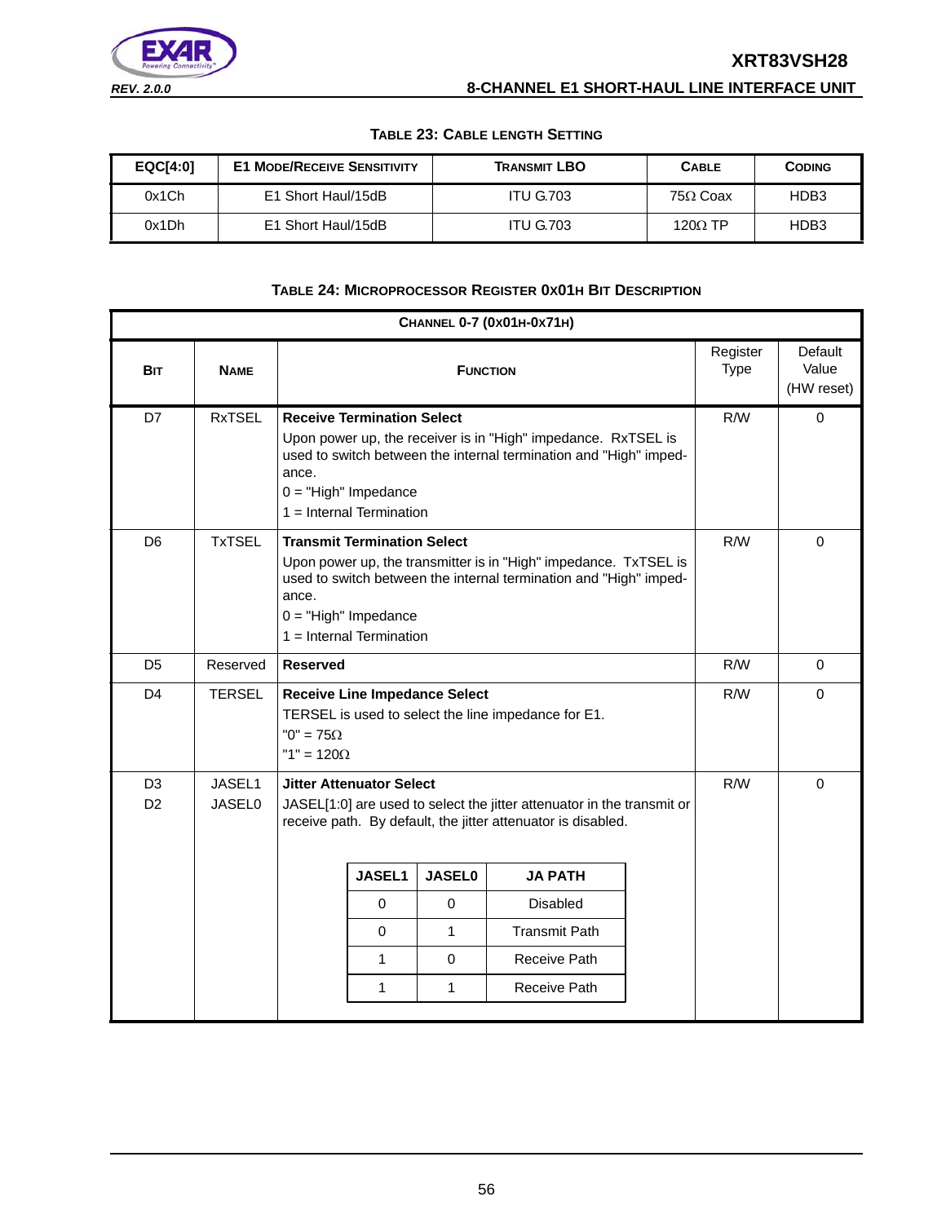#### **TABLE 23: CABLE LENGTH SETTING**

| EQCI4:01 | <b>E1 MODE/RECEIVE SENSITIVITY</b> | <b>TRANSMIT LBO</b> | <b>CABLE</b>    | <b>CODING</b> |
|----------|------------------------------------|---------------------|-----------------|---------------|
| 0x1Ch    | E1 Short Haul/15dB                 | <b>ITU G.703</b>    | $75\Omega$ Coax | HDB3          |
| 0x1Dh    | E1 Short Haul/15dB                 | <b>ITU G.703</b>    | 120 $\Omega$ TP | HDB3          |

#### **TABLE 24: MICROPROCESSOR REGISTER 0X01H BIT DESCRIPTION**

|                                  | CHANNEL 0-7 (0x01H-0x71H) |                                       |                                                                                                                                                                                                                                     |                                      |                                                                                                                                        |  |                         |                                |  |
|----------------------------------|---------------------------|---------------------------------------|-------------------------------------------------------------------------------------------------------------------------------------------------------------------------------------------------------------------------------------|--------------------------------------|----------------------------------------------------------------------------------------------------------------------------------------|--|-------------------------|--------------------------------|--|
| <b>BIT</b>                       | <b>NAME</b>               |                                       |                                                                                                                                                                                                                                     | <b>FUNCTION</b>                      |                                                                                                                                        |  | Register<br><b>Type</b> | Default<br>Value<br>(HW reset) |  |
| D7                               | <b>RxTSEL</b>             | ance.                                 | <b>Receive Termination Select</b><br>Upon power up, the receiver is in "High" impedance. RxTSEL is<br>used to switch between the internal termination and "High" imped-<br>$0 = "High" Impedance$<br>$1 =$ Internal Termination     | R/W                                  | 0                                                                                                                                      |  |                         |                                |  |
| D <sub>6</sub>                   | <b>TxTSEL</b>             | ance.                                 | <b>Transmit Termination Select</b><br>Upon power up, the transmitter is in "High" impedance. TxTSEL is<br>used to switch between the internal termination and "High" imped-<br>$0 = "High" Impedance$<br>$1 =$ Internal Termination | R/W                                  | $\Omega$                                                                                                                               |  |                         |                                |  |
| D <sub>5</sub>                   | Reserved                  | <b>Reserved</b>                       |                                                                                                                                                                                                                                     |                                      |                                                                                                                                        |  | R/W                     | $\mathbf 0$                    |  |
| D <sub>4</sub>                   | <b>TERSEL</b>             | "0" = $75\Omega$<br>"1" = $120\Omega$ |                                                                                                                                                                                                                                     | <b>Receive Line Impedance Select</b> | TERSEL is used to select the line impedance for E1.                                                                                    |  | R/W                     | $\Omega$                       |  |
| D <sub>3</sub><br>D <sub>2</sub> | JASEL1<br><b>JASEL0</b>   |                                       | <b>Jitter Attenuator Select</b>                                                                                                                                                                                                     |                                      | JASEL[1:0] are used to select the jitter attenuator in the transmit or<br>receive path. By default, the jitter attenuator is disabled. |  | R/W                     | $\Omega$                       |  |
|                                  |                           |                                       | <b>JASEL1</b>                                                                                                                                                                                                                       | <b>JASEL0</b>                        | <b>JA PATH</b>                                                                                                                         |  |                         |                                |  |
|                                  |                           |                                       | $\Omega$                                                                                                                                                                                                                            | $\mathbf 0$                          | <b>Disabled</b>                                                                                                                        |  |                         |                                |  |
|                                  |                           |                                       | $\Omega$                                                                                                                                                                                                                            | $\mathbf{1}$                         | <b>Transmit Path</b>                                                                                                                   |  |                         |                                |  |
|                                  |                           |                                       | 1                                                                                                                                                                                                                                   | $\mathbf 0$                          | Receive Path                                                                                                                           |  |                         |                                |  |
|                                  |                           |                                       | 1                                                                                                                                                                                                                                   | 1                                    | Receive Path                                                                                                                           |  |                         |                                |  |
|                                  |                           |                                       |                                                                                                                                                                                                                                     |                                      |                                                                                                                                        |  |                         |                                |  |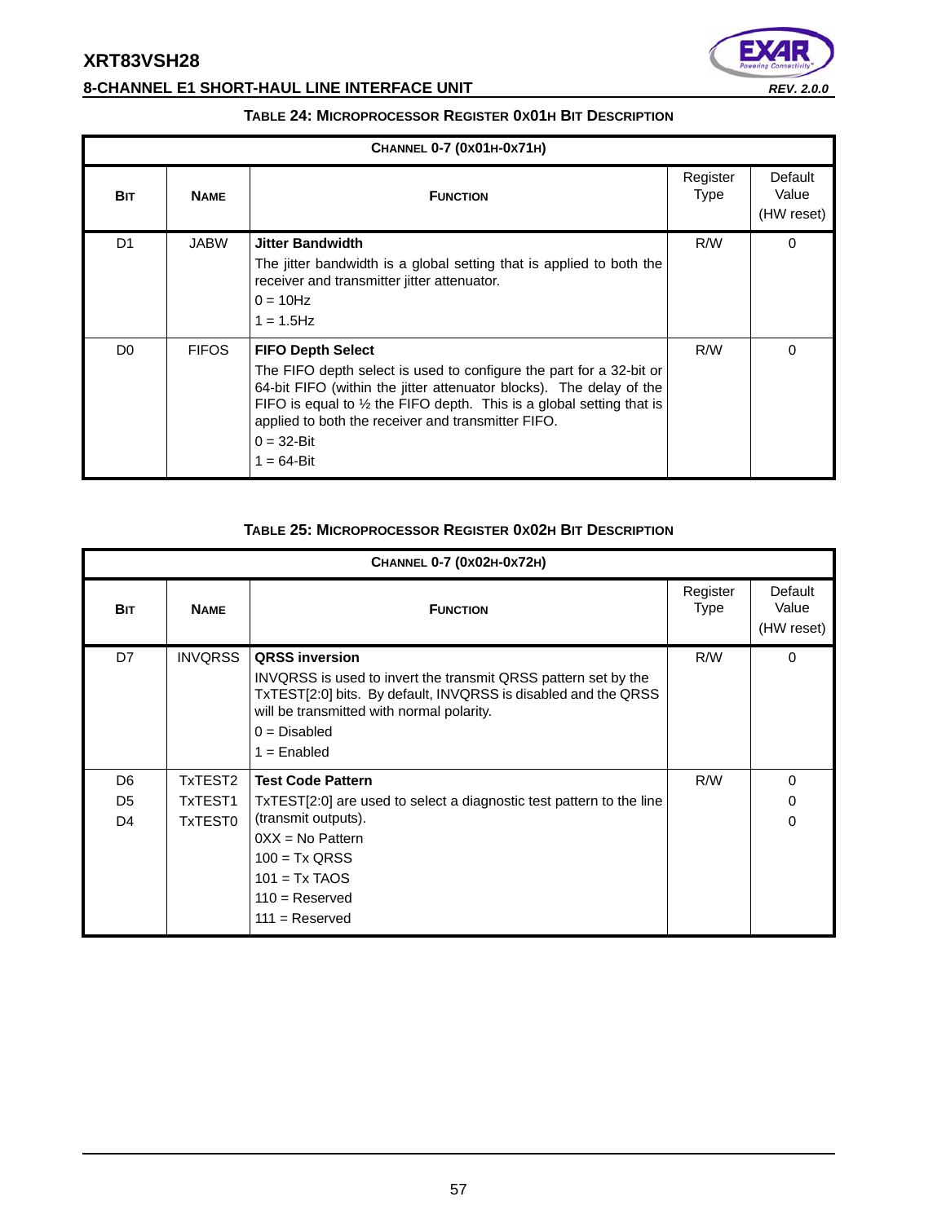# **8-CHANNEL E1 SHORT-HAUL LINE INTERFACE UNIT** *REV. 2.0.0*



#### **TABLE 24: MICROPROCESSOR REGISTER 0X01H BIT DESCRIPTION**

|                | CHANNEL 0-7 (0x01H-0x71H) |                                                                                                                                                                                                                                                                                                                                                     |                         |                                |  |  |  |  |  |
|----------------|---------------------------|-----------------------------------------------------------------------------------------------------------------------------------------------------------------------------------------------------------------------------------------------------------------------------------------------------------------------------------------------------|-------------------------|--------------------------------|--|--|--|--|--|
| <b>BIT</b>     | <b>NAME</b>               | <b>FUNCTION</b>                                                                                                                                                                                                                                                                                                                                     | Register<br><b>Type</b> | Default<br>Value<br>(HW reset) |  |  |  |  |  |
| D <sub>1</sub> | <b>JABW</b>               | <b>Jitter Bandwidth</b><br>The jitter bandwidth is a global setting that is applied to both the<br>receiver and transmitter jitter attenuator.<br>$0 = 10$ Hz<br>$1 = 1.5$ Hz                                                                                                                                                                       | R/W                     | $\Omega$                       |  |  |  |  |  |
| D <sub>0</sub> | <b>FIFOS</b>              | <b>FIFO Depth Select</b><br>The FIFO depth select is used to configure the part for a 32-bit or<br>64-bit FIFO (within the jitter attenuator blocks). The delay of the<br>FIFO is equal to $\frac{1}{2}$ the FIFO depth. This is a global setting that is<br>applied to both the receiver and transmitter FIFO.<br>$0 = 32 - Bit$<br>$1 = 64 - Bit$ | R/W                     | $\Omega$                       |  |  |  |  |  |

### **TABLE 25: MICROPROCESSOR REGISTER 0X02H BIT DESCRIPTION**

|                | CHANNEL 0-7 (0x02H-0x72H) |                                                                                                                                                                                                                                         |                  |                                |  |  |  |  |  |  |
|----------------|---------------------------|-----------------------------------------------------------------------------------------------------------------------------------------------------------------------------------------------------------------------------------------|------------------|--------------------------------|--|--|--|--|--|--|
| <b>BIT</b>     | <b>NAME</b>               | <b>FUNCTION</b>                                                                                                                                                                                                                         | Register<br>Type | Default<br>Value<br>(HW reset) |  |  |  |  |  |  |
| D7             | <b>INVQRSS</b>            | <b>QRSS inversion</b><br>INVQRSS is used to invert the transmit QRSS pattern set by the<br>TxTEST[2:0] bits. By default, INVQRSS is disabled and the QRSS<br>will be transmitted with normal polarity.<br>$0 = Disabled$<br>$=$ Enabled | R/W              | $\Omega$                       |  |  |  |  |  |  |
| D <sub>6</sub> | TxTEST2                   | <b>Test Code Pattern</b>                                                                                                                                                                                                                | R/W              | 0                              |  |  |  |  |  |  |
| D <sub>5</sub> | TxTEST1                   | TxTEST[2:0] are used to select a diagnostic test pattern to the line                                                                                                                                                                    |                  | 0                              |  |  |  |  |  |  |
| D <sub>4</sub> | TxTEST0                   | (transmit outputs).<br>$0XX = No$ Pattern<br>$100 = Tx$ QRSS<br>$101 = Tx$ TAOS<br>$110 =$ Reserved<br>$111 =$ Reserved                                                                                                                 |                  | $\Omega$                       |  |  |  |  |  |  |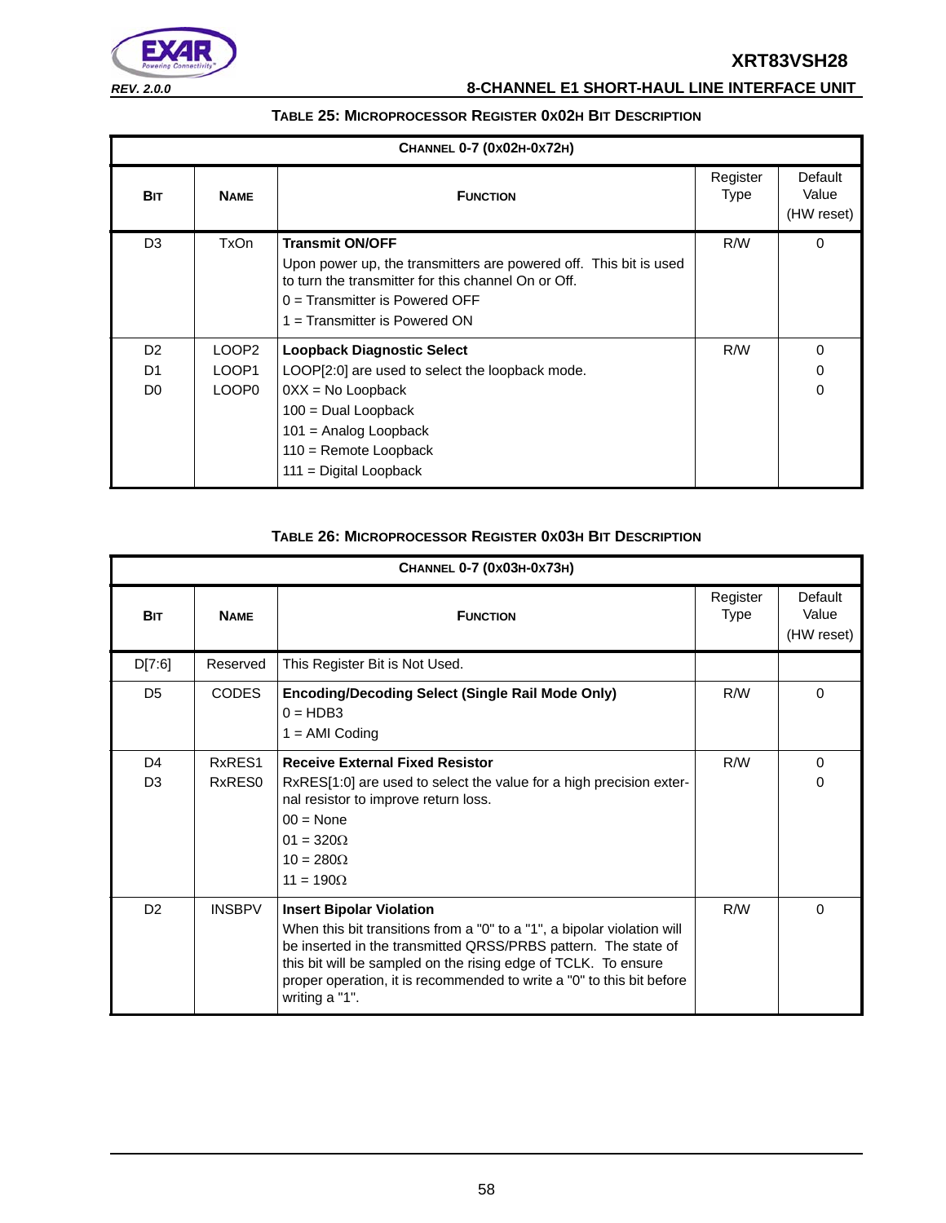

# *REV. 2.0.0* **8-CHANNEL E1 SHORT-HAUL LINE INTERFACE UNIT**

#### **TABLE 25: MICROPROCESSOR REGISTER 0X02H BIT DESCRIPTION**

|                                        | CHANNEL 0-7 (0x02H-0x72H)                       |                                                                                                                                                                                                                           |                         |                                |  |  |  |  |  |  |
|----------------------------------------|-------------------------------------------------|---------------------------------------------------------------------------------------------------------------------------------------------------------------------------------------------------------------------------|-------------------------|--------------------------------|--|--|--|--|--|--|
| <b>BIT</b>                             | <b>NAME</b>                                     | <b>FUNCTION</b>                                                                                                                                                                                                           | Register<br><b>Type</b> | Default<br>Value<br>(HW reset) |  |  |  |  |  |  |
| D <sub>3</sub>                         | TxOn                                            | <b>Transmit ON/OFF</b><br>Upon power up, the transmitters are powered off. This bit is used<br>to turn the transmitter for this channel On or Off.<br>$0 =$ Transmitter is Powered OFF<br>$1 =$ Transmitter is Powered ON | R/W                     | $\Omega$                       |  |  |  |  |  |  |
| D <sub>2</sub><br>D1<br>D <sub>0</sub> | LOOP <sub>2</sub><br>LOOP1<br>LOOP <sub>0</sub> | Loopback Diagnostic Select<br>LOOP[2:0] are used to select the loopback mode.<br>$0XX = No$ Loopback<br>$100 =$ Dual Loopback<br>$101$ = Analog Loopback<br>$110$ = Remote Loopback<br>$111 =$ Digital Loopback           | R/W                     | 0<br>0<br>0                    |  |  |  |  |  |  |

#### **TABLE 26: MICROPROCESSOR REGISTER 0X03H BIT DESCRIPTION**

|                | CHANNEL 0-7 (0x03H-0x73H) |                                                                                                                                                                                                                                                                                                                                           |                  |                                |  |  |  |  |
|----------------|---------------------------|-------------------------------------------------------------------------------------------------------------------------------------------------------------------------------------------------------------------------------------------------------------------------------------------------------------------------------------------|------------------|--------------------------------|--|--|--|--|
| <b>BIT</b>     | <b>NAME</b>               | <b>FUNCTION</b>                                                                                                                                                                                                                                                                                                                           | Register<br>Type | Default<br>Value<br>(HW reset) |  |  |  |  |
| D[7:6]         | Reserved                  | This Register Bit is Not Used.                                                                                                                                                                                                                                                                                                            |                  |                                |  |  |  |  |
| D <sub>5</sub> | <b>CODES</b>              | <b>Encoding/Decoding Select (Single Rail Mode Only)</b><br>$0 = HDB3$<br>$1 = AMI$ Coding                                                                                                                                                                                                                                                 | R/W              | $\Omega$                       |  |  |  |  |
| D <sub>4</sub> | RxRES1                    | <b>Receive External Fixed Resistor</b>                                                                                                                                                                                                                                                                                                    | R/W              | $\Omega$                       |  |  |  |  |
| D <sub>3</sub> | RxRES0                    | RxRES[1:0] are used to select the value for a high precision exter-<br>nal resistor to improve return loss.<br>$00 = \text{None}$<br>$01 = 320\Omega$<br>$10 = 280\Omega$<br>$11 = 190\Omega$                                                                                                                                             |                  | 0                              |  |  |  |  |
| D <sub>2</sub> | <b>INSBPV</b>             | <b>Insert Bipolar Violation</b><br>When this bit transitions from a "0" to a "1", a bipolar violation will<br>be inserted in the transmitted QRSS/PRBS pattern. The state of<br>this bit will be sampled on the rising edge of TCLK. To ensure<br>proper operation, it is recommended to write a "0" to this bit before<br>writing a "1". | R/W              | $\Omega$                       |  |  |  |  |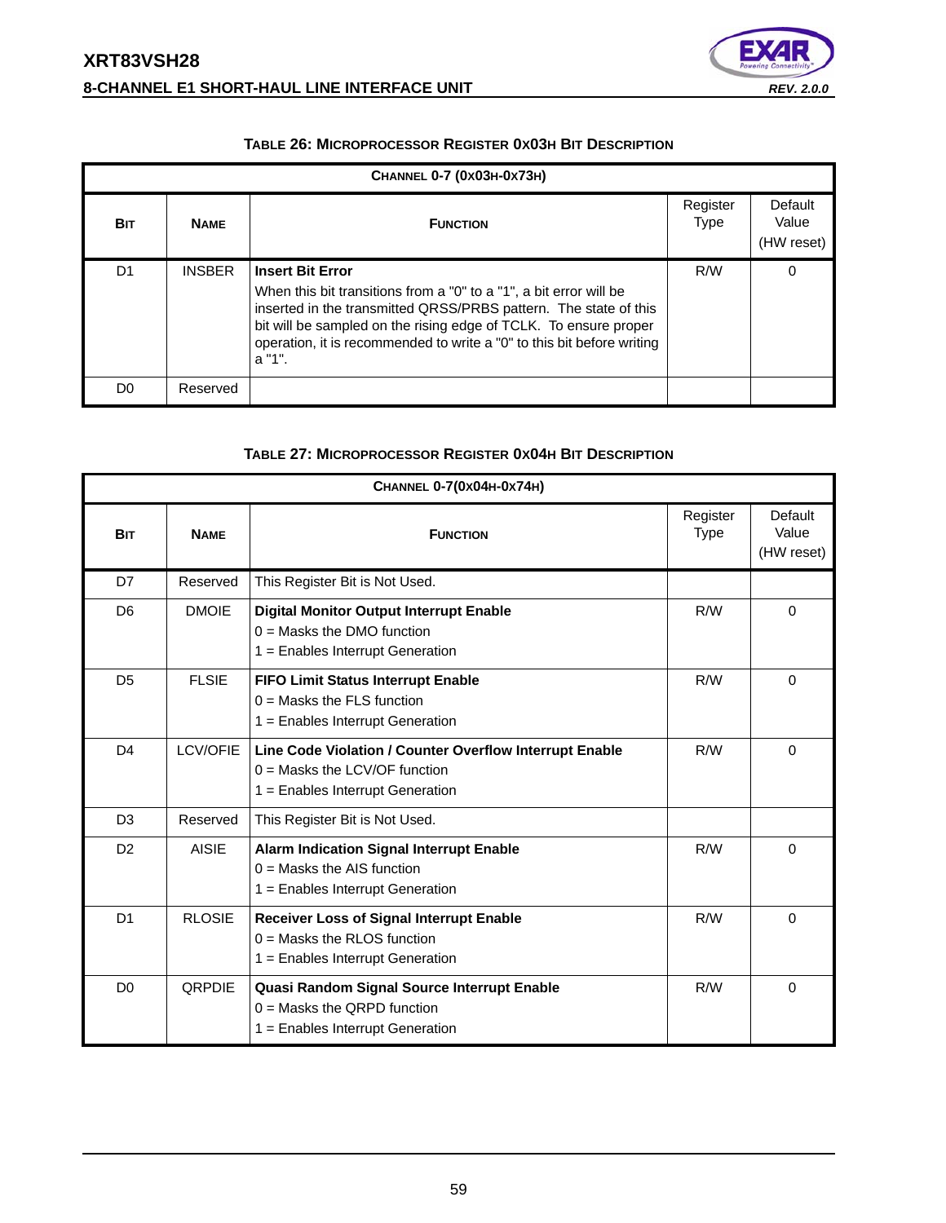# **XRT83VSH28 8-CHANNEL E1 SHORT-HAUL LINE INTERFACE UNIT** *REV. 2.0.0*



#### **TABLE 26: MICROPROCESSOR REGISTER 0X03H BIT DESCRIPTION**

|            | CHANNEL 0-7 (0X03H-0X73H) |                                                                                                                                                                                                                                                                                                                           |                         |                                |  |  |  |  |  |  |  |
|------------|---------------------------|---------------------------------------------------------------------------------------------------------------------------------------------------------------------------------------------------------------------------------------------------------------------------------------------------------------------------|-------------------------|--------------------------------|--|--|--|--|--|--|--|
| <b>BIT</b> | <b>NAME</b>               | <b>FUNCTION</b>                                                                                                                                                                                                                                                                                                           | Register<br><b>Type</b> | Default<br>Value<br>(HW reset) |  |  |  |  |  |  |  |
| D1         | <b>INSBER</b>             | <b>Insert Bit Error</b><br>When this bit transitions from a "0" to a "1", a bit error will be<br>inserted in the transmitted QRSS/PRBS pattern. The state of this<br>bit will be sampled on the rising edge of TCLK. To ensure proper<br>operation, it is recommended to write a "0" to this bit before writing<br>a "1". | R/W                     | 0                              |  |  |  |  |  |  |  |
| D0         | Reserved                  |                                                                                                                                                                                                                                                                                                                           |                         |                                |  |  |  |  |  |  |  |

#### **TABLE 27: MICROPROCESSOR REGISTER 0X04H BIT DESCRIPTION**

|                |               | CHANNEL 0-7(0x04H-0x74H)                                                                                                         |                         |                                |  |  |  |
|----------------|---------------|----------------------------------------------------------------------------------------------------------------------------------|-------------------------|--------------------------------|--|--|--|
| <b>BIT</b>     | <b>NAME</b>   | <b>FUNCTION</b>                                                                                                                  | Register<br><b>Type</b> | Default<br>Value<br>(HW reset) |  |  |  |
| D7             | Reserved      | This Register Bit is Not Used.                                                                                                   |                         |                                |  |  |  |
| D <sub>6</sub> | <b>DMOIE</b>  | <b>Digital Monitor Output Interrupt Enable</b><br>$0 =$ Masks the DMO function<br>1 = Enables Interrupt Generation               | R/W                     | $\Omega$                       |  |  |  |
| D <sub>5</sub> | <b>FLSIE</b>  | <b>FIFO Limit Status Interrupt Enable</b><br>$0 =$ Masks the FLS function<br>1 = Enables Interrupt Generation                    | R/W                     | $\Omega$                       |  |  |  |
| D <sub>4</sub> | LCV/OFIE      | Line Code Violation / Counter Overflow Interrupt Enable<br>$0 =$ Masks the LCV/OF function<br>$1 =$ Enables Interrupt Generation | R/W                     | $\Omega$                       |  |  |  |
| D <sub>3</sub> | Reserved      | This Register Bit is Not Used.                                                                                                   |                         |                                |  |  |  |
| D <sub>2</sub> | <b>AISIE</b>  | <b>Alarm Indication Signal Interrupt Enable</b><br>$0 =$ Masks the AIS function<br>1 = Enables Interrupt Generation              | R/W                     | 0                              |  |  |  |
| D <sub>1</sub> | <b>RLOSIE</b> | <b>Receiver Loss of Signal Interrupt Enable</b><br>$0 =$ Masks the RLOS function<br>$1 =$ Enables Interrupt Generation           | R/W                     | $\Omega$                       |  |  |  |
| D <sub>0</sub> | <b>ORPDIE</b> | Quasi Random Signal Source Interrupt Enable<br>$0 =$ Masks the QRPD function<br>$1 =$ Enables Interrupt Generation               | R/W                     | 0                              |  |  |  |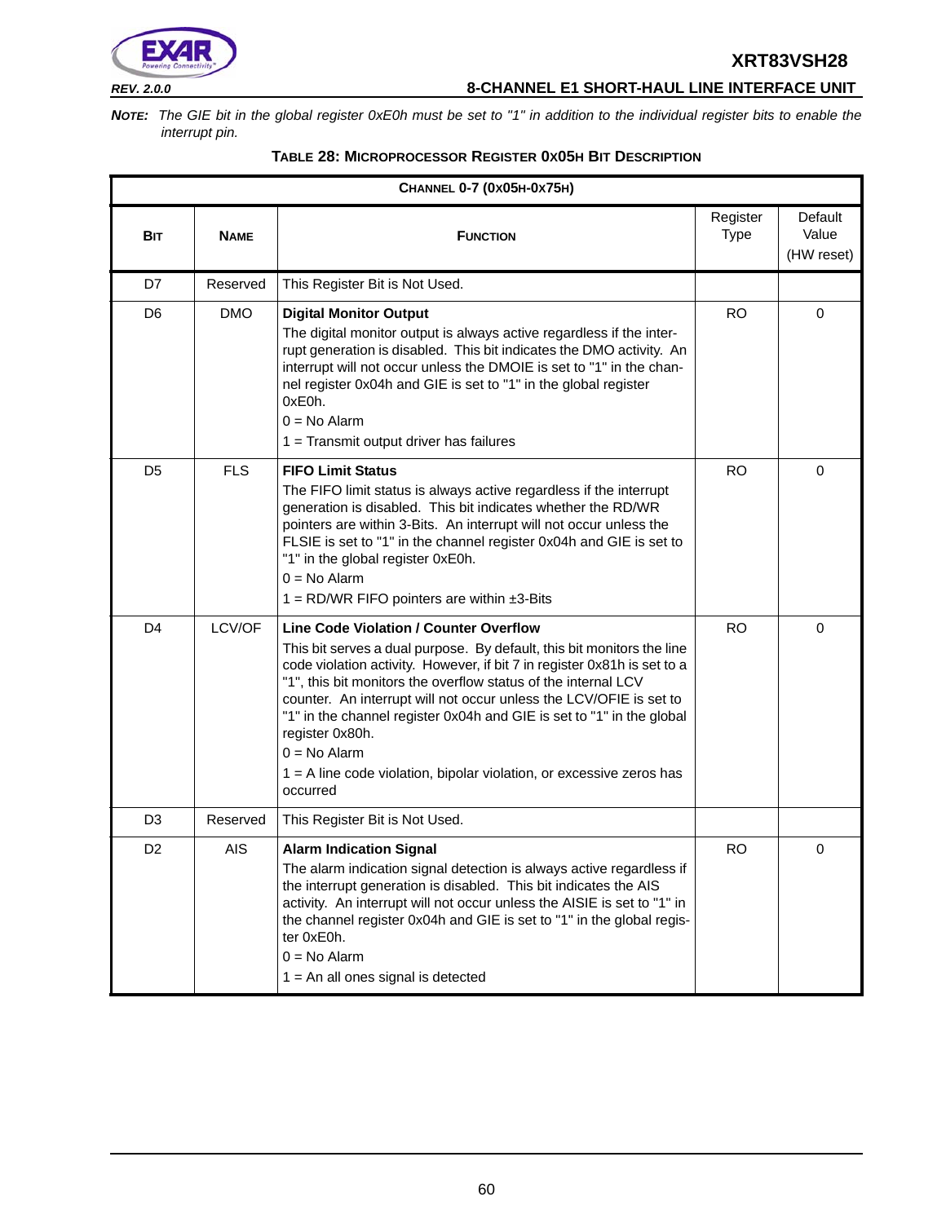

# *REV. 2.0.0* **8-CHANNEL E1 SHORT-HAUL LINE INTERFACE UNIT**

*NOTE: The GIE bit in the global register 0xE0h must be set to "1" in addition to the individual register bits to enable the interrupt pin.*

| CHANNEL 0-7 (0x05H-0x75H) |             |                                                                                                                                                                                                                                                                                                                                                                                                                                                                                                                                                 |                         |                                |  |  |  |
|---------------------------|-------------|-------------------------------------------------------------------------------------------------------------------------------------------------------------------------------------------------------------------------------------------------------------------------------------------------------------------------------------------------------------------------------------------------------------------------------------------------------------------------------------------------------------------------------------------------|-------------------------|--------------------------------|--|--|--|
| Bit                       | <b>NAME</b> | <b>FUNCTION</b>                                                                                                                                                                                                                                                                                                                                                                                                                                                                                                                                 | Register<br><b>Type</b> | Default<br>Value<br>(HW reset) |  |  |  |
| D7                        | Reserved    | This Register Bit is Not Used.                                                                                                                                                                                                                                                                                                                                                                                                                                                                                                                  |                         |                                |  |  |  |
| D <sub>6</sub>            | <b>DMO</b>  | <b>Digital Monitor Output</b><br>The digital monitor output is always active regardless if the inter-<br>rupt generation is disabled. This bit indicates the DMO activity. An<br>interrupt will not occur unless the DMOIE is set to "1" in the chan-<br>nel register 0x04h and GIE is set to "1" in the global register<br>0xE0h.<br>$0 = No$ Alarm<br>1 = Transmit output driver has failures                                                                                                                                                 | <b>RO</b>               | $\mathbf 0$                    |  |  |  |
| D <sub>5</sub>            | <b>FLS</b>  | <b>FIFO Limit Status</b><br>The FIFO limit status is always active regardless if the interrupt<br>generation is disabled. This bit indicates whether the RD/WR<br>pointers are within 3-Bits. An interrupt will not occur unless the<br>FLSIE is set to "1" in the channel register 0x04h and GIE is set to<br>"1" in the global register 0xE0h.<br>$0 = No$ Alarm<br>1 = RD/WR FIFO pointers are within $\pm 3$ -Bits                                                                                                                          | <b>RO</b>               | $\mathbf 0$                    |  |  |  |
| D <sub>4</sub>            | LCV/OF      | <b>Line Code Violation / Counter Overflow</b><br>This bit serves a dual purpose. By default, this bit monitors the line<br>code violation activity. However, if bit 7 in register 0x81h is set to a<br>"1", this bit monitors the overflow status of the internal LCV<br>counter. An interrupt will not occur unless the LCV/OFIE is set to<br>"1" in the channel register 0x04h and GIE is set to "1" in the global<br>register 0x80h.<br>$0 = No$ Alarm<br>$1 = A$ line code violation, bipolar violation, or excessive zeros has<br>occurred | <b>RO</b>               | $\mathbf 0$                    |  |  |  |
| D3                        | Reserved    | This Register Bit is Not Used.                                                                                                                                                                                                                                                                                                                                                                                                                                                                                                                  |                         |                                |  |  |  |
| D <sub>2</sub>            | AIS         | <b>Alarm Indication Signal</b><br>The alarm indication signal detection is always active regardless if<br>the interrupt generation is disabled. This bit indicates the AIS<br>activity. An interrupt will not occur unless the AISIE is set to "1" in<br>the channel register 0x04h and GIE is set to "1" in the global regis-<br>ter 0xE0h.<br>$0 = No$ Alarm<br>$1 = An$ all ones signal is detected                                                                                                                                          | <b>RO</b>               | 0                              |  |  |  |

### **TABLE 28: MICROPROCESSOR REGISTER 0X05H BIT DESCRIPTION**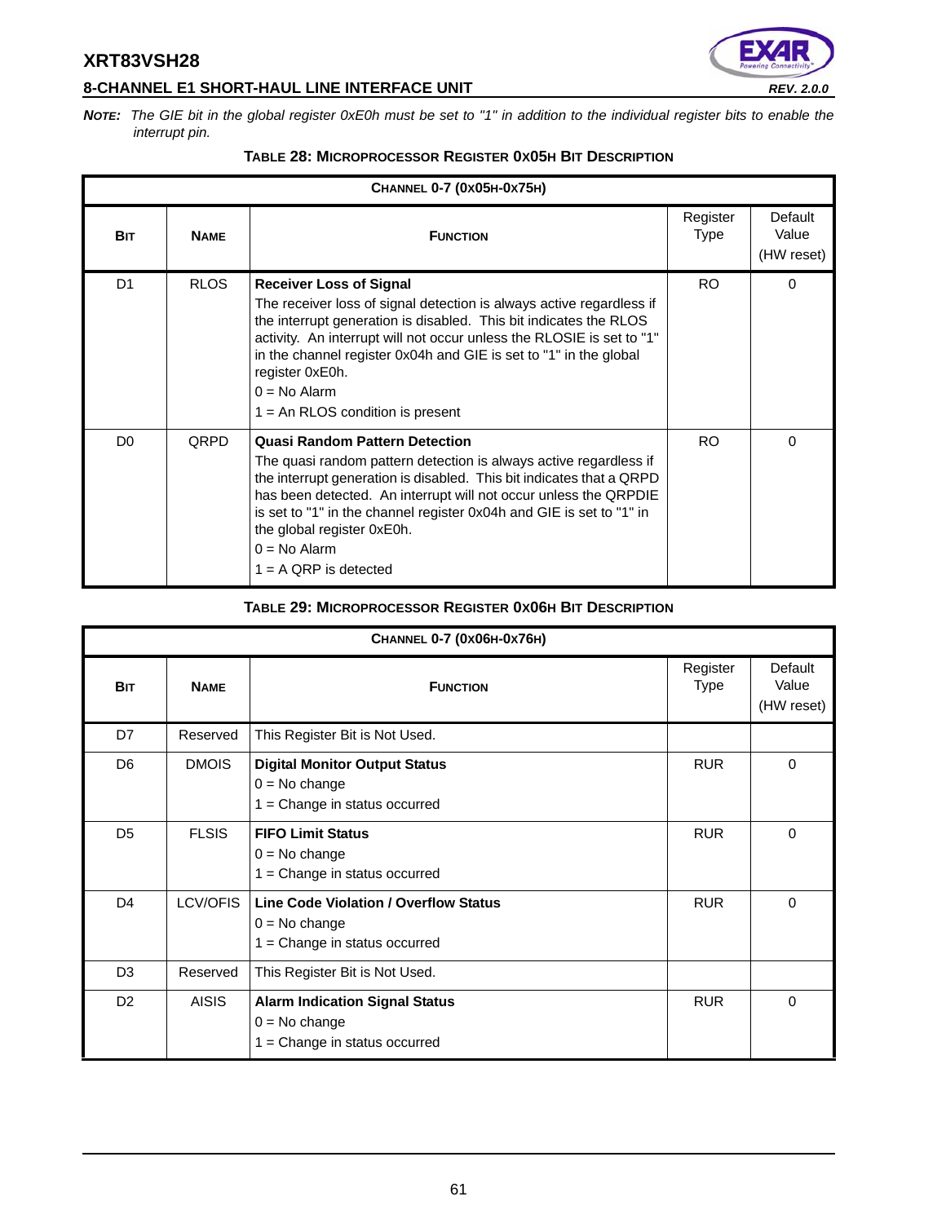# **8-CHANNEL E1 SHORT-HAUL LINE INTERFACE UNIT** *REV. 2.0.0*



*NOTE: The GIE bit in the global register 0xE0h must be set to "1" in addition to the individual register bits to enable the interrupt pin.*

| CHANNEL 0-7 (0x05H-0x75H) |             |                                                                                                                                                                                                                                                                                                                                                                                                           |                         |                                |  |
|---------------------------|-------------|-----------------------------------------------------------------------------------------------------------------------------------------------------------------------------------------------------------------------------------------------------------------------------------------------------------------------------------------------------------------------------------------------------------|-------------------------|--------------------------------|--|
| <b>BIT</b>                | <b>NAME</b> | <b>FUNCTION</b>                                                                                                                                                                                                                                                                                                                                                                                           | Register<br><b>Type</b> | Default<br>Value<br>(HW reset) |  |
| D <sub>1</sub>            | <b>RLOS</b> | <b>Receiver Loss of Signal</b><br>The receiver loss of signal detection is always active regardless if<br>the interrupt generation is disabled. This bit indicates the RLOS<br>activity. An interrupt will not occur unless the RLOSIE is set to "1"<br>in the channel register 0x04h and GIE is set to "1" in the global<br>register 0xE0h.<br>$0 = No$ Alarm<br>$1 = An RLOS condition is present$      | RO.                     | $\Omega$                       |  |
| D <sub>0</sub>            | <b>QRPD</b> | <b>Quasi Random Pattern Detection</b><br>The quasi random pattern detection is always active regardless if<br>the interrupt generation is disabled. This bit indicates that a QRPD<br>has been detected. An interrupt will not occur unless the QRPDIE<br>is set to "1" in the channel register 0x04h and GIE is set to "1" in<br>the global register 0xE0h.<br>$0 = No$ Alarm<br>$1 = A$ ORP is detected | RO.                     | $\Omega$                       |  |

# **TABLE 28: MICROPROCESSOR REGISTER 0X05H BIT DESCRIPTION**

#### **TABLE 29: MICROPROCESSOR REGISTER 0X06H BIT DESCRIPTION**

| CHANNEL 0-7 (0x06H-0x76H) |              |                                                                                                |                  |                                |  |
|---------------------------|--------------|------------------------------------------------------------------------------------------------|------------------|--------------------------------|--|
| <b>BIT</b>                | <b>NAME</b>  | <b>FUNCTION</b>                                                                                | Register<br>Type | Default<br>Value<br>(HW reset) |  |
| D7                        | Reserved     | This Register Bit is Not Used.                                                                 |                  |                                |  |
| D <sub>6</sub>            | <b>DMOIS</b> | <b>Digital Monitor Output Status</b><br>$0 = No change$<br>$1 =$ Change in status occurred     | <b>RUR</b>       | $\mathbf 0$                    |  |
| D <sub>5</sub>            | <b>FLSIS</b> | <b>FIFO Limit Status</b><br>$0 = No change$<br>$1 =$ Change in status occurred                 | <b>RUR</b>       | 0                              |  |
| D <sub>4</sub>            | LCV/OFIS     | <b>Line Code Violation / Overflow Status</b><br>$0 = No change$<br>= Change in status occurred | <b>RUR</b>       | $\Omega$                       |  |
| D <sub>3</sub>            | Reserved     | This Register Bit is Not Used.                                                                 |                  |                                |  |
| D <sub>2</sub>            | <b>AISIS</b> | <b>Alarm Indication Signal Status</b><br>$0 = No$ change<br>$1 =$ Change in status occurred    | <b>RUR</b>       | $\Omega$                       |  |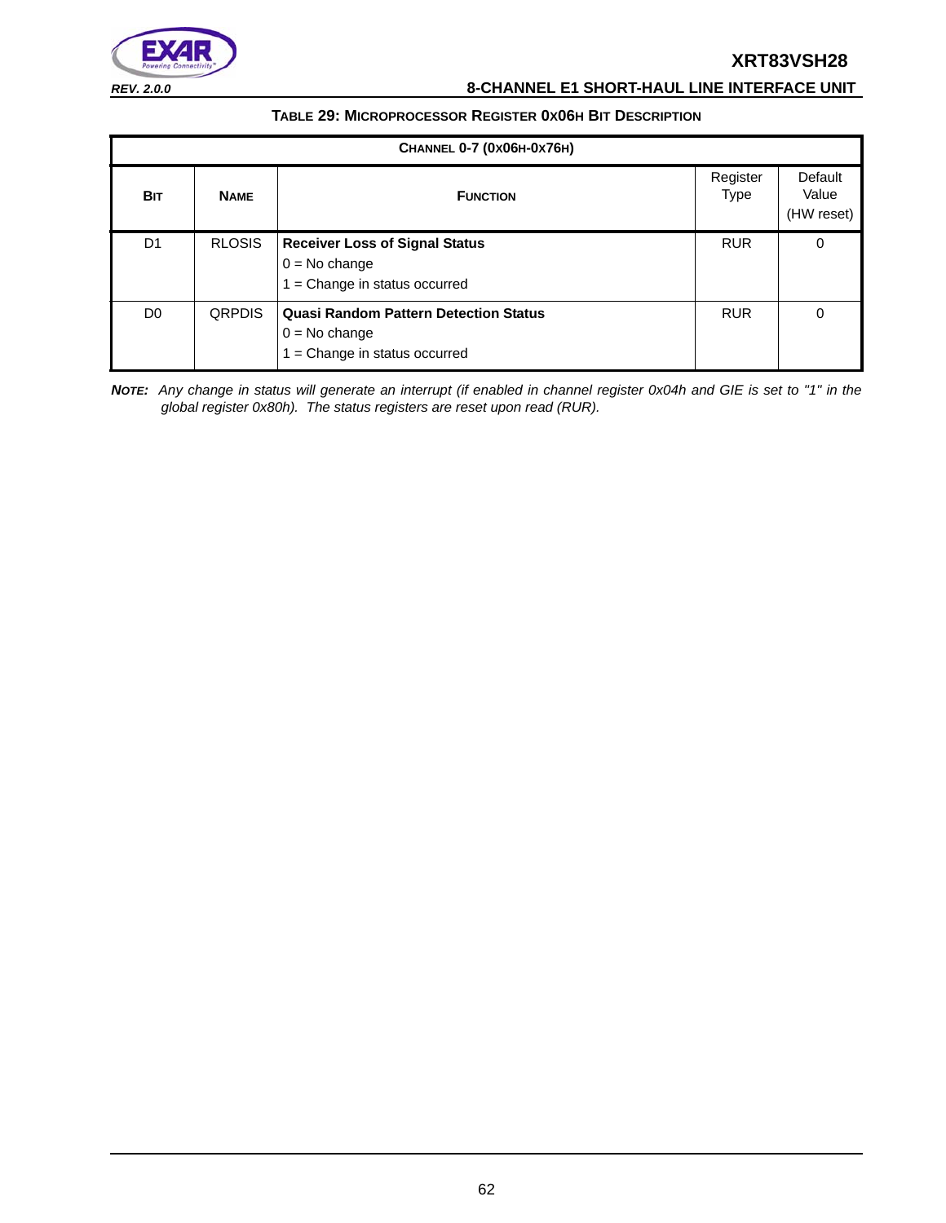

*REV. 2.0.0* **8-CHANNEL E1 SHORT-HAUL LINE INTERFACE UNIT**

#### **TABLE 29: MICROPROCESSOR REGISTER 0X06H BIT DESCRIPTION**

| CHANNEL 0-7 (0x06H-0x76H) |               |                                                                                                |                         |                                |  |
|---------------------------|---------------|------------------------------------------------------------------------------------------------|-------------------------|--------------------------------|--|
| <b>BIT</b>                | <b>NAME</b>   | <b>FUNCTION</b>                                                                                | Register<br><b>Type</b> | Default<br>Value<br>(HW reset) |  |
| D1                        | <b>RLOSIS</b> | <b>Receiver Loss of Signal Status</b><br>$0 = No change$<br>$1 = Change$ in status occurred    | <b>RUR</b>              | 0                              |  |
| D <sub>0</sub>            | <b>QRPDIS</b> | <b>Quasi Random Pattern Detection Status</b><br>$0 = No change$<br>= Change in status occurred | <b>RUR</b>              | 0                              |  |

*NOTE: Any change in status will generate an interrupt (if enabled in channel register 0x04h and GIE is set to "1" in the global register 0x80h). The status registers are reset upon read (RUR).*

62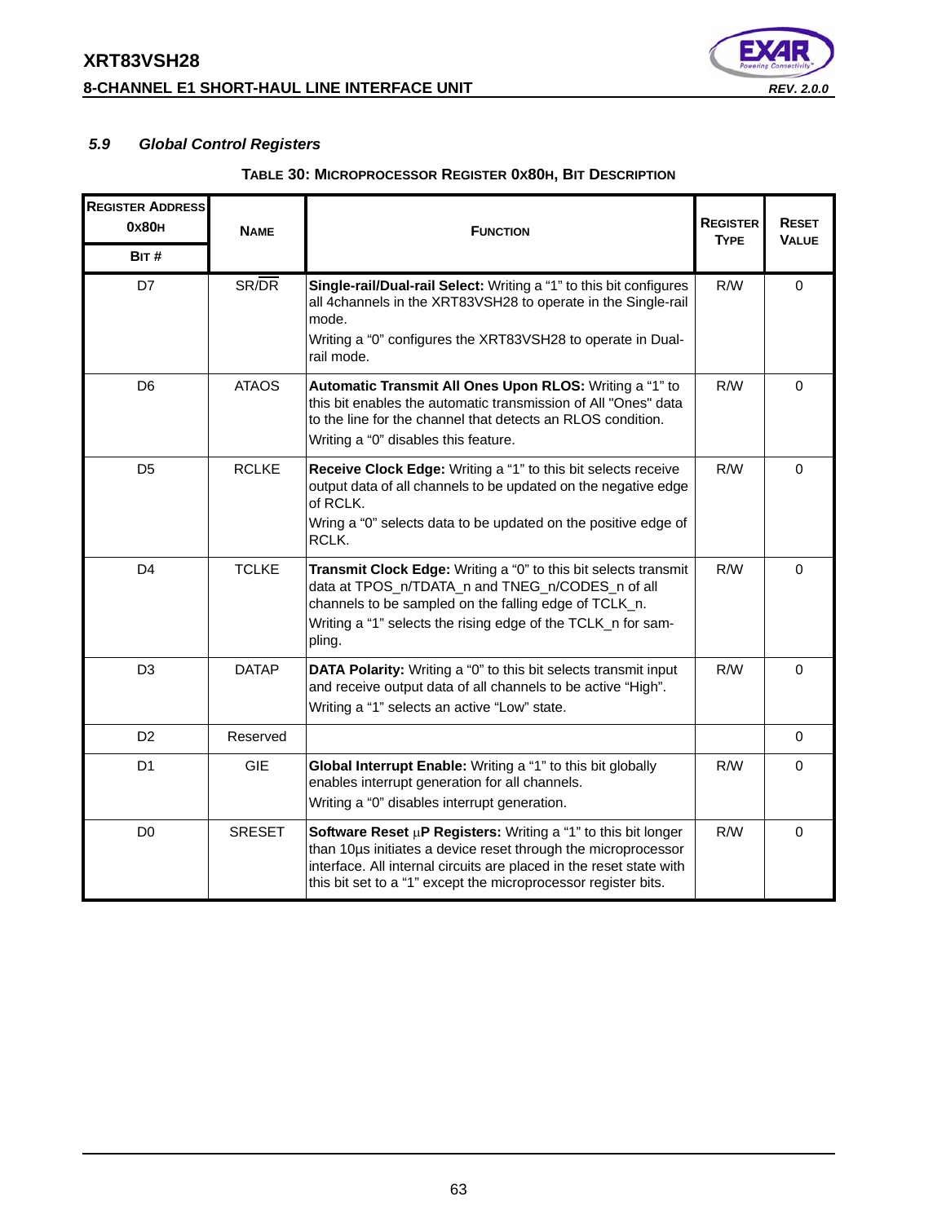# **XRT83VSH28 8-CHANNEL E1 SHORT-HAUL LINE INTERFACE UNIT** *REV. 2.0.0*



# *5.9 Global Control Registers*

| <b>REGISTER ADDRESS</b><br>0x80 <sub>H</sub><br>BIT# | <b>NAME</b>   | <b>FUNCTION</b>                                                                                                                                                                                                                                                              | <b>REGISTER</b><br><b>TYPE</b> | <b>RESET</b><br><b>VALUE</b> |
|------------------------------------------------------|---------------|------------------------------------------------------------------------------------------------------------------------------------------------------------------------------------------------------------------------------------------------------------------------------|--------------------------------|------------------------------|
| D7                                                   | SR/DR         | Single-rail/Dual-rail Select: Writing a "1" to this bit configures<br>all 4channels in the XRT83VSH28 to operate in the Single-rail<br>mode.<br>Writing a "0" configures the XRT83VSH28 to operate in Dual-<br>rail mode.                                                    | R/W                            | $\mathbf 0$                  |
| D <sub>6</sub>                                       | <b>ATAOS</b>  | Automatic Transmit All Ones Upon RLOS: Writing a "1" to<br>this bit enables the automatic transmission of All "Ones" data<br>to the line for the channel that detects an RLOS condition.<br>Writing a "0" disables this feature.                                             | R/W                            | $\mathbf 0$                  |
| D <sub>5</sub>                                       | <b>RCLKE</b>  | Receive Clock Edge: Writing a "1" to this bit selects receive<br>output data of all channels to be updated on the negative edge<br>of RCLK.<br>Wring a "0" selects data to be updated on the positive edge of<br>RCLK.                                                       | R/W                            | $\mathbf 0$                  |
| D <sub>4</sub>                                       | <b>TCLKE</b>  | Transmit Clock Edge: Writing a "0" to this bit selects transmit<br>data at TPOS_n/TDATA_n and TNEG_n/CODES_n of all<br>channels to be sampled on the falling edge of TCLK_n.<br>Writing a "1" selects the rising edge of the TCLK n for sam-<br>pling.                       | R/W                            | $\Omega$                     |
| D <sub>3</sub>                                       | <b>DATAP</b>  | <b>DATA Polarity:</b> Writing a "0" to this bit selects transmit input<br>and receive output data of all channels to be active "High".<br>Writing a "1" selects an active "Low" state.                                                                                       | R/W                            | $\Omega$                     |
| D <sub>2</sub>                                       | Reserved      |                                                                                                                                                                                                                                                                              |                                | $\mathbf 0$                  |
| D <sub>1</sub>                                       | <b>GIE</b>    | Global Interrupt Enable: Writing a "1" to this bit globally<br>enables interrupt generation for all channels.<br>Writing a "0" disables interrupt generation.                                                                                                                | R/W                            | 0                            |
| D <sub>0</sub>                                       | <b>SRESET</b> | Software Reset $\mu$ P Registers: Writing a "1" to this bit longer<br>than 10us initiates a device reset through the microprocessor<br>interface. All internal circuits are placed in the reset state with<br>this bit set to a "1" except the microprocessor register bits. | R/W                            | $\Omega$                     |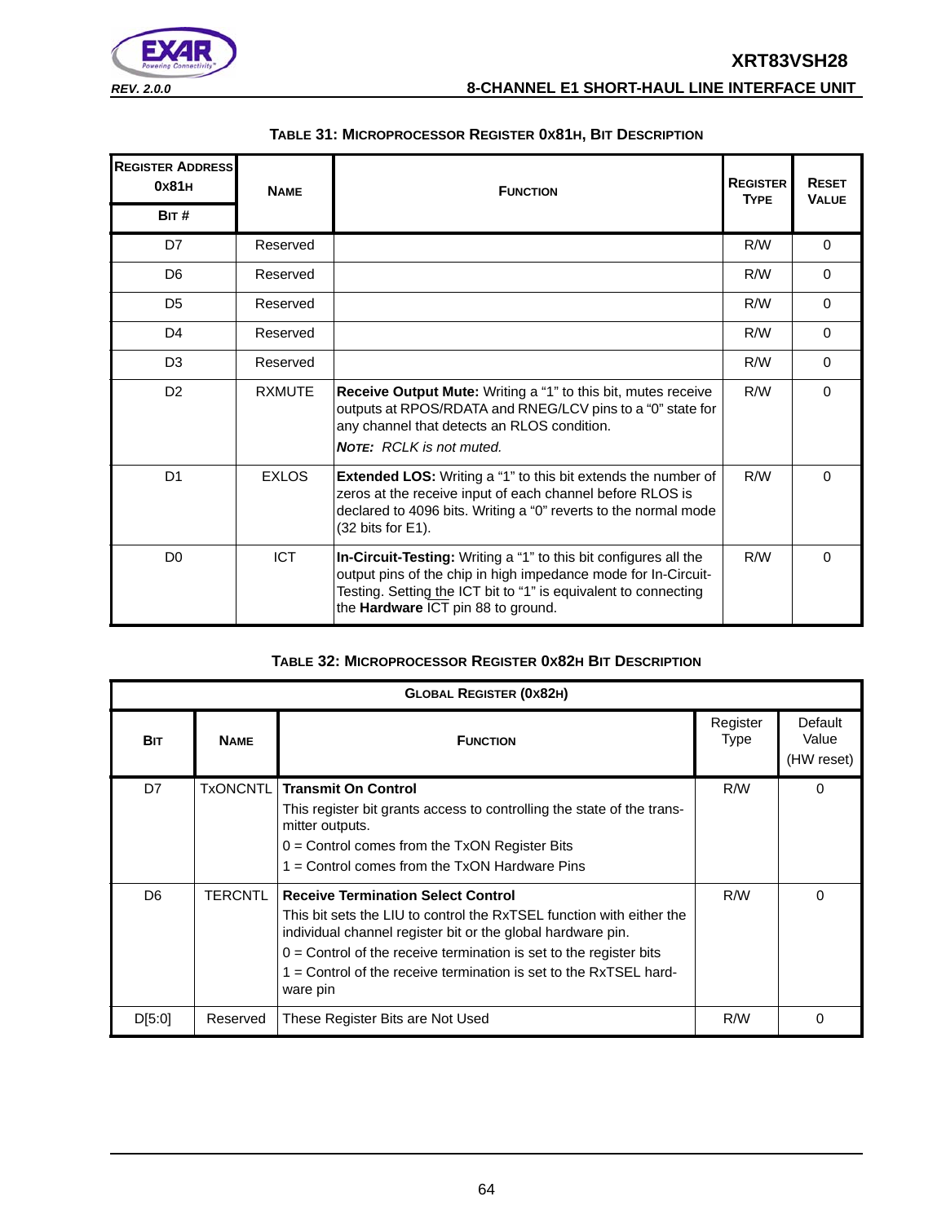

| <b>REGISTER ADDRESS</b><br>0x81H<br>BIT# | <b>NAME</b>   | <b>FUNCTION</b>                                                                                                                                                                                                                             | <b>REGISTER</b><br><b>TYPE</b> | <b>RESET</b><br><b>VALUE</b> |
|------------------------------------------|---------------|---------------------------------------------------------------------------------------------------------------------------------------------------------------------------------------------------------------------------------------------|--------------------------------|------------------------------|
| D7                                       | Reserved      |                                                                                                                                                                                                                                             | R/W                            | $\Omega$                     |
| D <sub>6</sub>                           | Reserved      |                                                                                                                                                                                                                                             | R/W                            | $\Omega$                     |
| D <sub>5</sub>                           | Reserved      |                                                                                                                                                                                                                                             | R/W                            | $\Omega$                     |
| D <sub>4</sub>                           | Reserved      |                                                                                                                                                                                                                                             | R/W                            | $\Omega$                     |
| D <sub>3</sub>                           | Reserved      |                                                                                                                                                                                                                                             | R/W                            | $\Omega$                     |
| D <sub>2</sub>                           | <b>RXMUTE</b> | Receive Output Mute: Writing a "1" to this bit, mutes receive<br>outputs at RPOS/RDATA and RNEG/LCV pins to a "0" state for<br>any channel that detects an RLOS condition.<br><b>NOTE:</b> RCLK is not muted.                               | R/W                            | $\Omega$                     |
| D <sub>1</sub>                           | <b>EXLOS</b>  | <b>Extended LOS:</b> Writing a "1" to this bit extends the number of<br>zeros at the receive input of each channel before RLOS is<br>declared to 4096 bits. Writing a "0" reverts to the normal mode<br>$(32 \text{ bits for } E1)$ .       | R/W                            | $\Omega$                     |
| D <sub>0</sub>                           | <b>ICT</b>    | In-Circuit-Testing: Writing a "1" to this bit configures all the<br>output pins of the chip in high impedance mode for In-Circuit-<br>Testing. Setting the ICT bit to "1" is equivalent to connecting<br>the Hardware ICT pin 88 to ground. | R/W                            | $\Omega$                     |

#### **TABLE 31: MICROPROCESSOR REGISTER 0X81H, BIT DESCRIPTION**

#### **TABLE 32: MICROPROCESSOR REGISTER 0X82H BIT DESCRIPTION**

| <b>GLOBAL REGISTER (0x82H)</b> |                 |                                                                                                                                                                                                                                                                                                                                             |                         |                                |  |
|--------------------------------|-----------------|---------------------------------------------------------------------------------------------------------------------------------------------------------------------------------------------------------------------------------------------------------------------------------------------------------------------------------------------|-------------------------|--------------------------------|--|
| <b>BIT</b>                     | <b>NAME</b>     | <b>FUNCTION</b>                                                                                                                                                                                                                                                                                                                             | Register<br><b>Type</b> | Default<br>Value<br>(HW reset) |  |
| D7                             | <b>TxONCNTL</b> | <b>Transmit On Control</b><br>This register bit grants access to controlling the state of the trans-<br>mitter outputs.<br>$0 =$ Control comes from the TxON Register Bits<br>$1 =$ Control comes from the TxON Hardware Pins                                                                                                               | R/W                     | $\Omega$                       |  |
| D <sub>6</sub>                 | <b>TERCNTL</b>  | <b>Receive Termination Select Control</b><br>This bit sets the LIU to control the RxTSEL function with either the<br>individual channel register bit or the global hardware pin.<br>$0 =$ Control of the receive termination is set to the register bits<br>$1 =$ Control of the receive termination is set to the RxTSEL hard-<br>ware pin | R/W                     | $\Omega$                       |  |
| D[5:0]                         | Reserved        | These Register Bits are Not Used                                                                                                                                                                                                                                                                                                            | R/W                     | 0                              |  |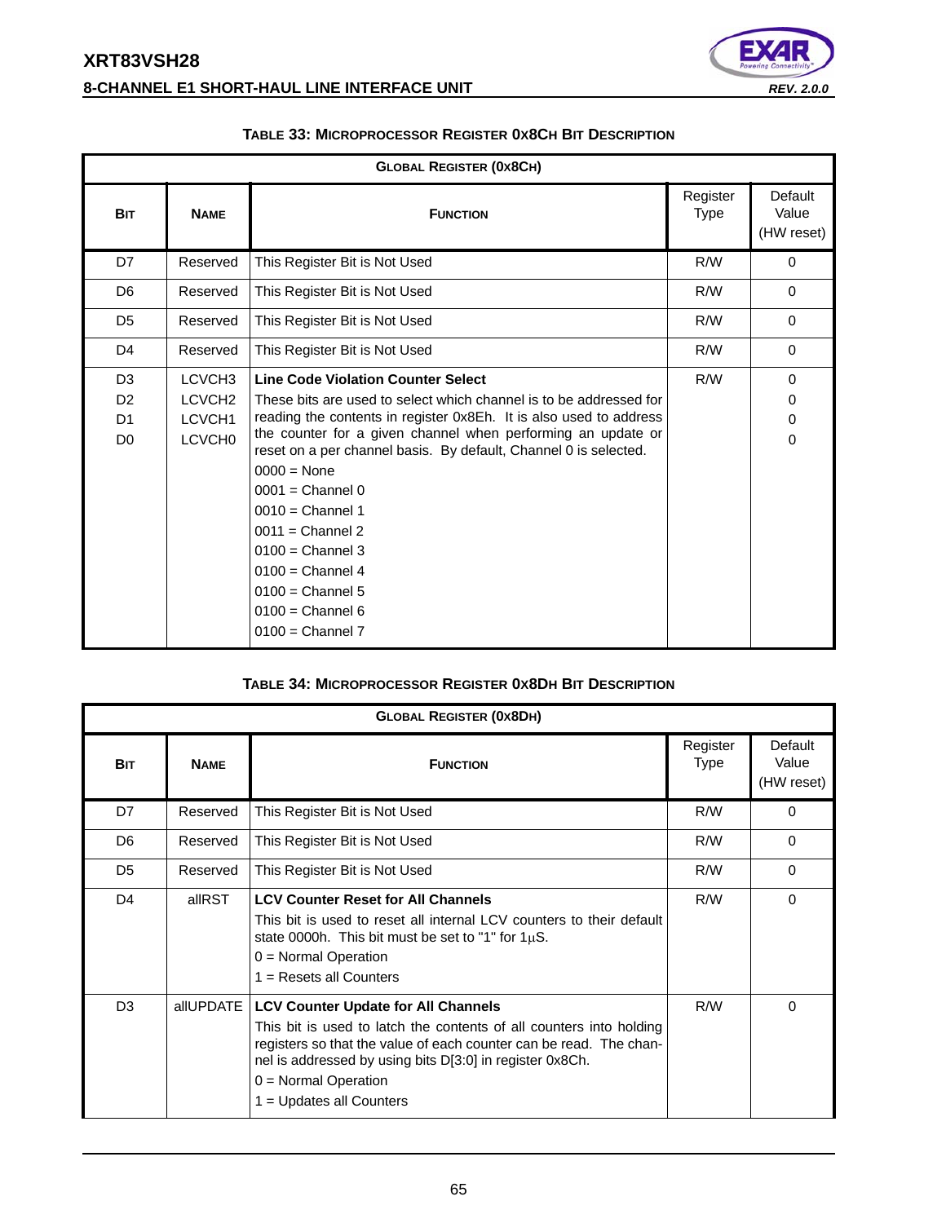# **XRT83VSH28 8-CHANNEL E1 SHORT-HAUL LINE INTERFACE UNIT** *REV. 2.0.0*



| <b>GLOBAL REGISTER (0x8CH)</b>                                       |                                                                                 |                                                                                                                                                                                                                                                                                                                                                                                                                                                                                                                                   |                         |                                |
|----------------------------------------------------------------------|---------------------------------------------------------------------------------|-----------------------------------------------------------------------------------------------------------------------------------------------------------------------------------------------------------------------------------------------------------------------------------------------------------------------------------------------------------------------------------------------------------------------------------------------------------------------------------------------------------------------------------|-------------------------|--------------------------------|
| <b>BIT</b>                                                           | <b>NAME</b>                                                                     | <b>FUNCTION</b>                                                                                                                                                                                                                                                                                                                                                                                                                                                                                                                   | Register<br><b>Type</b> | Default<br>Value<br>(HW reset) |
| D7                                                                   | Reserved                                                                        | This Register Bit is Not Used                                                                                                                                                                                                                                                                                                                                                                                                                                                                                                     | R/W                     | $\mathbf 0$                    |
| D <sub>6</sub>                                                       | Reserved                                                                        | This Register Bit is Not Used                                                                                                                                                                                                                                                                                                                                                                                                                                                                                                     | R/W                     | $\Omega$                       |
| D <sub>5</sub>                                                       | Reserved                                                                        | This Register Bit is Not Used                                                                                                                                                                                                                                                                                                                                                                                                                                                                                                     | R/W                     | $\Omega$                       |
| D <sub>4</sub>                                                       | Reserved                                                                        | This Register Bit is Not Used                                                                                                                                                                                                                                                                                                                                                                                                                                                                                                     | R/W                     | $\Omega$                       |
| D <sub>3</sub><br>D <sub>2</sub><br>D <sub>1</sub><br>D <sub>0</sub> | LCVCH <sub>3</sub><br>LCVCH <sub>2</sub><br><b>LCVCH1</b><br>LCVCH <sub>0</sub> | <b>Line Code Violation Counter Select</b><br>These bits are used to select which channel is to be addressed for<br>reading the contents in register 0x8Eh. It is also used to address<br>the counter for a given channel when performing an update or<br>reset on a per channel basis. By default, Channel 0 is selected.<br>$0000 = \text{None}$<br>$0001$ = Channel 0<br>$0010 =$ Channel 1<br>$0011$ = Channel 2<br>$0100 =$ Channel 3<br>$0100 =$ Channel 4<br>$0100 =$ Channel 5<br>$0100 =$ Channel 6<br>$0100 =$ Channel 7 | R/W                     | $\Omega$<br>0<br>0<br>$\Omega$ |

#### **TABLE 33: MICROPROCESSOR REGISTER 0X8CH BIT DESCRIPTION**

#### **TABLE 34: MICROPROCESSOR REGISTER 0X8DH BIT DESCRIPTION**

| <b>GLOBAL REGISTER (0x8DH)</b> |             |                                                                                                                                                                                                                                                                                                             |                         |                                |  |
|--------------------------------|-------------|-------------------------------------------------------------------------------------------------------------------------------------------------------------------------------------------------------------------------------------------------------------------------------------------------------------|-------------------------|--------------------------------|--|
| <b>BIT</b>                     | <b>NAME</b> | <b>FUNCTION</b>                                                                                                                                                                                                                                                                                             | Register<br><b>Type</b> | Default<br>Value<br>(HW reset) |  |
| D7                             | Reserved    | This Register Bit is Not Used                                                                                                                                                                                                                                                                               | R/W                     | $\Omega$                       |  |
| D <sub>6</sub>                 | Reserved    | This Register Bit is Not Used                                                                                                                                                                                                                                                                               | R/W                     | $\Omega$                       |  |
| D <sub>5</sub>                 | Reserved    | This Register Bit is Not Used                                                                                                                                                                                                                                                                               | R/W                     | $\Omega$                       |  |
| D <sub>4</sub>                 | allRST      | <b>LCV Counter Reset for All Channels</b><br>This bit is used to reset all internal LCV counters to their default<br>state 0000h. This bit must be set to "1" for $1\mu$ S.<br>$0 =$ Normal Operation<br>$1 =$ Resets all Counters                                                                          | R/W                     | $\Omega$                       |  |
| D <sub>3</sub>                 | allUPDATE   | <b>LCV Counter Update for All Channels</b><br>This bit is used to latch the contents of all counters into holding<br>registers so that the value of each counter can be read. The chan-<br>nel is addressed by using bits D[3:0] in register 0x8Ch.<br>$0 =$ Normal Operation<br>$1 =$ Updates all Counters | R/W                     | 0                              |  |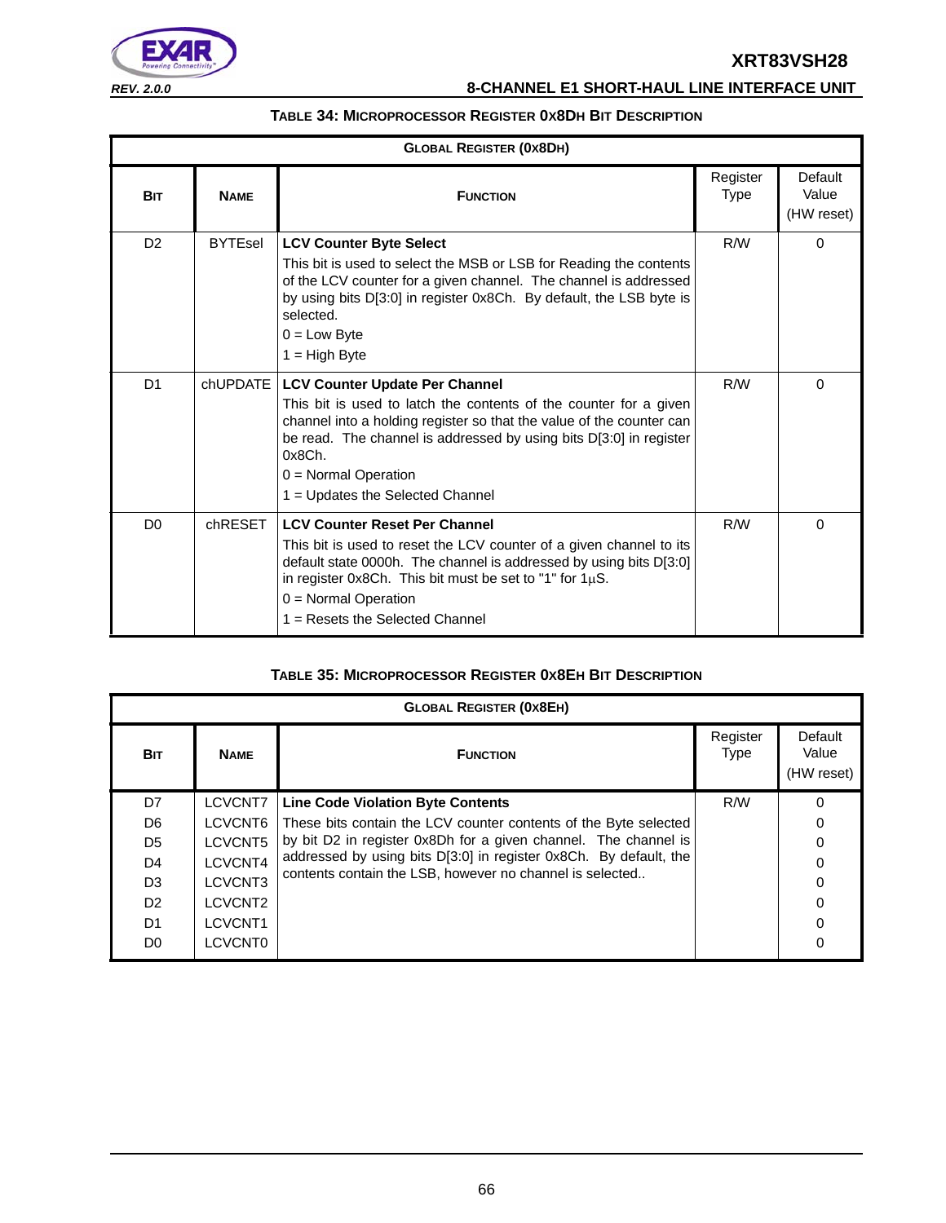

*REV. 2.0.0* **8-CHANNEL E1 SHORT-HAUL LINE INTERFACE UNIT**

#### **TABLE 34: MICROPROCESSOR REGISTER 0X8DH BIT DESCRIPTION**

| <b>GLOBAL REGISTER (0x8DH)</b> |                |                                                                                                                                                                                                                                                                                                                                  |                         |                                |
|--------------------------------|----------------|----------------------------------------------------------------------------------------------------------------------------------------------------------------------------------------------------------------------------------------------------------------------------------------------------------------------------------|-------------------------|--------------------------------|
| <b>BIT</b>                     | <b>NAME</b>    | <b>FUNCTION</b>                                                                                                                                                                                                                                                                                                                  | Register<br><b>Type</b> | Default<br>Value<br>(HW reset) |
| D <sub>2</sub>                 | <b>BYTEsel</b> | <b>LCV Counter Byte Select</b><br>This bit is used to select the MSB or LSB for Reading the contents<br>of the LCV counter for a given channel. The channel is addressed<br>by using bits D[3:0] in register 0x8Ch. By default, the LSB byte is<br>selected.<br>$0 = Low$ Byte<br>$1 = High Byte$                                | R/W                     | $\Omega$                       |
| D <sub>1</sub>                 | chUPDATE       | <b>LCV Counter Update Per Channel</b><br>This bit is used to latch the contents of the counter for a given<br>channel into a holding register so that the value of the counter can<br>be read. The channel is addressed by using bits D[3:0] in register<br>0x8Ch.<br>$0 =$ Normal Operation<br>1 = Updates the Selected Channel | R/W                     | 0                              |
| D <sub>0</sub>                 | chRESET        | <b>LCV Counter Reset Per Channel</b><br>This bit is used to reset the LCV counter of a given channel to its<br>default state 0000h. The channel is addressed by using bits D[3:0]<br>in register 0x8Ch. This bit must be set to "1" for $1\mu$ S.<br>$0 =$ Normal Operation<br>$1 =$ Resets the Selected Channel                 | R/W                     | $\Omega$                       |

#### **TABLE 35: MICROPROCESSOR REGISTER 0X8EH BIT DESCRIPTION**

| <b>GLOBAL REGISTER (0X8EH)</b> |                     |                                                                   |                         |                                |  |  |  |  |
|--------------------------------|---------------------|-------------------------------------------------------------------|-------------------------|--------------------------------|--|--|--|--|
| <b>BIT</b>                     | <b>NAME</b>         | <b>FUNCTION</b>                                                   | Register<br><b>Type</b> | Default<br>Value<br>(HW reset) |  |  |  |  |
| D7                             | LCVCNT7             | <b>Line Code Violation Byte Contents</b>                          | R/W                     | O                              |  |  |  |  |
| D <sub>6</sub>                 | LCVCNT6             | These bits contain the LCV counter contents of the Byte selected  |                         | 0                              |  |  |  |  |
| D <sub>5</sub>                 | LCVCNT5             | by bit D2 in register 0x8Dh for a given channel. The channel is   |                         |                                |  |  |  |  |
| D <sub>4</sub>                 | LCVCNT4             | addressed by using bits D[3:0] in register 0x8Ch. By default, the |                         |                                |  |  |  |  |
| D <sub>3</sub>                 | LCVCNT3             | contents contain the LSB, however no channel is selected          |                         | 0                              |  |  |  |  |
| D <sub>2</sub>                 | LCVCNT2             |                                                                   |                         |                                |  |  |  |  |
| D <sub>1</sub>                 | LCVCNT <sub>1</sub> |                                                                   |                         |                                |  |  |  |  |
| D <sub>0</sub>                 | LCVCNT0             |                                                                   |                         | 0                              |  |  |  |  |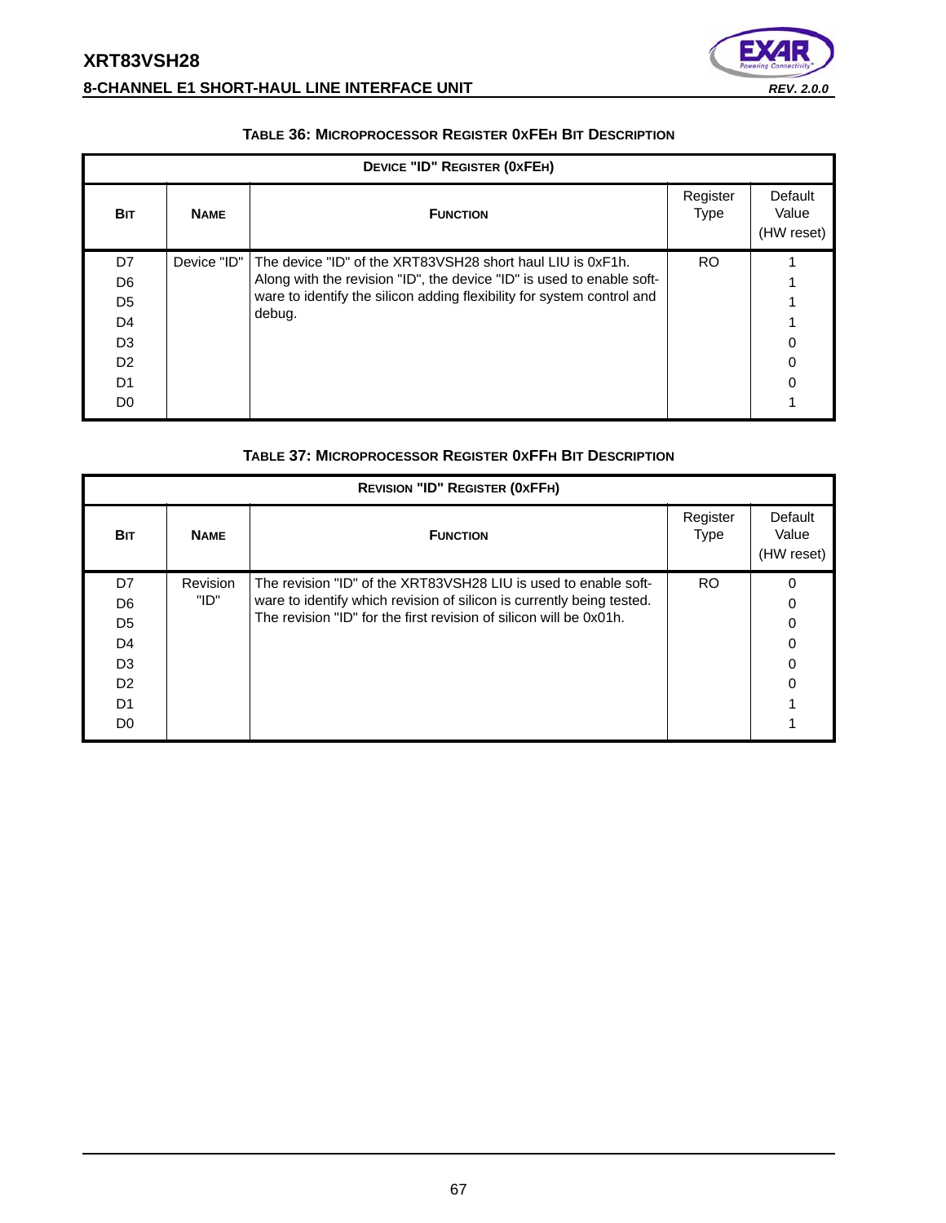# **XRT83VSH28 8-CHANNEL E1 SHORT-HAUL LINE INTERFACE UNIT** *REV. 2.0.0*



| DEVICE "ID" REGISTER (0XFEH) |             |                                                                                                                                                 |                         |                                |  |  |  |
|------------------------------|-------------|-------------------------------------------------------------------------------------------------------------------------------------------------|-------------------------|--------------------------------|--|--|--|
| <b>BIT</b>                   | <b>NAME</b> | <b>FUNCTION</b>                                                                                                                                 | Register<br><b>Type</b> | Default<br>Value<br>(HW reset) |  |  |  |
| D7                           | Device "ID" | The device "ID" of the XRT83VSH28 short haul LIU is 0xF1h.                                                                                      | RO.                     |                                |  |  |  |
| D <sub>6</sub>               |             | Along with the revision "ID", the device "ID" is used to enable soft-<br>ware to identify the silicon adding flexibility for system control and |                         |                                |  |  |  |
| D5                           |             |                                                                                                                                                 |                         |                                |  |  |  |
| D <sub>4</sub>               |             | debug.                                                                                                                                          |                         |                                |  |  |  |
| D <sub>3</sub>               |             |                                                                                                                                                 |                         |                                |  |  |  |
| D <sub>2</sub>               |             |                                                                                                                                                 |                         |                                |  |  |  |
| D1                           |             |                                                                                                                                                 |                         | ∩                              |  |  |  |
| D <sub>0</sub>               |             |                                                                                                                                                 |                         |                                |  |  |  |

#### **TABLE 36: MICROPROCESSOR REGISTER 0XFEH BIT DESCRIPTION**

#### **TABLE 37: MICROPROCESSOR REGISTER 0XFFH BIT DESCRIPTION**

| <b>REVISION "ID" REGISTER (OXFFH)</b> |             |                                                                       |                         |                                |  |  |  |
|---------------------------------------|-------------|-----------------------------------------------------------------------|-------------------------|--------------------------------|--|--|--|
| <b>BIT</b>                            | <b>NAME</b> | <b>FUNCTION</b>                                                       | Register<br><b>Type</b> | Default<br>Value<br>(HW reset) |  |  |  |
| D7                                    | Revision    | The revision "ID" of the XRT83VSH28 LIU is used to enable soft-       | <b>RO</b>               | $\Omega$                       |  |  |  |
| D <sub>6</sub>                        | "ID"        | ware to identify which revision of silicon is currently being tested. |                         | 0                              |  |  |  |
| D <sub>5</sub>                        |             | The revision "ID" for the first revision of silicon will be 0x01h.    |                         | 0                              |  |  |  |
| D <sub>4</sub>                        |             |                                                                       |                         | 0                              |  |  |  |
| D <sub>3</sub>                        |             |                                                                       |                         | 0                              |  |  |  |
| D <sub>2</sub>                        |             |                                                                       |                         |                                |  |  |  |
| D <sub>1</sub>                        |             |                                                                       |                         |                                |  |  |  |
| D <sub>0</sub>                        |             |                                                                       |                         |                                |  |  |  |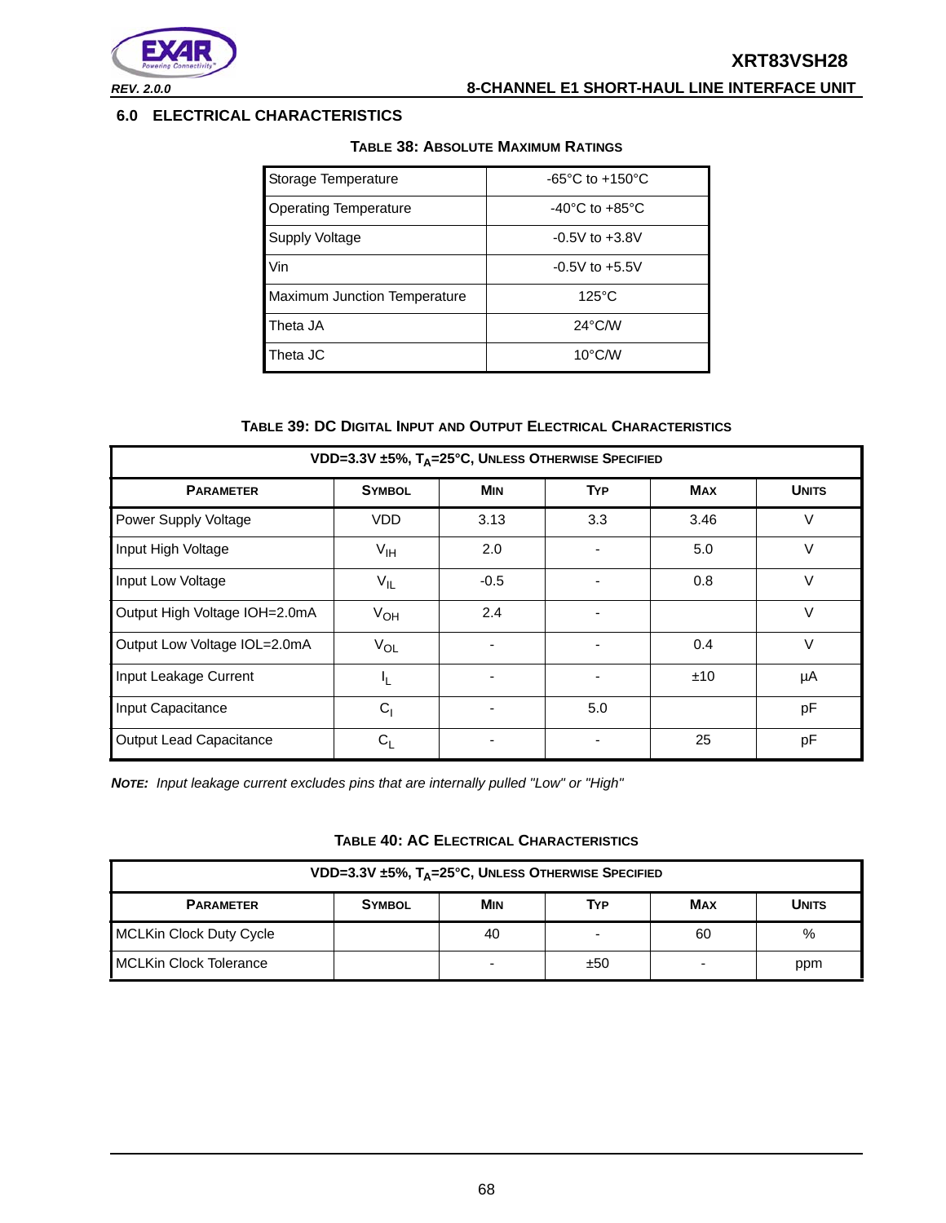



*REV. 2.0.0* **8-CHANNEL E1 SHORT-HAUL LINE INTERFACE UNIT**

#### **6.0 ELECTRICAL CHARACTERISTICS**

| Storage Temperature          | -65 $^{\circ}$ C to +150 $^{\circ}$ C |
|------------------------------|---------------------------------------|
| <b>Operating Temperature</b> | $-40^{\circ}$ C to $+85^{\circ}$ C    |
| Supply Voltage               | $-0.5V$ to $+3.8V$                    |
| Vin                          | $-0.5V$ to $+5.5V$                    |
| Maximum Junction Temperature | $125^{\circ}$ C                       |
| Theta JA                     | $24^{\circ}$ C/W                      |
| Theta JC                     | $10^{\circ}$ C/W                      |

### **TABLE 38: ABSOLUTE MAXIMUM RATINGS**

#### **TABLE 39: DC DIGITAL INPUT AND OUTPUT ELECTRICAL CHARACTERISTICS**

| VDD=3.3V ±5%, T <sub>A</sub> =25°C, UNLESS OTHERWISE SPECIFIED |                 |            |            |            |              |  |  |
|----------------------------------------------------------------|-----------------|------------|------------|------------|--------------|--|--|
| <b>PARAMETER</b>                                               | <b>SYMBOL</b>   | <b>MIN</b> | <b>TYP</b> | <b>MAX</b> | <b>UNITS</b> |  |  |
| Power Supply Voltage                                           | VDD             | 3.13       | 3.3        | 3.46       | V            |  |  |
| Input High Voltage                                             | $V_{\text{IH}}$ | 2.0        |            | 5.0        | $\vee$       |  |  |
| Input Low Voltage                                              | $V_{IL}$        | $-0.5$     |            | 0.8        | V            |  |  |
| Output High Voltage IOH=2.0mA                                  | V <sub>OH</sub> | 2.4        |            |            | $\vee$       |  |  |
| Output Low Voltage IOL=2.0mA                                   | $V_{OL}$        |            |            | 0.4        | $\vee$       |  |  |
| Input Leakage Current                                          | 4               |            |            | ±10        | μA           |  |  |
| Input Capacitance                                              | C <sub>1</sub>  |            | 5.0        |            | pF           |  |  |
| Output Lead Capacitance                                        | $C_{1}$         |            |            | 25         | pF           |  |  |

*NOTE: Input leakage current excludes pins that are internally pulled "Low" or "High"*

|  |  | TABLE 40: AC ELECTRICAL CHARACTERISTICS |
|--|--|-----------------------------------------|
|--|--|-----------------------------------------|

| VDD=3.3V $\pm$ 5%, T <sub>A</sub> =25°C, UNLESS OTHERWISE SPECIFIED                  |  |    |   |    |      |  |  |
|--------------------------------------------------------------------------------------|--|----|---|----|------|--|--|
| <b>MIN</b><br>TYP<br><b>MAX</b><br><b>PARAMETER</b><br><b>UNITS</b><br><b>SYMBOL</b> |  |    |   |    |      |  |  |
| <b>MCLKin Clock Duty Cycle</b>                                                       |  | 40 | - | 60 | $\%$ |  |  |
| <b>MCLKin Clock Tolerance</b><br>±50<br>ppm                                          |  |    |   |    |      |  |  |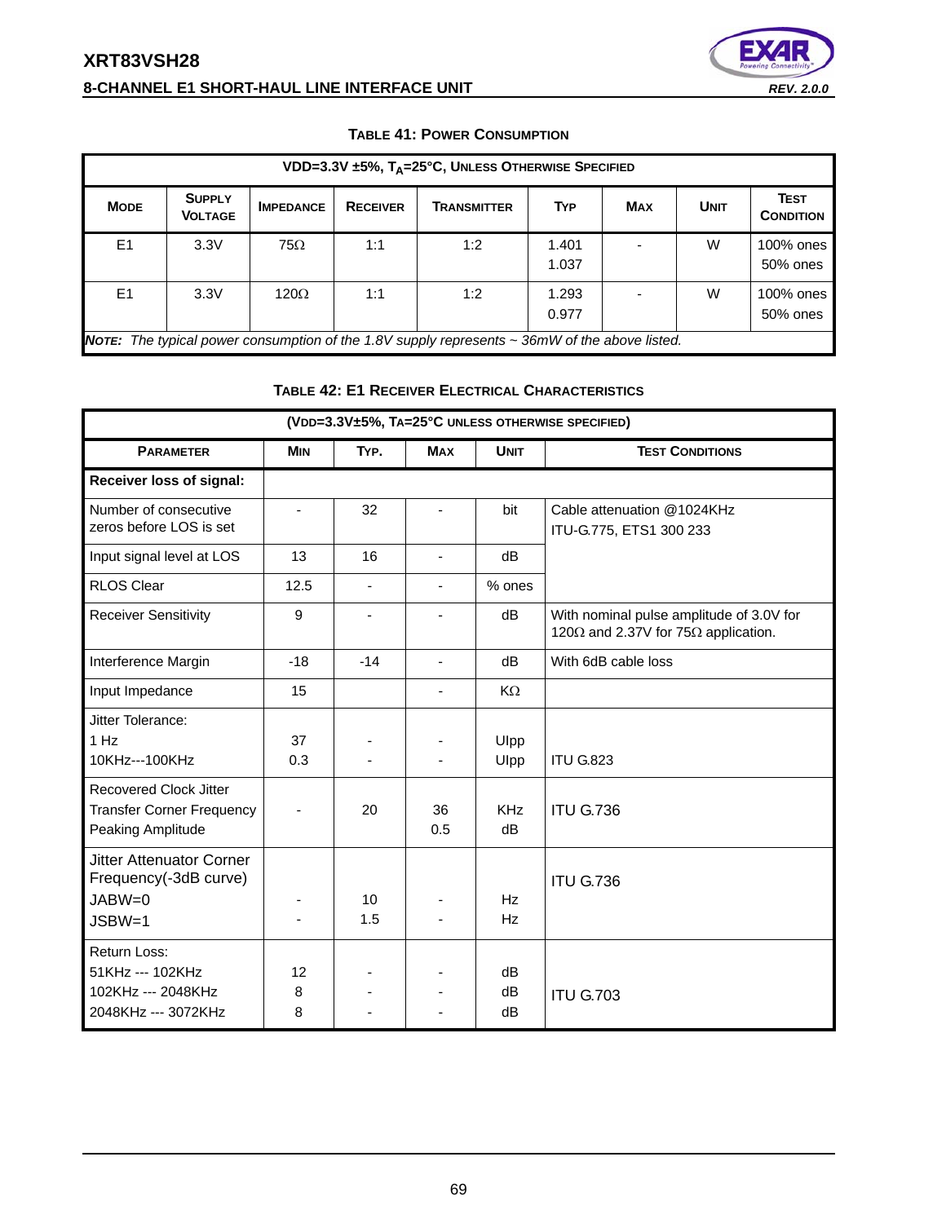# **XRT83VSH28 8-CHANNEL E1 SHORT-HAUL LINE INTERFACE UNIT** *REV. 2.0.0*



| VDD=3.3V ±5%, T <sub>A</sub> =25°C, UNLESS OTHERWISE SPECIFIED                                      |                                                                                                    |                  |                 |                    |                |            |             |                                 |  |
|-----------------------------------------------------------------------------------------------------|----------------------------------------------------------------------------------------------------|------------------|-----------------|--------------------|----------------|------------|-------------|---------------------------------|--|
| <b>MODE</b>                                                                                         | <b>SUPPLY</b><br><b>VOLTAGE</b>                                                                    | <b>IMPEDANCE</b> | <b>RECEIVER</b> | <b>TRANSMITTER</b> | <b>TYP</b>     | <b>MAX</b> | <b>UNIT</b> | <b>TEST</b><br><b>CONDITION</b> |  |
| E <sub>1</sub>                                                                                      | 3.3V                                                                                               | $75\Omega$       | 1:1             | 1:2                | 1.401<br>1.037 |            | W           | 100% ones<br>50% ones           |  |
| E <sub>1</sub><br>W<br>3.3V<br>1:2<br>1.293<br>$120\Omega$<br>1:1<br>100% ones<br>0.977<br>50% ones |                                                                                                    |                  |                 |                    |                |            |             |                                 |  |
|                                                                                                     | NOTE: The typical power consumption of the 1.8V supply represents $\sim$ 36mW of the above listed. |                  |                 |                    |                |            |             |                                 |  |

#### **TABLE 41: POWER CONSUMPTION**

# **TABLE 42: E1 RECEIVER ELECTRICAL CHARACTERISTICS**

| (VDD=3.3V±5%, TA=25°C UNLESS OTHERWISE SPECIFIED)                                      |              |                          |                          |                  |                                                                                                 |  |  |  |
|----------------------------------------------------------------------------------------|--------------|--------------------------|--------------------------|------------------|-------------------------------------------------------------------------------------------------|--|--|--|
| <b>PARAMETER</b>                                                                       | <b>MIN</b>   | TYP.                     | <b>MAX</b>               | <b>UNIT</b>      | <b>TEST CONDITIONS</b>                                                                          |  |  |  |
| Receiver loss of signal:                                                               |              |                          |                          |                  |                                                                                                 |  |  |  |
| Number of consecutive<br>zeros before LOS is set                                       |              | 32                       |                          | bit              | Cable attenuation @1024KHz<br>ITU-G.775, ETS1 300 233                                           |  |  |  |
| Input signal level at LOS                                                              | 13           | 16                       | ä,                       | dB               |                                                                                                 |  |  |  |
| <b>RLOS Clear</b>                                                                      | 12.5         | $\overline{\phantom{a}}$ |                          | % ones           |                                                                                                 |  |  |  |
| <b>Receiver Sensitivity</b>                                                            | 9            | $\blacksquare$           | $\blacksquare$           | dB               | With nominal pulse amplitude of 3.0V for<br>120 $\Omega$ and 2.37V for 75 $\Omega$ application. |  |  |  |
| Interference Margin                                                                    | $-18$        | $-14$                    | $\overline{\phantom{a}}$ | dB               | With 6dB cable loss                                                                             |  |  |  |
| Input Impedance                                                                        | 15           |                          | ÷,                       | KΩ               |                                                                                                 |  |  |  |
| Jitter Tolerance:<br>1 Hz<br>10KHz---100KHz                                            | 37<br>0.3    |                          |                          | Ulpp<br>Ulpp     | <b>ITU G.823</b>                                                                                |  |  |  |
| <b>Recovered Clock Jitter</b><br><b>Transfer Corner Frequency</b><br>Peaking Amplitude |              | 20                       | 36<br>0.5                | <b>KHz</b><br>dB | <b>ITU G.736</b>                                                                                |  |  |  |
| <b>Jitter Attenuator Corner</b><br>Frequency(-3dB curve)<br>JABW=0<br>$JSBW=1$         |              | 10<br>1.5                |                          | Hz<br>Hz         | <b>ITU G.736</b>                                                                                |  |  |  |
| Return Loss:<br>51KHz --- 102KHz<br>102KHz --- 2048KHz<br>2048KHz --- 3072KHz          | 12<br>8<br>8 |                          |                          | dB<br>dB<br>dB   | <b>ITU G.703</b>                                                                                |  |  |  |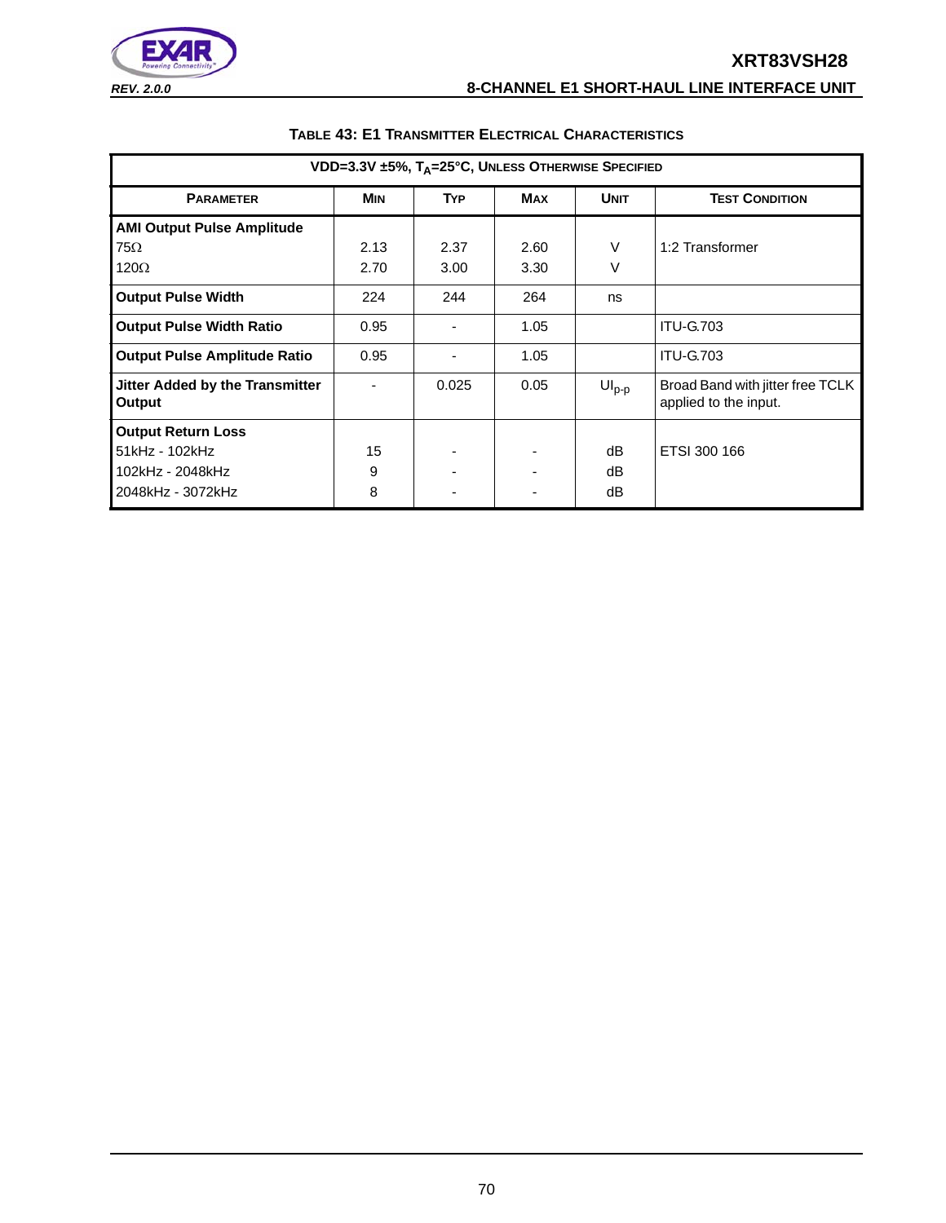# **XRT83VSH28**



# *REV. 2.0.0* **8-CHANNEL E1 SHORT-HAUL LINE INTERFACE UNIT**

| VDD=3.3V ±5%, TA=25°C, UNLESS OTHERWISE SPECIFIED |            |            |            |             |                                                           |  |  |
|---------------------------------------------------|------------|------------|------------|-------------|-----------------------------------------------------------|--|--|
| <b>PARAMETER</b>                                  | <b>MIN</b> | <b>TYP</b> | <b>MAX</b> | <b>UNIT</b> | <b>TEST CONDITION</b>                                     |  |  |
| <b>AMI Output Pulse Amplitude</b>                 |            |            |            |             |                                                           |  |  |
| $75\Omega$                                        | 2.13       | 2.37       | 2.60       | V           | 1:2 Transformer                                           |  |  |
| $120\Omega$                                       | 2.70       | 3.00       | 3.30       | V           |                                                           |  |  |
| <b>Output Pulse Width</b>                         | 224        | 244        | 264        | ns          |                                                           |  |  |
| <b>Output Pulse Width Ratio</b>                   | 0.95       |            | 1.05       |             | <b>ITU-G.703</b>                                          |  |  |
| <b>Output Pulse Amplitude Ratio</b>               | 0.95       |            | 1.05       |             | <b>ITU-G.703</b>                                          |  |  |
| Jitter Added by the Transmitter<br><b>Output</b>  |            | 0.025      | 0.05       | $UIp-p$     | Broad Band with jitter free TCLK<br>applied to the input. |  |  |
| <b>Output Return Loss</b>                         |            |            |            |             |                                                           |  |  |
| 51kHz - 102kHz                                    | 15         |            |            | dB          | ETSI 300 166                                              |  |  |
| 102kHz - 2048kHz                                  | 9          |            |            | dB          |                                                           |  |  |
| 2048kHz - 3072kHz                                 | 8          |            |            | dB          |                                                           |  |  |

### **TABLE 43: E1 TRANSMITTER ELECTRICAL CHARACTERISTICS**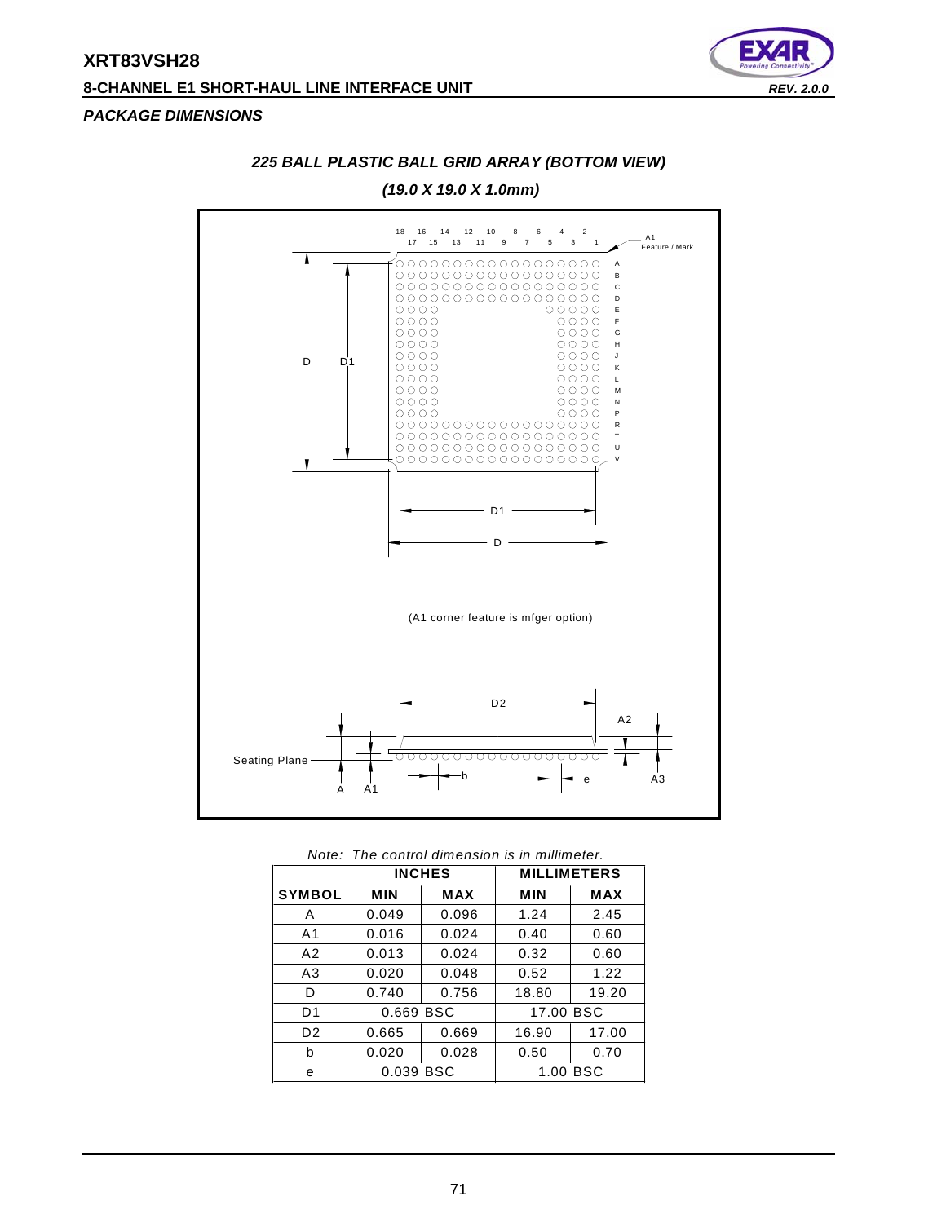# **XRT83VSH28 8-CHANNEL E1 SHORT-HAUL LINE INTERFACE UNIT** *REV. 2.0.0*



#### *PACKAGE DIMENSIONS*



## *225 BALL PLASTIC BALL GRID ARRAY (BOTTOM VIEW)*

*Note: The control dimension is in millimeter.*

|                |            | <b>INCHES</b> | <b>MILLIMETERS</b> |            |  |
|----------------|------------|---------------|--------------------|------------|--|
| <b>SYMBOL</b>  | <b>MIN</b> | MAX           | <b>MIN</b>         | <b>MAX</b> |  |
| Α              | 0.049      | 0.096         | 1.24               | 2.45       |  |
| A <sub>1</sub> | 0.016      | 0.024         | 0.40               | 0.60       |  |
| A2             | 0.013      | 0.024         | 0.32               | 0.60       |  |
| A3             | 0.020      | 0.048         | 0.52               | 1.22       |  |
| D              | 0.740      | 0.756         | 18.80              | 19.20      |  |
| D <sub>1</sub> | 0.669 BSC  |               | 17.00 BSC          |            |  |
| D <sub>2</sub> | 0.665      | 0.669         | 16.90              | 17.00      |  |
| b              | 0.020      | 0.028         | 0.50               | 0.70       |  |
| e              | 0.039 BSC  |               |                    | 1.00 BSC   |  |